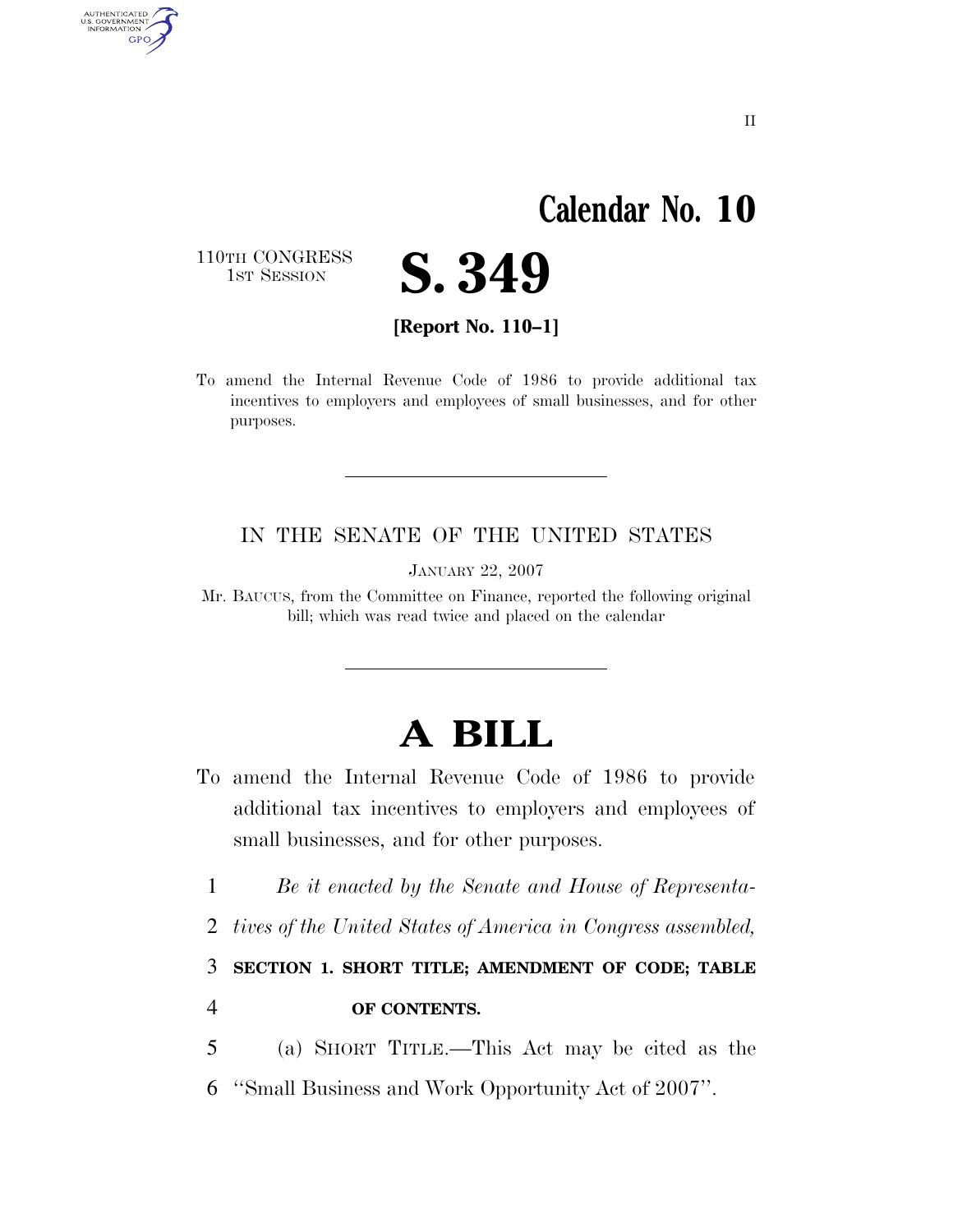# **Calendar No. 10**

110TH CONGRESS<br>1st Session

AUTHENTICATED<br>U.S. GOVERNMENT<br>INFORMATION **GPO** 



**[Report No. 110–1]** 

To amend the Internal Revenue Code of 1986 to provide additional tax incentives to employers and employees of small businesses, and for other purposes.

### IN THE SENATE OF THE UNITED STATES

JANUARY 22, 2007

Mr. BAUCUS, from the Committee on Finance, reported the following original bill; which was read twice and placed on the calendar

# **A BILL**

- To amend the Internal Revenue Code of 1986 to provide additional tax incentives to employers and employees of small businesses, and for other purposes.
	- 1 *Be it enacted by the Senate and House of Representa-*
	- 2 *tives of the United States of America in Congress assembled,*

3 **SECTION 1. SHORT TITLE; AMENDMENT OF CODE; TABLE** 

### 4 **OF CONTENTS.**

5 (a) SHORT TITLE.—This Act may be cited as the 6 ''Small Business and Work Opportunity Act of 2007''.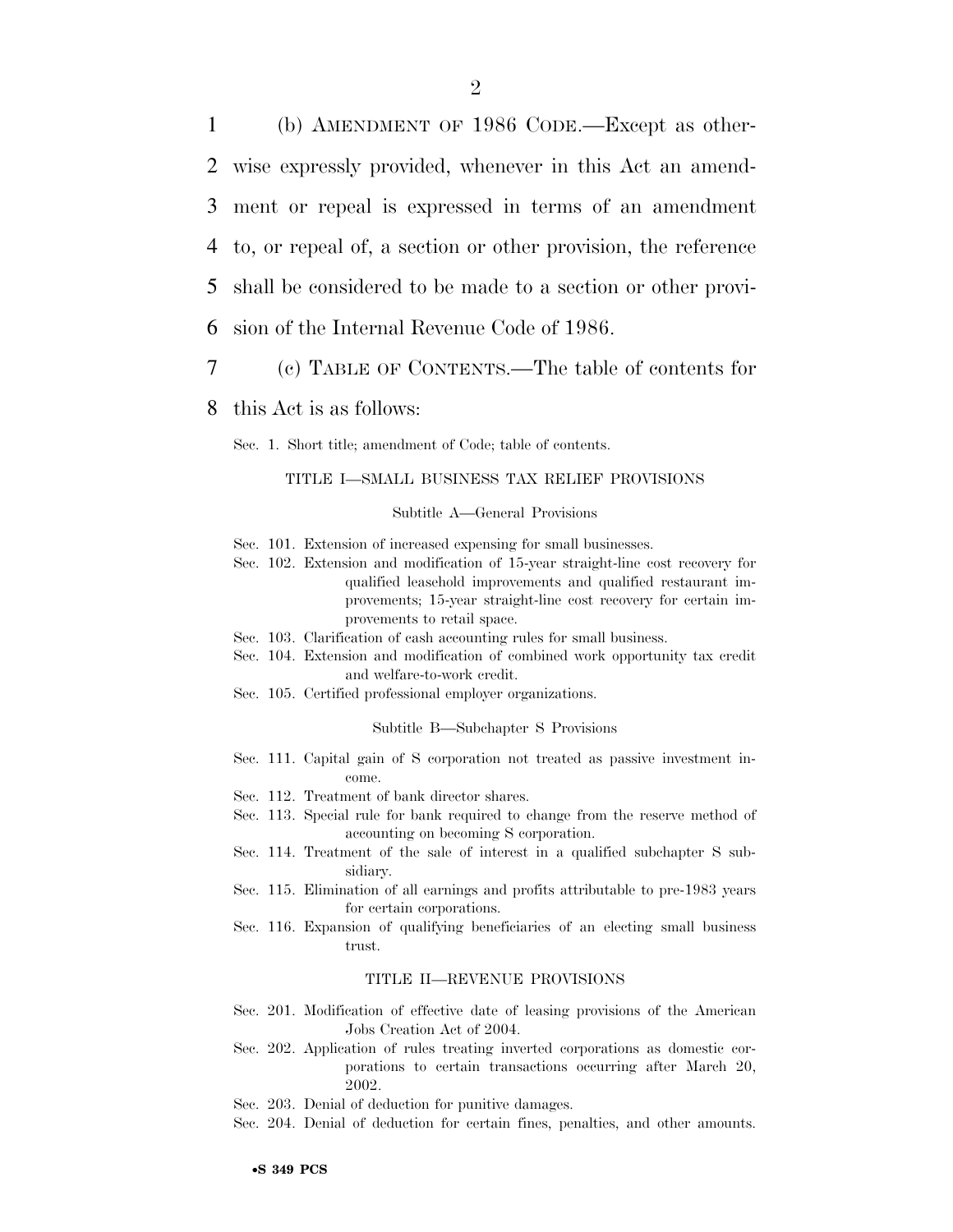(b) AMENDMENT OF 1986 CODE.—Except as other- wise expressly provided, whenever in this Act an amend- ment or repeal is expressed in terms of an amendment to, or repeal of, a section or other provision, the reference shall be considered to be made to a section or other provi-sion of the Internal Revenue Code of 1986.

- 7 (c) TABLE OF CONTENTS.—The table of contents for
- 8 this Act is as follows:

Sec. 1. Short title; amendment of Code; table of contents.

#### TITLE I—SMALL BUSINESS TAX RELIEF PROVISIONS

Subtitle A—General Provisions

- Sec. 101. Extension of increased expensing for small businesses.
- Sec. 102. Extension and modification of 15-year straight-line cost recovery for qualified leasehold improvements and qualified restaurant improvements; 15-year straight-line cost recovery for certain improvements to retail space.
- Sec. 103. Clarification of cash accounting rules for small business.
- Sec. 104. Extension and modification of combined work opportunity tax credit and welfare-to-work credit.
- Sec. 105. Certified professional employer organizations.

#### Subtitle B—Subchapter S Provisions

- Sec. 111. Capital gain of S corporation not treated as passive investment income.
- Sec. 112. Treatment of bank director shares.
- Sec. 113. Special rule for bank required to change from the reserve method of accounting on becoming S corporation.
- Sec. 114. Treatment of the sale of interest in a qualified subchapter S subsidiary.
- Sec. 115. Elimination of all earnings and profits attributable to pre-1983 years for certain corporations.
- Sec. 116. Expansion of qualifying beneficiaries of an electing small business trust.

#### TITLE II—REVENUE PROVISIONS

- Sec. 201. Modification of effective date of leasing provisions of the American Jobs Creation Act of 2004.
- Sec. 202. Application of rules treating inverted corporations as domestic corporations to certain transactions occurring after March 20, 2002.
- Sec. 203. Denial of deduction for punitive damages.
- Sec. 204. Denial of deduction for certain fines, penalties, and other amounts.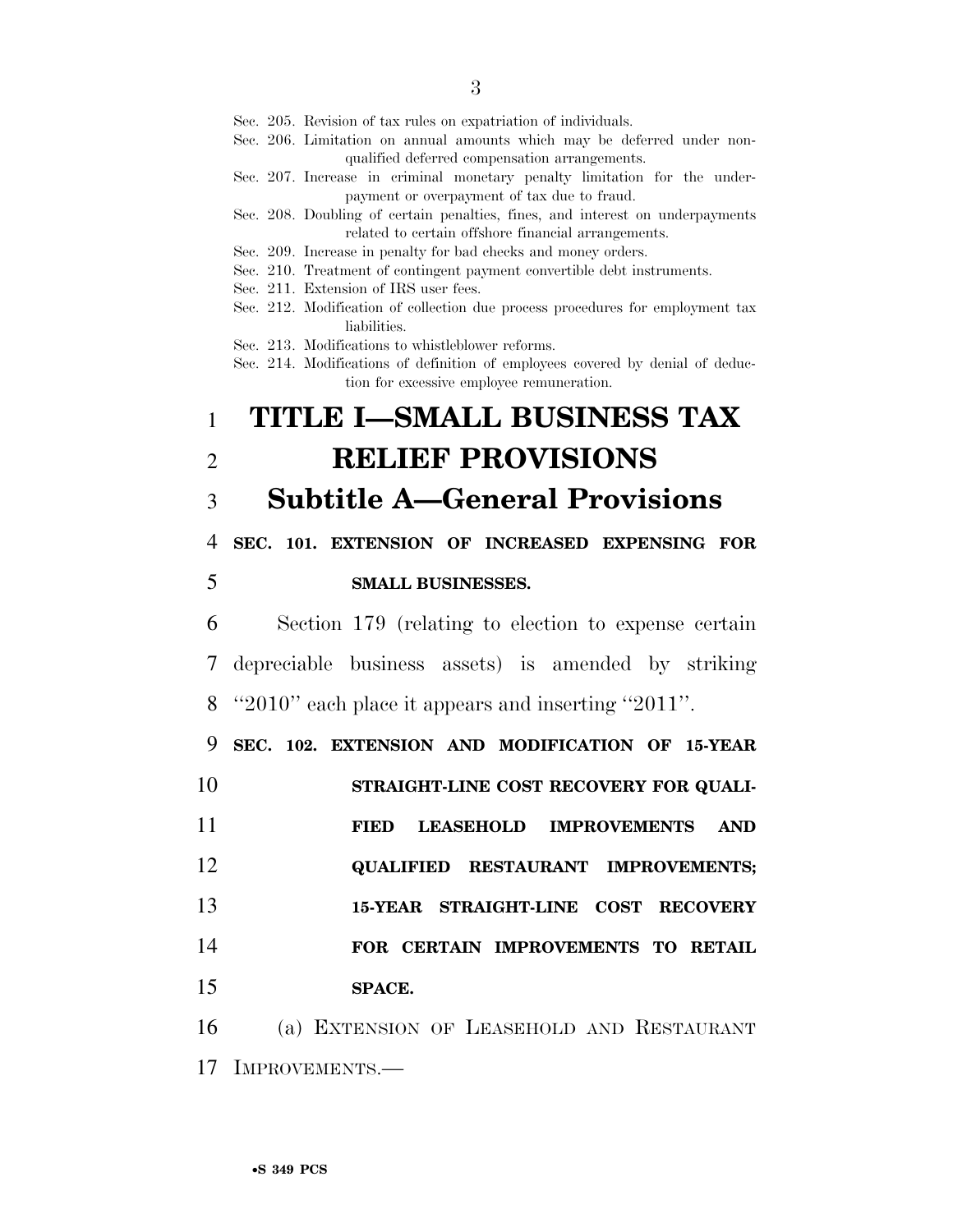- Sec. 205. Revision of tax rules on expatriation of individuals.
- Sec. 206. Limitation on annual amounts which may be deferred under nonqualified deferred compensation arrangements.
- Sec. 207. Increase in criminal monetary penalty limitation for the underpayment or overpayment of tax due to fraud.
- Sec. 208. Doubling of certain penalties, fines, and interest on underpayments related to certain offshore financial arrangements.
- Sec. 209. Increase in penalty for bad checks and money orders.
- Sec. 210. Treatment of contingent payment convertible debt instruments.
- Sec. 211. Extension of IRS user fees.
- Sec. 212. Modification of collection due process procedures for employment tax liabilities.

Sec. 213. Modifications to whistleblower reforms.

Sec. 214. Modifications of definition of employees covered by denial of deduction for excessive employee remuneration.

## 1 **TITLE I—SMALL BUSINESS TAX**  2 **RELIEF PROVISIONS**

## 3 **Subtitle A—General Provisions**

4 **SEC. 101. EXTENSION OF INCREASED EXPENSING FOR** 

### 5 **SMALL BUSINESSES.**

6 Section 179 (relating to election to expense certain 7 depreciable business assets) is amended by striking 8 ''2010'' each place it appears and inserting ''2011''.

9 **SEC. 102. EXTENSION AND MODIFICATION OF 15-YEAR** 

10 **STRAIGHT-LINE COST RECOVERY FOR QUALI-**

11 **FIED LEASEHOLD IMPROVEMENTS AND**  12 **QUALIFIED RESTAURANT IMPROVEMENTS;**  13 **15-YEAR STRAIGHT-LINE COST RECOVERY** 

14 **FOR CERTAIN IMPROVEMENTS TO RETAIL** 

15 **SPACE.** 

16 (a) EXTENSION OF LEASEHOLD AND RESTAURANT 17 IMPROVEMENTS.—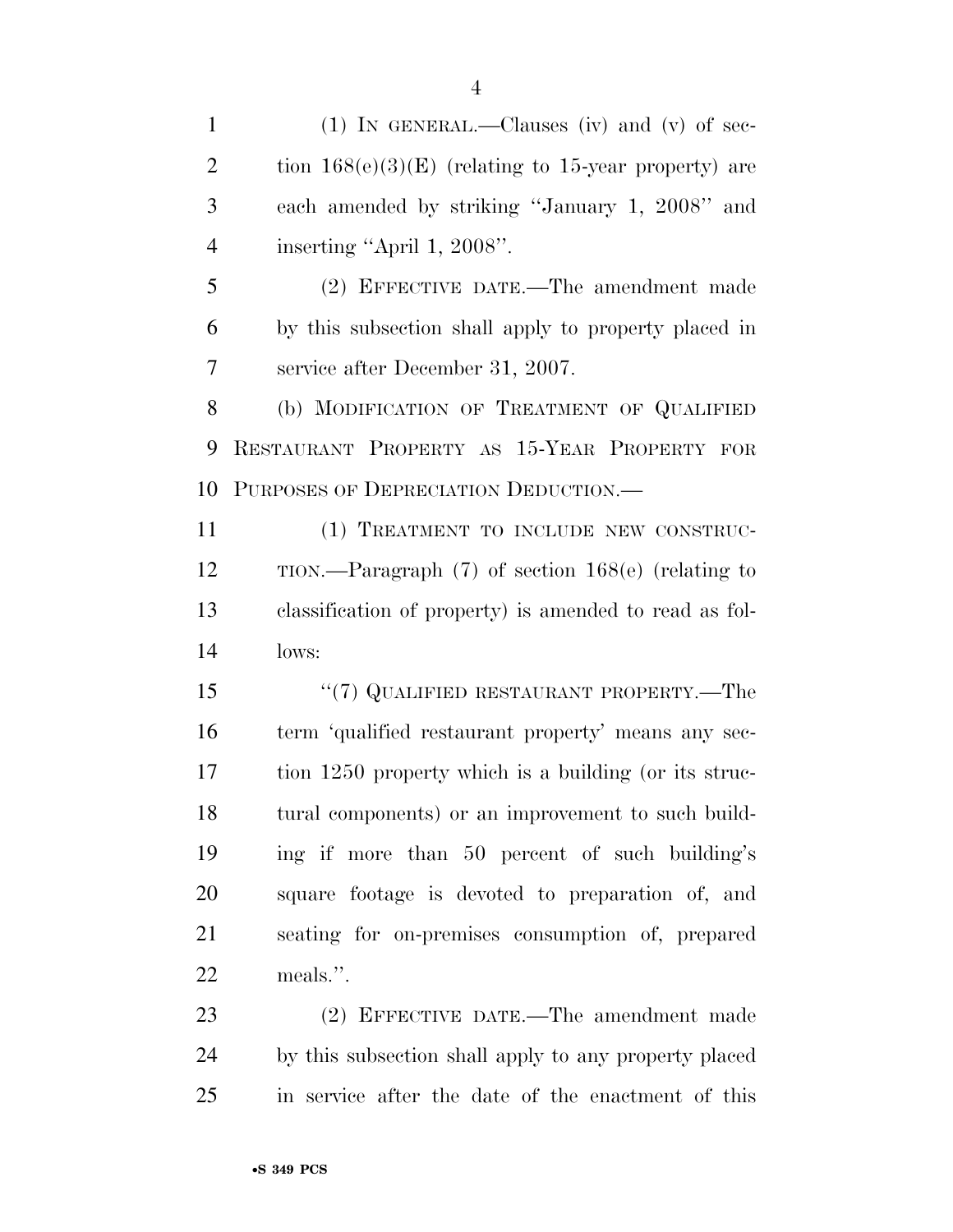(1) IN GENERAL.—Clauses (iv) and (v) of sec-2 tion  $168(e)(3)(E)$  (relating to 15-year property) are

 each amended by striking ''January 1, 2008'' and inserting ''April 1, 2008''.

 (2) EFFECTIVE DATE.—The amendment made by this subsection shall apply to property placed in service after December 31, 2007.

8 (b) MODIFICATION OF TREATMENT OF QUALIFIED RESTAURANT PROPERTY AS 15-YEAR PROPERTY FOR PURPOSES OF DEPRECIATION DEDUCTION.—

 (1) TREATMENT TO INCLUDE NEW CONSTRUC- TION.—Paragraph (7) of section 168(e) (relating to classification of property) is amended to read as fol-lows:

15 "(7) QUALIFIED RESTAURANT PROPERTY.—The term 'qualified restaurant property' means any sec- tion 1250 property which is a building (or its struc- tural components) or an improvement to such build- ing if more than 50 percent of such building's square footage is devoted to preparation of, and seating for on-premises consumption of, prepared meals.''.

 (2) EFFECTIVE DATE.—The amendment made by this subsection shall apply to any property placed in service after the date of the enactment of this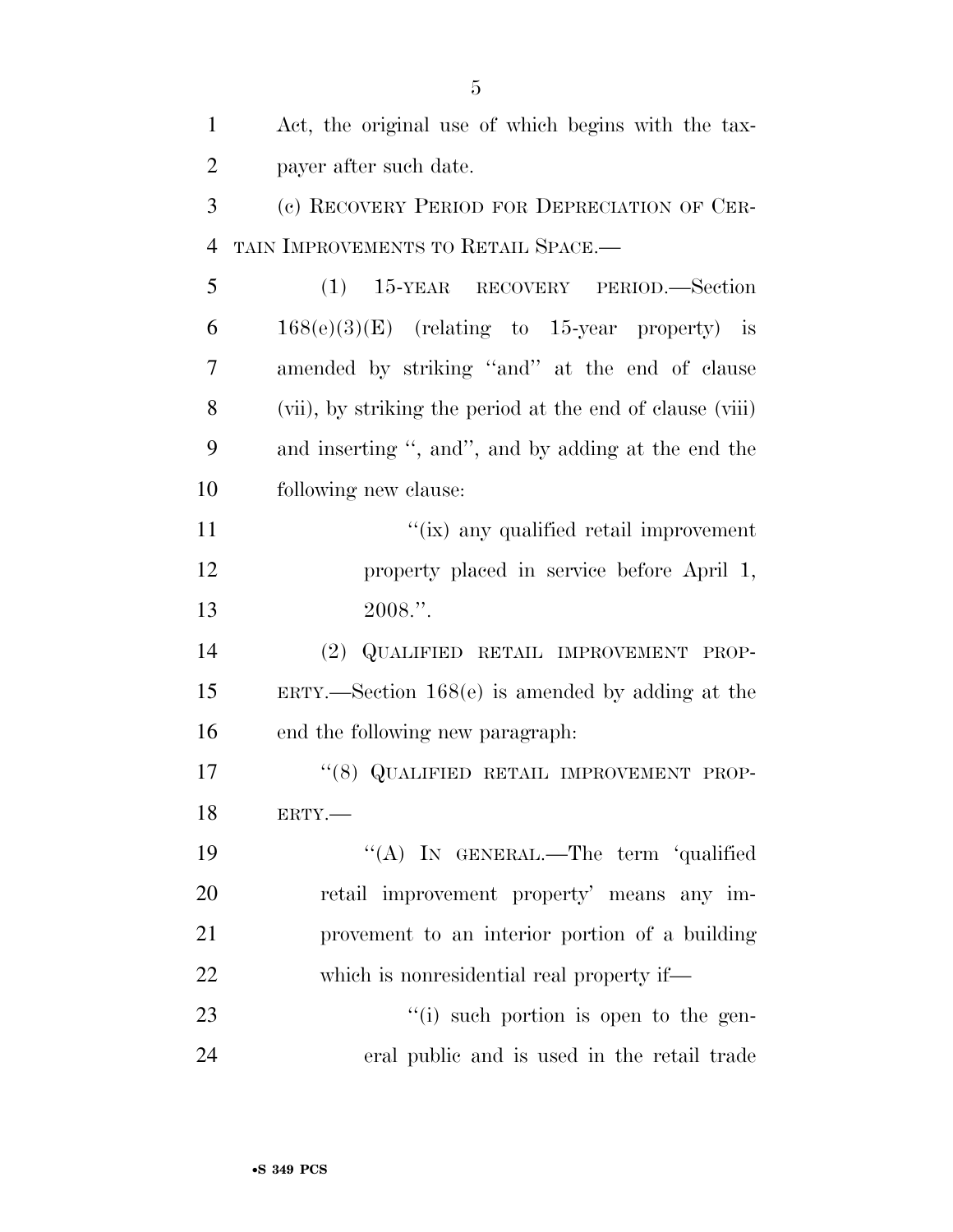| 1              | Act, the original use of which begins with the tax-       |
|----------------|-----------------------------------------------------------|
| $\overline{2}$ | payer after such date.                                    |
| 3              | (c) RECOVERY PERIOD FOR DEPRECIATION OF CER-              |
| $\overline{4}$ | TAIN IMPROVEMENTS TO RETAIL SPACE.-                       |
| 5              | (1) 15-YEAR RECOVERY PERIOD.—Section                      |
| 6              | $168(e)(3)(E)$ (relating to 15-year property) is          |
| 7              | amended by striking "and" at the end of clause            |
| 8              | (vii), by striking the period at the end of clause (viii) |
| 9              | and inserting ", and", and by adding at the end the       |
| 10             | following new clause:                                     |
| 11             | "(ix) any qualified retail improvement                    |
| 12             | property placed in service before April 1,                |
| 13             | 2008.".                                                   |
| 14             | (2) QUALIFIED RETAIL IMPROVEMENT PROP-                    |
| 15             | $ERTY.$ Section 168 $(e)$ is amended by adding at the     |
| 16             | end the following new paragraph.                          |
| 17             | "(8) QUALIFIED RETAIL IMPROVEMENT PROP-                   |
| 18             | ERTY.                                                     |
| 19             | "(A) IN GENERAL.—The term 'qualified                      |
| 20             | retail improvement property' means any im-                |
| 21             | provement to an interior portion of a building            |
| 22             | which is nonresidential real property if—                 |
| 23             | "(i) such portion is open to the gen-                     |
| 24             | eral public and is used in the retail trade               |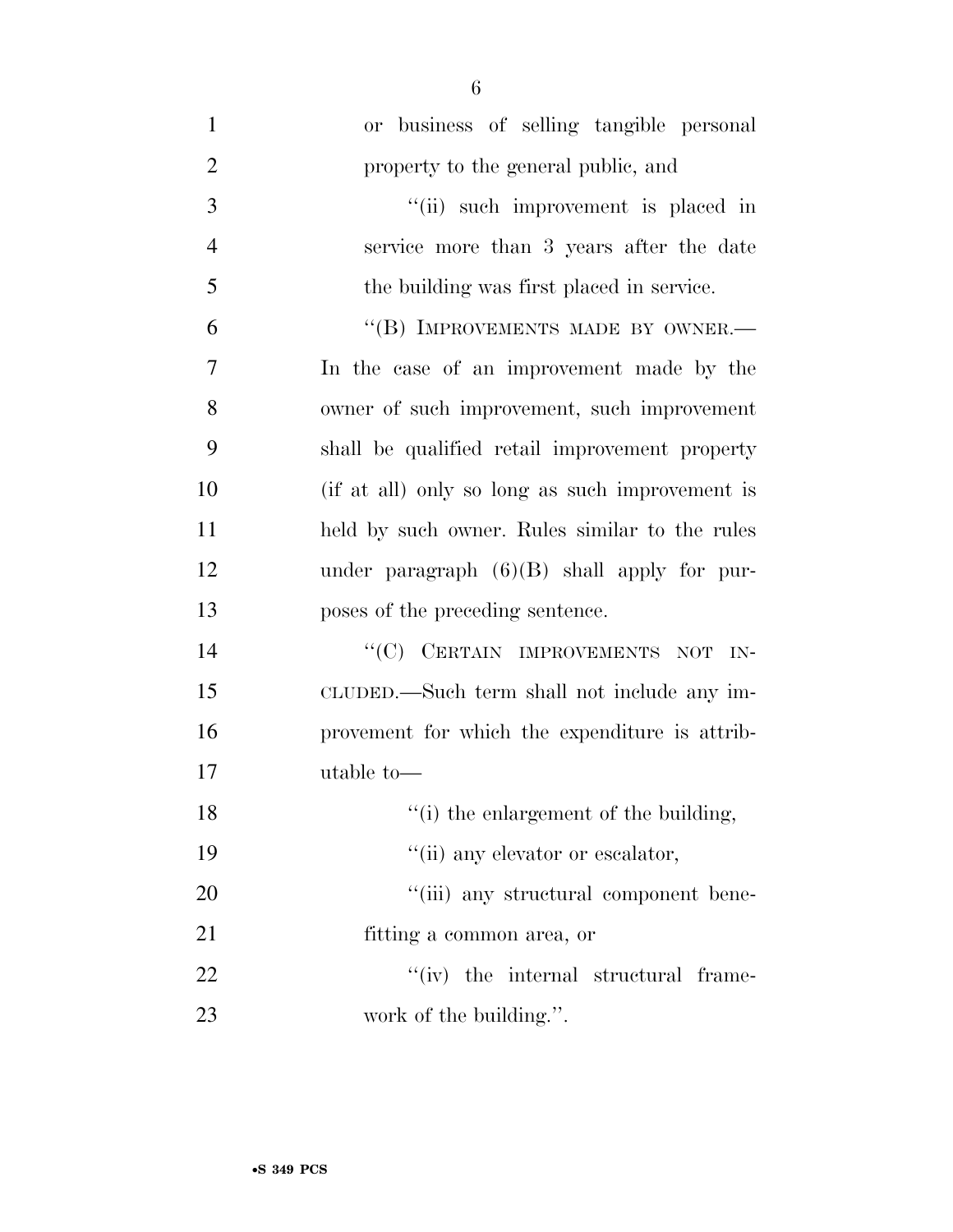| $\mathbf{1}$   | or business of selling tangible personal        |
|----------------|-------------------------------------------------|
| $\overline{2}$ | property to the general public, and             |
| 3              | "(ii) such improvement is placed in             |
| $\overline{4}$ | service more than 3 years after the date        |
| 5              | the building was first placed in service.       |
| 6              | "(B) IMPROVEMENTS MADE BY OWNER.-               |
| 7              | In the case of an improvement made by the       |
| 8              | owner of such improvement, such improvement     |
| 9              | shall be qualified retail improvement property  |
| 10             | (if at all) only so long as such improvement is |
| 11             | held by such owner. Rules similar to the rules  |
| 12             | under paragraph $(6)(B)$ shall apply for pur-   |
| 13             | poses of the preceding sentence.                |
| 14             | "(C) CERTAIN IMPROVEMENTS NOT IN-               |
| 15             | CLUDED.—Such term shall not include any im-     |
| 16             | provement for which the expenditure is attrib-  |
| 17             | utable to-                                      |
| 18             | "(i) the enlargement of the building,           |
| 19             | "(ii) any elevator or escalator,                |
| 20             | "(iii) any structural component bene-           |
| 21             | fitting a common area, or                       |
| 22             | $``(iv)$ the internal structural frame-         |
| 23             | work of the building.".                         |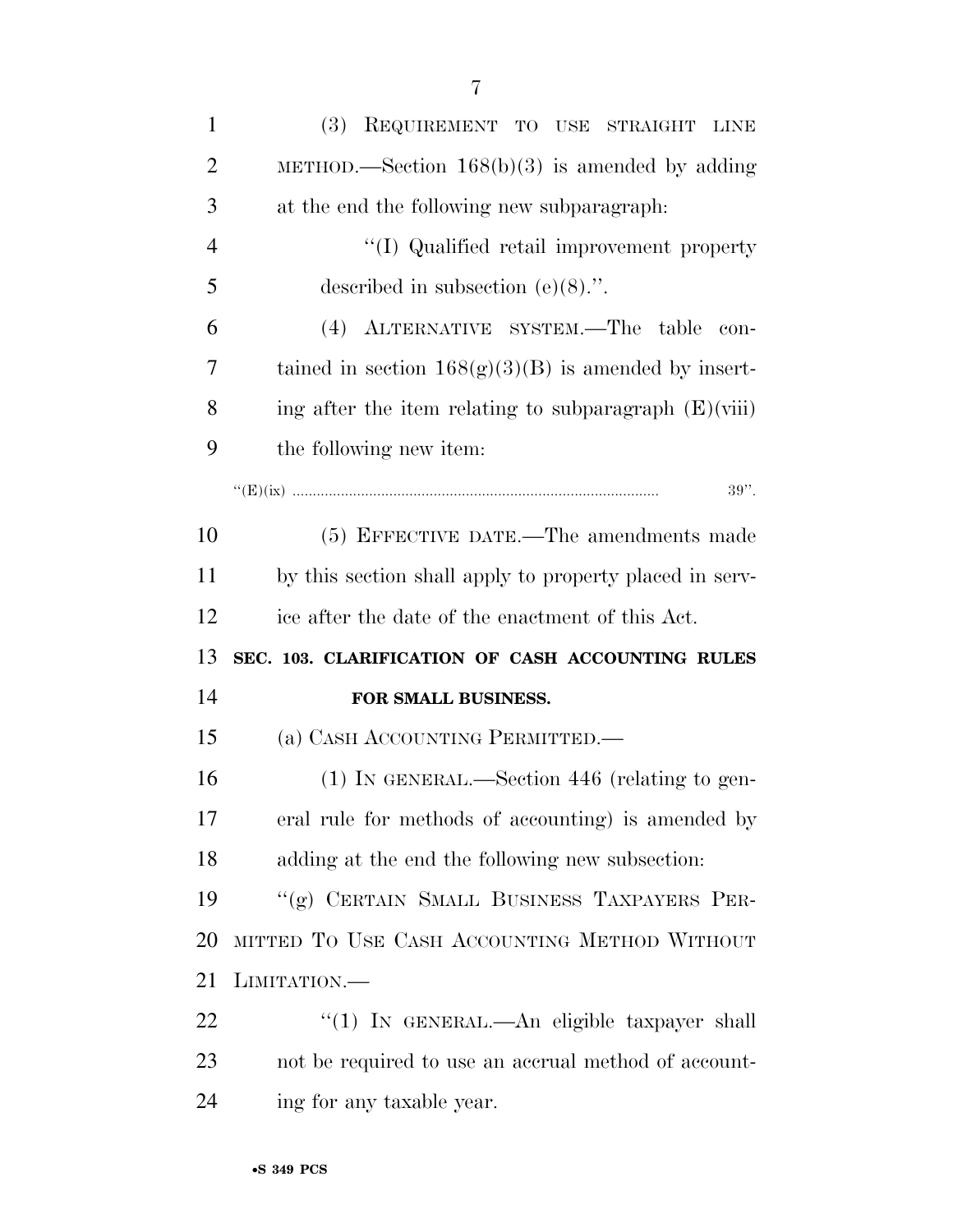| $\mathbf{1}$   | (3) REQUIREMENT TO USE STRAIGHT LINE                    |
|----------------|---------------------------------------------------------|
| $\overline{2}$ | METHOD.—Section $168(b)(3)$ is amended by adding        |
| 3              | at the end the following new subparagraph.              |
| $\overline{4}$ | "(I) Qualified retail improvement property              |
| 5              | described in subsection $(e)(8)$ .".                    |
| 6              | (4) ALTERNATIVE SYSTEM.—The table<br>con-               |
| 7              | tained in section $168(g)(3)(B)$ is amended by insert-  |
| 8              | ing after the item relating to subparagraph $(E)(viii)$ |
| 9              | the following new item:                                 |
|                | $39"$ .                                                 |
| 10             | (5) EFFECTIVE DATE.—The amendments made                 |
| 11             | by this section shall apply to property placed in serv- |
| 12             | ice after the date of the enactment of this Act.        |
|                |                                                         |
| 13             | SEC. 103. CLARIFICATION OF CASH ACCOUNTING RULES        |
| 14             | FOR SMALL BUSINESS.                                     |
| 15             | (a) CASH ACCOUNTING PERMITTED.—                         |
| 16             | $(1)$ In GENERAL.—Section 446 (relating to gen-         |
| 17             | eral rule for methods of accounting) is amended by      |
| 18             | adding at the end the following new subsection:         |
| 19             | "(g) CERTAIN SMALL BUSINESS TAXPAYERS PER-              |
| 20             | MITTED TO USE CASH ACCOUNTING METHOD WITHOUT            |
| 21             | LIMITATION.—                                            |
| 22             | "(1) IN GENERAL.—An eligible taxpayer shall             |
| 23             | not be required to use an accrual method of account-    |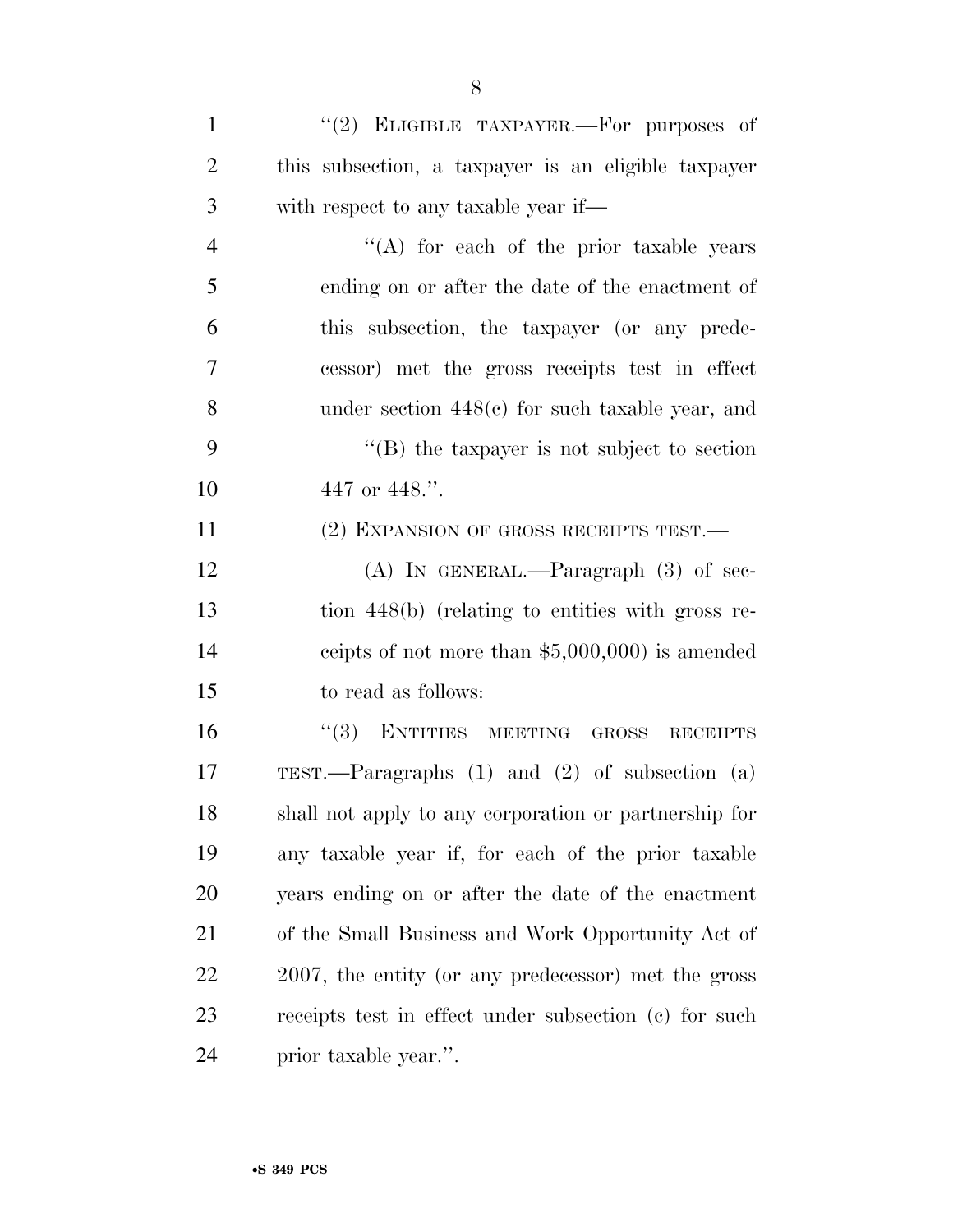| $\mathbf{1}$   | "(2) ELIGIBLE TAXPAYER.—For purposes of                    |
|----------------|------------------------------------------------------------|
| $\overline{2}$ | this subsection, a taxpayer is an eligible taxpayer        |
| 3              | with respect to any taxable year if—                       |
| $\overline{4}$ | "(A) for each of the prior taxable years                   |
| 5              | ending on or after the date of the enactment of            |
| 6              | this subsection, the taxpayer (or any prede-               |
| 7              | cessor) met the gross receipts test in effect              |
| 8              | under section $448(e)$ for such taxable year, and          |
| 9              | $\lq\lq$ the taxpayer is not subject to section            |
| 10             | 447 or 448.".                                              |
| 11             | (2) EXPANSION OF GROSS RECEIPTS TEST.                      |
| 12             | (A) IN GENERAL.—Paragraph $(3)$ of sec-                    |
| 13             | tion 448(b) (relating to entities with gross re-           |
| 14             | ceipts of not more than $$5,000,000$ is amended            |
| 15             | to read as follows:                                        |
| 16             | (3)<br>ENTITIES MEETING<br><b>GROSS</b><br><b>RECEIPTS</b> |
| 17             | TEST.—Paragraphs $(1)$ and $(2)$ of subsection $(a)$       |
| 18             | shall not apply to any corporation or partnership for      |
| 19             | any taxable year if, for each of the prior taxable         |
| 20             | years ending on or after the date of the enactment         |
| 21             | of the Small Business and Work Opportunity Act of          |
| 22             | 2007, the entity (or any predecessor) met the gross        |
| 23             | receipts test in effect under subsection (c) for such      |
|                |                                                            |

prior taxable year.''.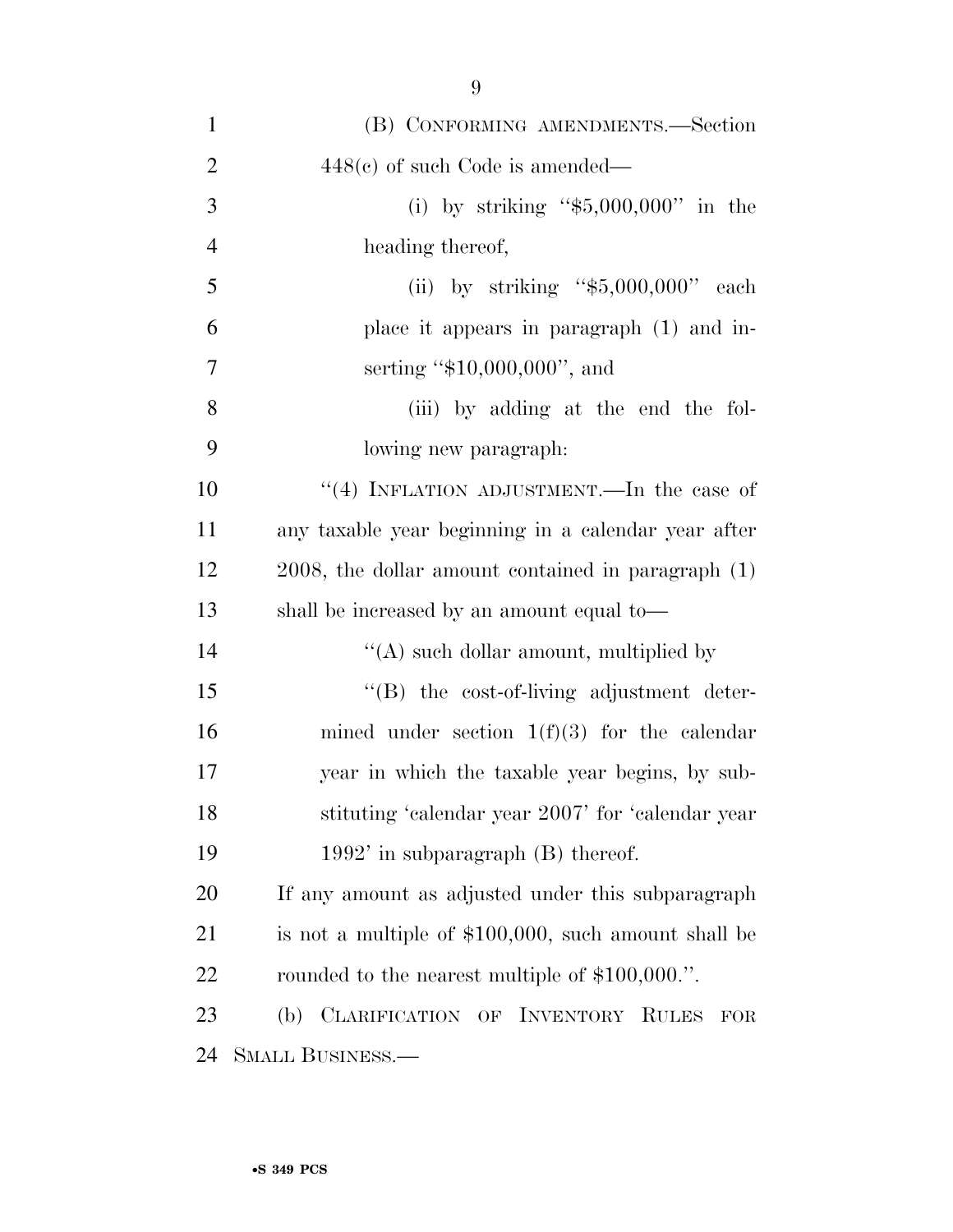| $\mathbf{1}$   | (B) CONFORMING AMENDMENTS.—Section                           |
|----------------|--------------------------------------------------------------|
| $\overline{2}$ | $448(e)$ of such Code is amended—                            |
| 3              | (i) by striking " $$5,000,000$ " in the                      |
| $\overline{4}$ | heading thereof,                                             |
| 5              | (ii) by striking " $$5,000,000"$ each                        |
| 6              | place it appears in paragraph (1) and in-                    |
| 7              | serting " $$10,000,000$ ", and                               |
| 8              | (iii) by adding at the end the fol-                          |
| 9              | lowing new paragraph.                                        |
| 10             | "(4) INFLATION ADJUSTMENT.—In the case of                    |
| 11             | any taxable year beginning in a calendar year after          |
| 12             | $2008$ , the dollar amount contained in paragraph $(1)$      |
| 13             | shall be increased by an amount equal to—                    |
| 14             | "(A) such dollar amount, multiplied by                       |
| 15             | $\lq\lq (B)$ the cost-of-living adjustment deter-            |
| 16             | mined under section $1(f)(3)$ for the calendar               |
| 17             | year in which the taxable year begins, by sub-               |
| 18             | stituting 'calendar year 2007' for 'calendar year            |
| 19             | $1992'$ in subparagraph $(B)$ thereof.                       |
| 20             | If any amount as adjusted under this subparagraph            |
| 21             | is not a multiple of \$100,000, such amount shall be         |
| 22             | rounded to the nearest multiple of \$100,000.".              |
| 23             | (b) CLARIFICATION OF INVENTORY<br><b>RULES</b><br><b>FOR</b> |
| 24             | SMALL BUSINESS.—                                             |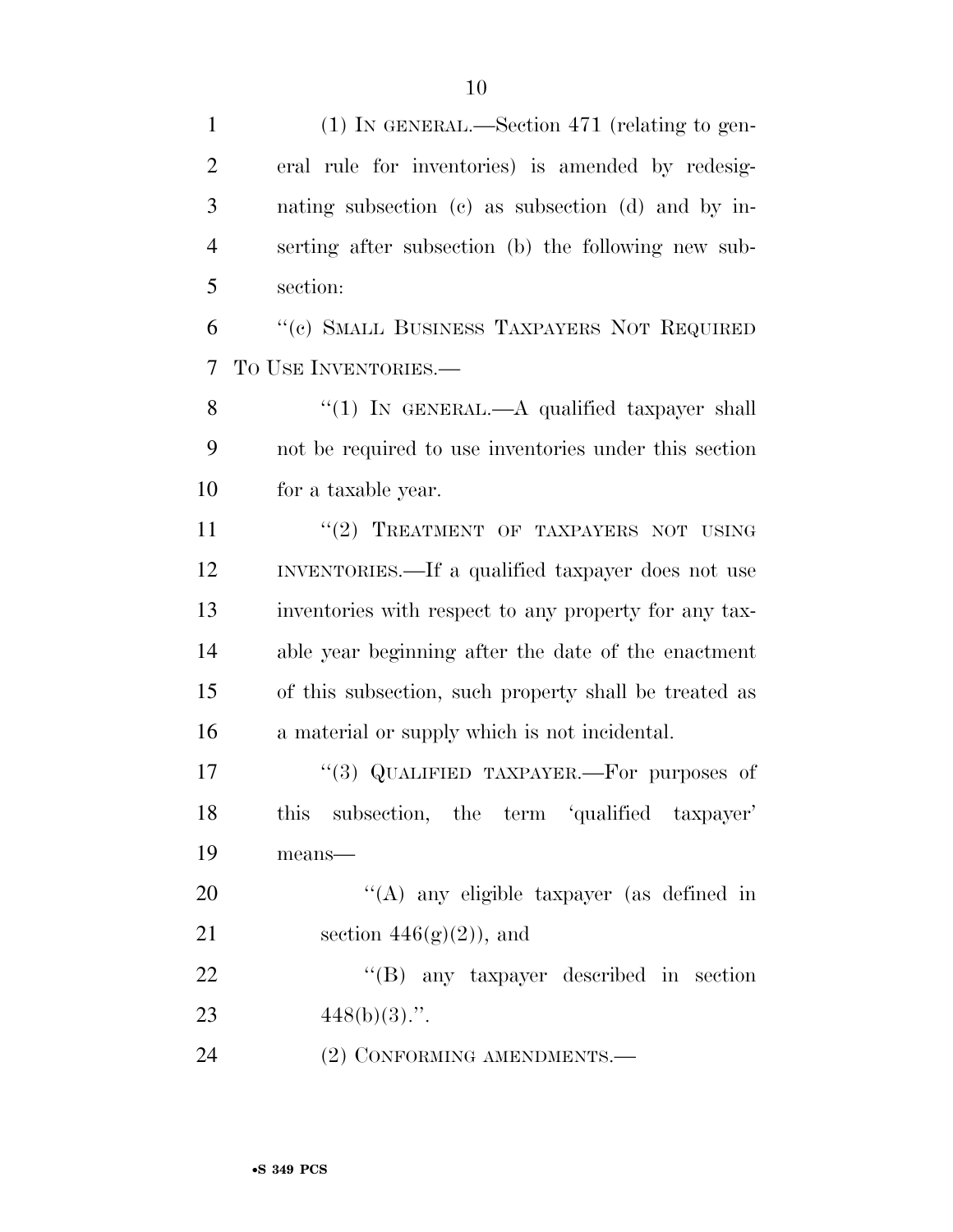(1) IN GENERAL.—Section 471 (relating to gen- eral rule for inventories) is amended by redesig- nating subsection (c) as subsection (d) and by in- serting after subsection (b) the following new sub-section:

 ''(c) SMALL BUSINESS TAXPAYERS NOT REQUIRED TO USE INVENTORIES.—

8 "(1) IN GENERAL.—A qualified taxpayer shall not be required to use inventories under this section for a taxable year.

11 "(2) TREATMENT OF TAXPAYERS NOT USING INVENTORIES.—If a qualified taxpayer does not use inventories with respect to any property for any tax- able year beginning after the date of the enactment of this subsection, such property shall be treated as a material or supply which is not incidental.

17 "(3) QUALIFIED TAXPAYER.—For purposes of this subsection, the term 'qualified taxpayer' means—

20  $\langle (A)$  any eligible taxpayer (as defined in 21 section  $446(g)(2)$ , and

22 ''(B) any taxpayer described in section 23  $448(b)(3)$ .".

24 (2) CONFORMING AMENDMENTS.—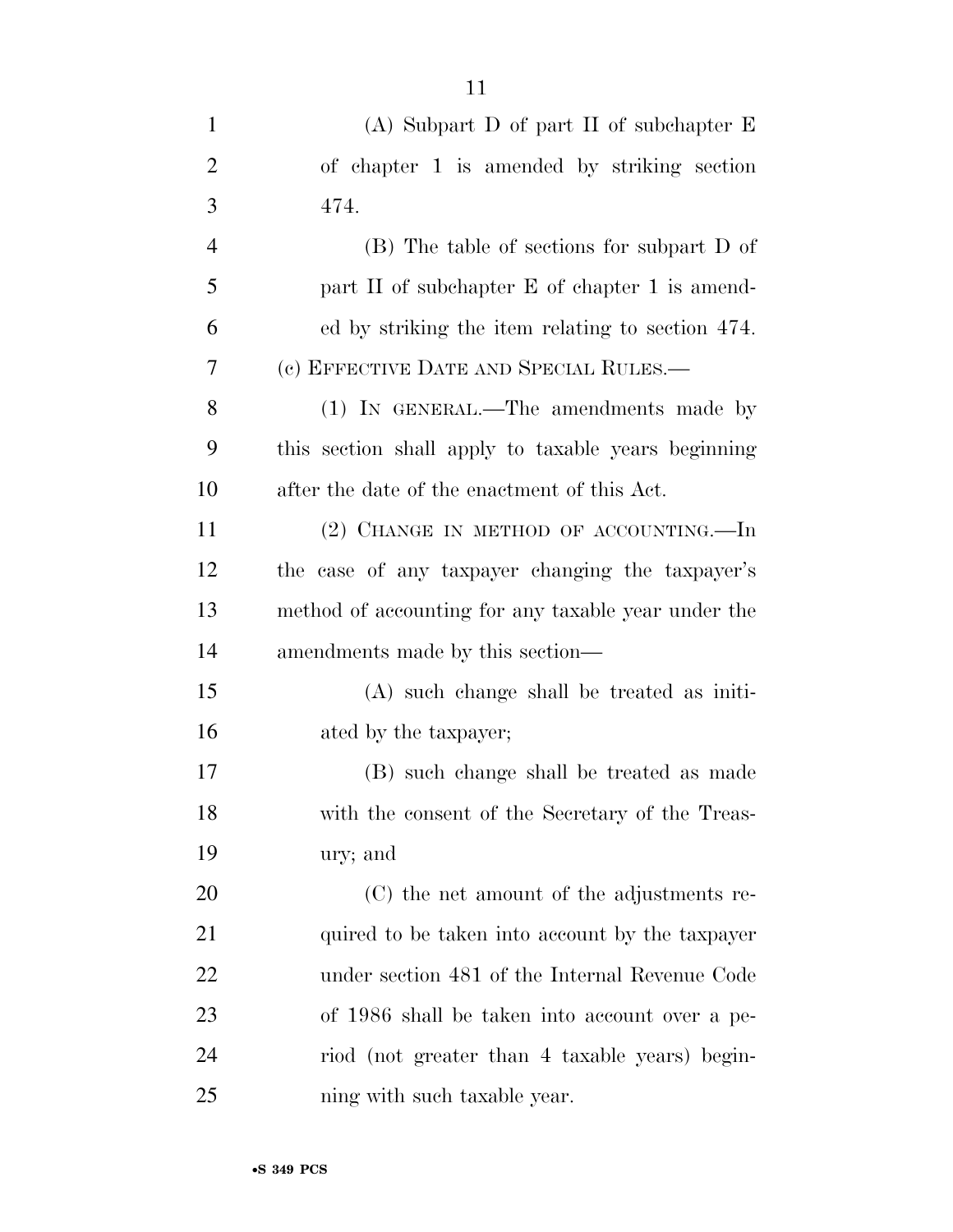| $\mathbf{1}$   | (A) Subpart D of part II of subchapter $E$          |
|----------------|-----------------------------------------------------|
| $\overline{2}$ | of chapter 1 is amended by striking section         |
| 3              | 474.                                                |
| $\overline{4}$ | (B) The table of sections for subpart D of          |
| 5              | part II of subchapter E of chapter 1 is amend-      |
| 6              | ed by striking the item relating to section 474.    |
| 7              | (c) EFFECTIVE DATE AND SPECIAL RULES.—              |
| 8              | (1) IN GENERAL.—The amendments made by              |
| 9              | this section shall apply to taxable years beginning |
| 10             | after the date of the enactment of this Act.        |
| 11             | $(2)$ CHANGE IN METHOD OF ACCOUNTING.—In            |
| 12             | the case of any taxpayer changing the taxpayer's    |
| 13             | method of accounting for any taxable year under the |
| 14             | amendments made by this section—                    |
| 15             | $(A)$ such change shall be treated as initi-        |
| 16             | ated by the taxpayer;                               |
| 17             | (B) such change shall be treated as made            |
| 18             | with the consent of the Secretary of the Treas-     |
| 19             | ury; and                                            |
| 20             | (C) the net amount of the adjustments re-           |
| 21             | quired to be taken into account by the taxpayer     |
| 22             | under section 481 of the Internal Revenue Code      |
| 23             | of 1986 shall be taken into account over a pe-      |
| 24             | riod (not greater than 4 taxable years) begin-      |
| 25             | ning with such taxable year.                        |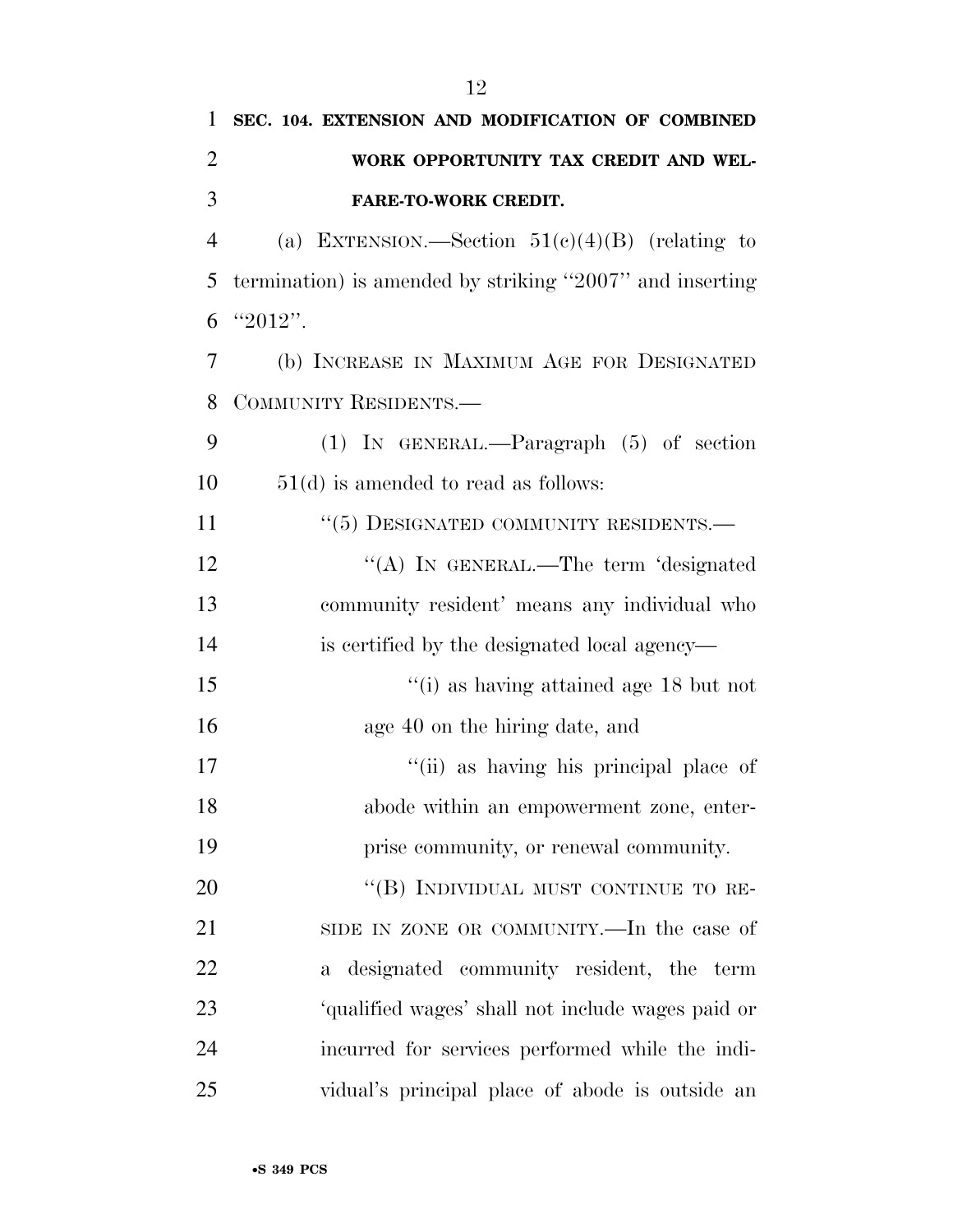| 1              | SEC. 104. EXTENSION AND MODIFICATION OF COMBINED         |
|----------------|----------------------------------------------------------|
| $\overline{c}$ | WORK OPPORTUNITY TAX CREDIT AND WEL-                     |
| 3              | <b>FARE-TO-WORK CREDIT.</b>                              |
| $\overline{4}$ | (a) EXTENSION.—Section $51(c)(4)(B)$ (relating to        |
| 5              | termination) is amended by striking "2007" and inserting |
| 6              | "2012".                                                  |
| 7              | (b) INCREASE IN MAXIMUM AGE FOR DESIGNATED               |
| 8              | COMMUNITY RESIDENTS.-                                    |
| 9              | $(1)$ IN GENERAL.—Paragraph $(5)$ of section             |
| 10             | $51(d)$ is amended to read as follows:                   |
| 11             | $``(5)$ DESIGNATED COMMUNITY RESIDENTS.—                 |
| 12             | "(A) IN GENERAL.—The term 'designated                    |
| 13             | community resident' means any individual who             |
| 14             | is certified by the designated local agency—             |
| 15             | "(i) as having attained age $18$ but not                 |
| 16             | age 40 on the hiring date, and                           |
| 17             | "(ii) as having his principal place of                   |
| 18             | abode within an empowerment zone, enter-                 |
| 19             | prise community, or renewal community.                   |
| 20             | "(B) INDIVIDUAL MUST CONTINUE TO RE-                     |
| 21             | SIDE IN ZONE OR COMMUNITY.—In the case of                |
| 22             | a designated community resident, the term                |
| 23             | 'qualified wages' shall not include wages paid or        |
| 24             | incurred for services performed while the indi-          |
| 25             | vidual's principal place of abode is outside an          |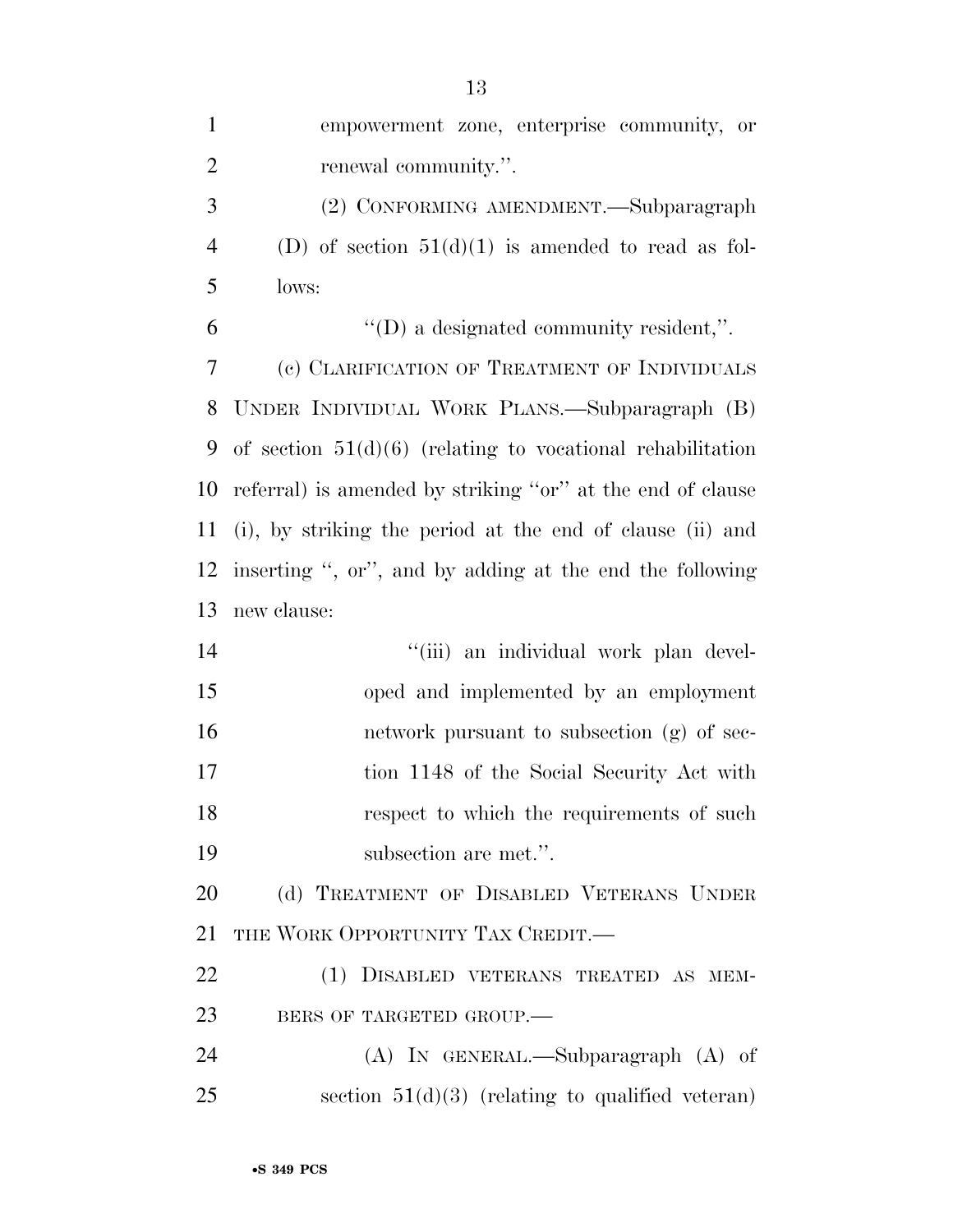| $\mathbf{1}$   | empowerment zone, enterprise community, or                   |
|----------------|--------------------------------------------------------------|
| $\overline{2}$ | renewal community.".                                         |
| 3              | (2) CONFORMING AMENDMENT.—Subparagraph                       |
| $\overline{4}$ | (D) of section $51(d)(1)$ is amended to read as fol-         |
| 5              | lows:                                                        |
| 6              | $\lq\lq$ a designated community resident,".                  |
| 7              | (c) CLARIFICATION OF TREATMENT OF INDIVIDUALS                |
| 8              | UNDER INDIVIDUAL WORK PLANS.—Subparagraph (B)                |
| 9              | of section $51(d)(6)$ (relating to vocational rehabilitation |
| 10             | referral) is amended by striking "or" at the end of clause   |
| 11             | (i), by striking the period at the end of clause (ii) and    |
| 12             | inserting ", or", and by adding at the end the following     |
| 13             | new clause:                                                  |
| 14             | "(iii) an individual work plan devel-                        |
| 15             | oped and implemented by an employment                        |
| 16             | network pursuant to subsection (g) of sec-                   |
| 17             | tion 1148 of the Social Security Act with                    |
| 18             | respect to which the requirements of such                    |
| 19             | subsection are met.".                                        |
| 20             | (d) TREATMENT OF DISABLED VETERANS UNDER                     |
| 21             | THE WORK OPPORTUNITY TAX CREDIT.                             |
| 22             | (1) DISABLED VETERANS TREATED AS MEM-                        |
| 23             | BERS OF TARGETED GROUP.                                      |
| 24             | $(A)$ IN GENERAL.—Subparagraph $(A)$ of                      |
| 25             | section $51(d)(3)$ (relating to qualified veteran)           |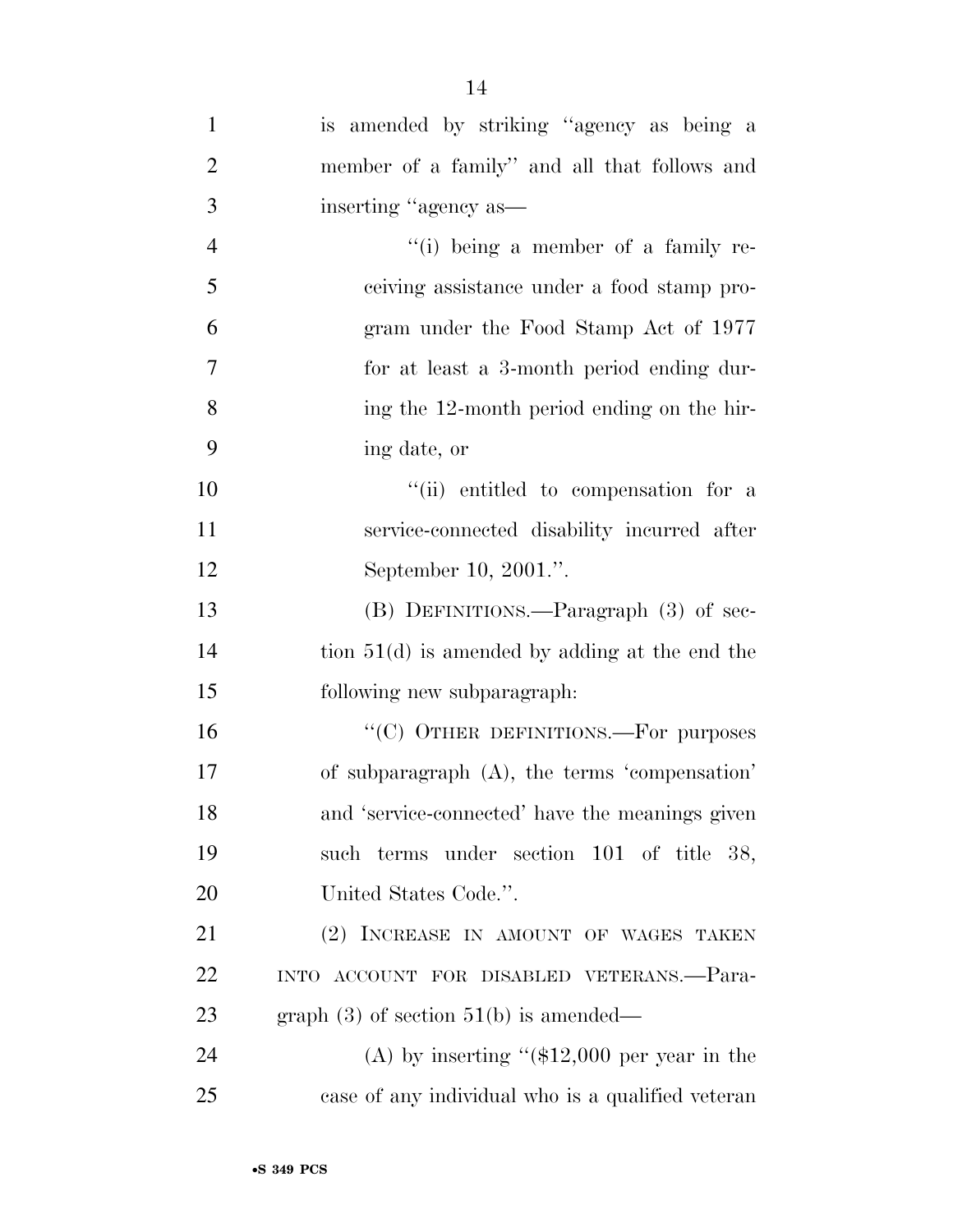| $\mathbf{1}$   | is amended by striking "agency as being a         |
|----------------|---------------------------------------------------|
| $\overline{2}$ | member of a family" and all that follows and      |
| 3              | inserting "agency as—                             |
| $\overline{4}$ | "(i) being a member of a family re-               |
| 5              | ceiving assistance under a food stamp pro-        |
| 6              | gram under the Food Stamp Act of 1977             |
| $\overline{7}$ | for at least a 3-month period ending dur-         |
| 8              | ing the 12-month period ending on the hir-        |
| 9              | ing date, or                                      |
| 10             | "(ii) entitled to compensation for a              |
| 11             | service-connected disability incurred after       |
| 12             | September 10, 2001.".                             |
| 13             | (B) DEFINITIONS.—Paragraph (3) of sec-            |
| 14             | tion $51(d)$ is amended by adding at the end the  |
| 15             | following new subparagraph:                       |
| 16             | "(C) OTHER DEFINITIONS.—For purposes              |
| 17             | of subparagraph (A), the terms 'compensation'     |
| 18             | and 'service-connected' have the meanings given   |
| 19             | such terms under section 101 of title 38,         |
| 20             | United States Code.".                             |
| 21             | (2) INCREASE IN AMOUNT OF WAGES TAKEN             |
| 22             | INTO ACCOUNT FOR DISABLED VETERANS.-Para-         |
| 23             | graph $(3)$ of section $51(b)$ is amended—        |
| 24             | (A) by inserting " $($12,000$ per year in the     |
| 25             | case of any individual who is a qualified veteran |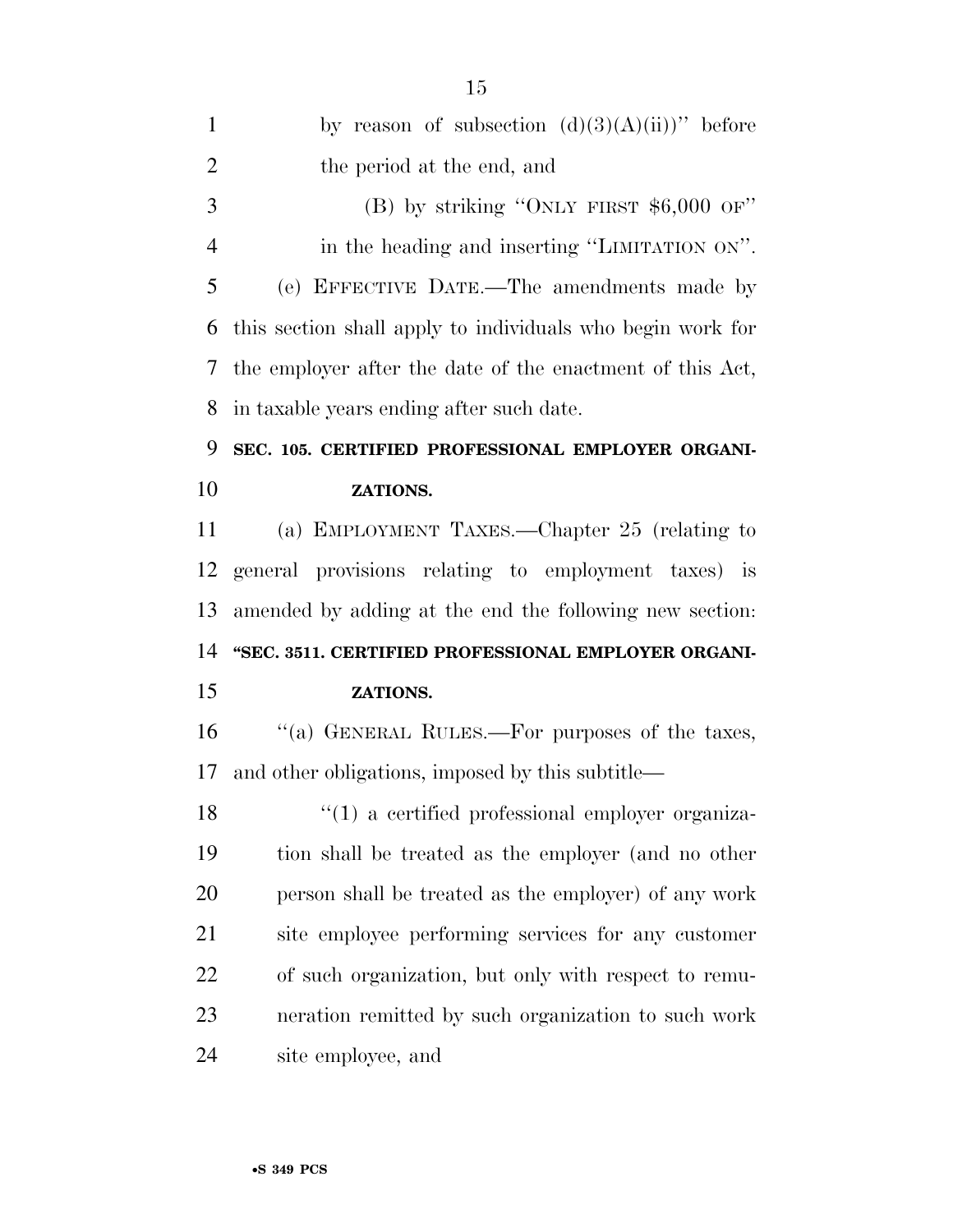| $\mathbf{1}$   | by reason of subsection $(d)(3)(A)(ii)$ " before           |
|----------------|------------------------------------------------------------|
| $\overline{2}$ | the period at the end, and                                 |
| 3              | (B) by striking "ONLY FIRST $$6,000$ OF"                   |
| $\overline{4}$ | in the heading and inserting "LIMITATION ON".              |
| 5              | (e) EFFECTIVE DATE.—The amendments made by                 |
| 6              | this section shall apply to individuals who begin work for |
| 7              | the employer after the date of the enactment of this Act,  |
| 8              | in taxable years ending after such date.                   |
| 9              | SEC. 105. CERTIFIED PROFESSIONAL EMPLOYER ORGANI-          |
| 10             | ZATIONS.                                                   |
| 11             | (a) EMPLOYMENT TAXES.—Chapter 25 (relating to              |
| 12             | general provisions relating to employment taxes) is        |
|                |                                                            |
|                | amended by adding at the end the following new section:    |
|                | "SEC. 3511. CERTIFIED PROFESSIONAL EMPLOYER ORGANI-        |
| 13<br>14<br>15 | ZATIONS.                                                   |
| 16             | "(a) GENERAL RULES.—For purposes of the taxes,             |
|                | and other obligations, imposed by this subtitle—           |
| 17<br>18       | $\lq(1)$ a certified professional employer organiza-       |
| 19             | tion shall be treated as the employer (and no other        |
| 20             | person shall be treated as the employer) of any work       |
| 21             | site employee performing services for any customer         |
| 22             | of such organization, but only with respect to remu-       |
| 23             | neration remitted by such organization to such work        |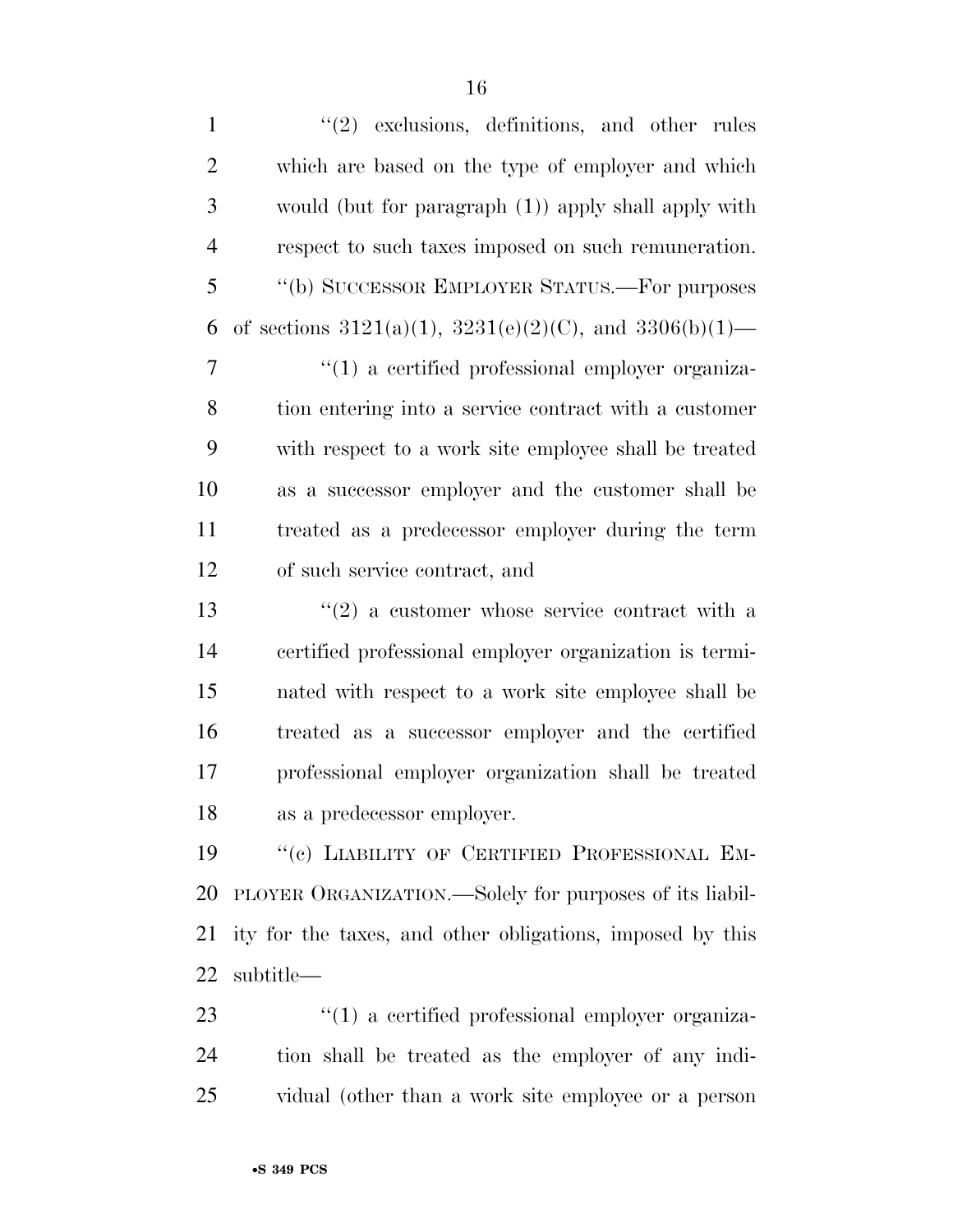| $\mathbf{1}$   | $\lq(2)$ exclusions, definitions, and other rules               |
|----------------|-----------------------------------------------------------------|
| $\overline{2}$ | which are based on the type of employer and which               |
| 3              | would (but for paragraph (1)) apply shall apply with            |
| $\overline{4}$ | respect to such taxes imposed on such remuneration.             |
| 5              | "(b) SUCCESSOR EMPLOYER STATUS.—For purposes                    |
| 6              | of sections $3121(a)(1)$ , $3231(e)(2)(C)$ , and $3306(b)(1)$ — |
| $\overline{7}$ | $\lq(1)$ a certified professional employer organiza-            |
| 8              | tion entering into a service contract with a customer           |
| 9              | with respect to a work site employee shall be treated           |
| 10             | as a successor employer and the customer shall be               |
| 11             | treated as a predecessor employer during the term               |
| 12             | of such service contract, and                                   |
| 13             | $\cdot\cdot(2)$ a customer whose service contract with a        |
| 14             | certified professional employer organization is termi-          |
| 15             | nated with respect to a work site employee shall be             |
| 16             | treated as a successor employer and the certified               |
| 17             | professional employer organization shall be treated             |
| 18             | as a predecessor employer.                                      |
| 19             | "(c) LIABILITY OF CERTIFIED PROFESSIONAL EM-                    |
| 20             | PLOYER ORGANIZATION.—Solely for purposes of its liabil-         |
| 21             | ity for the taxes, and other obligations, imposed by this       |
| 22             | subtitle—                                                       |
| $\bigcap$      |                                                                 |

23 ''(1) a certified professional employer organiza- tion shall be treated as the employer of any indi-vidual (other than a work site employee or a person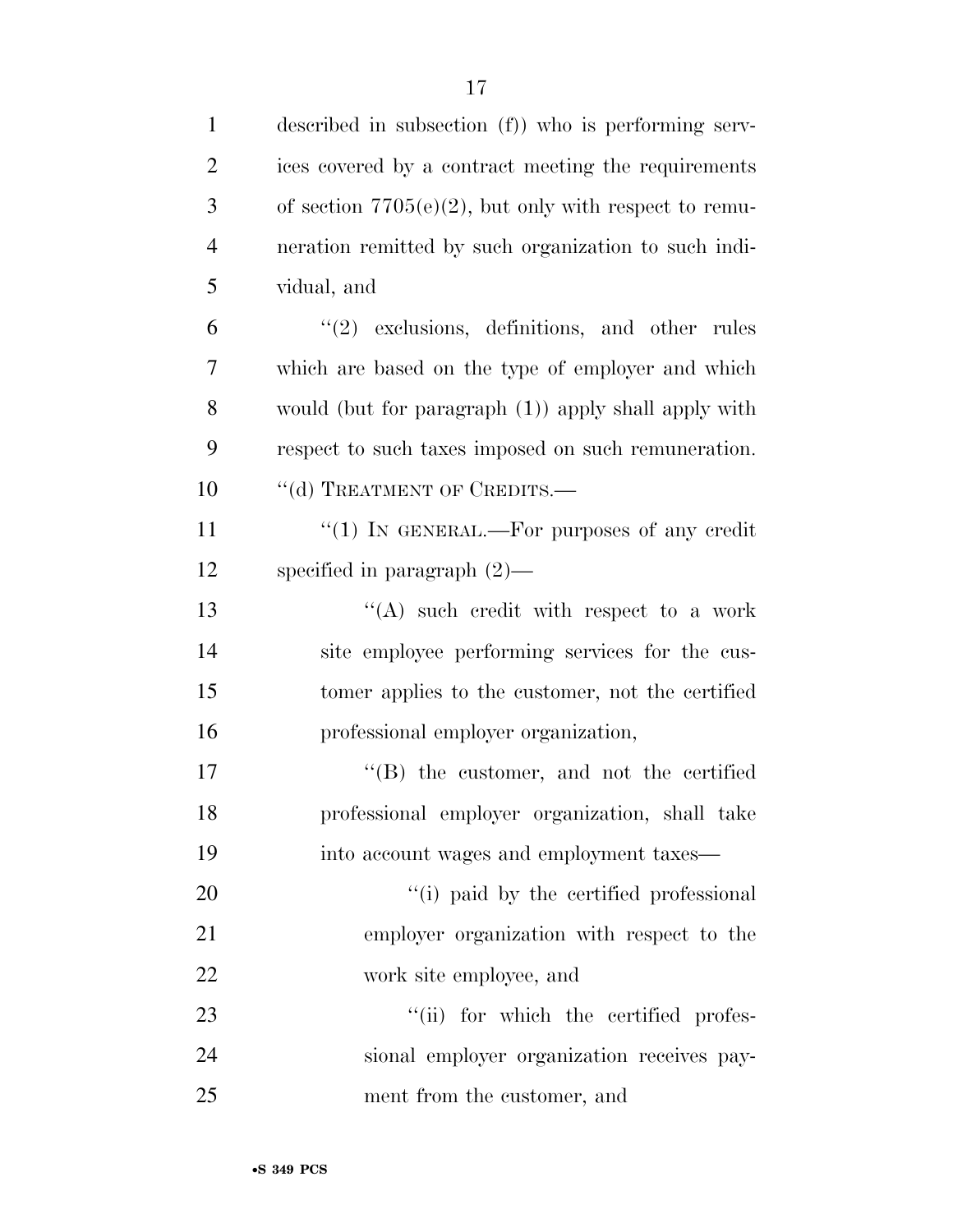| $\mathbf{1}$   | described in subsection (f)) who is performing serv-     |
|----------------|----------------------------------------------------------|
| $\overline{2}$ | ices covered by a contract meeting the requirements      |
| 3              | of section $7705(e)(2)$ , but only with respect to remu- |
| $\overline{4}$ | neration remitted by such organization to such indi-     |
| 5              | vidual, and                                              |
| 6              | $(2)$ exclusions, definitions, and other rules           |
| 7              | which are based on the type of employer and which        |
| $8\,$          | would (but for paragraph (1)) apply shall apply with     |
| 9              | respect to such taxes imposed on such remuneration.      |
| 10             | "(d) TREATMENT OF CREDITS.-                              |
| 11             | " $(1)$ IN GENERAL.—For purposes of any credit           |
| 12             | specified in paragraph $(2)$ —                           |
| 13             | "(A) such credit with respect to a work                  |
| 14             | site employee performing services for the cus-           |
| 15             | tomer applies to the customer, not the certified         |
| 16             | professional employer organization,                      |
| 17             | $\lq\lq$ the customer, and not the certified             |
| 18             | professional employer organization, shall take           |
| 19             | into account wages and employment taxes—                 |
| 20             | "(i) paid by the certified professional                  |
| 21             | employer organization with respect to the                |
| 22             | work site employee, and                                  |
| 23             | "(ii) for which the certified profes-                    |
| 24             | sional employer organization receives pay-               |
| 25             | ment from the customer, and                              |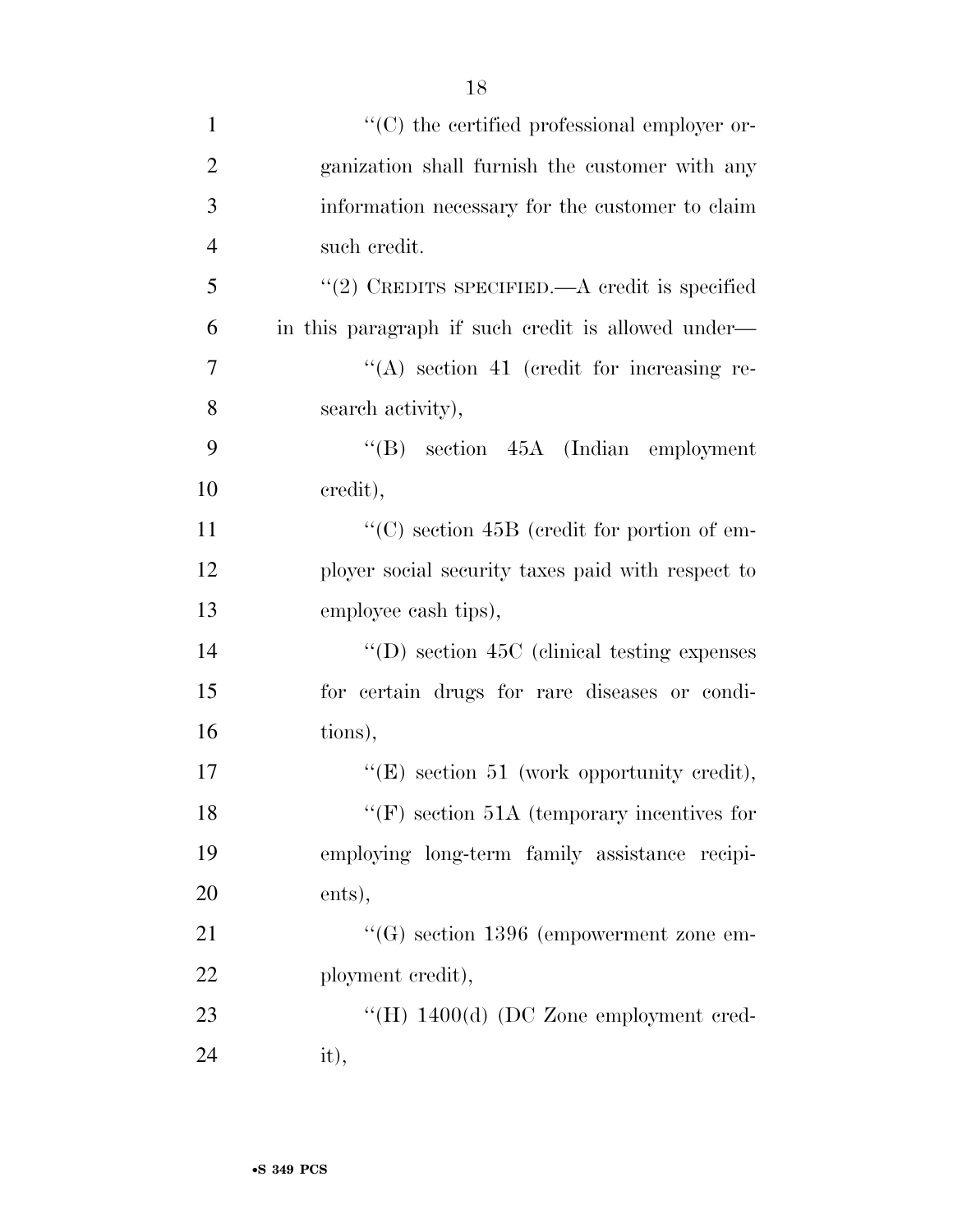| $\mathbf{1}$   | "(C) the certified professional employer or-       |
|----------------|----------------------------------------------------|
| $\overline{2}$ | ganization shall furnish the customer with any     |
| 3              | information necessary for the customer to claim    |
| $\overline{4}$ | such credit.                                       |
| 5              | "(2) CREDITS SPECIFIED.—A credit is specified      |
| 6              | in this paragraph if such credit is allowed under— |
| 7              | $\lq\lq$ section 41 (credit for increasing re-     |
| 8              | search activity),                                  |
| 9              | $\lq\lq (B)$ section 45A (Indian employment        |
| 10             | credit),                                           |
| 11             | "(C) section 45B (credit for portion of em-        |
| 12             | ployer social security taxes paid with respect to  |
| 13             | employee cash tips),                               |
| 14             | $\lq\lq$ section 45C (clinical testing expenses)   |
| 15             | for certain drugs for rare diseases or condi-      |
| 16             | tions),                                            |
| 17             | " $(E)$ section 51 (work opportunity credit),      |
| 18             | $\lq\lq(F)$ section 51A (temporary incentives for  |
| 19             | employing long-term family assistance recipi-      |
| 20             | ents),                                             |
| 21             | $\lq\lq (G)$ section 1396 (empowerment zone em-    |
| 22             | ployment credit),                                  |
| 23             | "(H) $1400(d)$ (DC Zone employment cred-           |
| 24             | it),                                               |

•**S 349 PCS**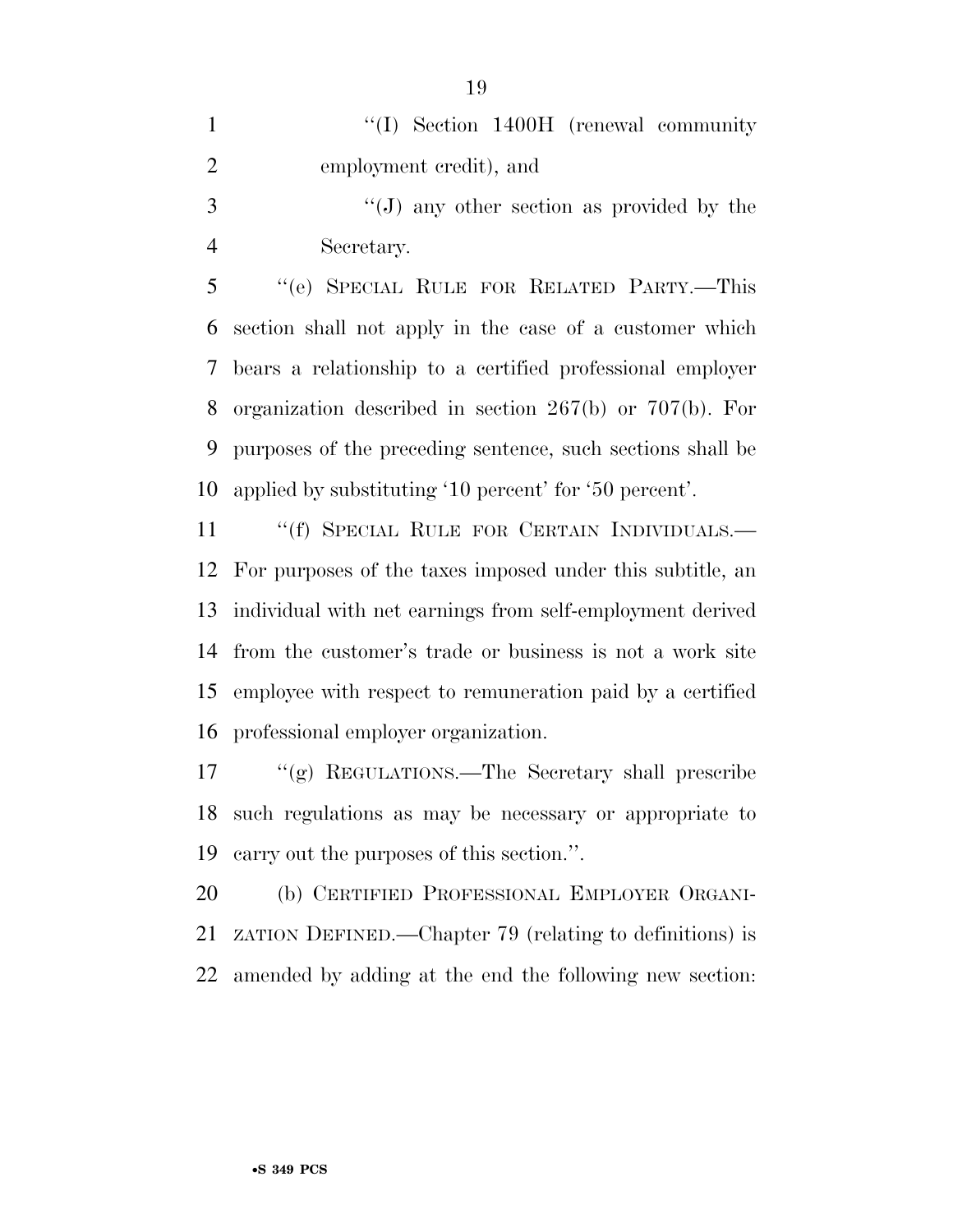|                | $\lq\lq$ (I) Section 1400H (renewal community |
|----------------|-----------------------------------------------|
| $\overline{2}$ | employment credit), and                       |
| $\mathcal{R}$  | "(J) any other section as provided by the     |

Secretary.

 ''(e) SPECIAL RULE FOR RELATED PARTY.—This section shall not apply in the case of a customer which bears a relationship to a certified professional employer organization described in section 267(b) or 707(b). For purposes of the preceding sentence, such sections shall be applied by substituting '10 percent' for '50 percent'.

11 "(f) SPECIAL RULE FOR CERTAIN INDIVIDUALS.— For purposes of the taxes imposed under this subtitle, an individual with net earnings from self-employment derived from the customer's trade or business is not a work site employee with respect to remuneration paid by a certified professional employer organization.

 ''(g) REGULATIONS.—The Secretary shall prescribe such regulations as may be necessary or appropriate to carry out the purposes of this section.''.

 (b) CERTIFIED PROFESSIONAL EMPLOYER ORGANI- ZATION DEFINED.—Chapter 79 (relating to definitions) is amended by adding at the end the following new section: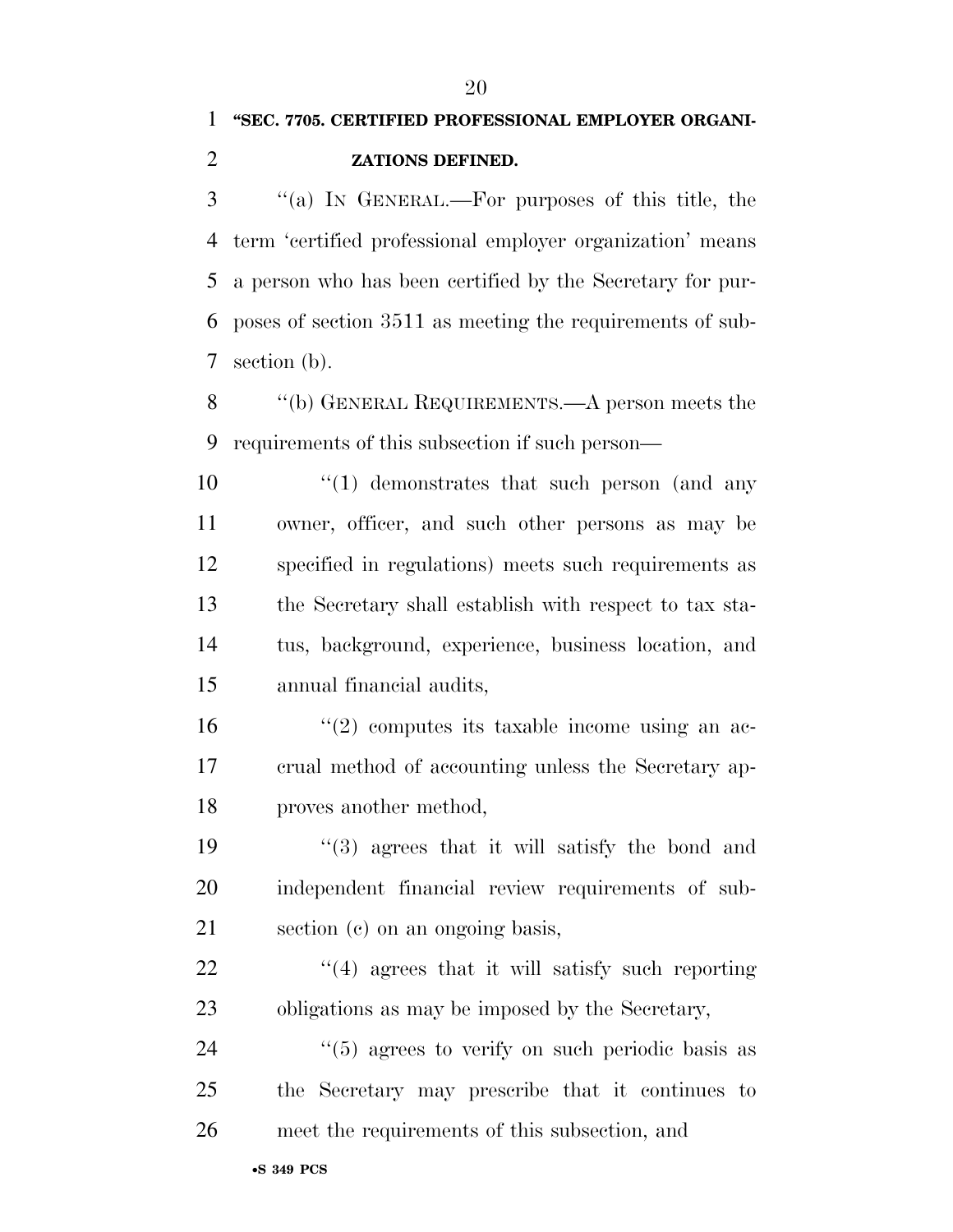## **''SEC. 7705. CERTIFIED PROFESSIONAL EMPLOYER ORGANI-ZATIONS DEFINED.**

 ''(a) IN GENERAL.—For purposes of this title, the term 'certified professional employer organization' means a person who has been certified by the Secretary for pur- poses of section 3511 as meeting the requirements of sub-section (b).

 ''(b) GENERAL REQUIREMENTS.—A person meets the requirements of this subsection if such person—

10 ''(1) demonstrates that such person (and any owner, officer, and such other persons as may be specified in regulations) meets such requirements as the Secretary shall establish with respect to tax sta- tus, background, experience, business location, and annual financial audits,

 $\frac{16}{2}$  ''(2) computes its taxable income using an ac- crual method of accounting unless the Secretary ap-proves another method,

 ''(3) agrees that it will satisfy the bond and independent financial review requirements of sub-section (c) on an ongoing basis,

22  $\frac{4}{4}$  agrees that it will satisfy such reporting obligations as may be imposed by the Secretary,

24  $(5)$  agrees to verify on such periodic basis as the Secretary may prescribe that it continues to meet the requirements of this subsection, and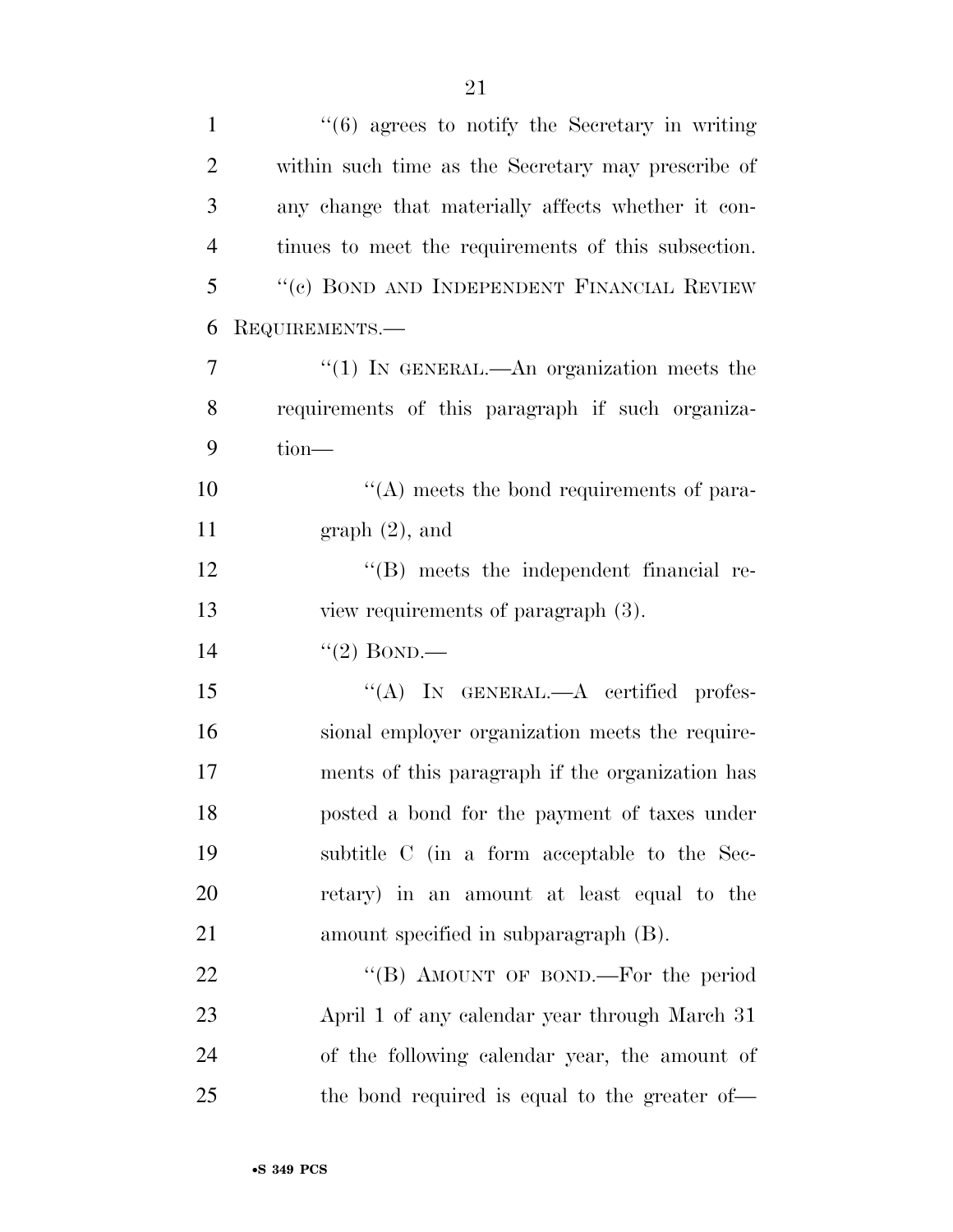| $\mathbf{1}$   | $\cdot\cdot\cdot(6)$ agrees to notify the Secretary in writing |
|----------------|----------------------------------------------------------------|
| $\overline{2}$ | within such time as the Secretary may prescribe of             |
| 3              | any change that materially affects whether it con-             |
| $\overline{4}$ | tinues to meet the requirements of this subsection.            |
| 5              | "(c) BOND AND INDEPENDENT FINANCIAL REVIEW                     |
| 6              | REQUIREMENTS.—                                                 |
| $\overline{7}$ | "(1) IN GENERAL.—An organization meets the                     |
| 8              | requirements of this paragraph if such organiza-               |
| 9              | $tion-$                                                        |
| 10             | $\lq\lq$ meets the bond requirements of para-                  |
| 11             | $graph(2)$ , and                                               |
| 12             | "(B) meets the independent financial re-                       |
| 13             | view requirements of paragraph (3).                            |
| 14             | $\lq(2)$ BOND.—                                                |
| 15             | "(A) IN GENERAL.— $A$ certified profes-                        |
| 16             | sional employer organization meets the require-                |
| 17             | ments of this paragraph if the organization has                |
| 18             | posted a bond for the payment of taxes under                   |
| 19             | subtitle C (in a form acceptable to the Sec-                   |
| 20             | retary) in an amount at least equal to the                     |
| 21             | amount specified in subparagraph (B).                          |
| 22             | "(B) AMOUNT OF BOND.—For the period                            |
| 23             | April 1 of any calendar year through March 31                  |
| 24             | of the following calendar year, the amount of                  |
| 25             | the bond required is equal to the greater of—                  |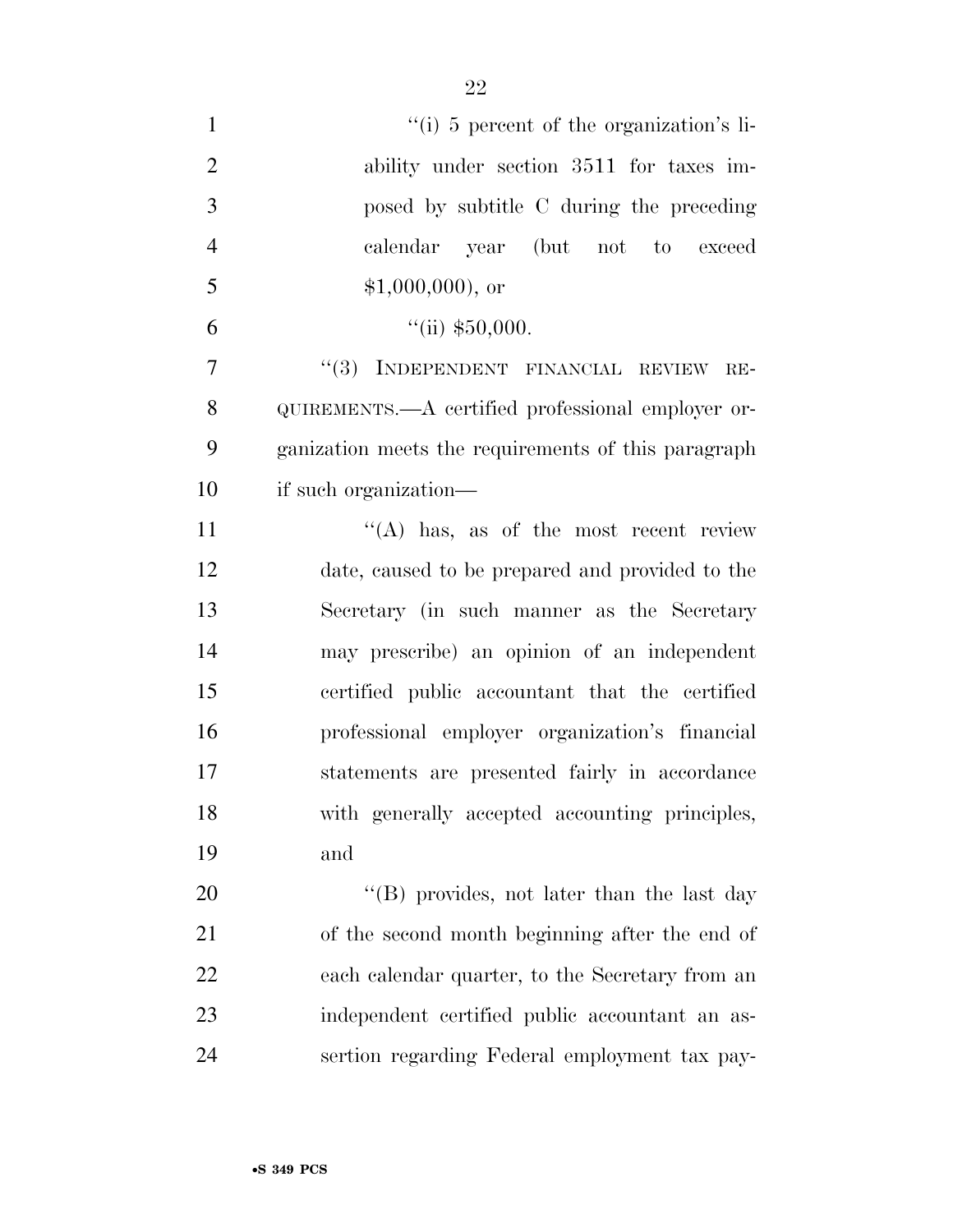| $\mathbf{1}$   | $\lq\lq$ <sup>"</sup> (i) 5 percent of the organization's li- |
|----------------|---------------------------------------------------------------|
| $\overline{2}$ | ability under section 3511 for taxes im-                      |
| 3              | posed by subtitle C during the preceding                      |
| $\overline{4}$ | calendar year (but not to exceed                              |
| 5              | $$1,000,000$ , or                                             |
| 6              | $``$ (ii) \$50,000.                                           |
| $\overline{7}$ | "(3) INDEPENDENT FINANCIAL REVIEW<br>RE-                      |
| 8              | QUIREMENTS.—A certified professional employer or-             |
| 9              | ganization meets the requirements of this paragraph           |
| 10             | if such organization—                                         |
| 11             | $\lq\lq(A)$ has, as of the most recent review                 |
| 12             | date, caused to be prepared and provided to the               |
| 13             | Secretary (in such manner as the Secretary                    |
| 14             | may prescribe) an opinion of an independent                   |
| 15             | certified public accountant that the certified                |
| 16             | professional employer organization's financial                |
| 17             | statements are presented fairly in accordance                 |
| 18             | with generally accepted accounting principles,                |
| 19             | and                                                           |
| 20             | "(B) provides, not later than the last day                    |
| 21             | of the second month beginning after the end of                |
| 22             | each calendar quarter, to the Secretary from an               |
| 23             | independent certified public accountant an as-                |
| 24             | sertion regarding Federal employment tax pay-                 |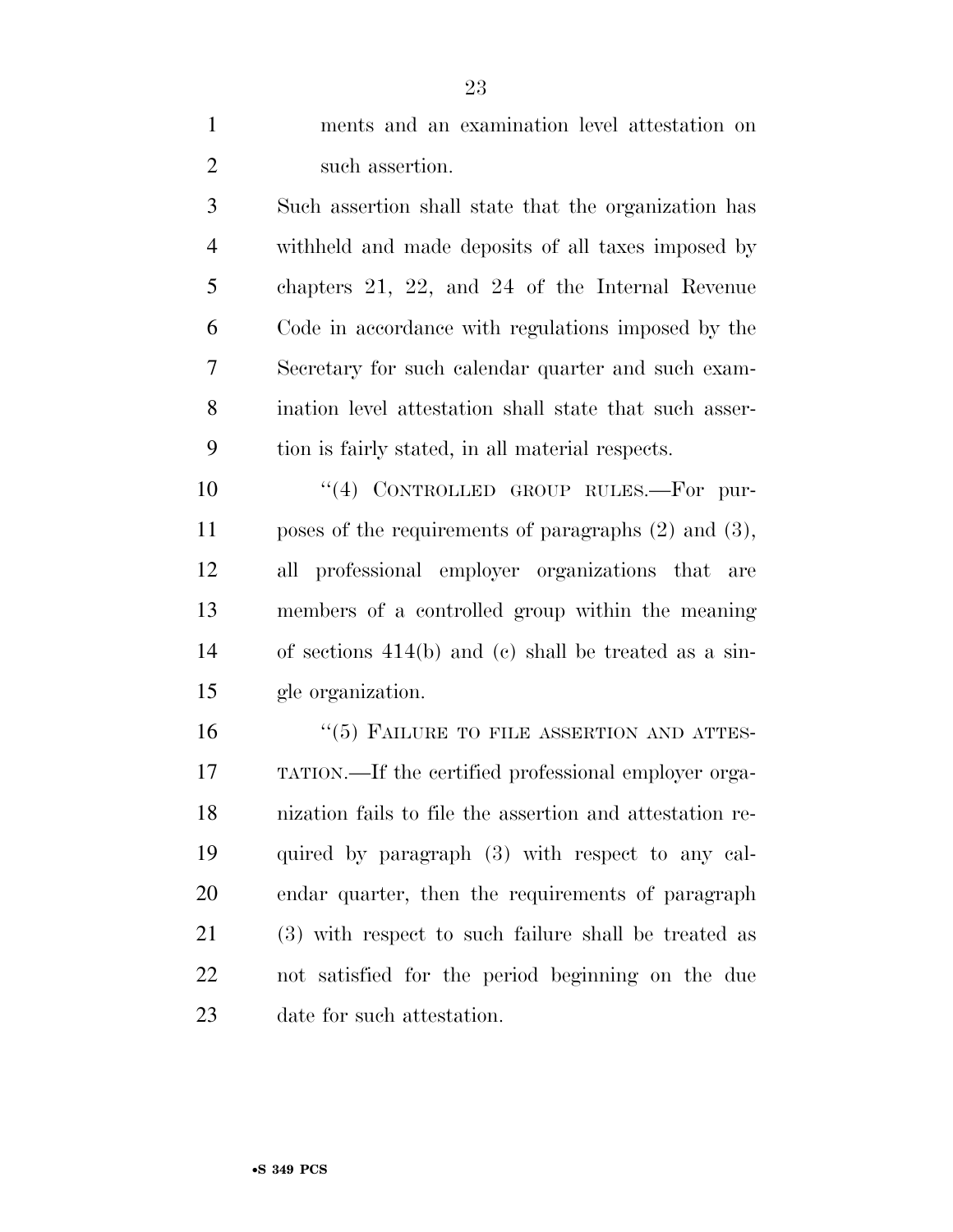| $\mathbf{1}$   | ments and an examination level attestation on             |
|----------------|-----------------------------------------------------------|
| $\mathfrak{2}$ | such assertion.                                           |
| 3              | Such assertion shall state that the organization has      |
| $\overline{4}$ | withheld and made deposits of all taxes imposed by        |
| 5              | chapters 21, 22, and 24 of the Internal Revenue           |
| 6              | Code in accordance with regulations imposed by the        |
| 7              | Secretary for such calendar quarter and such exam-        |
| 8              | ination level attestation shall state that such asser-    |
| 9              | tion is fairly stated, in all material respects.          |
| 10             | "(4) CONTROLLED GROUP RULES.—For pur-                     |
| 11             | poses of the requirements of paragraphs $(2)$ and $(3)$ , |
| 12             | all professional employer organizations that are          |
| 13             | members of a controlled group within the meaning          |
| 14             | of sections $414(b)$ and (c) shall be treated as a sin-   |
| 15             | gle organization.                                         |
| 16             | $``(5)$ FAILURE TO FILE ASSERTION AND ATTES-              |
| 17             | TATION.—If the certified professional employer orga-      |
| 18             | nization fails to file the assertion and attestation re-  |
| 19             | quired by paragraph (3) with respect to any cal-          |
| 20             | endar quarter, then the requirements of paragraph         |
| 21             | (3) with respect to such failure shall be treated as      |
| 22             | not satisfied for the period beginning on the due         |
| 23             | date for such attestation.                                |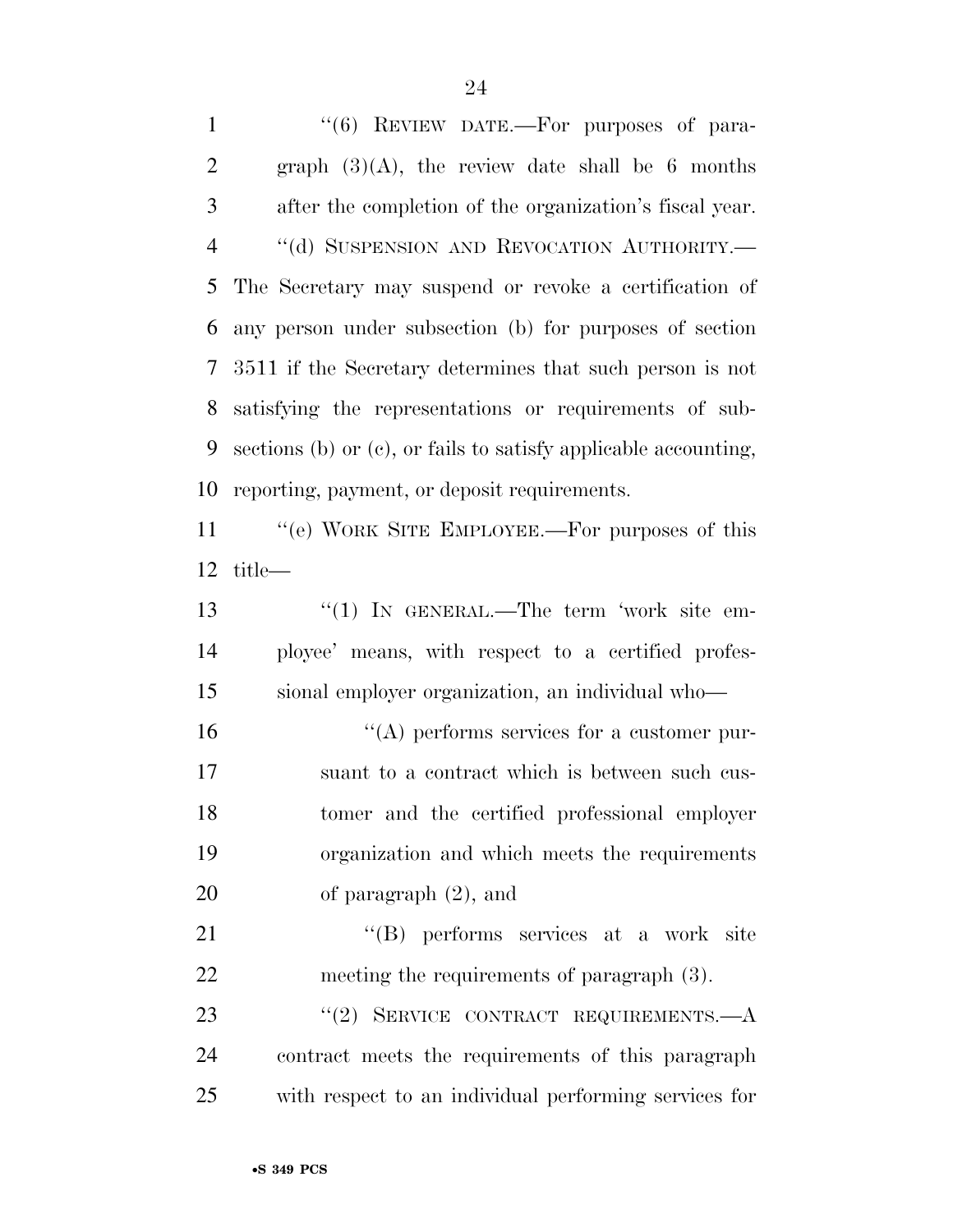1 "(6) REVIEW DATE.—For purposes of para-2 graph  $(3)(A)$ , the review date shall be 6 months after the completion of the organization's fiscal year. 4 "(d) SUSPENSION AND REVOCATION AUTHORITY.— The Secretary may suspend or revoke a certification of any person under subsection (b) for purposes of section 3511 if the Secretary determines that such person is not satisfying the representations or requirements of sub- sections (b) or (c), or fails to satisfy applicable accounting, reporting, payment, or deposit requirements. 11 "(e) WORK SITE EMPLOYEE.—For purposes of this title— 13 "(1) In GENERAL.—The term 'work site em-

 ployee' means, with respect to a certified profes-sional employer organization, an individual who—

 $\langle A \rangle$  performs services for a customer pur- suant to a contract which is between such cus- tomer and the certified professional employer organization and which meets the requirements of paragraph (2), and

21 ''(B) performs services at a work site meeting the requirements of paragraph (3).

23 "(2) SERVICE CONTRACT REQUIREMENTS.—A contract meets the requirements of this paragraph with respect to an individual performing services for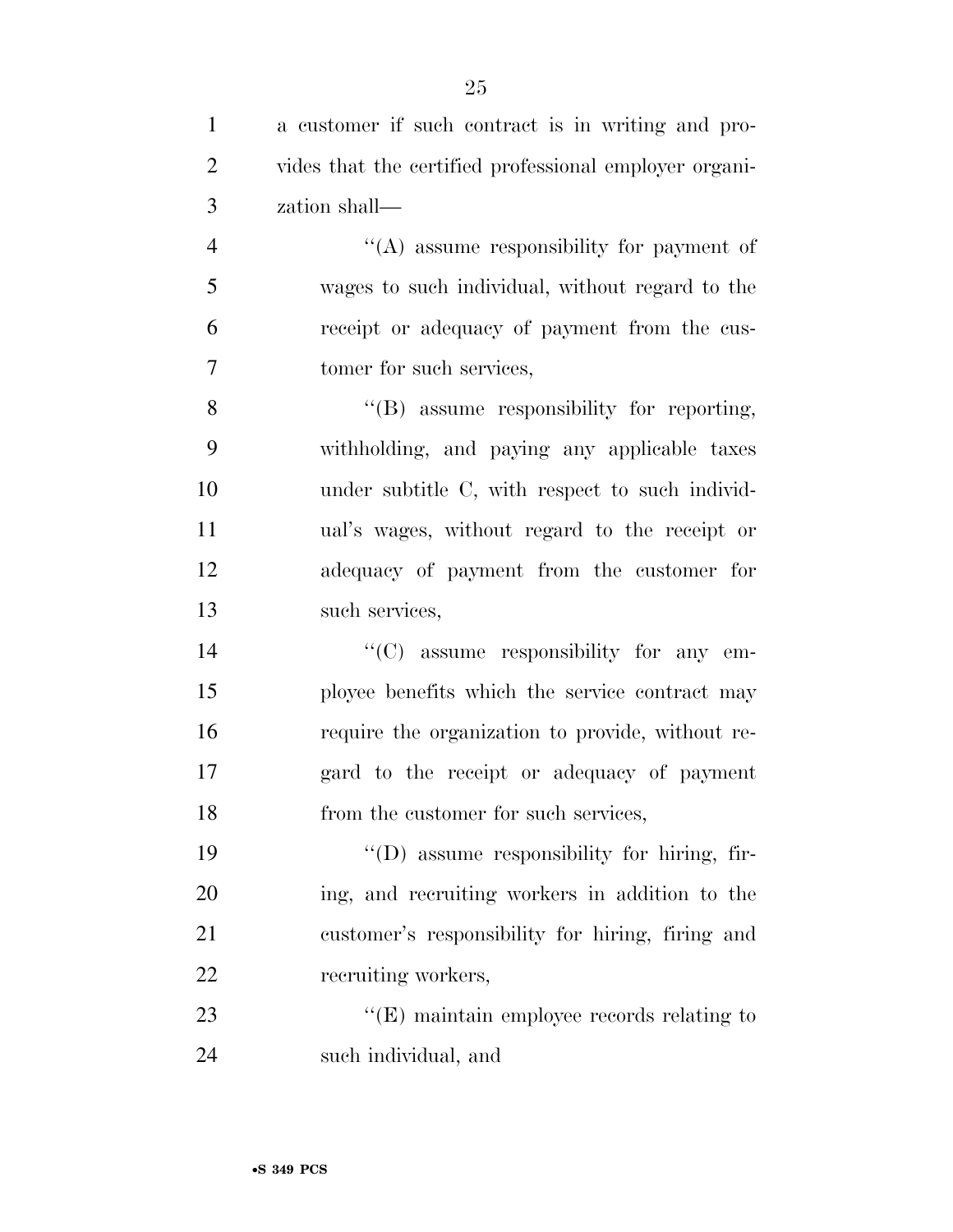| $\mathbf{1}$   | a customer if such contract is in writing and pro-     |
|----------------|--------------------------------------------------------|
| $\overline{2}$ | vides that the certified professional employer organi- |
| 3              | zation shall—                                          |
| $\overline{4}$ | "(A) assume responsibility for payment of              |
| 5              | wages to such individual, without regard to the        |
| 6              | receipt or adequacy of payment from the cus-           |
| $\tau$         | tomer for such services,                               |
| 8              | "(B) assume responsibility for reporting,              |
| 9              | withholding, and paying any applicable taxes           |
| 10             | under subtitle C, with respect to such individ-        |
| 11             | ual's wages, without regard to the receipt or          |
| 12             | adequacy of payment from the customer for              |
| 13             | such services,                                         |
| 14             | $\lq\lq$ (C) assume responsibility for any em-         |
| 15             | ployee benefits which the service contract may         |
| 16             | require the organization to provide, without re-       |
| 17             | gard to the receipt or adequacy of payment             |
| 18             | from the customer for such services,                   |
| 19             | "(D) assume responsibility for hiring, fir-            |
| 20             | ing, and recruiting workers in addition to the         |
| 21             | customer's responsibility for hiring, firing and       |
| 22             | recruiting workers,                                    |
| 23             | $\lq\lq$ (E) maintain employee records relating to     |
| 24             | such individual, and                                   |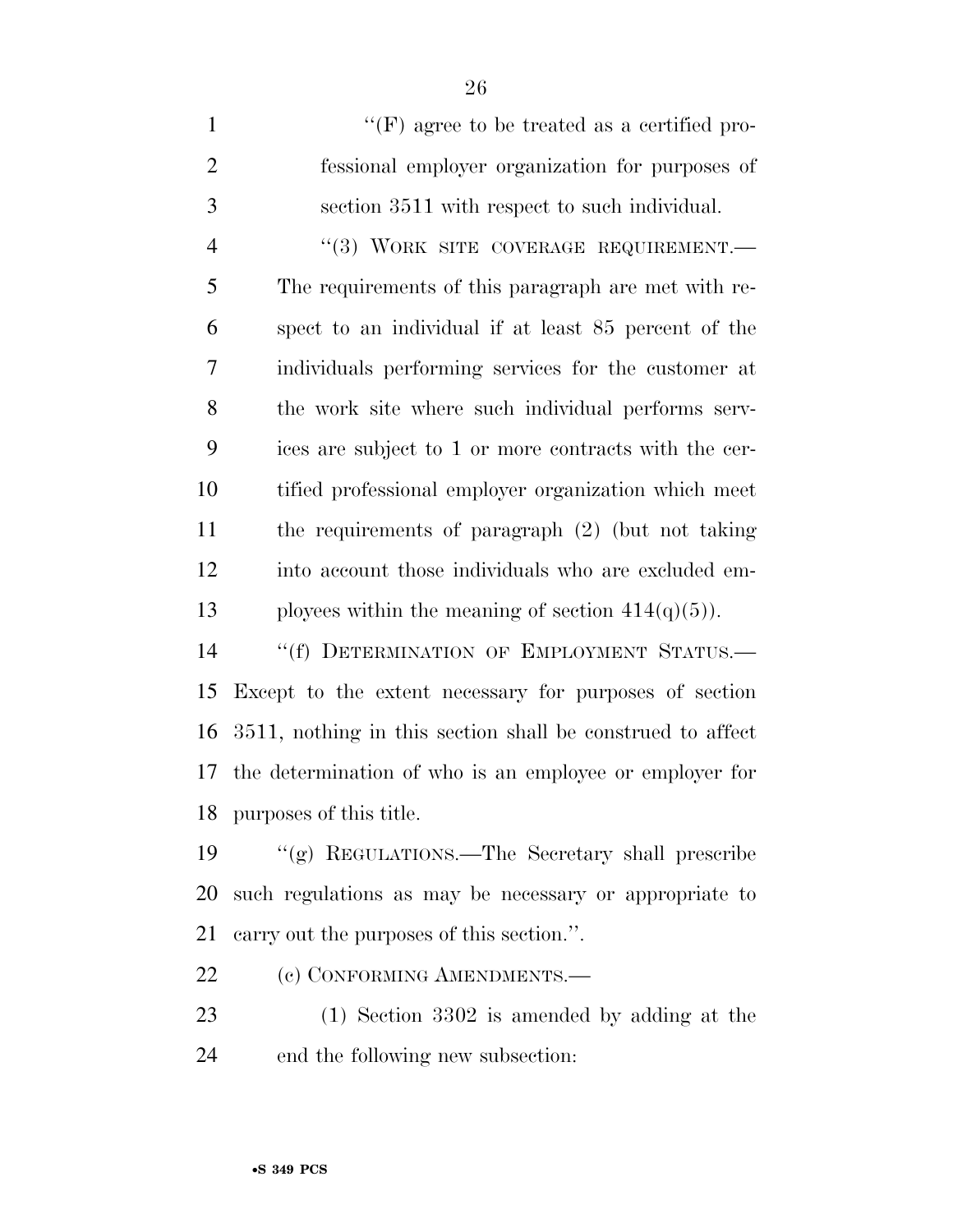$"({\rm F})$  agree to be treated as a certified pro- fessional employer organization for purposes of section 3511 with respect to such individual. 4 "(3) WORK SITE COVERAGE REQUIREMENT. The requirements of this paragraph are met with re- spect to an individual if at least 85 percent of the individuals performing services for the customer at the work site where such individual performs serv- ices are subject to 1 or more contracts with the cer- tified professional employer organization which meet the requirements of paragraph (2) (but not taking into account those individuals who are excluded em-13 ployees within the meaning of section  $414(q)(5)$ ). 14 "(f) DETERMINATION OF EMPLOYMENT STATUS.—

 Except to the extent necessary for purposes of section 3511, nothing in this section shall be construed to affect the determination of who is an employee or employer for purposes of this title.

 ''(g) REGULATIONS.—The Secretary shall prescribe such regulations as may be necessary or appropriate to carry out the purposes of this section.''.

22 (c) CONFORMING AMENDMENTS.—

 (1) Section 3302 is amended by adding at the end the following new subsection: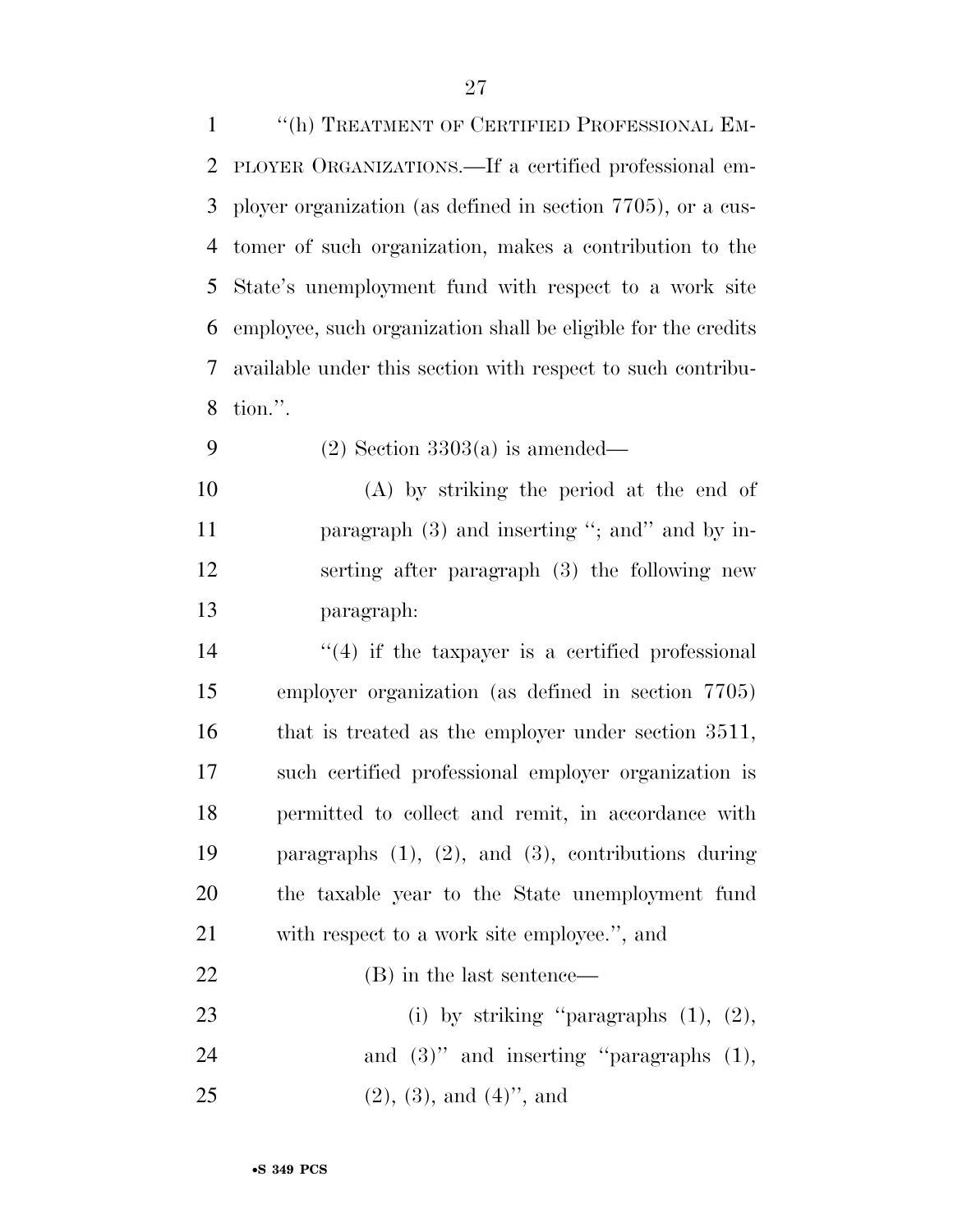''(h) TREATMENT OF CERTIFIED PROFESSIONAL EM- PLOYER ORGANIZATIONS.—If a certified professional em- ployer organization (as defined in section 7705), or a cus- tomer of such organization, makes a contribution to the State's unemployment fund with respect to a work site employee, such organization shall be eligible for the credits available under this section with respect to such contribu-tion.''.

9 (2) Section  $3303(a)$  is amended—

 (A) by striking the period at the end of 11 paragraph (3) and inserting "; and " and by in- serting after paragraph (3) the following new paragraph:

 $(4)$  if the taxpayer is a certified professional employer organization (as defined in section 7705) that is treated as the employer under section 3511, such certified professional employer organization is permitted to collect and remit, in accordance with paragraphs (1), (2), and (3), contributions during the taxable year to the State unemployment fund with respect to a work site employee.'', and (B) in the last sentence—

23 (i) by striking "paragraphs (1), (2), 24 and (3)" and inserting "paragraphs (1), 25 (2), (3), and (4)", and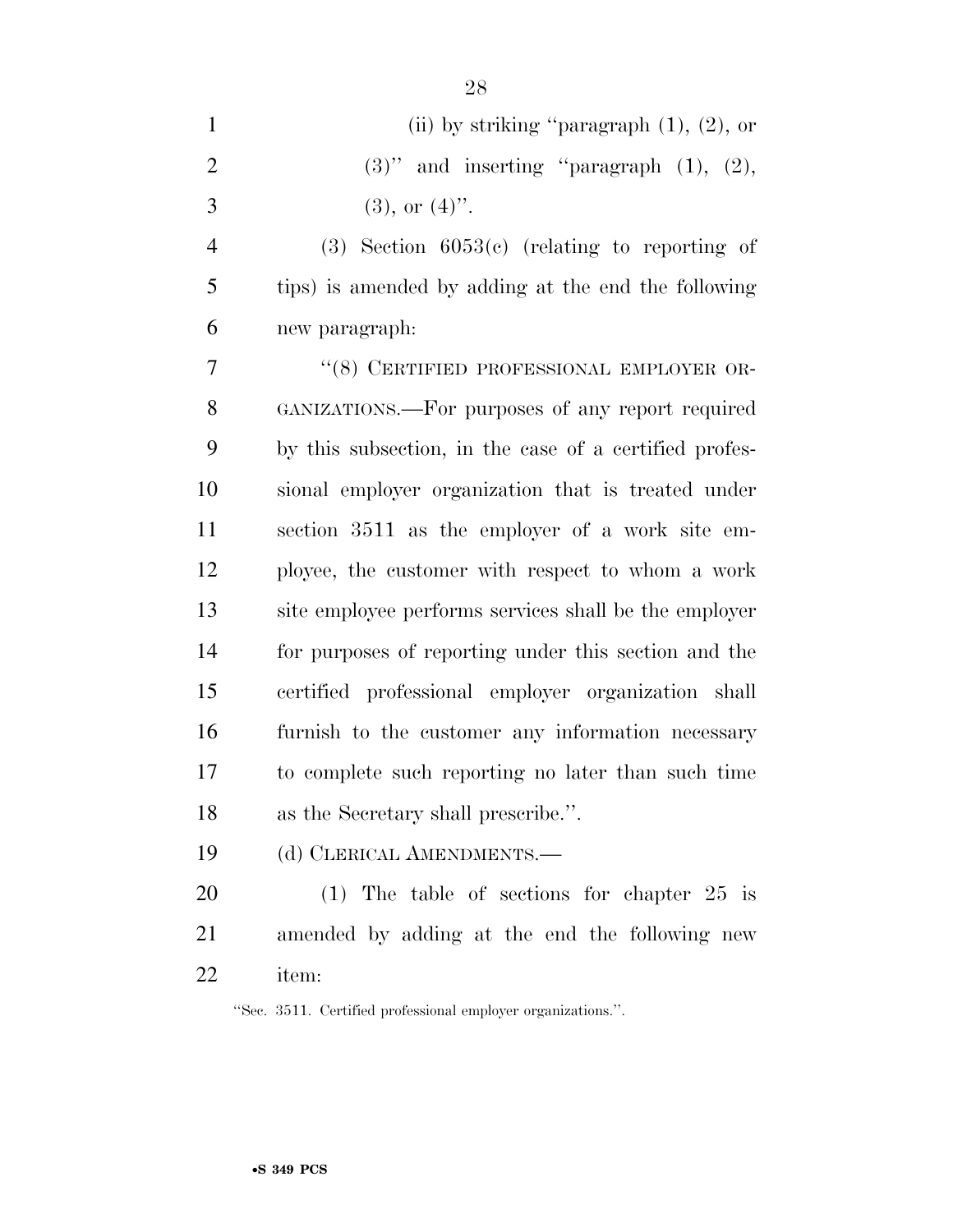| $\mathbf{1}$   | (ii) by striking "paragraph $(1)$ , $(2)$ , or         |
|----------------|--------------------------------------------------------|
| $\overline{2}$ | $(3)$ " and inserting "paragraph $(1)$ , $(2)$ ,       |
| 3              | $(3)$ , or $(4)$ .                                     |
| $\overline{4}$ | $(3)$ Section 6053 $(c)$ (relating to reporting of     |
| 5              | tips) is amended by adding at the end the following    |
| 6              | new paragraph:                                         |
| 7              | "(8) CERTIFIED PROFESSIONAL EMPLOYER OR-               |
| $8\,$          | GANIZATIONS.—For purposes of any report required       |
| 9              | by this subsection, in the case of a certified profes- |
| 10             | sional employer organization that is treated under     |
| 11             | section 3511 as the employer of a work site em-        |
| 12             | ployee, the customer with respect to whom a work       |
| 13             | site employee performs services shall be the employer  |
| 14             | for purposes of reporting under this section and the   |
| 15             | certified professional employer organization shall     |
| 16             | furnish to the customer any information necessary      |
| 17             | to complete such reporting no later than such time     |
| 18             | as the Secretary shall prescribe.".                    |
| 19             | (d) CLERICAL AMENDMENTS.                               |

 (1) The table of sections for chapter 25 is amended by adding at the end the following new item:

''Sec. 3511. Certified professional employer organizations.''.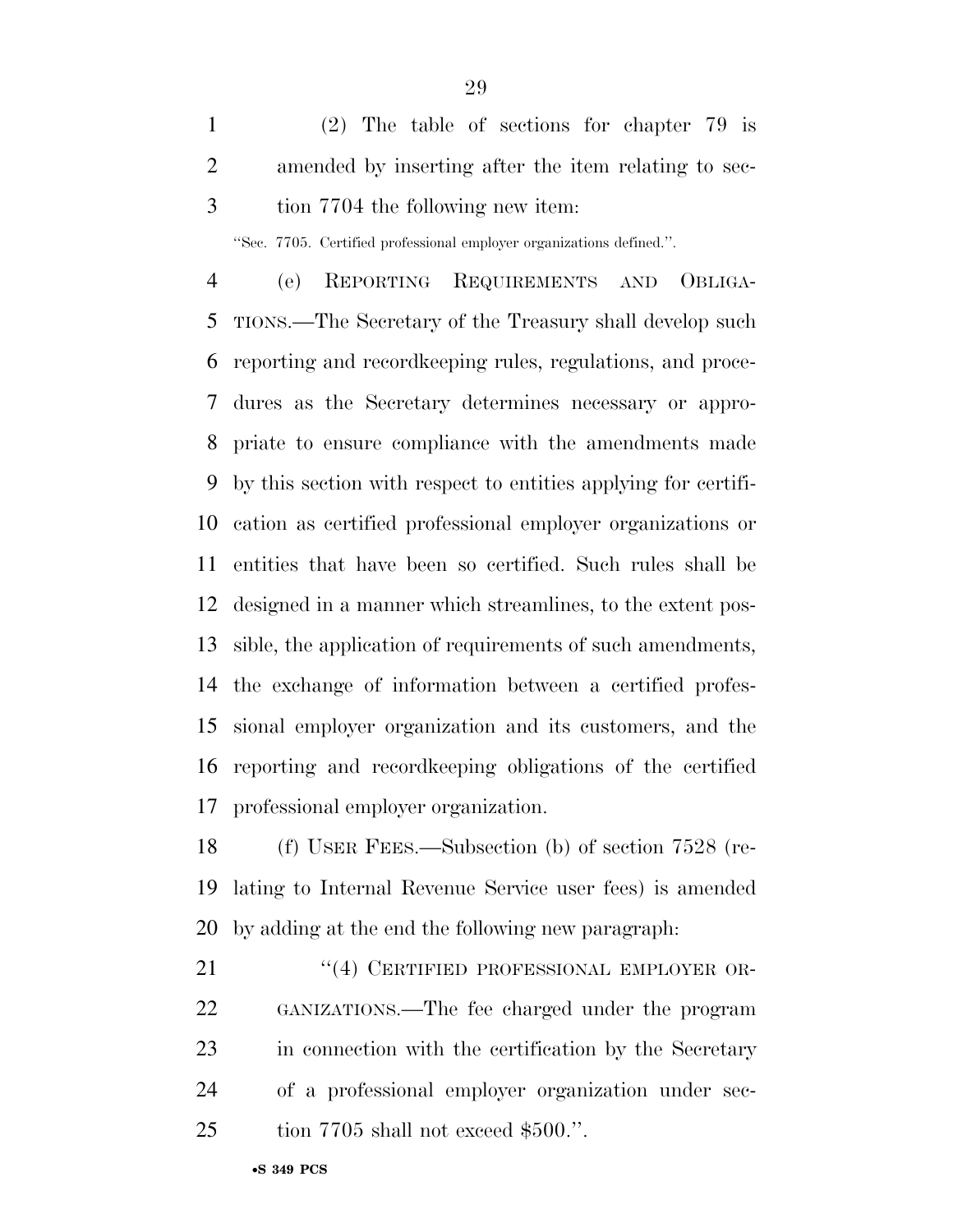(2) The table of sections for chapter 79 is amended by inserting after the item relating to sec-tion 7704 the following new item:

''Sec. 7705. Certified professional employer organizations defined.''.

 (e) REPORTING REQUIREMENTS AND OBLIGA- TIONS.—The Secretary of the Treasury shall develop such reporting and recordkeeping rules, regulations, and proce- dures as the Secretary determines necessary or appro- priate to ensure compliance with the amendments made by this section with respect to entities applying for certifi- cation as certified professional employer organizations or entities that have been so certified. Such rules shall be designed in a manner which streamlines, to the extent pos- sible, the application of requirements of such amendments, the exchange of information between a certified profes- sional employer organization and its customers, and the reporting and recordkeeping obligations of the certified professional employer organization.

 (f) USER FEES.—Subsection (b) of section 7528 (re- lating to Internal Revenue Service user fees) is amended by adding at the end the following new paragraph:

21 "(4) CERTIFIED PROFESSIONAL EMPLOYER OR- GANIZATIONS.—The fee charged under the program in connection with the certification by the Secretary of a professional employer organization under sec-25 tion 7705 shall not exceed \$500.".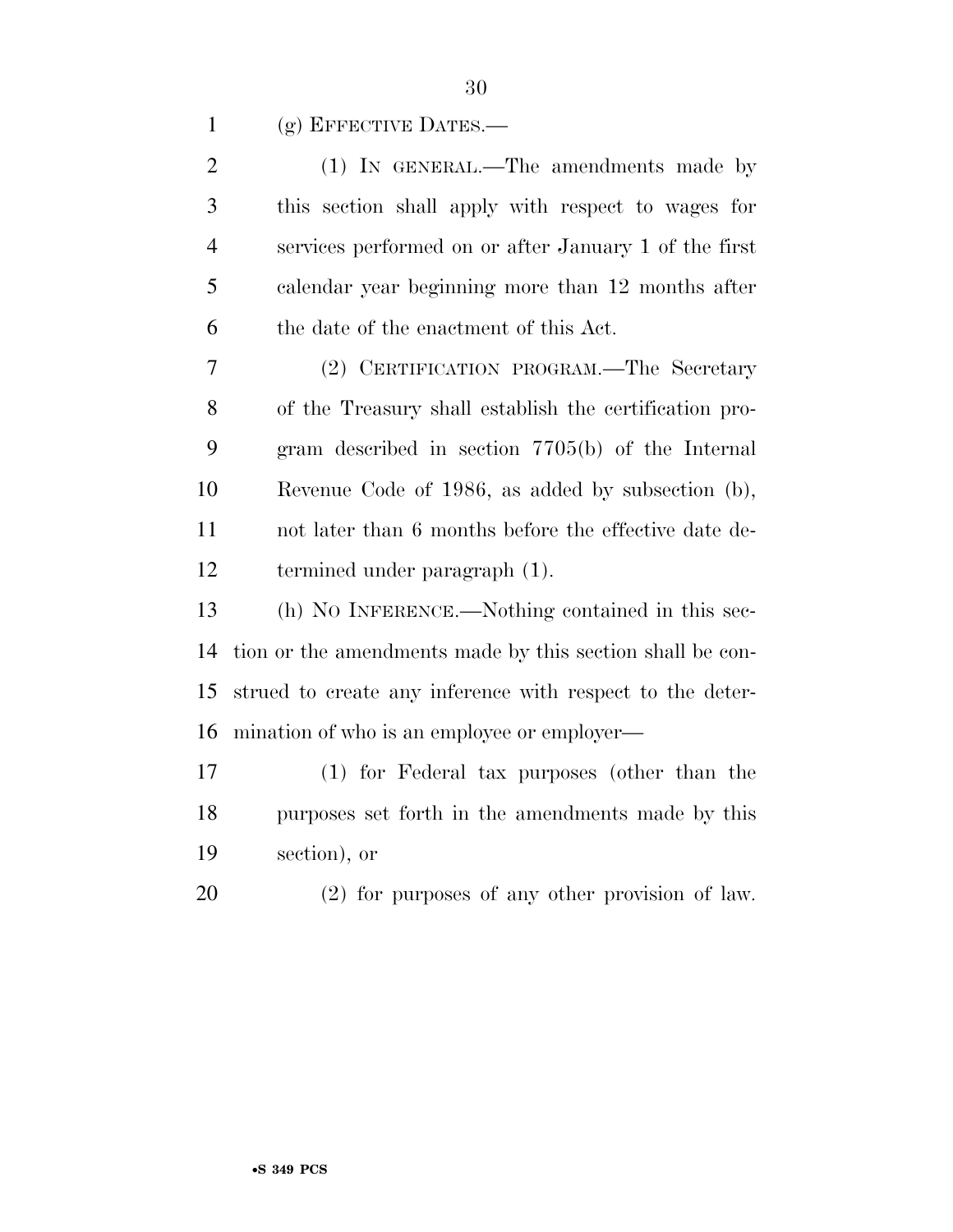1 (g) EFFECTIVE DATES.—

| $\overline{2}$ | (1) IN GENERAL.—The amendments made by                    |
|----------------|-----------------------------------------------------------|
| 3              | this section shall apply with respect to wages for        |
| $\overline{4}$ | services performed on or after January 1 of the first     |
| 5              | calendar year beginning more than 12 months after         |
| 6              | the date of the enactment of this Act.                    |
| 7              | (2) CERTIFICATION PROGRAM.—The Secretary                  |
| 8              | of the Treasury shall establish the certification pro-    |
| 9              | gram described in section 7705(b) of the Internal         |
| 10             | Revenue Code of 1986, as added by subsection (b),         |
| 11             | not later than 6 months before the effective date de-     |
| 12             | termined under paragraph (1).                             |
| 13             | (h) NO INFERENCE.—Nothing contained in this sec-          |
| 14             | tion or the amendments made by this section shall be con- |
| 15             | strued to create any inference with respect to the deter- |
| 16             | mination of who is an employee or employer—               |
| 17             | (1) for Federal tax purposes (other than the              |
| 18             | purposes set forth in the amendments made by this         |
| 19             | section), or                                              |
| 20             | $(2)$ for purposes of any other provision of law.         |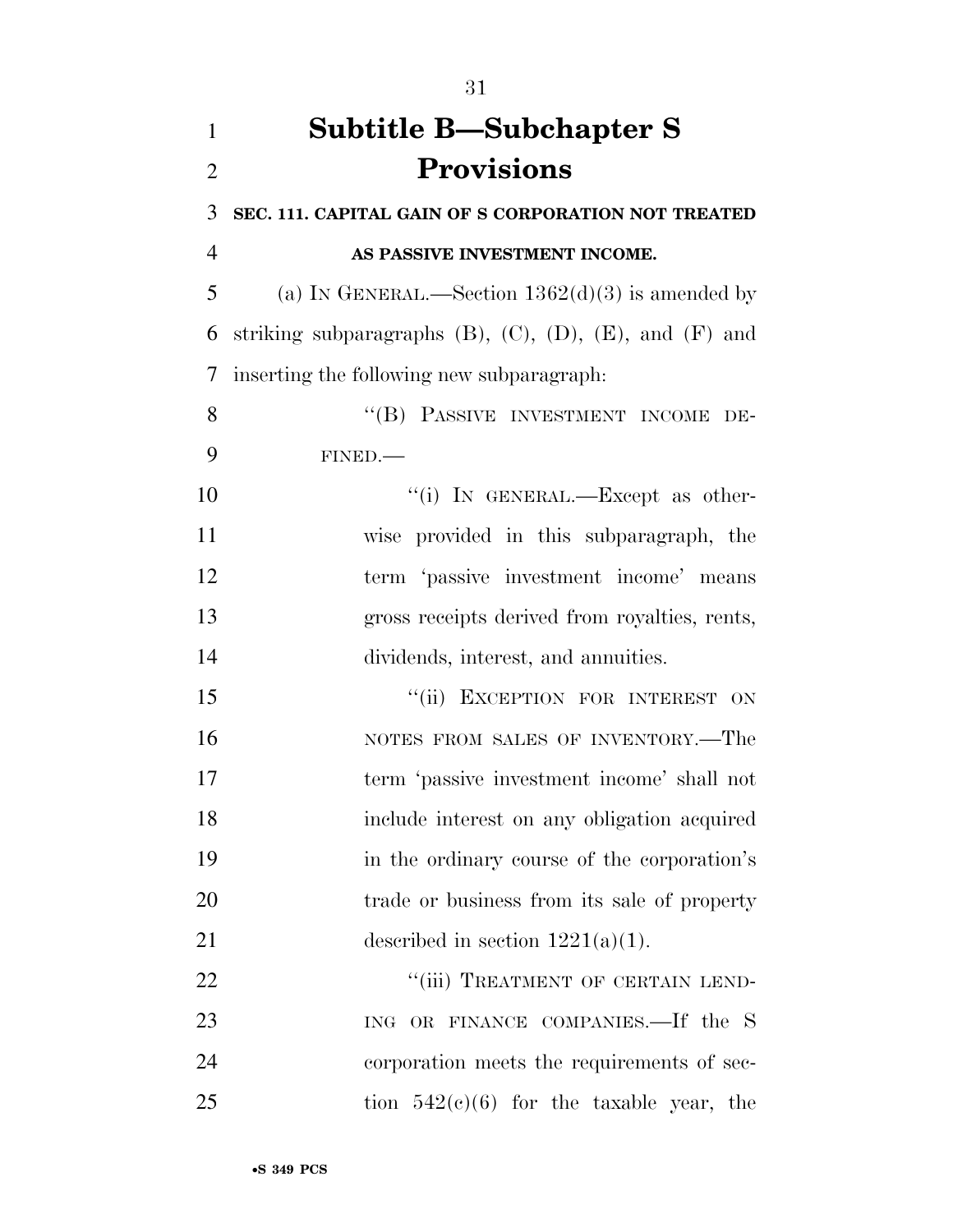| $\mathbf{1}$   | <b>Subtitle B—Subchapter S</b>                                       |
|----------------|----------------------------------------------------------------------|
| $\overline{2}$ | <b>Provisions</b>                                                    |
| 3              | SEC. 111. CAPITAL GAIN OF S CORPORATION NOT TREATED                  |
| $\overline{4}$ | AS PASSIVE INVESTMENT INCOME.                                        |
| 5              | (a) IN GENERAL.—Section $1362(d)(3)$ is amended by                   |
| 6              | striking subparagraphs $(B)$ , $(C)$ , $(D)$ , $(E)$ , and $(F)$ and |
| $\overline{7}$ | inserting the following new subparagraph:                            |
| 8              | "(B) PASSIVE INVESTMENT INCOME DE-                                   |
| 9              | FINED.                                                               |
| 10             | "(i) IN GENERAL.—Except as other-                                    |
| 11             | wise provided in this subparagraph, the                              |
| 12             | term 'passive investment income' means                               |
| 13             | gross receipts derived from royalties, rents,                        |
| 14             | dividends, interest, and annuities.                                  |
| 15             | "(ii) EXCEPTION FOR INTEREST ON                                      |
| 16             | NOTES FROM SALES OF INVENTORY.—The                                   |
| 17             | term 'passive investment income' shall not                           |
| 18             | include interest on any obligation acquired                          |
| 19             | in the ordinary course of the corporation's                          |
| 20             | trade or business from its sale of property                          |
| 21             | described in section $1221(a)(1)$ .                                  |
| 22             | "(iii) TREATMENT OF CERTAIN LEND-                                    |
| 23             | ING OR FINANCE COMPANIES.-If the S                                   |
| 24             | corporation meets the requirements of sec-                           |
| 25             | tion $542(c)(6)$ for the taxable year, the                           |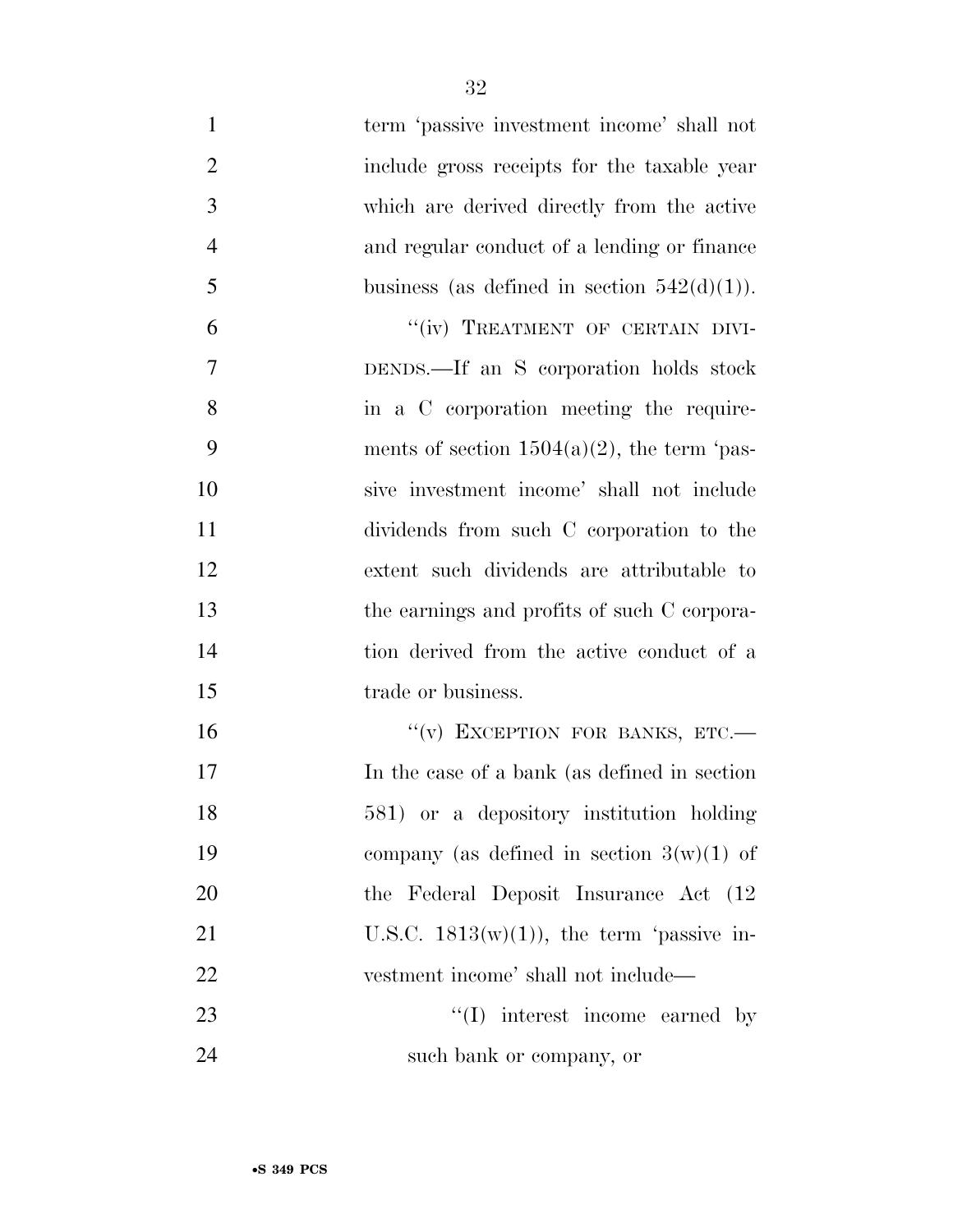| $\mathbf{1}$   | term 'passive investment income' shall not     |
|----------------|------------------------------------------------|
| $\overline{2}$ | include gross receipts for the taxable year    |
| 3              | which are derived directly from the active     |
| $\overline{4}$ | and regular conduct of a lending or finance    |
| 5              | business (as defined in section $542(d)(1)$ ). |
| 6              | "(iv) TREATMENT OF CERTAIN DIVI-               |
| 7              | DENDS.—If an S corporation holds stock         |
| 8              | in a C corporation meeting the require-        |
| 9              | ments of section $1504(a)(2)$ , the term 'pas- |
| 10             | sive investment income' shall not include      |
| 11             | dividends from such C corporation to the       |
| 12             | extent such dividends are attributable to      |
| 13             | the earnings and profits of such C corpora-    |
| 14             | tion derived from the active conduct of a      |
| 15             | trade or business.                             |
| 16             | "(v) EXCEPTION FOR BANKS, ETC.-                |
| 17             | In the case of a bank (as defined in section   |
| 18             | 581) or a depository institution holding       |
| 19             | company (as defined in section $3(w)(1)$ of    |
| 20             | the Federal Deposit Insurance Act (12)         |
| 21             | U.S.C. $1813(w)(1)$ , the term 'passive in-    |
| 22             | vestment income' shall not include—            |
| 23             | $\lq\lq$ interest income earned by             |
| 24             | such bank or company, or                       |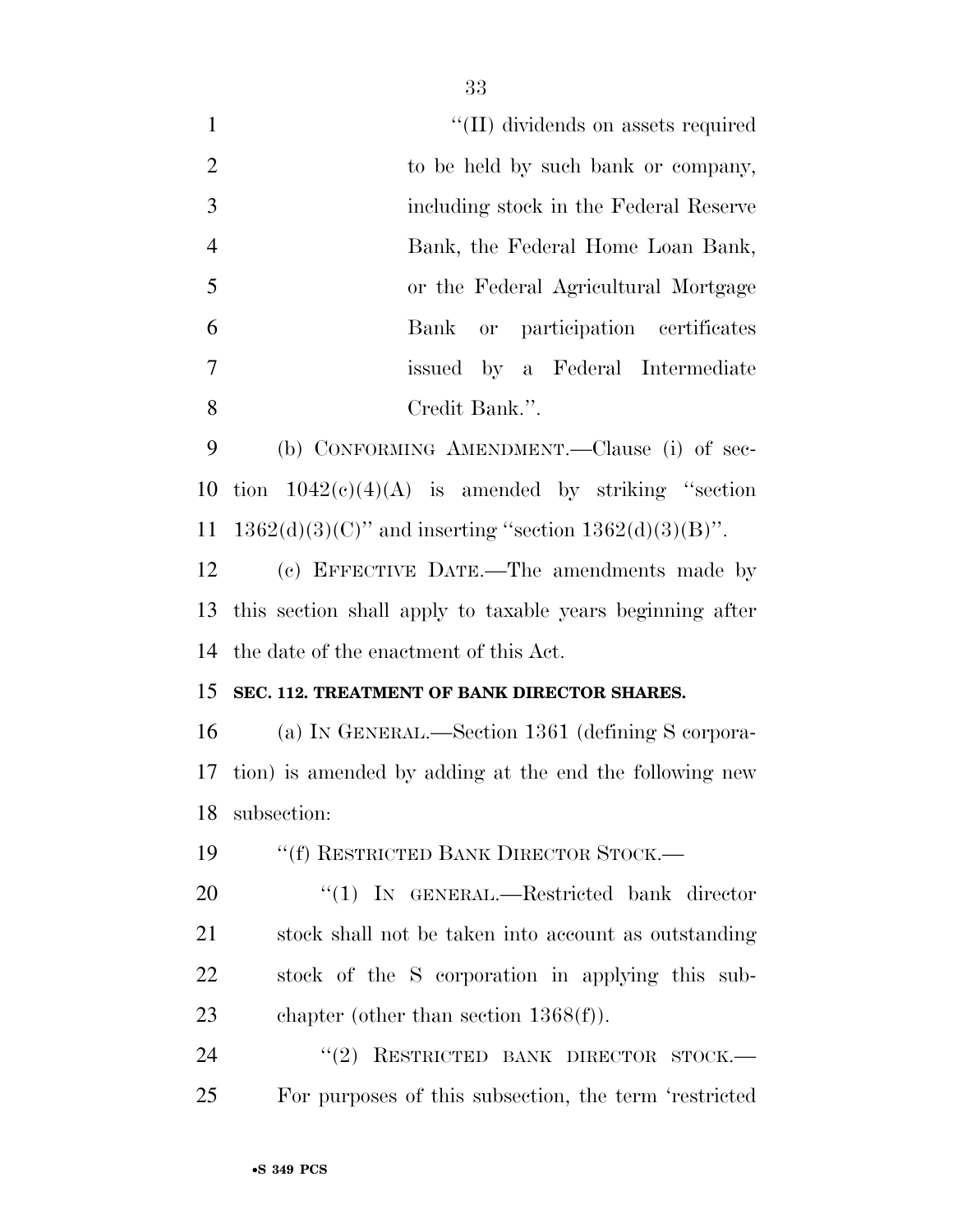| $\mathbf{1}$   | "(II) dividends on assets required                          |
|----------------|-------------------------------------------------------------|
| $\overline{2}$ | to be held by such bank or company,                         |
| 3              | including stock in the Federal Reserve                      |
| $\overline{4}$ | Bank, the Federal Home Loan Bank,                           |
| 5              | or the Federal Agricultural Mortgage                        |
| 6              | or participation certificates<br>Bank                       |
| 7              | issued by a Federal Intermediate                            |
| 8              | Credit Bank.".                                              |
| 9              | (b) CONFORMING AMENDMENT.—Clause (i) of sec-                |
| 10             | tion $1042(c)(4)(A)$ is amended by striking "section        |
| 11             | $1362(d)(3)(C)$ " and inserting "section $1362(d)(3)(B)$ ". |
| 12             | (c) EFFECTIVE DATE.—The amendments made by                  |
| 13             | this section shall apply to taxable years beginning after   |
| 14             | the date of the enactment of this Act.                      |
| 15             | SEC. 112. TREATMENT OF BANK DIRECTOR SHARES.                |
| 16             | (a) IN GENERAL.—Section 1361 (defining S corpora-           |
| 17             | tion) is amended by adding at the end the following new     |
| 18             | subsection:                                                 |
| 19             | "(f) RESTRICTED BANK DIRECTOR STOCK.-                       |
| 20             | " $(1)$ IN GENERAL.—Restricted bank director                |
| 21             | stock shall not be taken into account as outstanding        |
| 22             | stock of the S corporation in applying this sub-            |
| 23             | chapter (other than section $1368(f)$ ).                    |
| 24             | "(2) RESTRICTED BANK DIRECTOR STOCK.-                       |
| 25             | For purposes of this subsection, the term 'restricted       |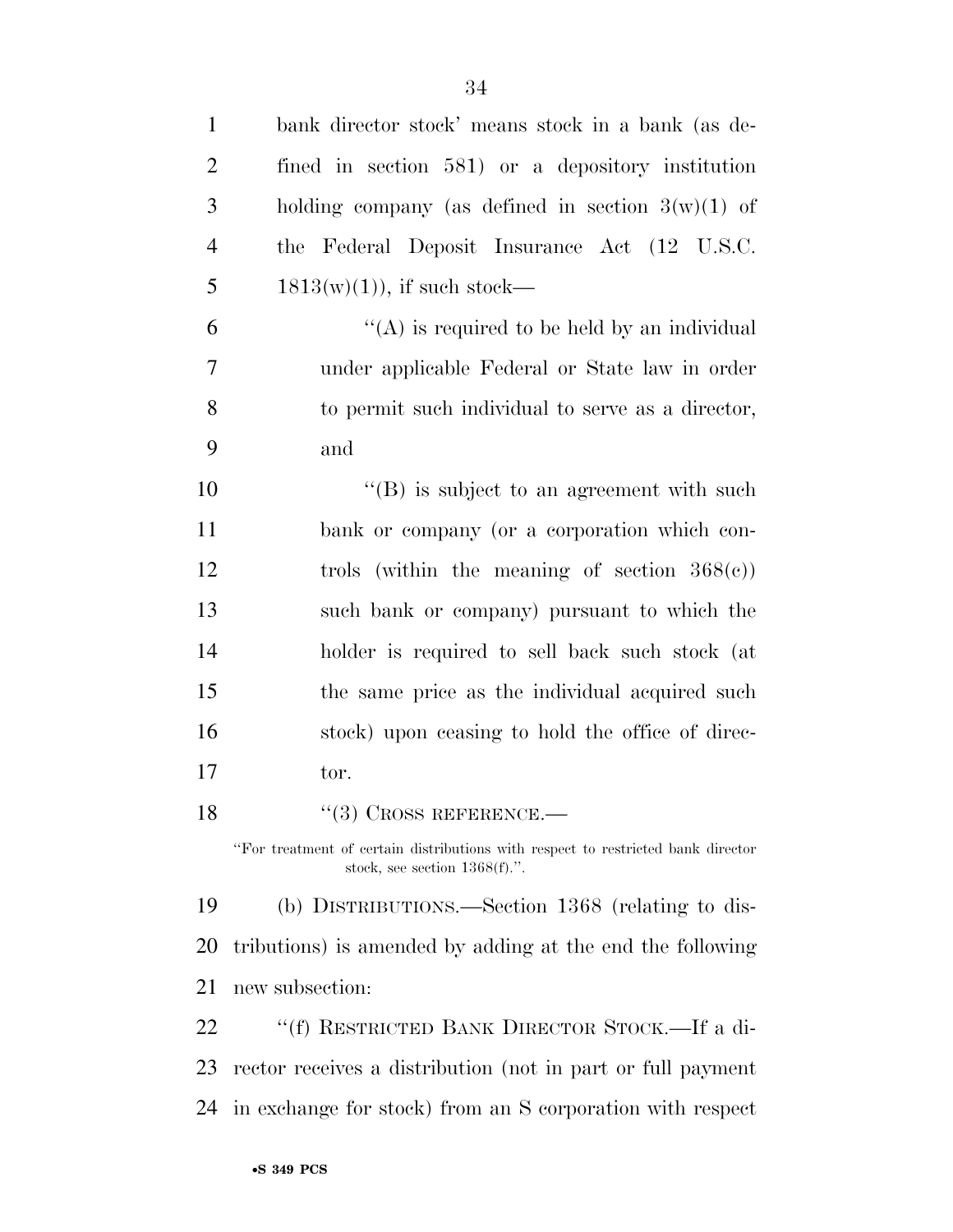| $\mathbf{1}$   | bank director stock' means stock in a bank (as de-                                                                   |
|----------------|----------------------------------------------------------------------------------------------------------------------|
| $\overline{2}$ | fined in section 581) or a depository institution                                                                    |
| 3              | holding company (as defined in section $3(w)(1)$ of                                                                  |
| $\overline{4}$ | the Federal Deposit Insurance Act (12 U.S.C.                                                                         |
| 5              | $1813(w)(1)$ , if such stock—                                                                                        |
| 6              | "(A) is required to be held by an individual                                                                         |
| 7              | under applicable Federal or State law in order                                                                       |
| 8              | to permit such individual to serve as a director,                                                                    |
| 9              | and                                                                                                                  |
| 10             | $\lq\lq (B)$ is subject to an agreement with such                                                                    |
| 11             | bank or company (or a corporation which con-                                                                         |
| 12             | trols (within the meaning of section $368(e)$ )                                                                      |
| 13             | such bank or company) pursuant to which the                                                                          |
| 14             | holder is required to sell back such stock (at                                                                       |
| 15             | the same price as the individual acquired such                                                                       |
| 16             | stock) upon ceasing to hold the office of direc-                                                                     |
| 17             | tor.                                                                                                                 |
| 18             | $``(3)$ CROSS REFERENCE.—                                                                                            |
|                | "For treatment of certain distributions with respect to restricted bank director<br>stock, see section $1368(f)$ .". |
| 19             | (b) DISTRIBUTIONS.—Section 1368 (relating to dis-                                                                    |
| 20             | tributions) is amended by adding at the end the following                                                            |
| 21             | new subsection:                                                                                                      |
| 22             | "(f) RESTRICTED BANK DIRECTOR STOCK.—If a di-                                                                        |
| 23             | rector receives a distribution (not in part or full payment                                                          |
| 24             | in exchange for stock) from an S corporation with respect                                                            |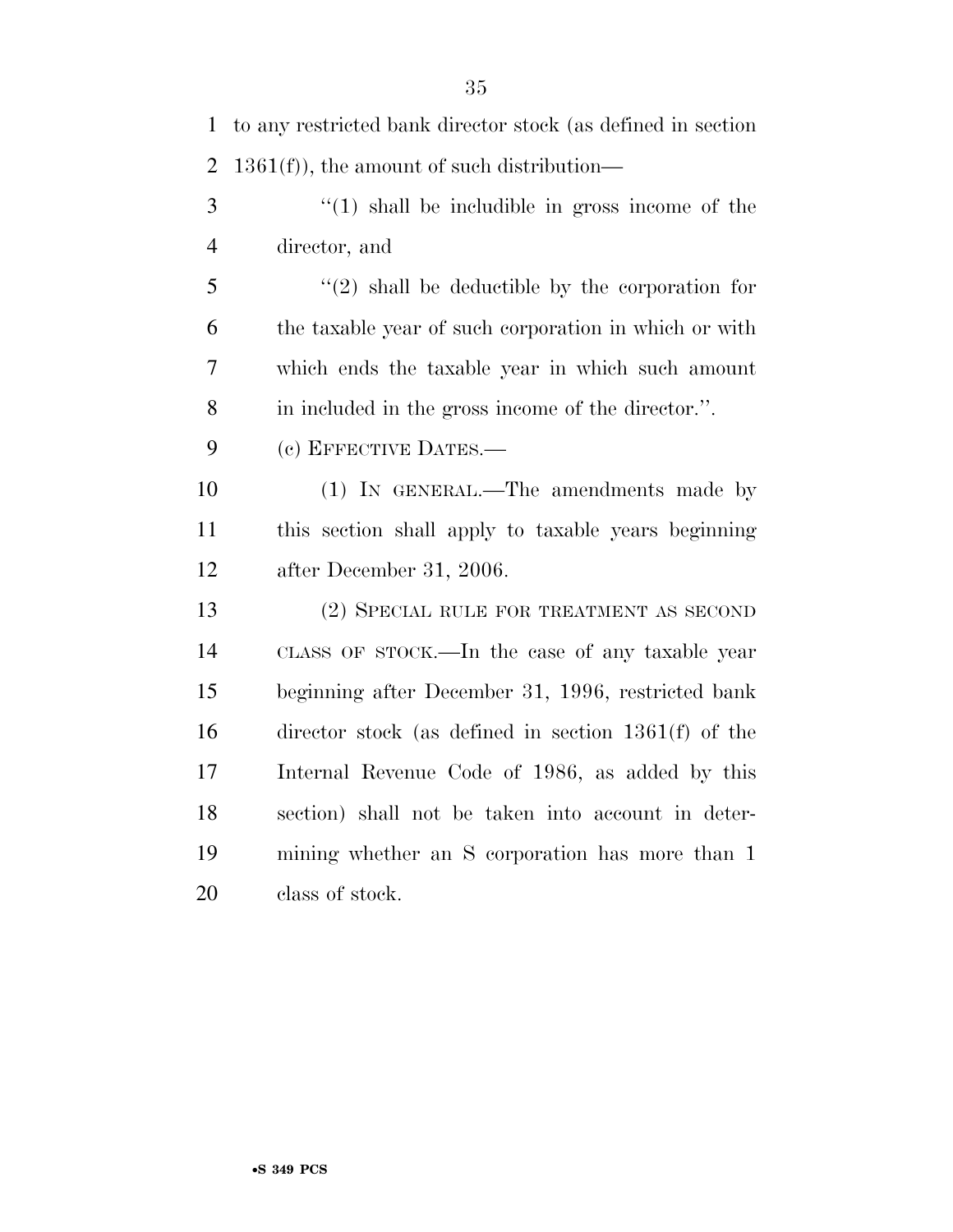| 1              | to any restricted bank director stock (as defined in section |
|----------------|--------------------------------------------------------------|
| $\overline{2}$ | $1361(f)$ , the amount of such distribution—                 |
| 3              | $\lq(1)$ shall be includible in gross income of the          |
| $\overline{4}$ | director, and                                                |
| 5              | $(2)$ shall be deductible by the corporation for             |
| 6              | the taxable year of such corporation in which or with        |
| 7              | which ends the taxable year in which such amount             |
| 8              | in included in the gross income of the director.".           |
| 9              | (c) EFFECTIVE DATES.-                                        |
| 10             | (1) IN GENERAL.—The amendments made by                       |
| 11             | this section shall apply to taxable years beginning          |
| 12             | after December 31, 2006.                                     |
| 13             | (2) SPECIAL RULE FOR TREATMENT AS SECOND                     |
| 14             | CLASS OF STOCK.—In the case of any taxable year              |
| 15             | beginning after December 31, 1996, restricted bank           |
| 16             | director stock (as defined in section $1361(f)$ of the       |
| 17             | Internal Revenue Code of 1986, as added by this              |
| 18             | section) shall not be taken into account in deter-           |
| 19             | mining whether an S corporation has more than 1              |
| 20             | class of stock.                                              |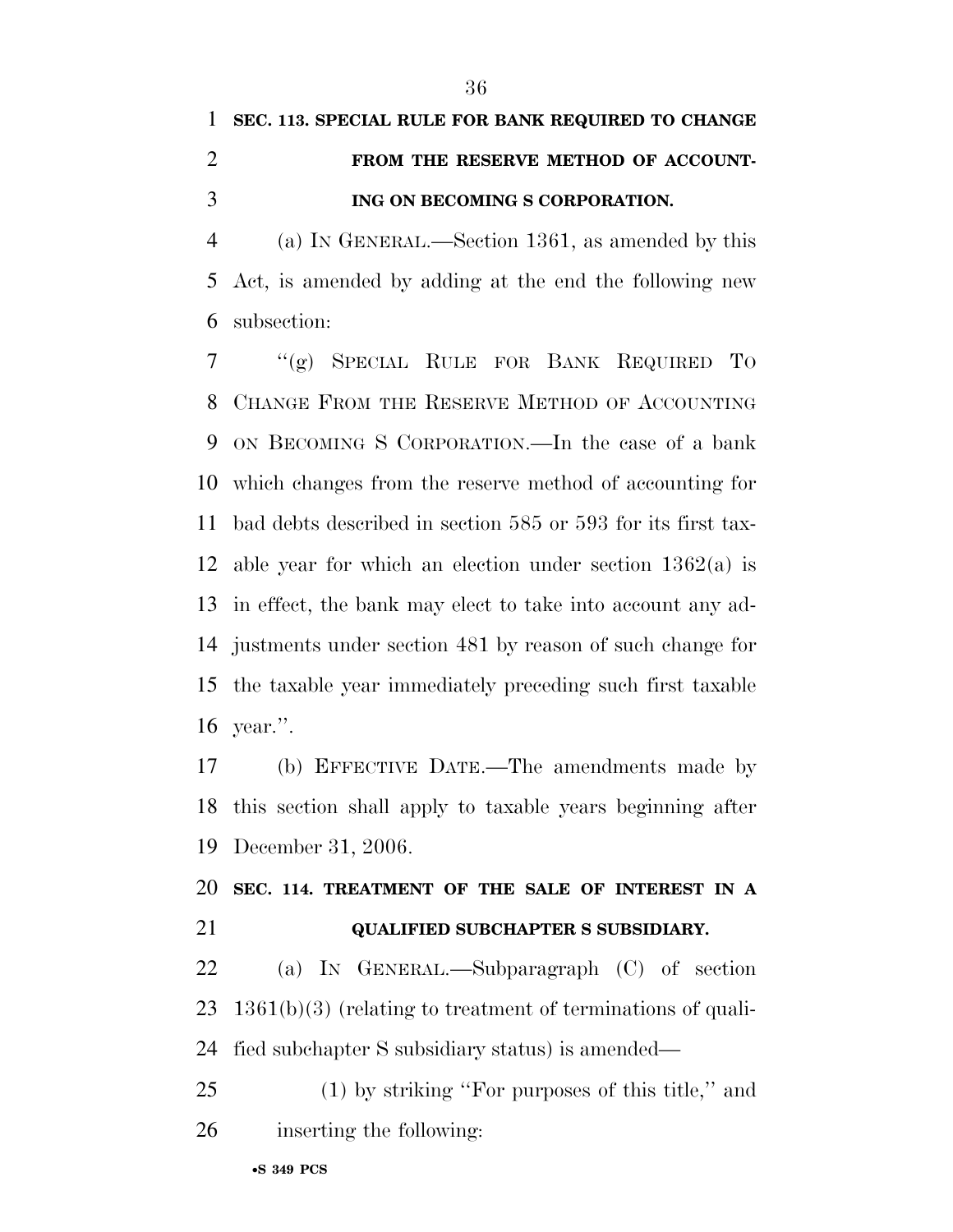## **SEC. 113. SPECIAL RULE FOR BANK REQUIRED TO CHANGE FROM THE RESERVE METHOD OF ACCOUNT-ING ON BECOMING S CORPORATION.**

 (a) IN GENERAL.—Section 1361, as amended by this Act, is amended by adding at the end the following new subsection:

 ''(g) SPECIAL RULE FOR BANK REQUIRED TO CHANGE FROM THE RESERVE METHOD OF ACCOUNTING ON BECOMING S CORPORATION.—In the case of a bank which changes from the reserve method of accounting for bad debts described in section 585 or 593 for its first tax- able year for which an election under section 1362(a) is in effect, the bank may elect to take into account any ad- justments under section 481 by reason of such change for the taxable year immediately preceding such first taxable year.''.

 (b) EFFECTIVE DATE.—The amendments made by this section shall apply to taxable years beginning after December 31, 2006.

 **SEC. 114. TREATMENT OF THE SALE OF INTEREST IN A QUALIFIED SUBCHAPTER S SUBSIDIARY.** 

 (a) IN GENERAL.—Subparagraph (C) of section 1361(b)(3) (relating to treatment of terminations of quali-fied subchapter S subsidiary status) is amended—

 (1) by striking ''For purposes of this title,'' and inserting the following: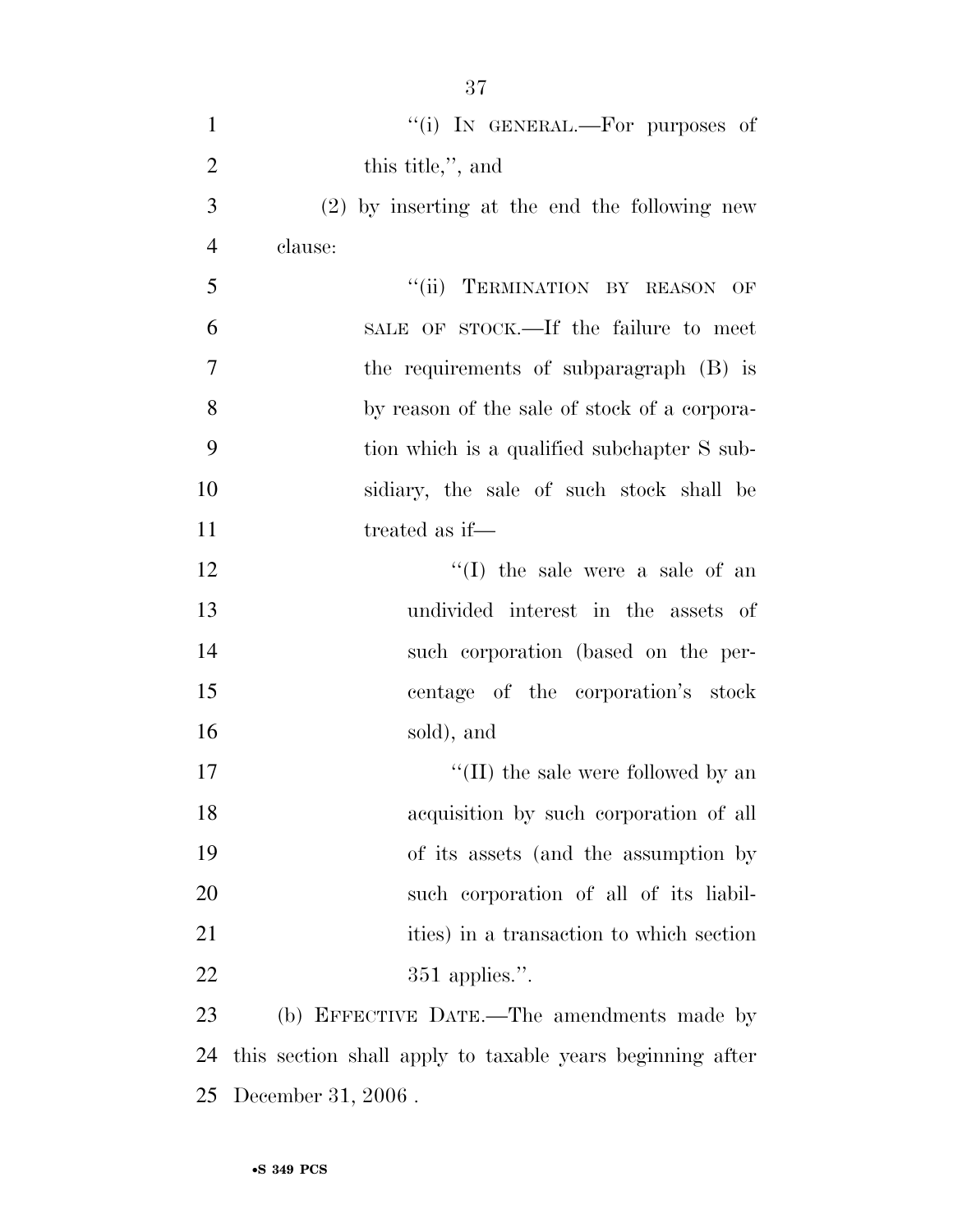| $\mathbf{1}$   | "(i) IN GENERAL.—For purposes of                          |
|----------------|-----------------------------------------------------------|
| $\overline{2}$ | this title,", and                                         |
| 3              | $(2)$ by inserting at the end the following new           |
| $\overline{4}$ | clause:                                                   |
| 5              | "(ii) TERMINATION BY REASON OF                            |
| 6              | SALE OF STOCK.—If the failure to meet                     |
| 7              | the requirements of subparagraph (B) is                   |
| 8              | by reason of the sale of stock of a corpora-              |
| 9              | tion which is a qualified subchapter S sub-               |
| 10             | sidiary, the sale of such stock shall be                  |
| 11             | treated as if—                                            |
| 12             | "(I) the sale were a sale of an                           |
| 13             | undivided interest in the assets of                       |
| 14             | such corporation (based on the per-                       |
| 15             | centage of the corporation's stock                        |
| 16             | sold), and                                                |
| 17             | $\lq\lq$ (II) the sale were followed by an                |
| 18             | acquisition by such corporation of all                    |
| 19             | of its assets (and the assumption by                      |
| 20             | such corporation of all of its liabil-                    |
| 21             | ities) in a transaction to which section                  |
| 22             | $351$ applies.".                                          |
| 23             | (b) EFFECTIVE DATE.—The amendments made by                |
| 24             | this section shall apply to taxable years beginning after |
|                |                                                           |

December 31, 2006 .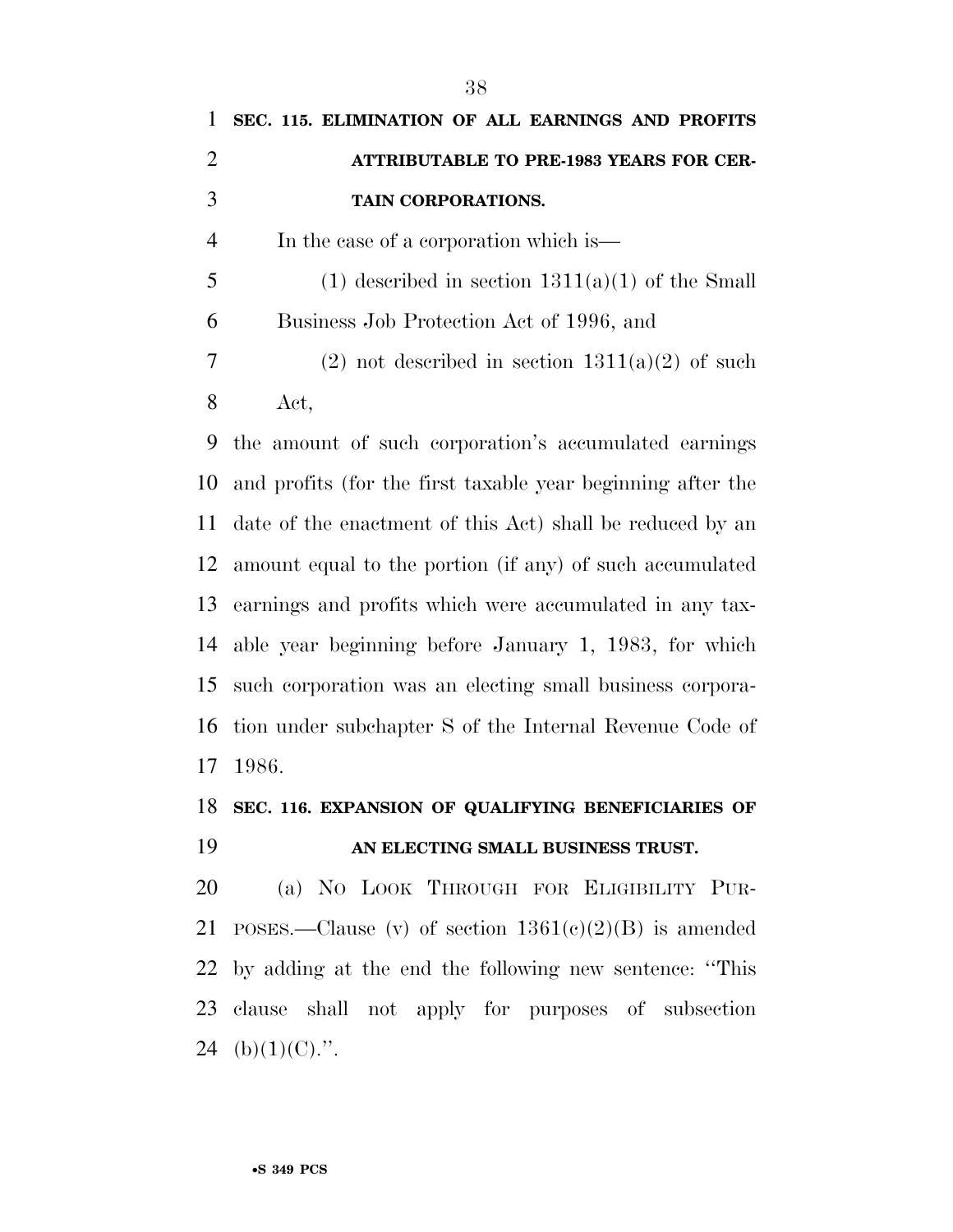| 1              | SEC. 115. ELIMINATION OF ALL EARNINGS AND PROFITS           |
|----------------|-------------------------------------------------------------|
| 2              | ATTRIBUTABLE TO PRE-1983 YEARS FOR CER-                     |
| 3              | TAIN CORPORATIONS.                                          |
| $\overline{4}$ | In the case of a corporation which is—                      |
| 5              | $(1)$ described in section $1311(a)(1)$ of the Small        |
| 6              | Business Job Protection Act of 1996, and                    |
| 7              | $(2)$ not described in section $1311(a)(2)$ of such         |
| 8              | Act,                                                        |
| 9              | the amount of such corporation's accumulated earnings       |
| 10             | and profits (for the first taxable year beginning after the |
| 11             | date of the enactment of this Act) shall be reduced by an   |
|                | 12 amount equal to the portion (if any) of such accumulated |

## **SEC. 116. EXPANSION OF QUALIFYING BENEFICIARIES OF AN ELECTING SMALL BUSINESS TRUST.**

earnings and profits which were accumulated in any tax-

able year beginning before January 1, 1983, for which

such corporation was an electing small business corpora-

tion under subchapter S of the Internal Revenue Code of

 (a) NO LOOK THROUGH FOR ELIGIBILITY PUR-21 POSES.—Clause (v) of section  $1361(e)(2)(B)$  is amended by adding at the end the following new sentence: ''This clause shall not apply for purposes of subsection 24 (b) $(1)(C)$ .".

1986.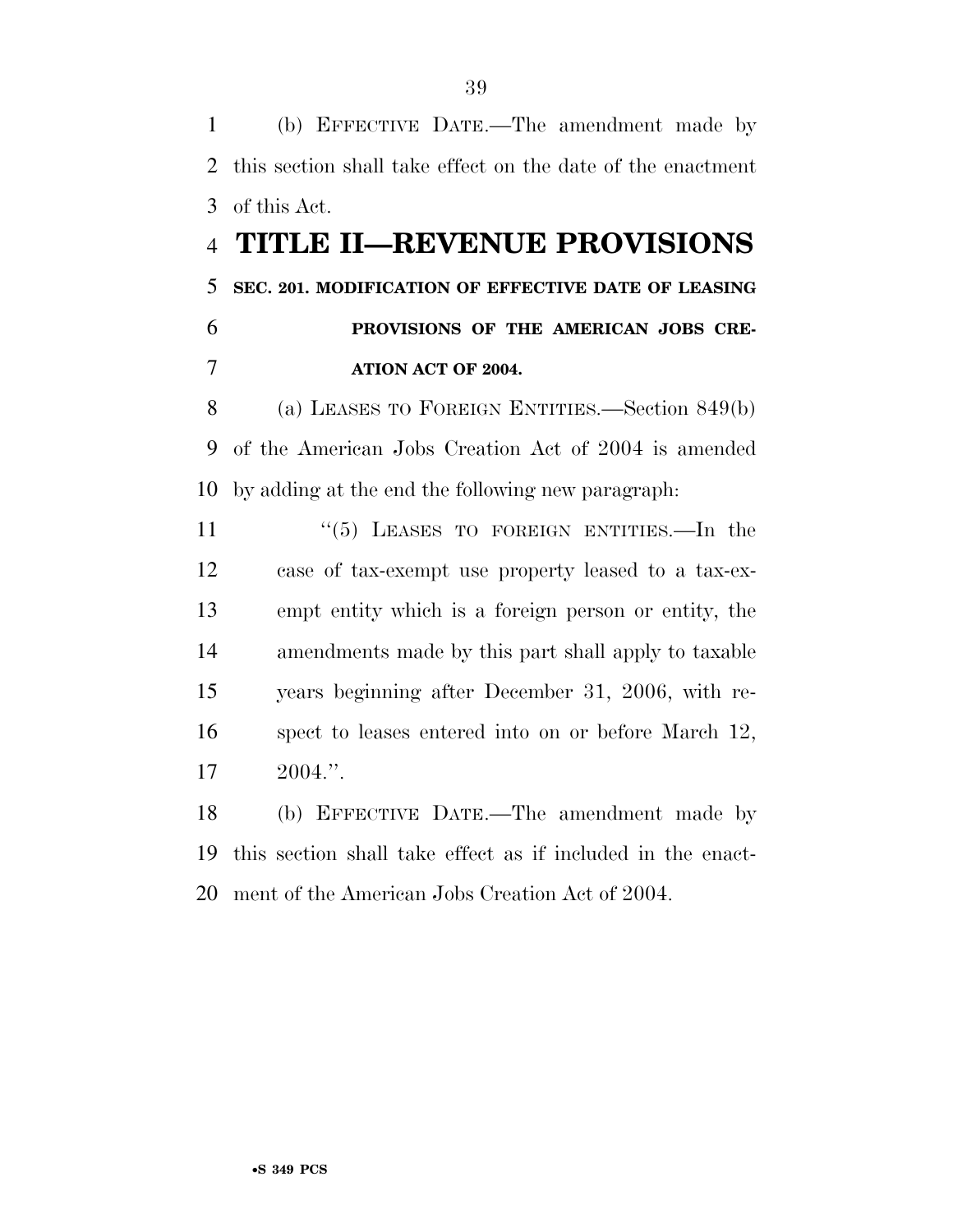(b) EFFECTIVE DATE.—The amendment made by this section shall take effect on the date of the enactment of this Act.

## **TITLE II—REVENUE PROVISIONS SEC. 201. MODIFICATION OF EFFECTIVE DATE OF LEASING PROVISIONS OF THE AMERICAN JOBS CRE-ATION ACT OF 2004.**

 (a) LEASES TO FOREIGN ENTITIES.—Section 849(b) of the American Jobs Creation Act of 2004 is amended by adding at the end the following new paragraph:

 ''(5) LEASES TO FOREIGN ENTITIES.—In the case of tax-exempt use property leased to a tax-ex- empt entity which is a foreign person or entity, the amendments made by this part shall apply to taxable years beginning after December 31, 2006, with re- spect to leases entered into on or before March 12, 2004.''.

 (b) EFFECTIVE DATE.—The amendment made by this section shall take effect as if included in the enact-ment of the American Jobs Creation Act of 2004.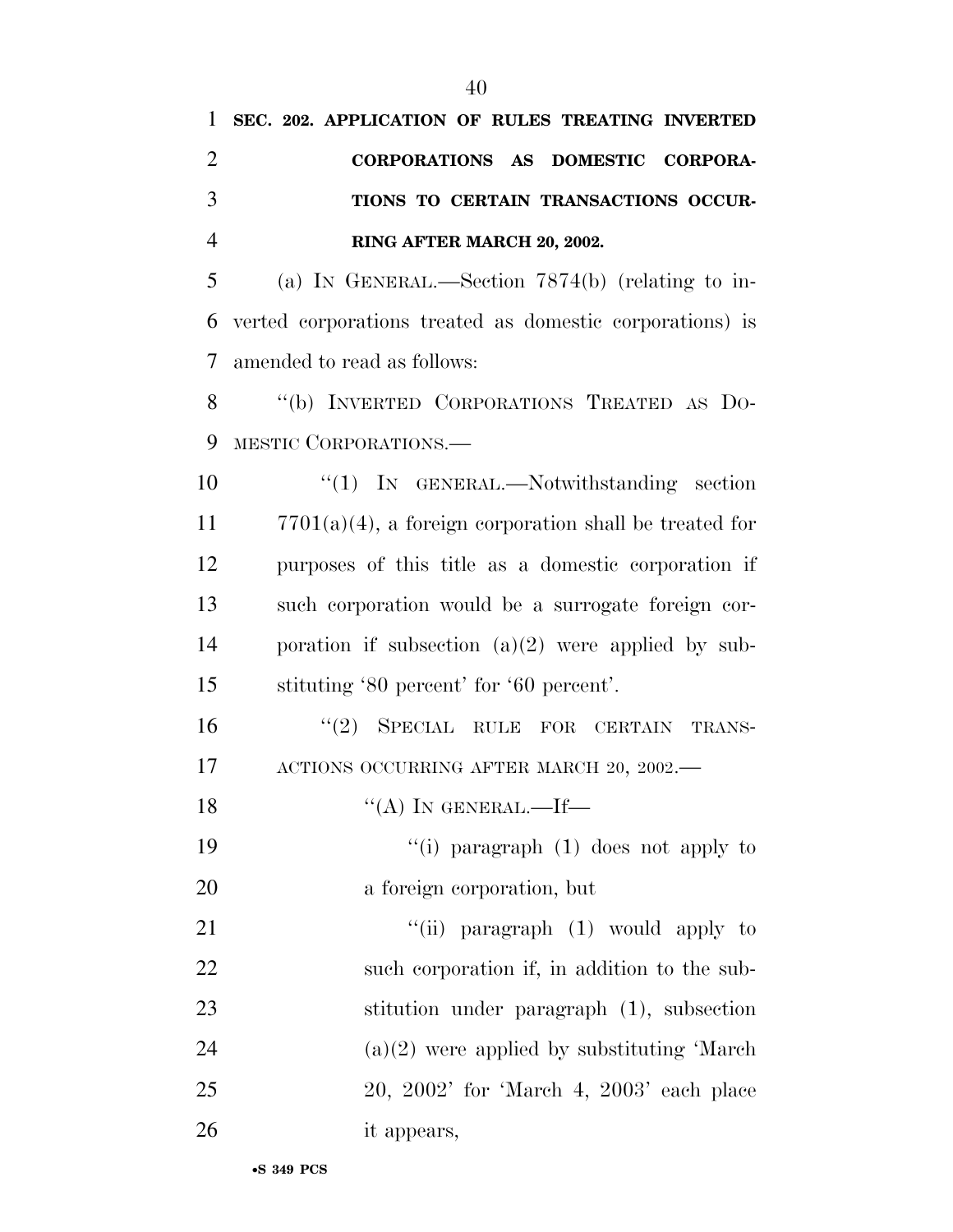**SEC. 202. APPLICATION OF RULES TREATING INVERTED** 

| $\overline{2}$ | CORPORATIONS AS DOMESTIC CORPORA-                         |
|----------------|-----------------------------------------------------------|
| 3              | TIONS TO CERTAIN TRANSACTIONS OCCUR-                      |
| $\overline{4}$ | RING AFTER MARCH 20, 2002.                                |
| 5              | (a) IN GENERAL.—Section $7874(b)$ (relating to in-        |
| 6              | verted corporations treated as domestic corporations) is  |
| 7              | amended to read as follows:                               |
| 8              | "(b) INVERTED CORPORATIONS TREATED AS DO-                 |
| 9              | MESTIC CORPORATIONS.                                      |
| 10             | "(1) IN GENERAL.—Notwithstanding section                  |
| 11             | $7701(a)(4)$ , a foreign corporation shall be treated for |
| 12             | purposes of this title as a domestic corporation if       |
| 13             | such corporation would be a surrogate foreign cor-        |
| 14             | poration if subsection $(a)(2)$ were applied by sub-      |
| 15             | stituting '80 percent' for '60 percent'.                  |
| 16             | SPECIAL RULE FOR CERTAIN TRANS-<br>(2)                    |
| 17             | ACTIONS OCCURRING AFTER MARCH 20, 2002.-                  |
| 18             | "(A) IN GENERAL.—If—                                      |
| 19             | "(i) paragraph $(1)$ does not apply to                    |
| 20             | a foreign corporation, but                                |
| 21             | "(ii) paragraph $(1)$ would apply to                      |
| 22             | such corporation if, in addition to the sub-              |
| 23             | stitution under paragraph (1), subsection                 |
| 24             | $(a)(2)$ were applied by substituting 'March              |
| 25             | $20, 2002'$ for 'March 4, $2003'$ each place              |
| 26             | it appears,                                               |
|                |                                                           |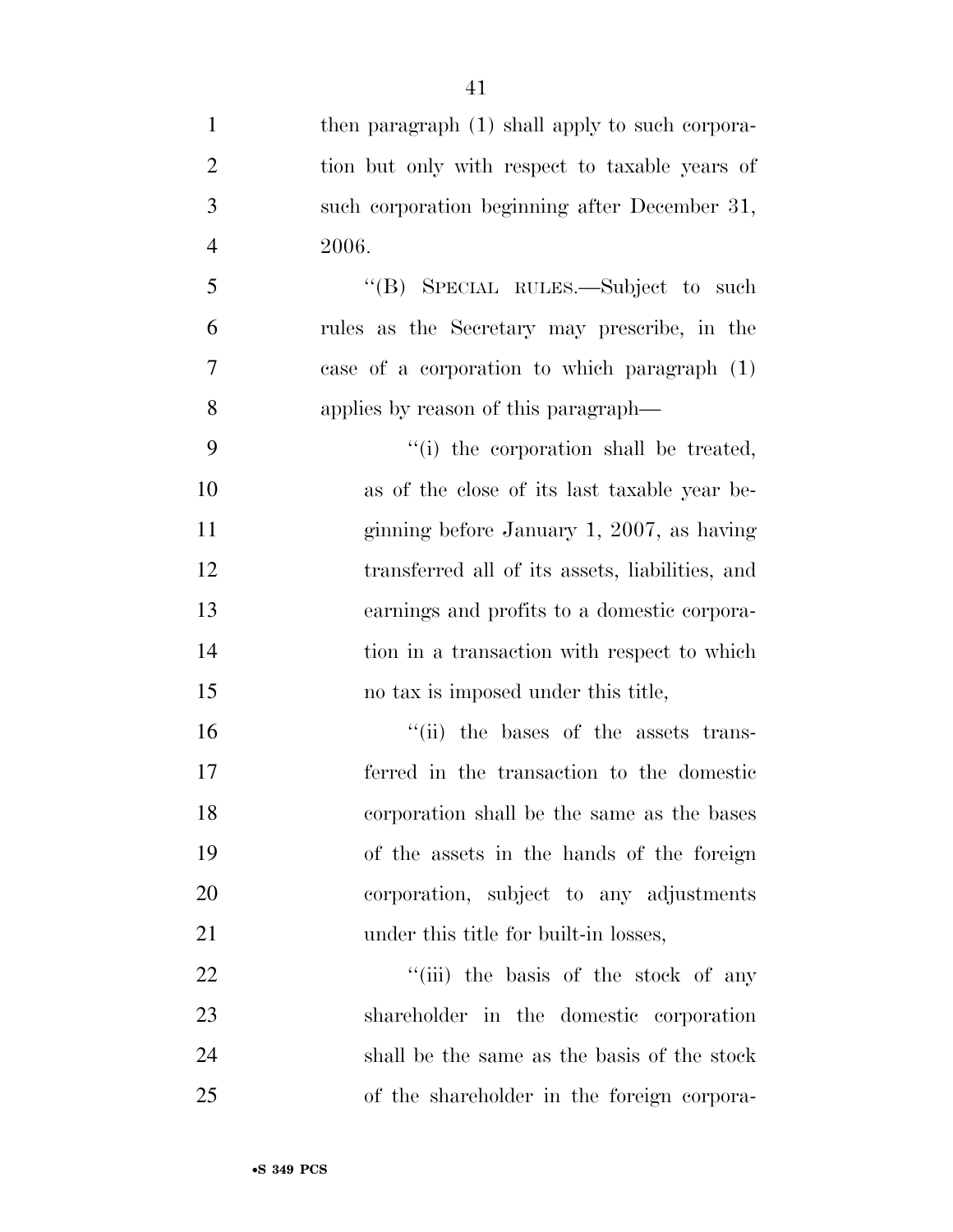1 then paragraph (1) shall apply to such corpora- tion but only with respect to taxable years of such corporation beginning after December 31, 2006. ''(B) SPECIAL RULES.—Subject to such rules as the Secretary may prescribe, in the case of a corporation to which paragraph (1) applies by reason of this paragraph— ''(i) the corporation shall be treated, as of the close of its last taxable year be- ginning before January 1, 2007, as having transferred all of its assets, liabilities, and earnings and profits to a domestic corpora-14 tion in a transaction with respect to which no tax is imposed under this title,  $\frac{1}{10}$  the bases of the assets trans- ferred in the transaction to the domestic corporation shall be the same as the bases of the assets in the hands of the foreign

corporation, subject to any adjustments

22 ''(iii) the basis of the stock of any

shareholder in the domestic corporation

shall be the same as the basis of the stock

of the shareholder in the foreign corpora-

21 under this title for built-in losses,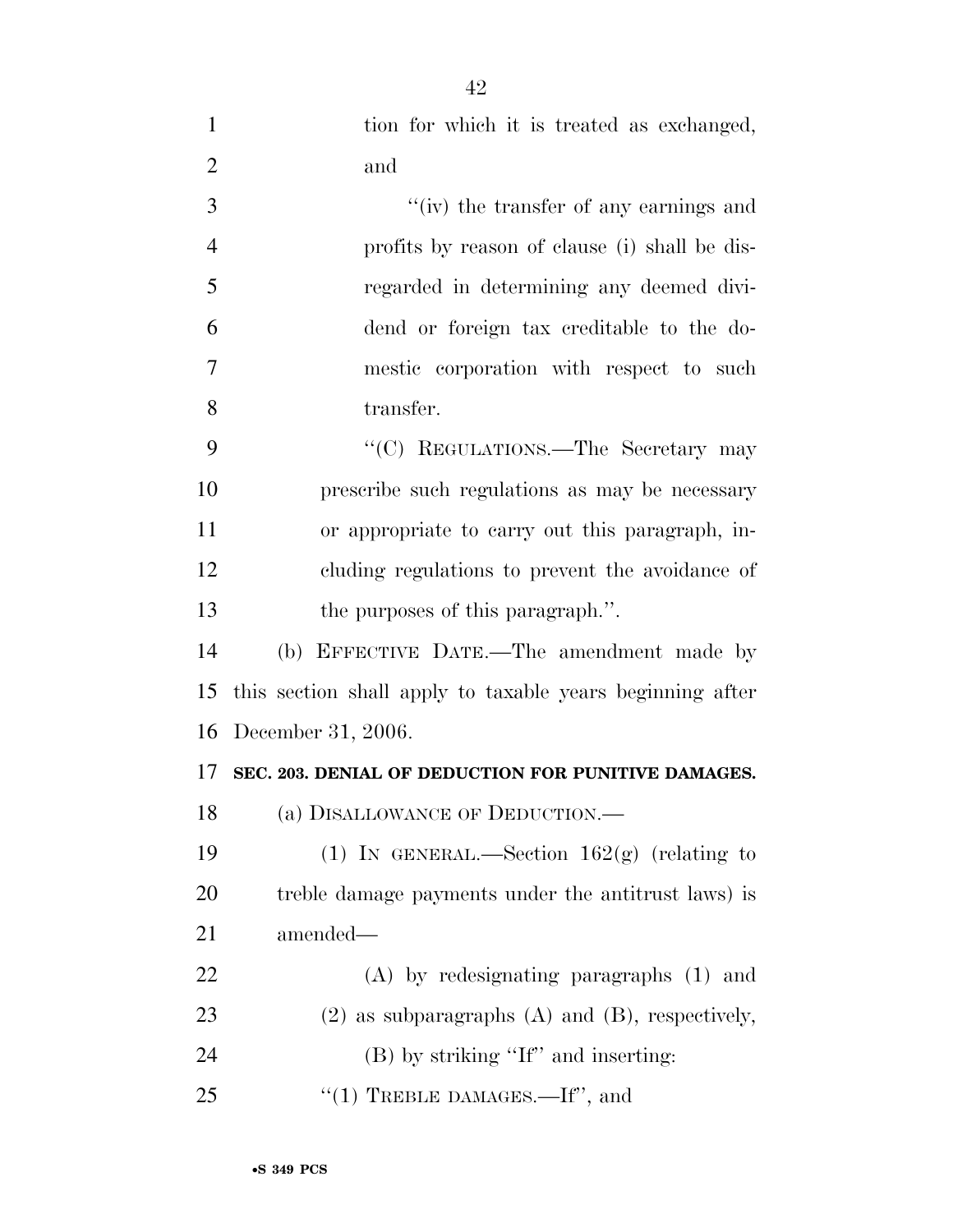| $\mathbf{1}$   | tion for which it is treated as exchanged,                |
|----------------|-----------------------------------------------------------|
| $\overline{2}$ | and                                                       |
| 3              | "(iv) the transfer of any earnings and                    |
| $\overline{4}$ | profits by reason of clause (i) shall be dis-             |
| 5              | regarded in determining any deemed divi-                  |
| 6              | dend or foreign tax creditable to the do-                 |
| 7              | mestic corporation with respect to such                   |
| 8              | transfer.                                                 |
| 9              | "(C) REGULATIONS.—The Secretary may                       |
| 10             | prescribe such regulations as may be necessary            |
| 11             | or appropriate to carry out this paragraph, in-           |
| 12             | cluding regulations to prevent the avoidance of           |
| 13             | the purposes of this paragraph.".                         |
| 14             | (b) EFFECTIVE DATE.—The amendment made by                 |
| 15             | this section shall apply to taxable years beginning after |
| 16             | December 31, 2006.                                        |
| 17             | SEC. 203. DENIAL OF DEDUCTION FOR PUNITIVE DAMAGES.       |
| 18             | (a) DISALLOWANCE OF DEDUCTION.—                           |
| 19             | (1) IN GENERAL.—Section $162(g)$ (relating to             |
| 20             | treble damage payments under the antitrust laws) is       |
| 21             | amended-                                                  |
| 22             | $(A)$ by redesignating paragraphs $(1)$ and               |
| 23             | $(2)$ as subparagraphs $(A)$ and $(B)$ , respectively,    |
| 24             | $(B)$ by striking "If" and inserting:                     |
| 25             | "(1) TREBLE DAMAGES.—If", and                             |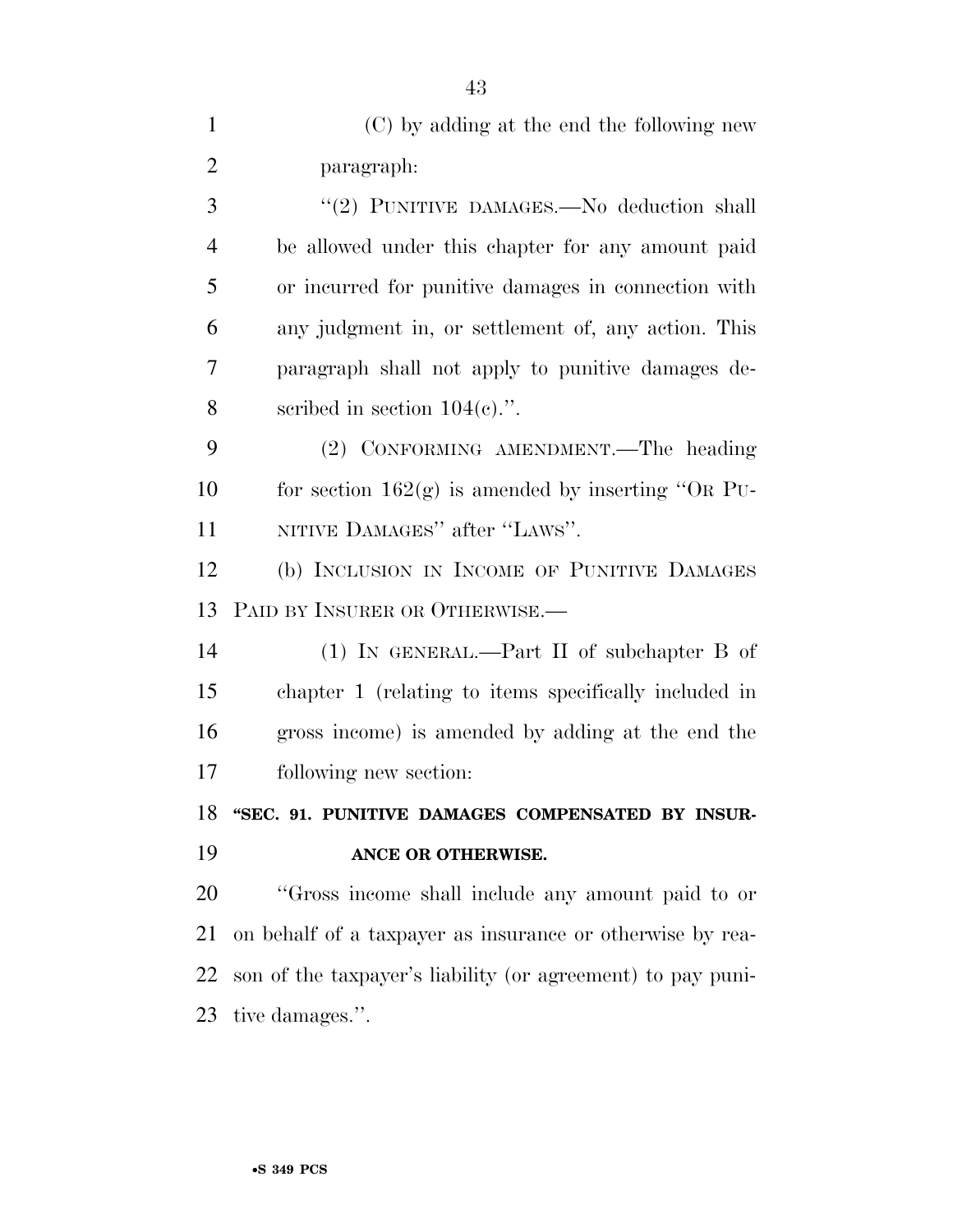(C) by adding at the end the following new paragraph: 3 "(2) PUNITIVE DAMAGES.—No deduction shall be allowed under this chapter for any amount paid or incurred for punitive damages in connection with

 any judgment in, or settlement of, any action. This paragraph shall not apply to punitive damages de-8 scribed in section  $104(c)$ .".

 (2) CONFORMING AMENDMENT.—The heading 10 for section  $162(g)$  is amended by inserting "OR PU-11 NITIVE DAMAGES" after "LAWS".

 (b) INCLUSION IN INCOME OF PUNITIVE DAMAGES PAID BY INSURER OR OTHERWISE.—

 (1) IN GENERAL.—Part II of subchapter B of chapter 1 (relating to items specifically included in gross income) is amended by adding at the end the following new section:

 **''SEC. 91. PUNITIVE DAMAGES COMPENSATED BY INSUR-ANCE OR OTHERWISE.** 

 ''Gross income shall include any amount paid to or on behalf of a taxpayer as insurance or otherwise by rea- son of the taxpayer's liability (or agreement) to pay puni-tive damages.''.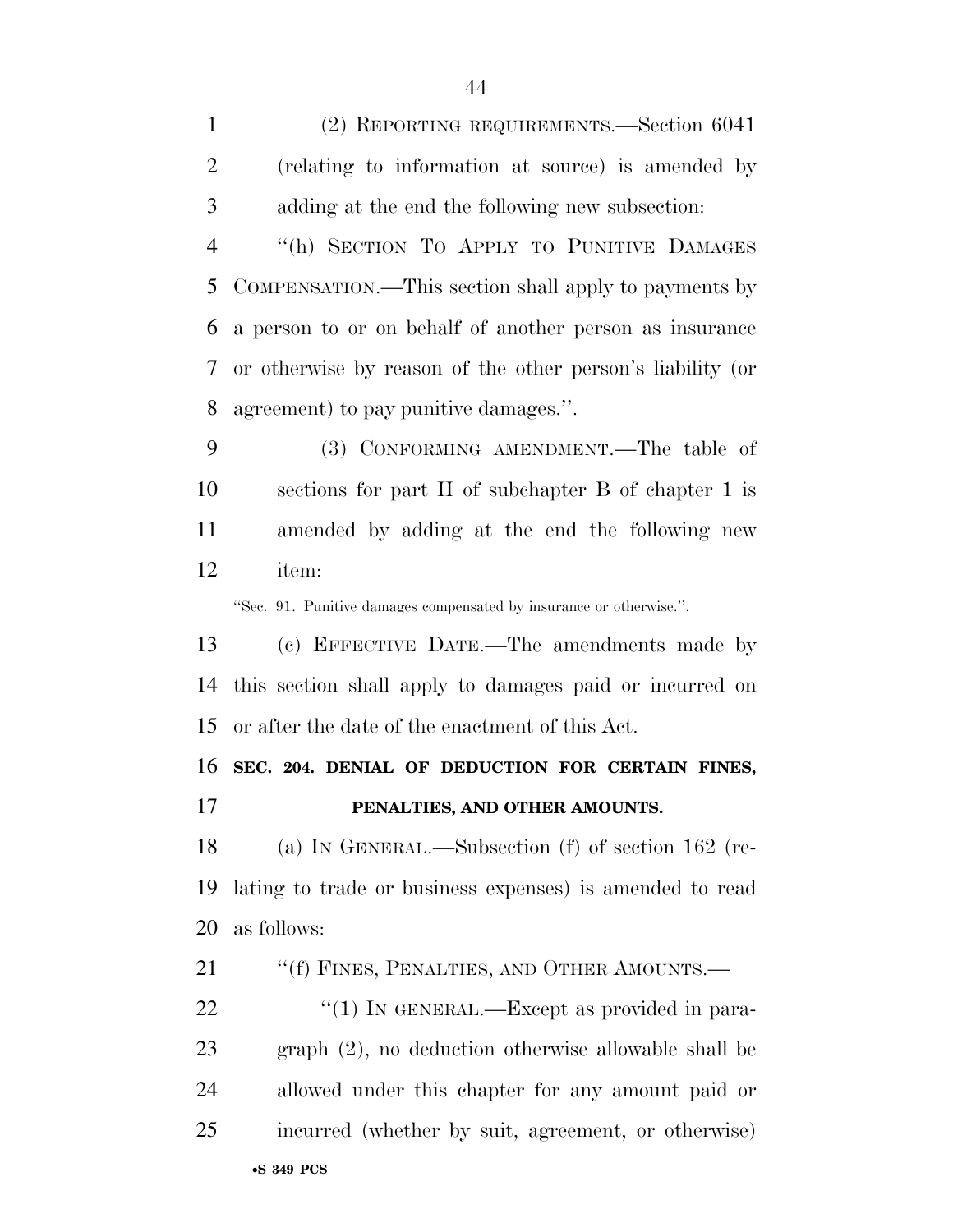(2) REPORTING REQUIREMENTS.—Section 6041 (relating to information at source) is amended by adding at the end the following new subsection: ''(h) SECTION TO APPLY TO PUNITIVE DAMAGES COMPENSATION.—This section shall apply to payments by a person to or on behalf of another person as insurance or otherwise by reason of the other person's liability (or agreement) to pay punitive damages.''. (3) CONFORMING AMENDMENT.—The table of sections for part II of subchapter B of chapter 1 is amended by adding at the end the following new item: ''Sec. 91. Punitive damages compensated by insurance or otherwise.''. (c) EFFECTIVE DATE.—The amendments made by this section shall apply to damages paid or incurred on or after the date of the enactment of this Act. **SEC. 204. DENIAL OF DEDUCTION FOR CERTAIN FINES, PENALTIES, AND OTHER AMOUNTS.**  (a) IN GENERAL.—Subsection (f) of section 162 (re- lating to trade or business expenses) is amended to read as follows: 21 ""(f) FINES, PENALTIES, AND OTHER AMOUNTS.—

•**S 349 PCS**  $\frac{1}{1}$  IN GENERAL.—Except as provided in para- graph (2), no deduction otherwise allowable shall be allowed under this chapter for any amount paid or incurred (whether by suit, agreement, or otherwise)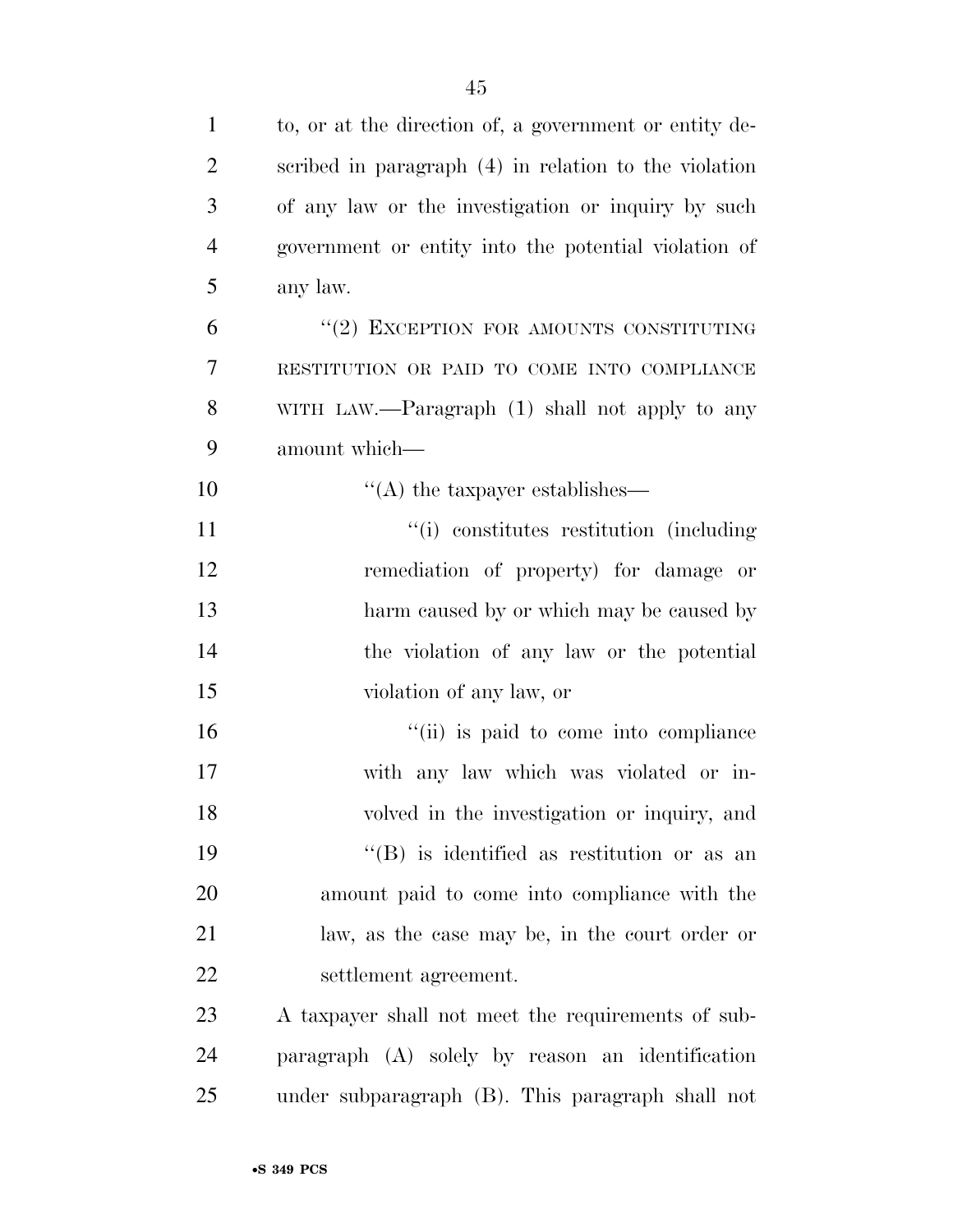| $\mathbf{1}$   | to, or at the direction of, a government or entity de-  |
|----------------|---------------------------------------------------------|
| $\overline{2}$ | scribed in paragraph $(4)$ in relation to the violation |
| 3              | of any law or the investigation or inquiry by such      |
| $\overline{4}$ | government or entity into the potential violation of    |
| 5              | any law.                                                |
| 6              | "(2) EXCEPTION FOR AMOUNTS CONSTITUTING                 |
| 7              | RESTITUTION OR PAID TO COME INTO COMPLIANCE             |
| 8              | WITH LAW.—Paragraph (1) shall not apply to any          |
| 9              | amount which-                                           |
| 10             | $\lq\lq$ the taxpayer establishes—                      |
| 11             | "(i) constitutes restitution (including)                |
| 12             | remediation of property) for damage or                  |
| 13             | harm caused by or which may be caused by                |
| 14             | the violation of any law or the potential               |
| 15             | violation of any law, or                                |
| 16             | "(ii) is paid to come into compliance                   |
| 17             | with any law which was violated or in-                  |
| 18             | volved in the investigation or inquiry, and             |
| 19             | "(B) is identified as restitution or as an              |
| 20             | amount paid to come into compliance with the            |
| 21             | law, as the case may be, in the court order or          |
| 22             | settlement agreement.                                   |
| 23             | A taxpayer shall not meet the requirements of sub-      |
| 24             | paragraph (A) solely by reason an identification        |
| 25             | under subparagraph (B). This paragraph shall not        |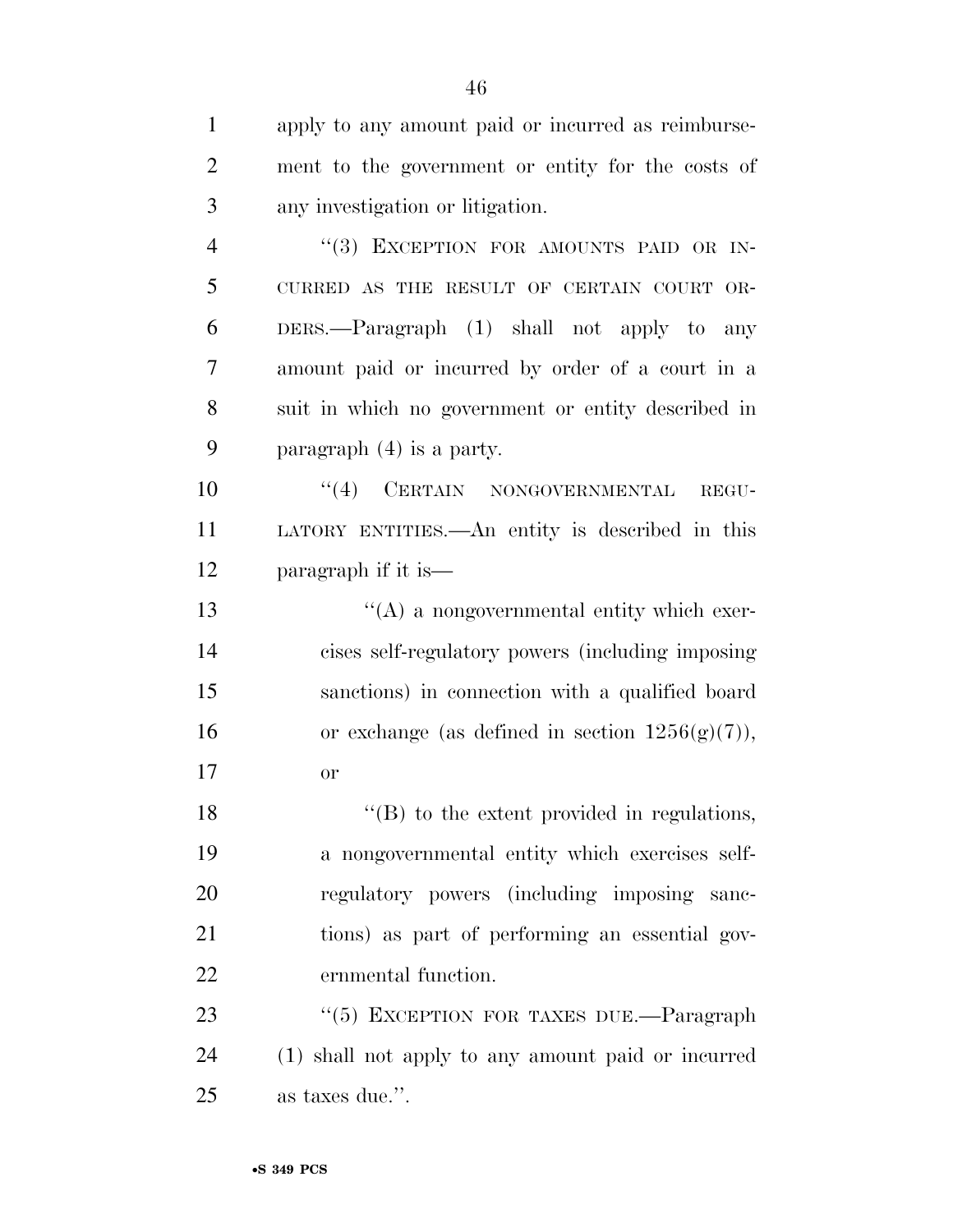apply to any amount paid or incurred as reimburse- ment to the government or entity for the costs of any investigation or litigation. 4 "(3) EXCEPTION FOR AMOUNTS PAID OR IN- CURRED AS THE RESULT OF CERTAIN COURT OR- DERS.—Paragraph (1) shall not apply to any amount paid or incurred by order of a court in a suit in which no government or entity described in paragraph (4) is a party.  $((4)$  CERTAIN NONGOVERNMENTAL REGU- LATORY ENTITIES.—An entity is described in this paragraph if it is— ''(A) a nongovernmental entity which exer- cises self-regulatory powers (including imposing sanctions) in connection with a qualified board 16 or exchange (as defined in section  $1256(g)(7)$ ), or 18 "(B) to the extent provided in regulations, a nongovernmental entity which exercises self- regulatory powers (including imposing sanc- tions) as part of performing an essential gov- ernmental function. 23 "(5) EXCEPTION FOR TAXES DUE.—Paragraph (1) shall not apply to any amount paid or incurred

as taxes due.''.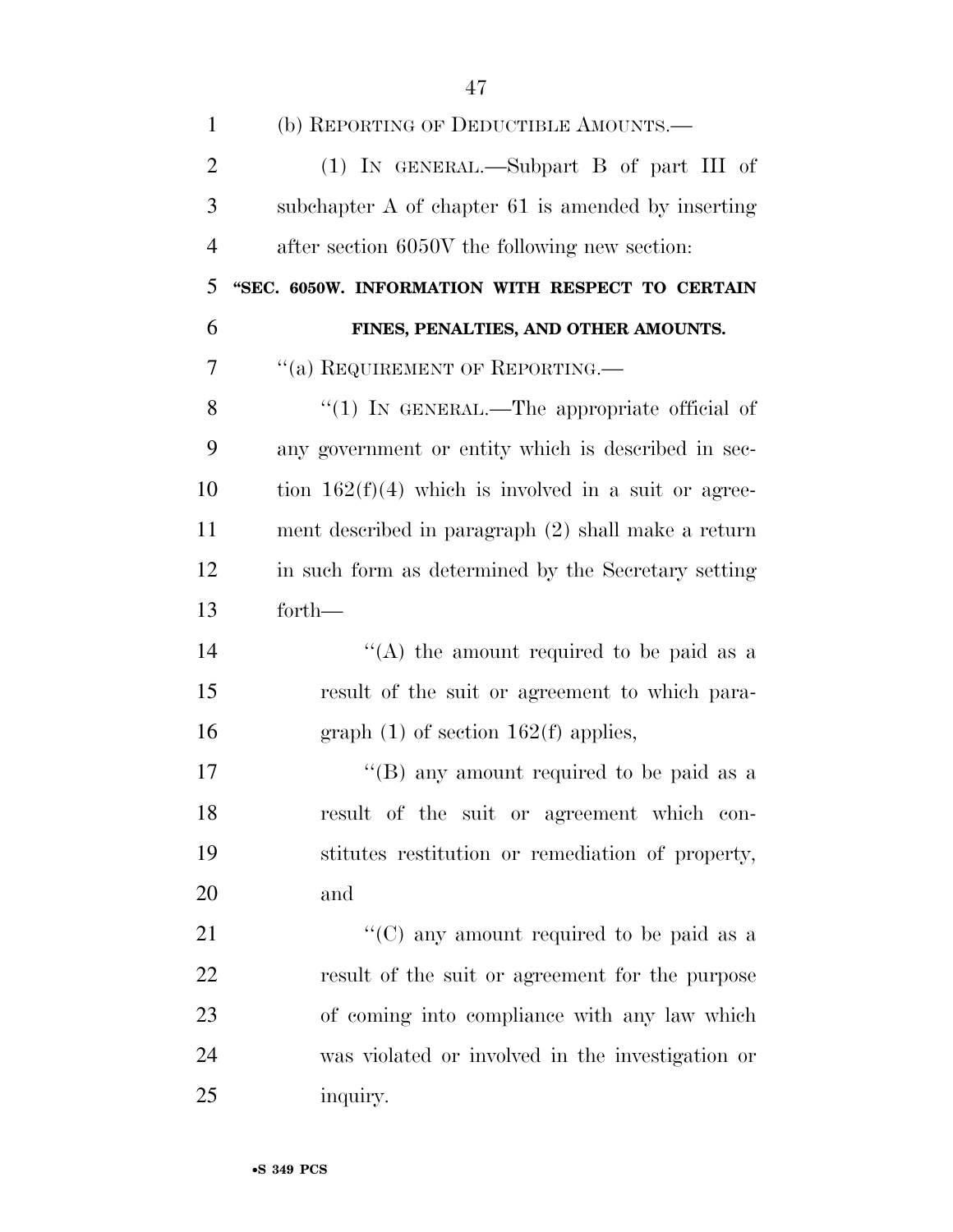| $\mathbf{1}$   | (b) REPORTING OF DEDUCTIBLE AMOUNTS.—                  |
|----------------|--------------------------------------------------------|
| $\overline{2}$ | (1) IN GENERAL.—Subpart B of part III of               |
| 3              | subchapter A of chapter 61 is amended by inserting     |
| $\overline{4}$ | after section 6050V the following new section:         |
| 5              | "SEC. 6050W. INFORMATION WITH RESPECT TO CERTAIN       |
| 6              | FINES, PENALTIES, AND OTHER AMOUNTS.                   |
| 7              | $``(a)$ REQUIREMENT OF REPORTING.—                     |
| 8              | "(1) IN GENERAL.—The appropriate official of           |
| 9              | any government or entity which is described in sec-    |
| 10             | tion $162(f)(4)$ which is involved in a suit or agree- |
| 11             | ment described in paragraph (2) shall make a return    |
| 12             | in such form as determined by the Secretary setting    |
| 13             | forth-                                                 |
| 14             | "(A) the amount required to be paid as a               |
| 15             | result of the suit or agreement to which para-         |
| 16             | graph $(1)$ of section 162(f) applies,                 |
| 17             | "(B) any amount required to be paid as a               |
| 18             | result of the suit or agreement which con-             |
| 19             | stitutes restitution or remediation of property,       |
| 20             | and                                                    |
| 21             | "(C) any amount required to be paid as a               |
| 22             | result of the suit or agreement for the purpose        |
| 23             | of coming into compliance with any law which           |
| 24             | was violated or involved in the investigation or       |
| 25             | inquiry.                                               |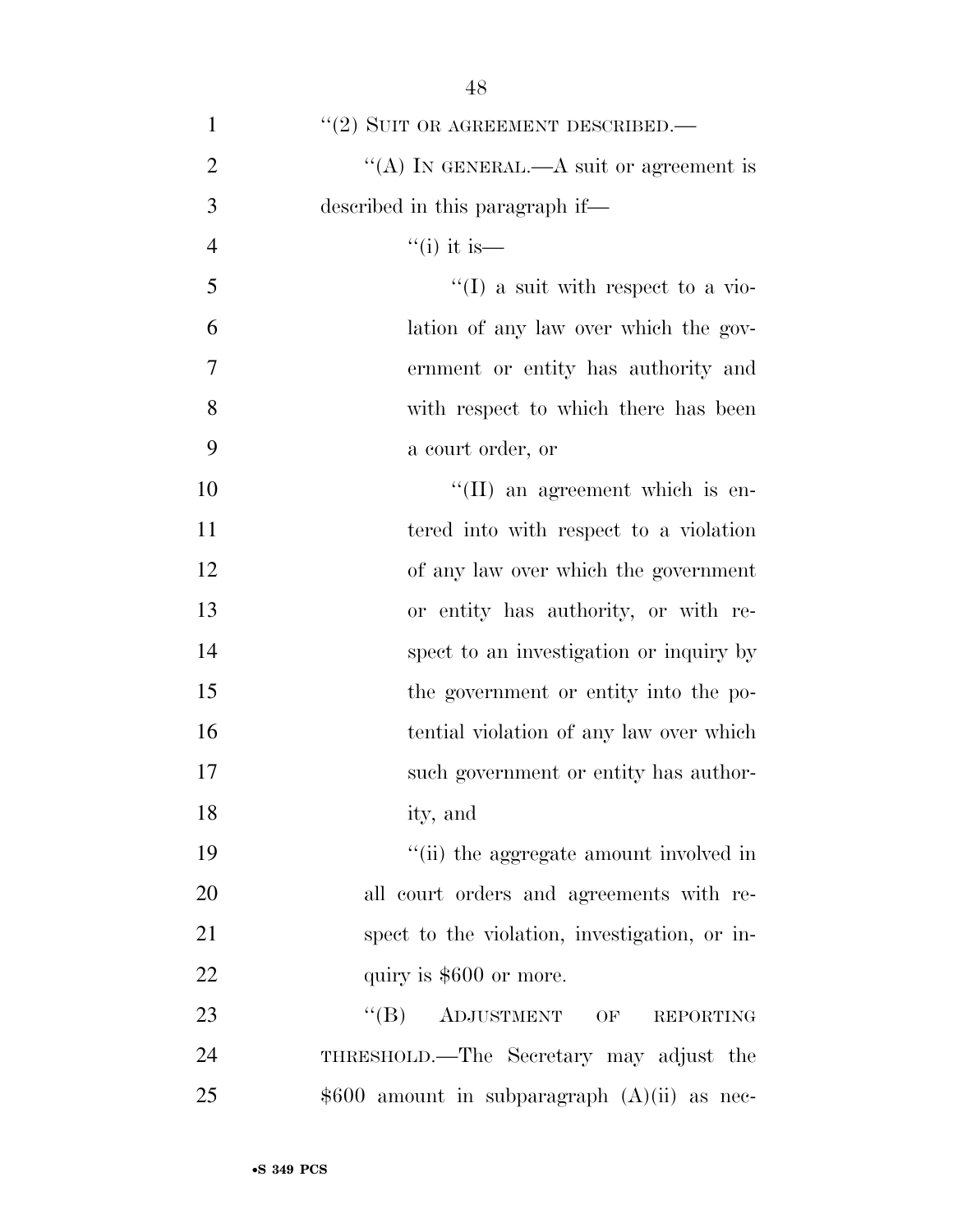| $\mathbf{1}$   | $``(2)$ SUIT OR AGREEMENT DESCRIBED.—             |
|----------------|---------------------------------------------------|
| $\overline{2}$ | "(A) IN GENERAL.—A suit or agreement is           |
| 3              | described in this paragraph if-                   |
| $\overline{4}$ | $``(i)$ it is—                                    |
| 5              | $\lq\lq$ a suit with respect to a vio-            |
| 6              | lation of any law over which the gov-             |
| $\overline{7}$ | ernment or entity has authority and               |
| 8              | with respect to which there has been              |
| 9              | a court order, or                                 |
| 10             | $\lq\lq$ (II) an agreement which is en-           |
| 11             | tered into with respect to a violation            |
| 12             | of any law over which the government              |
| 13             | or entity has authority, or with re-              |
| 14             | spect to an investigation or inquiry by           |
| 15             | the government or entity into the po-             |
| 16             | tential violation of any law over which           |
| 17             | such government or entity has author-             |
| 18             | ity, and                                          |
| 19             | "(ii) the aggregate amount involved in            |
| 20             | all court orders and agreements with re-          |
| 21             | spect to the violation, investigation, or in-     |
| 22             | quiry is \$600 or more.                           |
| 23             | $\lq\lq (B)$<br>ADJUSTMENT OF<br><b>REPORTING</b> |
| 24             | THRESHOLD.—The Secretary may adjust the           |
| 25             | $$600$ amount in subparagraph $(A)(ii)$ as nec-   |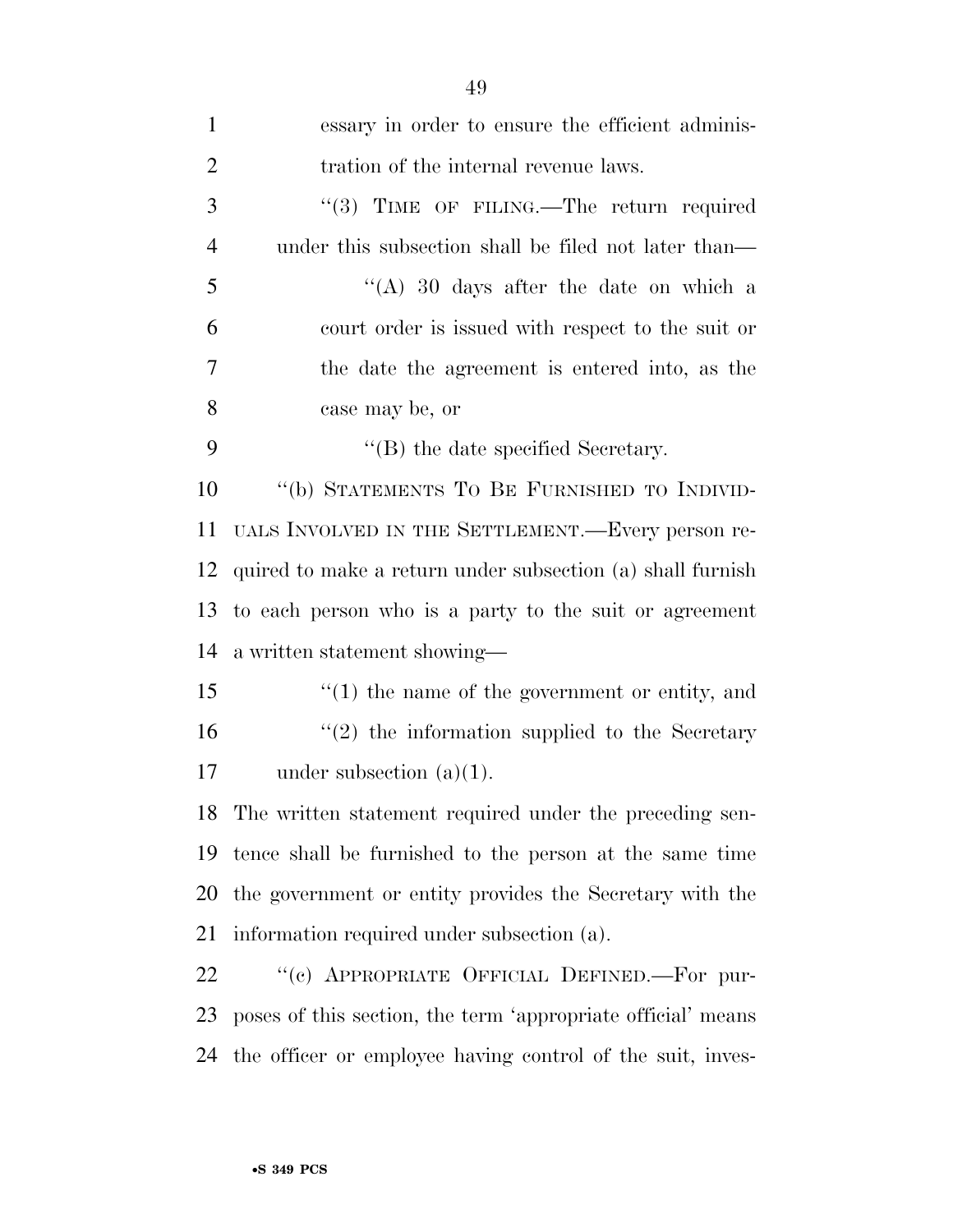| $\mathbf{1}$   | essary in order to ensure the efficient adminis-             |
|----------------|--------------------------------------------------------------|
| $\overline{2}$ | tration of the internal revenue laws.                        |
| 3              | "(3) TIME OF FILING.—The return required                     |
| $\overline{4}$ | under this subsection shall be filed not later than—         |
| 5              | "(A) 30 days after the date on which a                       |
| 6              | court order is issued with respect to the suit or            |
| 7              | the date the agreement is entered into, as the               |
| 8              | case may be, or                                              |
| 9              | $\lq\lq$ (B) the date specified Secretary.                   |
| 10             | "(b) STATEMENTS TO BE FURNISHED TO INDIVID-                  |
| 11             | UALS INVOLVED IN THE SETTLEMENT.—Every person re-            |
| 12             | quired to make a return under subsection (a) shall furnish   |
| 13             | to each person who is a party to the suit or agreement       |
| 14             | a written statement showing—                                 |
| 15             | $f'(1)$ the name of the government or entity, and            |
| 16             | $\lq(2)$ the information supplied to the Secretary           |
| 17             | under subsection $(a)(1)$ .                                  |
|                | 18 The written statement required under the preceding sen-   |
| 19             | tence shall be furnished to the person at the same time      |
| 20             | the government or entity provides the Secretary with the     |
| 21             | information required under subsection (a).                   |
| 22             | "(c) APPROPRIATE OFFICIAL DEFINED.—For pur-                  |
| 23             | poses of this section, the term 'appropriate official' means |
| 24             | the officer or employee having control of the suit, inves-   |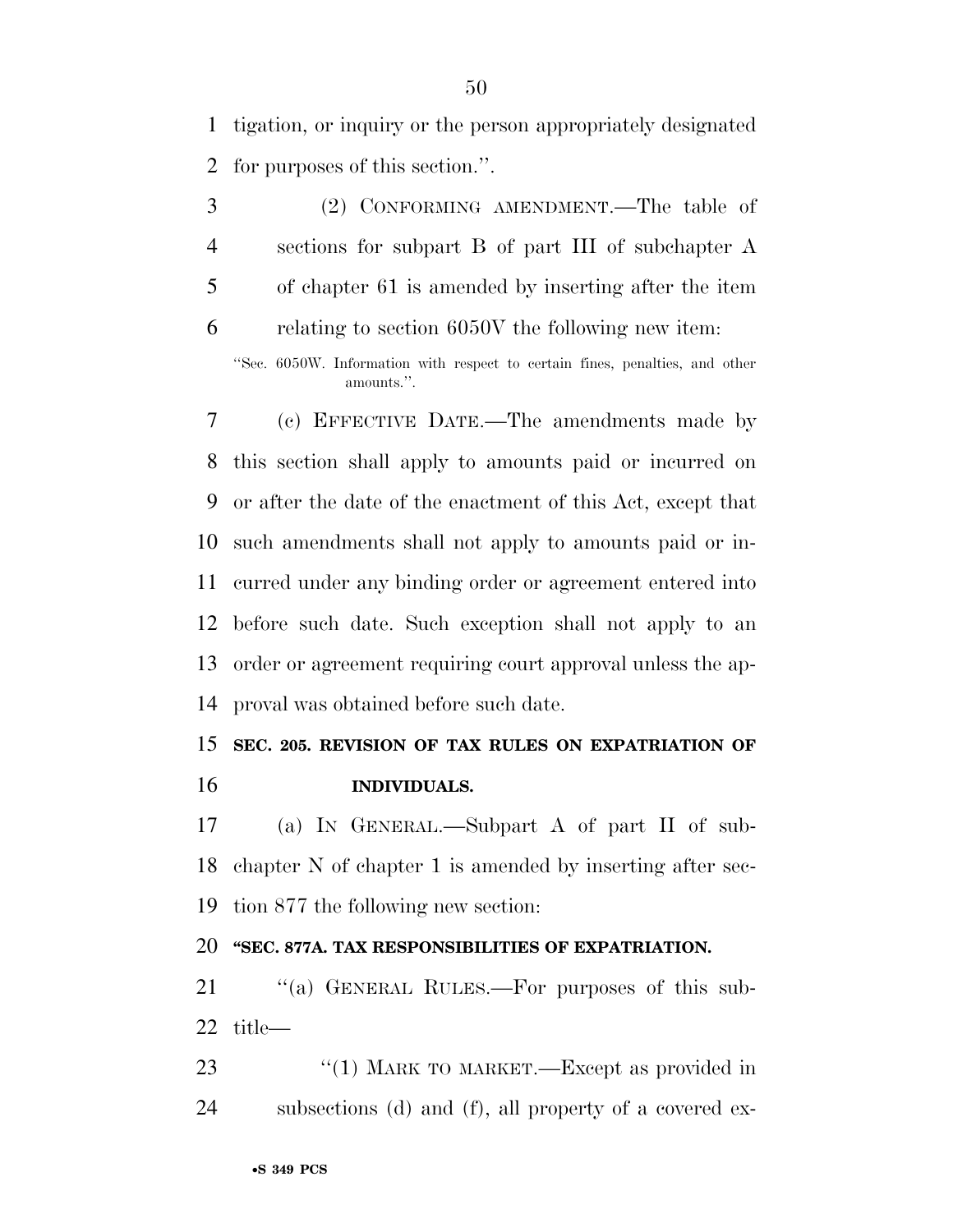tigation, or inquiry or the person appropriately designated for purposes of this section.''.

 (2) CONFORMING AMENDMENT.—The table of sections for subpart B of part III of subchapter A of chapter 61 is amended by inserting after the item relating to section 6050V the following new item:

''Sec. 6050W. Information with respect to certain fines, penalties, and other amounts.''.

 (c) EFFECTIVE DATE.—The amendments made by this section shall apply to amounts paid or incurred on or after the date of the enactment of this Act, except that such amendments shall not apply to amounts paid or in- curred under any binding order or agreement entered into before such date. Such exception shall not apply to an order or agreement requiring court approval unless the ap-proval was obtained before such date.

## **SEC. 205. REVISION OF TAX RULES ON EXPATRIATION OF INDIVIDUALS.**

 (a) IN GENERAL.—Subpart A of part II of sub- chapter N of chapter 1 is amended by inserting after sec-tion 877 the following new section:

## **''SEC. 877A. TAX RESPONSIBILITIES OF EXPATRIATION.**

21 "(a) GENERAL RULES.—For purposes of this sub-title—

23 "(1) MARK TO MARKET.—Except as provided in subsections (d) and (f), all property of a covered ex-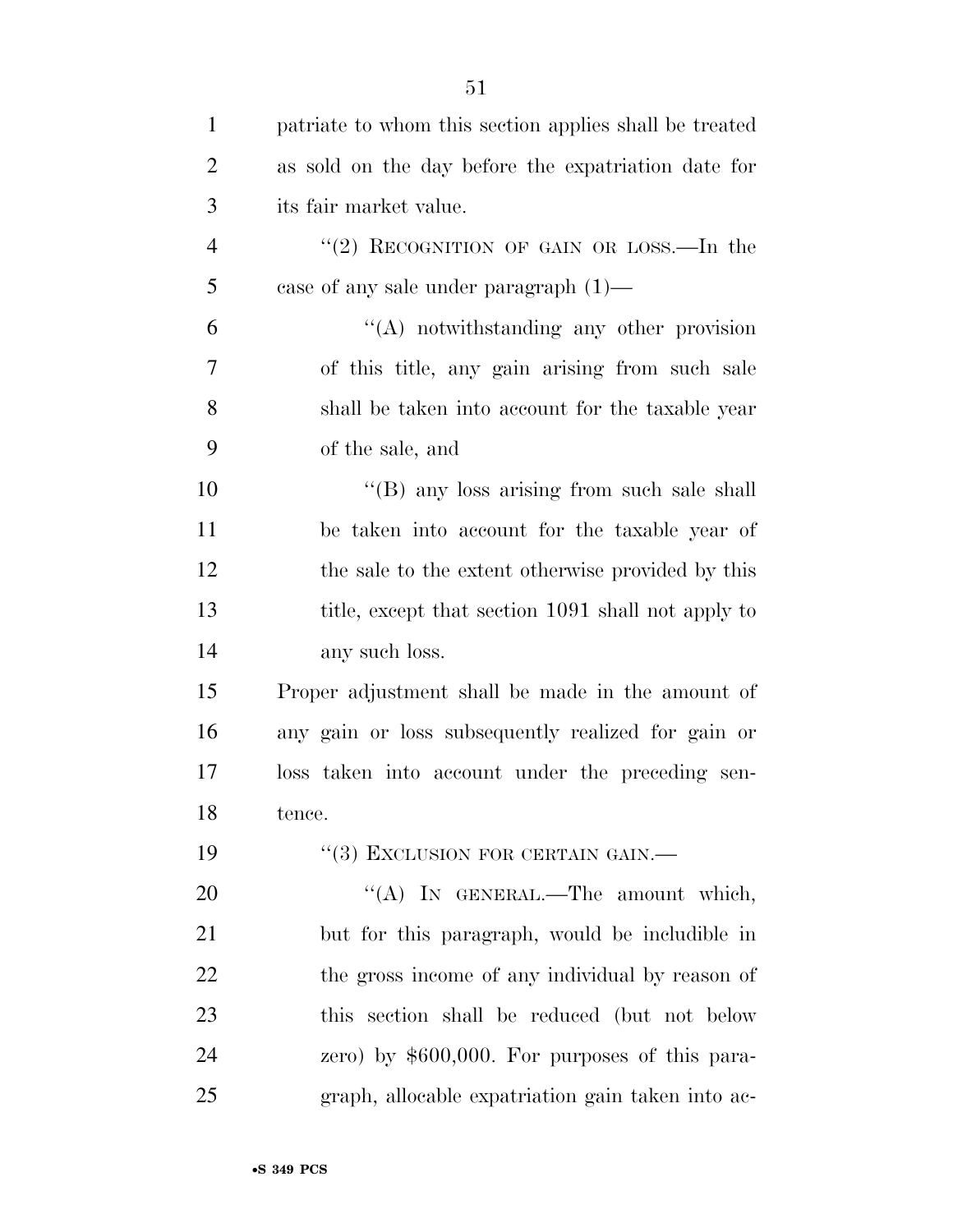| $\mathbf{1}$   | patriate to whom this section applies shall be treated |
|----------------|--------------------------------------------------------|
| $\overline{2}$ | as sold on the day before the expatriation date for    |
| 3              | its fair market value.                                 |
| $\overline{4}$ | "(2) RECOGNITION OF GAIN OR LOSS.—In the               |
| 5              | case of any sale under paragraph $(1)$ —               |
| 6              | $\lq\lq$ notwithstanding any other provision           |
| 7              | of this title, any gain arising from such sale         |
| 8              | shall be taken into account for the taxable year       |
| 9              | of the sale, and                                       |
| 10             | "(B) any loss arising from such sale shall             |
| 11             | be taken into account for the taxable year of          |
| 12             | the sale to the extent otherwise provided by this      |
| 13             | title, except that section 1091 shall not apply to     |
| 14             | any such loss.                                         |
| 15             | Proper adjustment shall be made in the amount of       |
| 16             | any gain or loss subsequently realized for gain or     |
| 17             | loss taken into account under the preceding sen-       |
| 18             | tence.                                                 |
| 19             | $``(3)$ EXCLUSION FOR CERTAIN GAIN.—                   |
| 20             | "(A) IN GENERAL.—The amount which,                     |
| 21             | but for this paragraph, would be includible in         |
| 22             | the gross income of any individual by reason of        |
| 23             | this section shall be reduced (but not below           |
| 24             | zero) by $$600,000$ . For purposes of this para-       |
| 25             | graph, allocable expatriation gain taken into ac-      |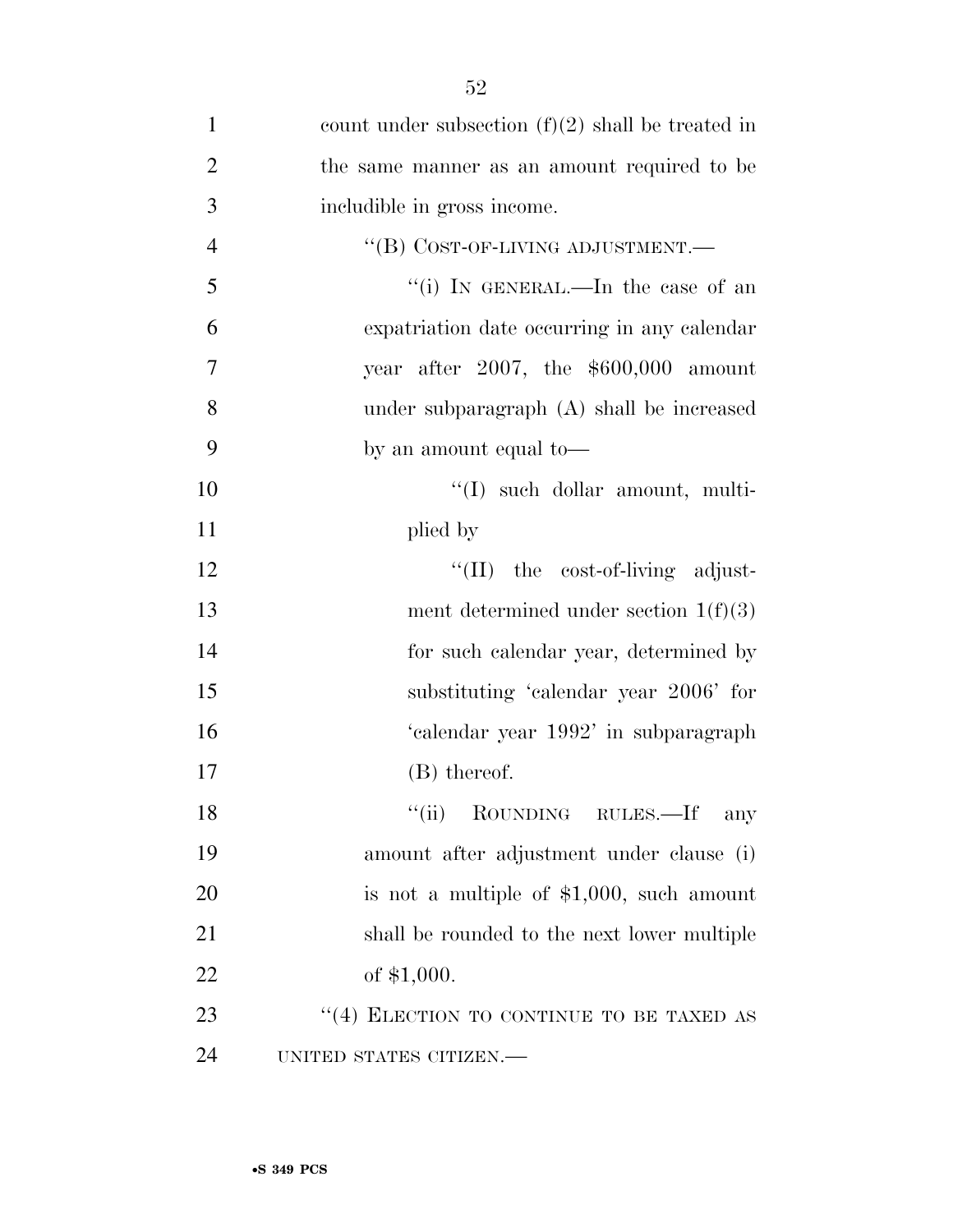| $\mathbf{1}$   | count under subsection $(f)(2)$ shall be treated in |
|----------------|-----------------------------------------------------|
| $\overline{2}$ | the same manner as an amount required to be         |
| 3              | includible in gross income.                         |
| $\overline{4}$ | "(B) COST-OF-LIVING ADJUSTMENT.-                    |
| 5              | "(i) IN GENERAL.—In the case of an                  |
| 6              | expatriation date occurring in any calendar         |
| $\tau$         | year after 2007, the $$600,000$ amount              |
| 8              | under subparagraph (A) shall be increased           |
| 9              | by an amount equal to-                              |
| 10             | "(I) such dollar amount, multi-                     |
| 11             | plied by                                            |
| 12             | $\lq\lq$ (II) the cost-of-living adjust-            |
| 13             | ment determined under section $1(f)(3)$             |
| 14             | for such calendar year, determined by               |
| 15             | substituting 'calendar year 2006' for               |
| 16             | 'calendar year 1992' in subparagraph                |
| 17             | (B) thereof.                                        |
| 18             | ``(ii)<br>ROUNDING RULES.—If<br>any                 |
| 19             | amount after adjustment under clause (i)            |
| 20             | is not a multiple of $$1,000$ , such amount         |
| 21             | shall be rounded to the next lower multiple         |
| 22             | of $$1,000$ .                                       |
| 23             | "(4) ELECTION TO CONTINUE TO BE TAXED AS            |
| 24             | UNITED STATES CITIZEN.-                             |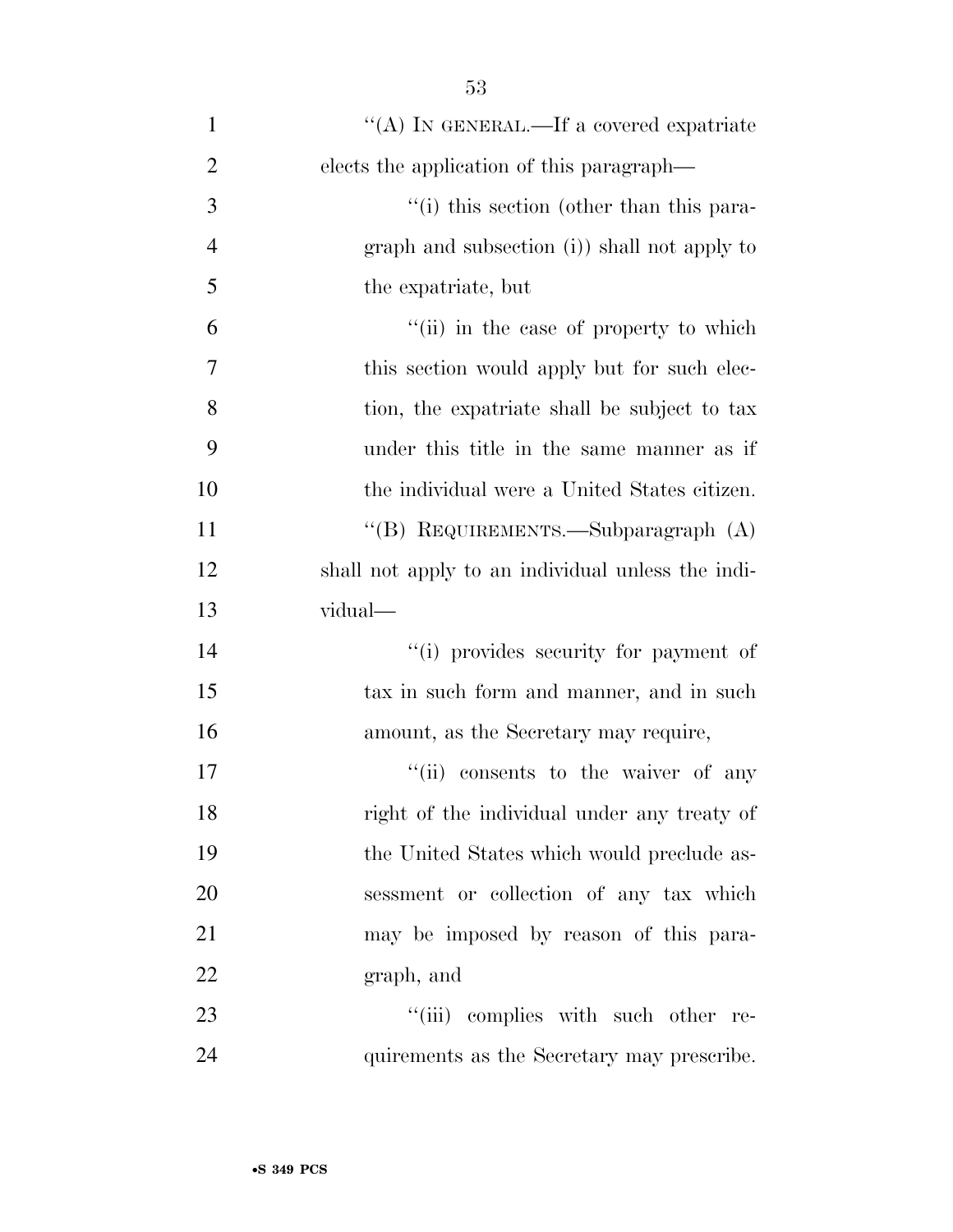| $\mathbf{1}$   | "(A) IN GENERAL.—If a covered expatriate          |
|----------------|---------------------------------------------------|
| $\overline{2}$ | elects the application of this paragraph—         |
| 3              | "(i) this section (other than this para-          |
| $\overline{4}$ | graph and subsection (i) shall not apply to       |
| 5              | the expatriate, but                               |
| 6              | "(ii) in the case of property to which            |
| 7              | this section would apply but for such elec-       |
| 8              | tion, the expatriate shall be subject to tax      |
| 9              | under this title in the same manner as if         |
| 10             | the individual were a United States citizen.      |
| 11             | "(B) REQUIREMENTS.—Subparagraph (A)               |
| 12             | shall not apply to an individual unless the indi- |
| 13             | vidual—                                           |
| 14             | "(i) provides security for payment of             |
| 15             | tax in such form and manner, and in such          |
| 16             | amount, as the Secretary may require,             |
| 17             | "(ii) consents to the waiver of any               |
| 18             | right of the individual under any treaty of       |
| 19             | the United States which would preclude as-        |
| 20             | sessment or collection of any tax which           |
| 21             | may be imposed by reason of this para-            |
| 22             | graph, and                                        |
| 23             | "(iii) complies with such other re-               |
| 24             | quirements as the Secretary may prescribe.        |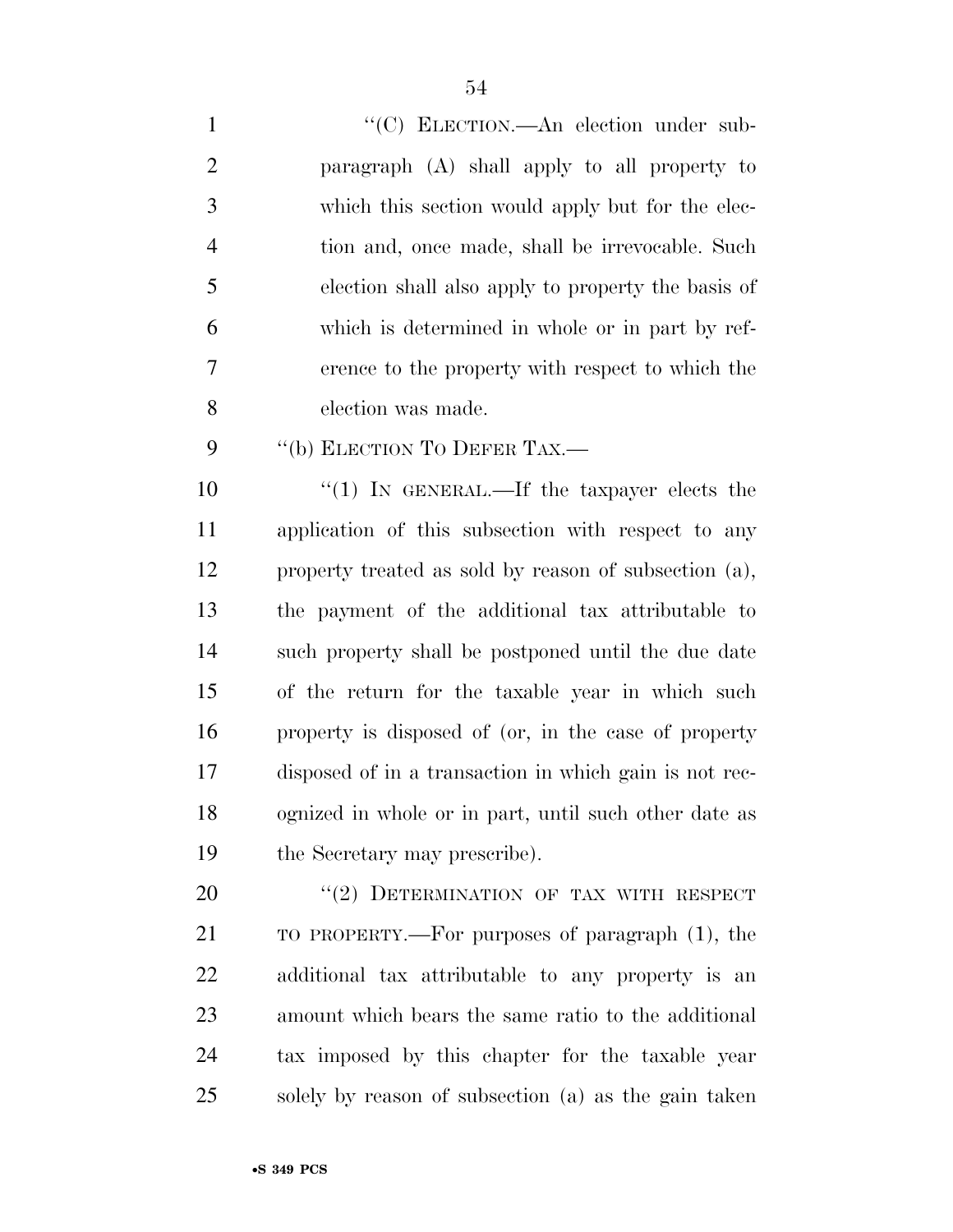| $\mathbf{1}$   | "(C) ELECTION.—An election under sub-                 |
|----------------|-------------------------------------------------------|
| 2              | paragraph (A) shall apply to all property to          |
| 3              | which this section would apply but for the elec-      |
| $\overline{4}$ | tion and, once made, shall be irrevocable. Such       |
| 5              | election shall also apply to property the basis of    |
| 6              | which is determined in whole or in part by ref-       |
| $\overline{7}$ | erence to the property with respect to which the      |
| 8              | election was made.                                    |
| 9              | "(b) ELECTION TO DEFER TAX.—                          |
| 10             | "(1) IN GENERAL.—If the taxpayer elects the           |
| 11             | application of this subsection with respect to any    |
| 12             | property treated as sold by reason of subsection (a), |

 property treated as sold by reason of subsection (a), the payment of the additional tax attributable to such property shall be postponed until the due date of the return for the taxable year in which such property is disposed of (or, in the case of property disposed of in a transaction in which gain is not rec- ognized in whole or in part, until such other date as the Secretary may prescribe).

20 "(2) DETERMINATION OF TAX WITH RESPECT TO PROPERTY.—For purposes of paragraph (1), the additional tax attributable to any property is an amount which bears the same ratio to the additional tax imposed by this chapter for the taxable year solely by reason of subsection (a) as the gain taken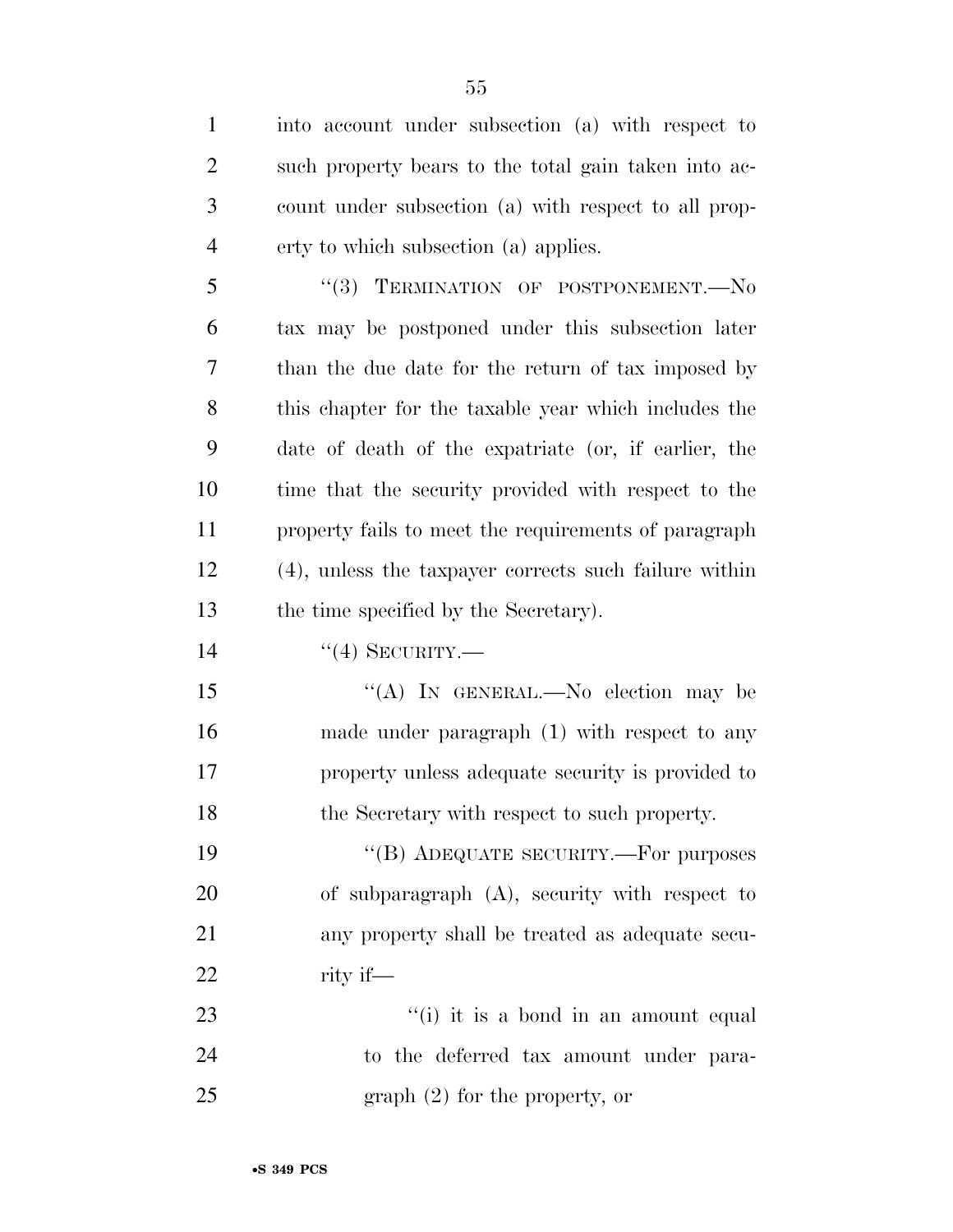into account under subsection (a) with respect to such property bears to the total gain taken into ac- count under subsection (a) with respect to all prop- erty to which subsection (a) applies. 5 "(3) TERMINATION OF POSTPONEMENT.-- No tax may be postponed under this subsection later than the due date for the return of tax imposed by this chapter for the taxable year which includes the date of death of the expatriate (or, if earlier, the time that the security provided with respect to the property fails to meet the requirements of paragraph (4), unless the taxpayer corrects such failure within the time specified by the Secretary). 14 "(4) SECURITY.— 15 "(A) In GENERAL.—No election may be made under paragraph (1) with respect to any property unless adequate security is provided to the Secretary with respect to such property. 19 "(B) ADEQUATE SECURITY.—For purposes of subparagraph (A), security with respect to any property shall be treated as adequate secu- rity if— 23 ''(i) it is a bond in an amount equal to the deferred tax amount under para-25 graph (2) for the property, or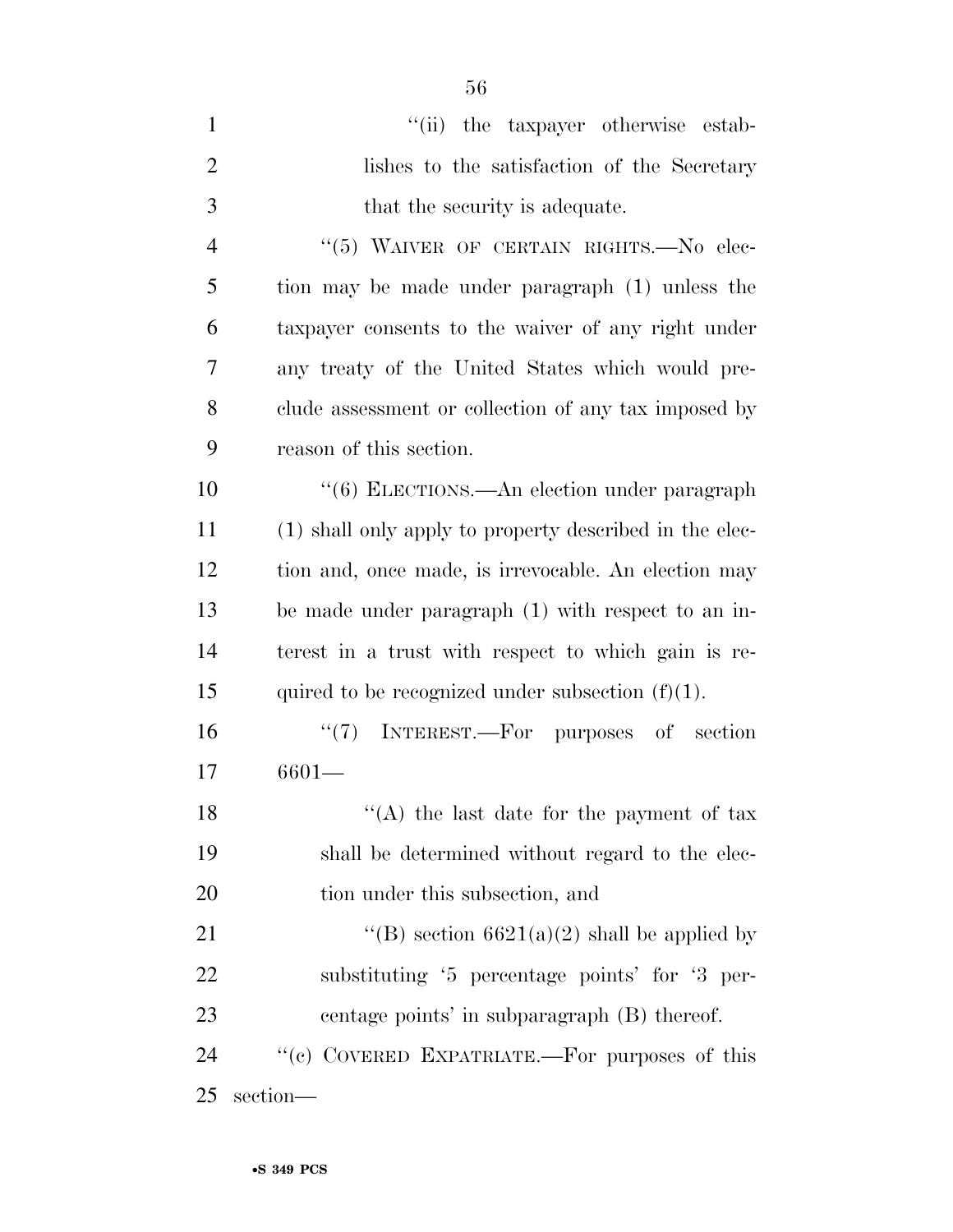| $\mathbf{1}$   | "(ii) the taxpayer otherwise estab-                     |
|----------------|---------------------------------------------------------|
| $\overline{2}$ | lishes to the satisfaction of the Secretary             |
| 3              | that the security is adequate.                          |
| $\overline{4}$ | "(5) WAIVER OF CERTAIN RIGHTS. No elec-                 |
| 5              | tion may be made under paragraph (1) unless the         |
| 6              | taxpayer consents to the waiver of any right under      |
| 7              | any treaty of the United States which would pre-        |
| 8              | clude assessment or collection of any tax imposed by    |
| 9              | reason of this section.                                 |
| 10             | "(6) ELECTIONS.—An election under paragraph             |
| 11             | (1) shall only apply to property described in the elec- |
| 12             | tion and, once made, is irrevocable. An election may    |
| 13             | be made under paragraph (1) with respect to an in-      |
| 14             | terest in a trust with respect to which gain is re-     |
| 15             | quired to be recognized under subsection $(f)(1)$ .     |
| 16             | $\lq(7)$ INTEREST.—For purposes of section              |
| 17             | $6601 -$                                                |
| 18             | "(A) the last date for the payment of tax               |
| 19             | shall be determined without regard to the elec-         |
| 20             | tion under this subsection, and                         |
| 21             | "(B) section $6621(a)(2)$ shall be applied by           |
| 22             | substituting '5 percentage points' for '3 per-          |
| 23             | centage points' in subparagraph (B) thereof.            |
| 24             | "(c) COVERED EXPATRIATE.—For purposes of this           |
| 25             | section-                                                |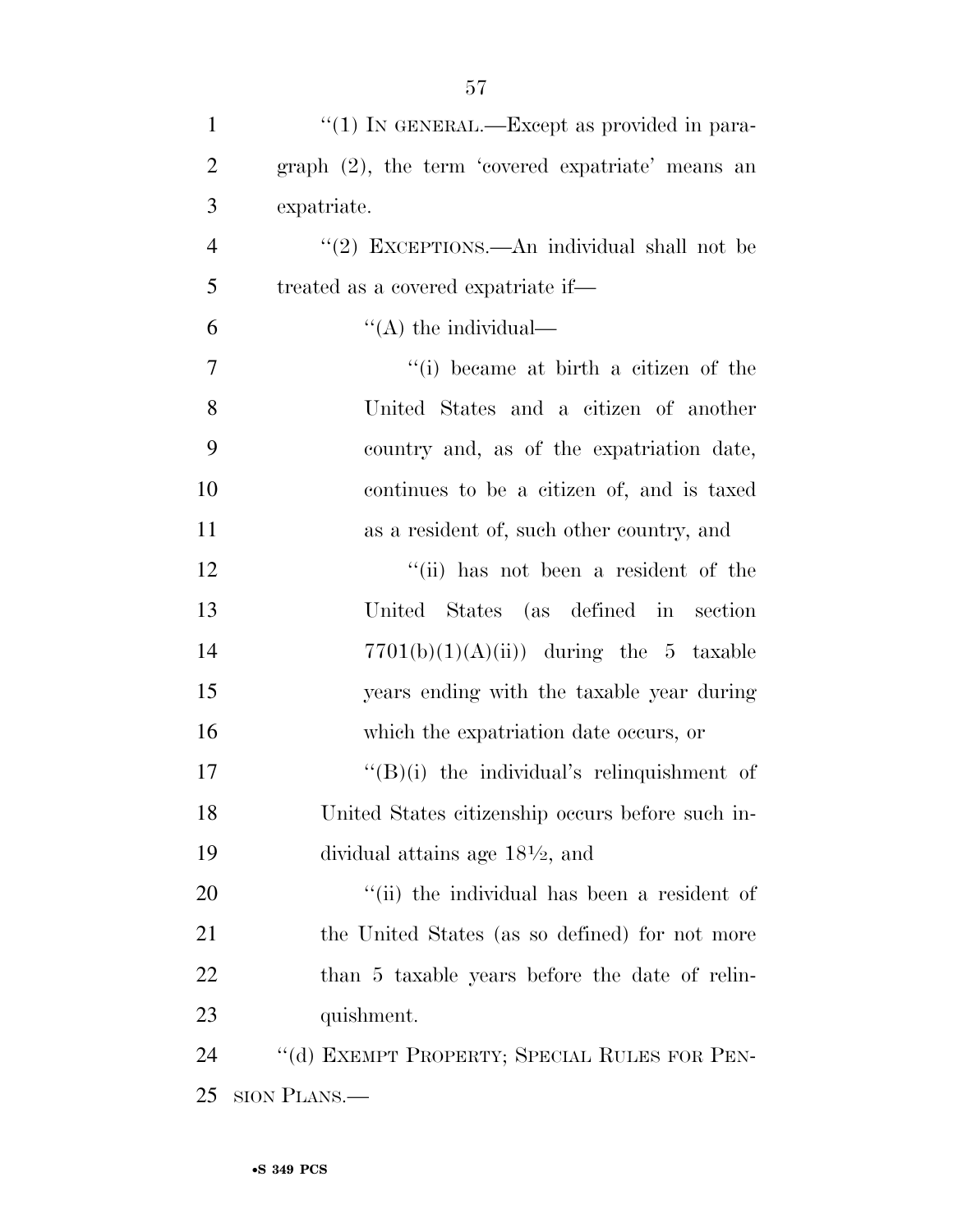| $\mathbf{1}$   | "(1) IN GENERAL.—Except as provided in para-      |
|----------------|---------------------------------------------------|
| $\mathfrak{2}$ | graph (2), the term 'covered expatriate' means an |
| 3              | expatriate.                                       |
| $\overline{4}$ | "(2) EXCEPTIONS.—An individual shall not be       |
| 5              | treated as a covered expatriate if—               |
| 6              | "(A) the individual—                              |
| 7              | "(i) became at birth a citizen of the             |
| 8              | United States and a citizen of another            |
| 9              | country and, as of the expatriation date,         |
| 10             | continues to be a citizen of, and is taxed        |
| 11             | as a resident of, such other country, and         |
| 12             | "(ii) has not been a resident of the              |
| 13             | United States (as defined in section              |
| 14             | $7701(b)(1)(A(ii))$ during the 5 taxable          |
| 15             | years ending with the taxable year during         |
| 16             | which the expatriation date occurs, or            |
| 17             | $\lq\lq(B)(i)$ the individual's relinquishment of |
| 18             | United States citizenship occurs before such in-  |
| 19             | dividual attains age $18\frac{1}{2}$ , and        |
| 20             | "(ii) the individual has been a resident of       |
| 21             | the United States (as so defined) for not more    |
| 22             | than 5 taxable years before the date of relin-    |
| 23             | quishment.                                        |
| 24             | "(d) EXEMPT PROPERTY; SPECIAL RULES FOR PEN-      |
| 25             | SION PLANS.—                                      |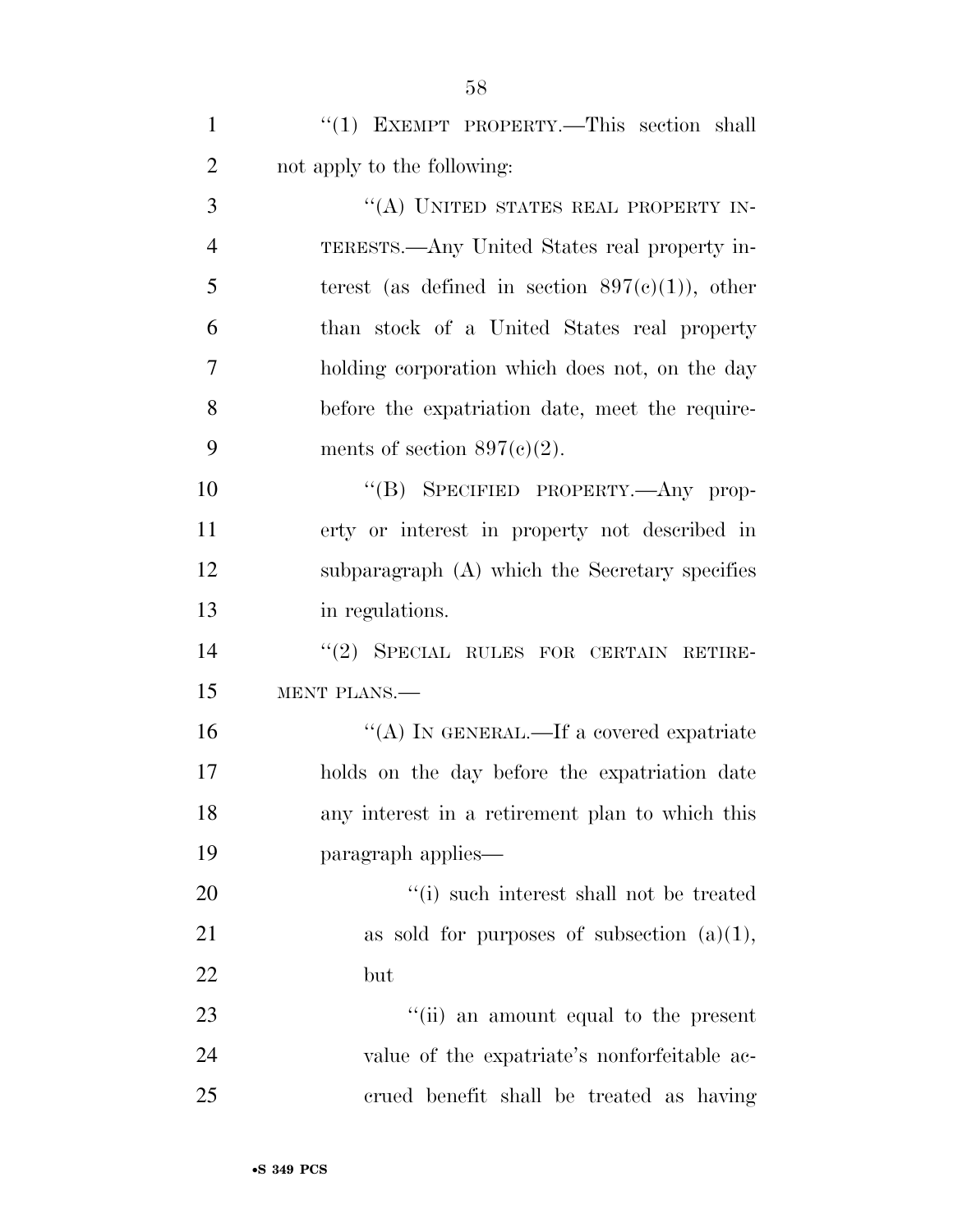1 "(1) EXEMPT PROPERTY.—This section shall 2 not apply to the following:

3 "(A) UNITED STATES REAL PROPERTY IN-4 TERESTS.—Any United States real property in-5 terest (as defined in section  $897(c)(1)$ ), other 6 than stock of a United States real property 7 holding corporation which does not, on the day 8 before the expatriation date, meet the require-9 ments of section  $897(c)(2)$ .

10 "(B) SPECIFIED PROPERTY.—Any prop- erty or interest in property not described in subparagraph (A) which the Secretary specifies in regulations.

14 "(2) SPECIAL RULES FOR CERTAIN RETIRE-15 MENT PLANS.—

16 "(A) In GENERAL.—If a covered expatriate holds on the day before the expatriation date any interest in a retirement plan to which this paragraph applies—

20  $\frac{1}{1}$  such interest shall not be treated 21 as sold for purposes of subsection  $(a)(1)$ , 22 but

23 ''(ii) an amount equal to the present 24 value of the expatriate's nonforfeitable ac-25 crued benefit shall be treated as having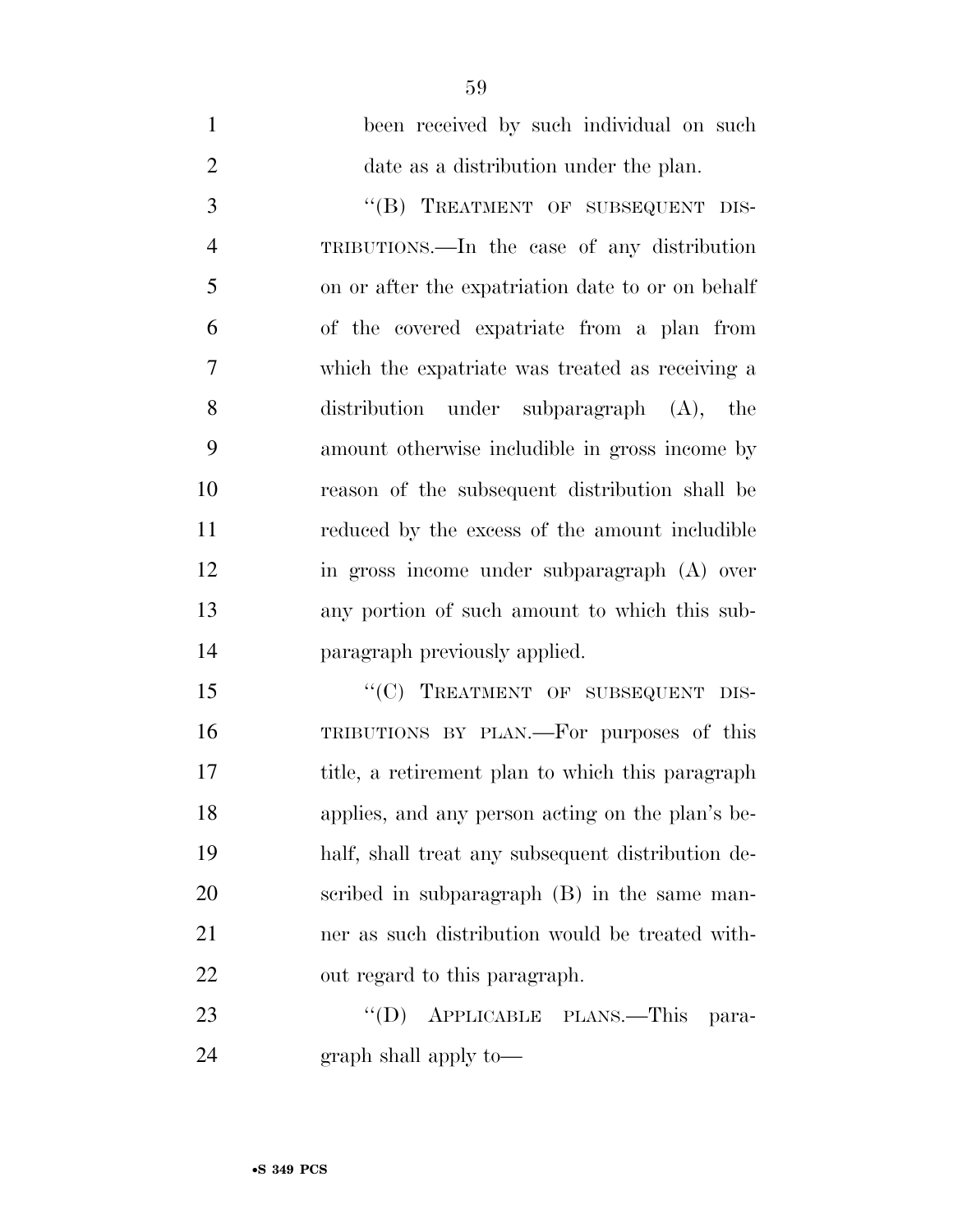been received by such individual on such date as a distribution under the plan. 3 "(B) TREATMENT OF SUBSEQUENT DIS- TRIBUTIONS.—In the case of any distribution on or after the expatriation date to or on behalf of the covered expatriate from a plan from which the expatriate was treated as receiving a distribution under subparagraph (A), the amount otherwise includible in gross income by reason of the subsequent distribution shall be reduced by the excess of the amount includible in gross income under subparagraph (A) over any portion of such amount to which this sub- paragraph previously applied. 15 "(C) TREATMENT OF SUBSEQUENT DIS-TRIBUTIONS BY PLAN.—For purposes of this

 title, a retirement plan to which this paragraph applies, and any person acting on the plan's be- half, shall treat any subsequent distribution de- scribed in subparagraph (B) in the same man- ner as such distribution would be treated with-out regard to this paragraph.

23 "'(D) APPLICABLE PLANS.—This para-graph shall apply to—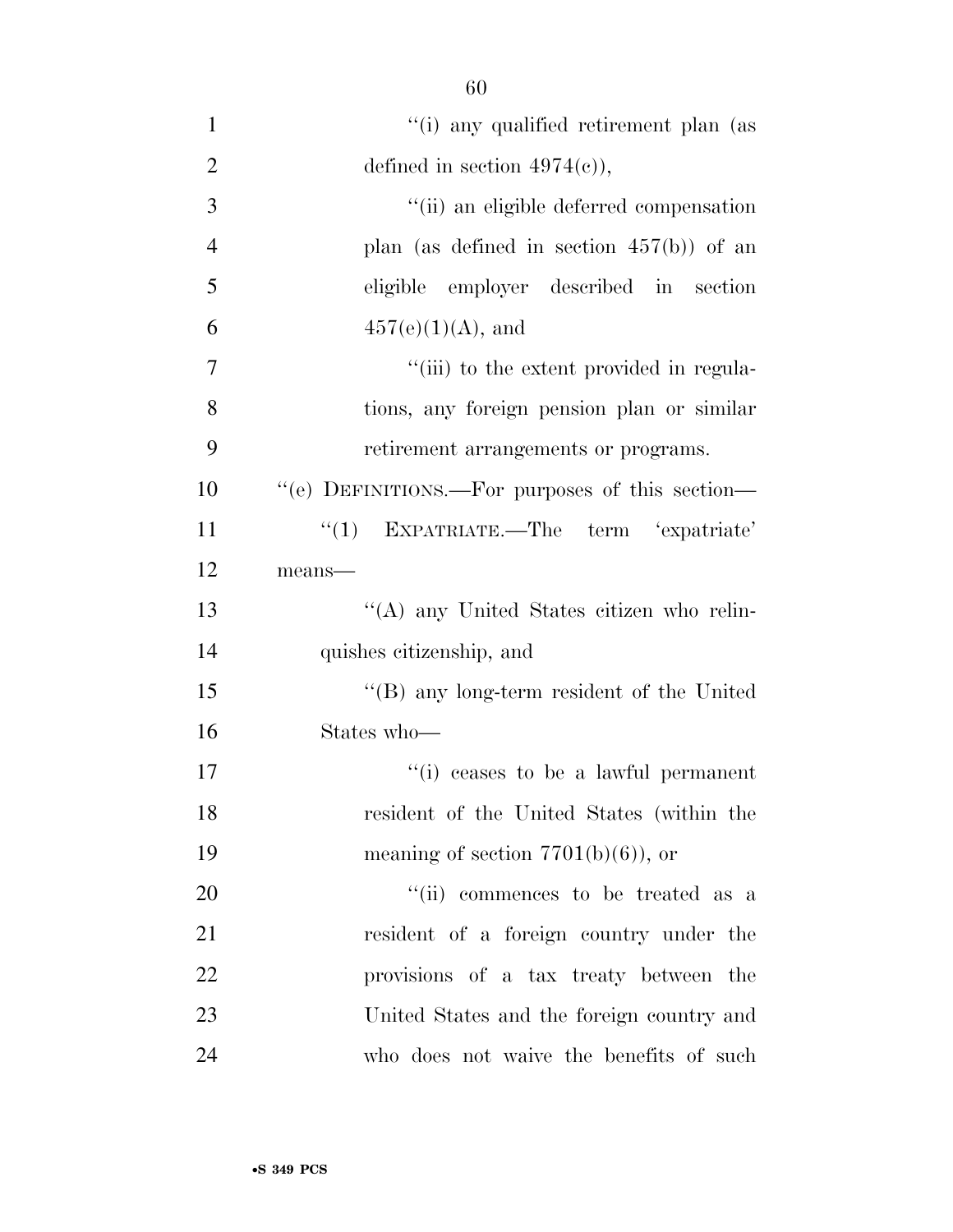| $\mathbf{1}$   | "(i) any qualified retirement plan (as            |
|----------------|---------------------------------------------------|
| $\overline{2}$ | defined in section $4974(e)$ ,                    |
| 3              | "(ii) an eligible deferred compensation           |
| $\overline{4}$ | plan (as defined in section $457(b)$ ) of an      |
| 5              | eligible employer described in section            |
| 6              | $457(e)(1)(A)$ , and                              |
| $\overline{7}$ | "(iii) to the extent provided in regula-          |
| 8              | tions, any foreign pension plan or similar        |
| 9              | retirement arrangements or programs.              |
| 10             | "(e) DEFINITIONS.—For purposes of this section—   |
| 11             | EXPATRIATE.—The term 'expatriate'<br>``(1)        |
| 12             | means-                                            |
| 13             | "(A) any United States citizen who relin-         |
| 14             | quishes citizenship, and                          |
| 15             | $\lq\lq (B)$ any long-term resident of the United |
| 16             | States who-                                       |
| 17             | "(i) ceases to be a lawful permanent              |
| 18             | resident of the United States (within the         |
| 19             | meaning of section $7701(b)(6)$ , or              |
| 20             | "(ii) commences to be treated as a                |
| 21             | resident of a foreign country under the           |
| 22             | provisions of a tax treaty between the            |
| 23             | United States and the foreign country and         |
| 24             | who does not waive the benefits of such           |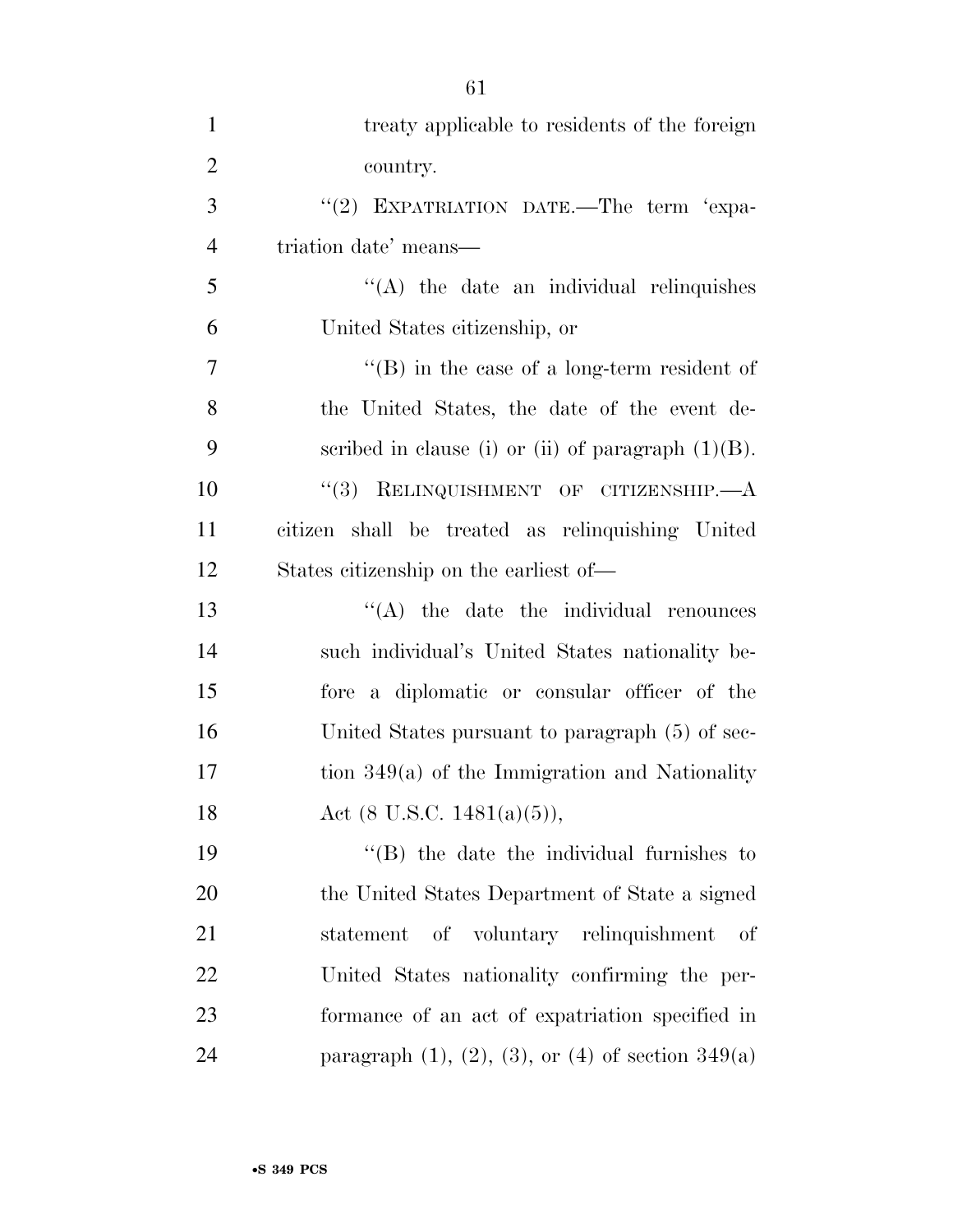| $\mathbf{1}$   | treaty applicable to residents of the foreign                  |
|----------------|----------------------------------------------------------------|
| $\overline{2}$ | country.                                                       |
| 3              | "(2) EXPATRIATION DATE.—The term 'expa-                        |
| $\overline{4}$ | triation date' means—                                          |
| 5              | $\lq\lq$ the date an individual relinquishes                   |
| 6              | United States citizenship, or                                  |
| $\tau$         | $\lq\lq$ (B) in the case of a long-term resident of            |
| 8              | the United States, the date of the event de-                   |
| 9              | scribed in clause (i) or (ii) of paragraph $(1)(B)$ .          |
| 10             | "(3) RELINQUISHMENT OF CITIZENSHIP.—A                          |
| 11             | citizen shall be treated as relinquishing United               |
| 12             | States citizenship on the earliest of—                         |
| 13             | $\lq\lq$ the date the individual renounces                     |
| 14             | such individual's United States nationality be-                |
| 15             | fore a diplomatic or consular officer of the                   |
| 16             | United States pursuant to paragraph (5) of sec-                |
| 17             | tion $349(a)$ of the Immigration and Nationality               |
| 18             | Act $(8 \text{ U.S.C. } 1481(a)(5)),$                          |
| 19             | $\lq\lq$ the date the individual furnishes to                  |
| 20             | the United States Department of State a signed                 |
| 21             | of voluntary relinquishment<br>statement<br>οf                 |
| 22             | United States nationality confirming the per-                  |
| 23             | formance of an act of expatriation specified in                |
| 24             | paragraph $(1)$ , $(2)$ , $(3)$ , or $(4)$ of section $349(a)$ |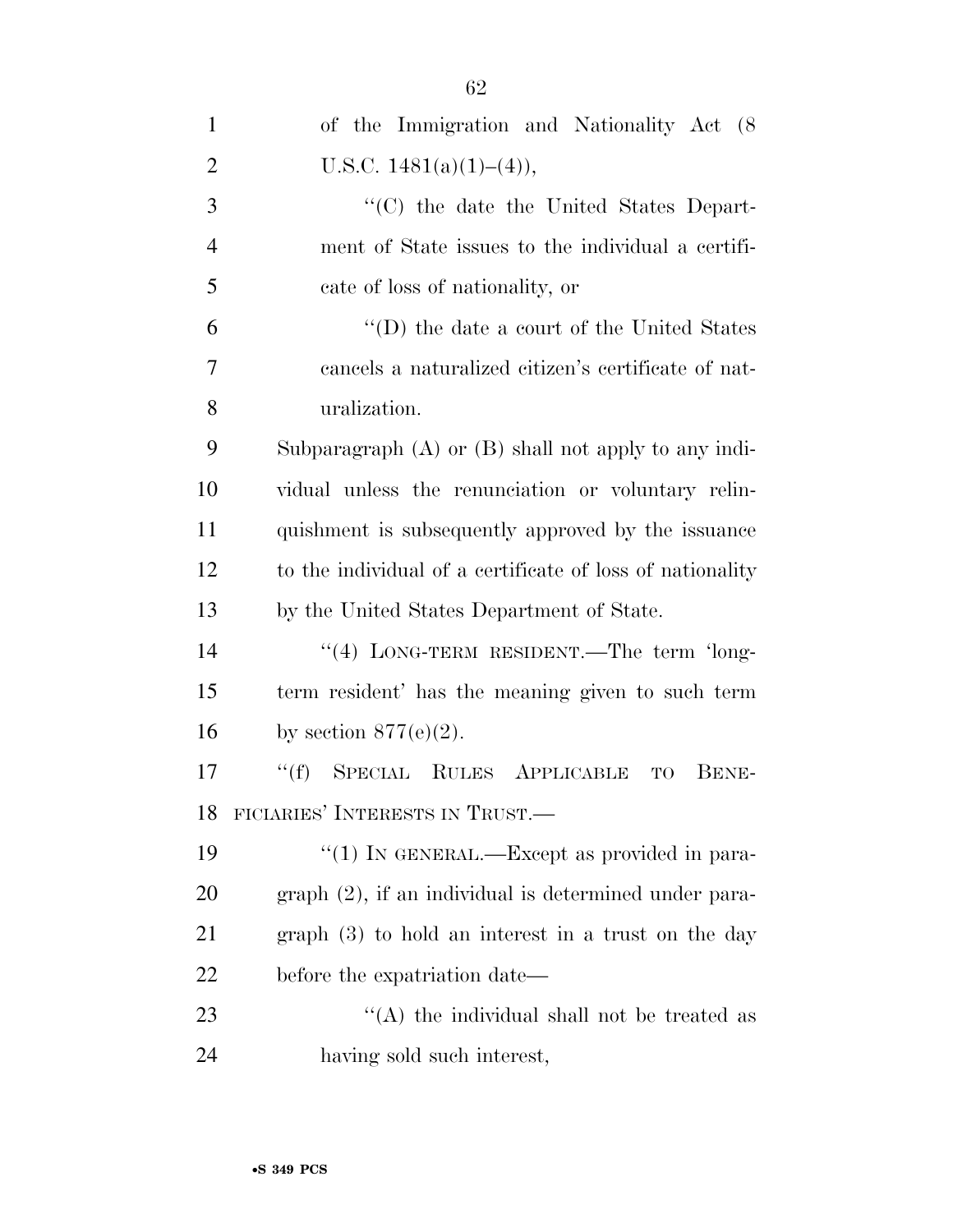| $\mathbf{1}$   | of the Immigration and Nationality Act (8)                     |
|----------------|----------------------------------------------------------------|
| $\overline{2}$ | U.S.C. $1481(a)(1)–(4)$ ,                                      |
| 3              | "(C) the date the United States Depart-                        |
| $\overline{4}$ | ment of State issues to the individual a certifi-              |
| 5              | cate of loss of nationality, or                                |
| 6              | "(D) the date a court of the United States                     |
| 7              | cancels a naturalized citizen's certificate of nat-            |
| 8              | uralization.                                                   |
| 9              | Subparagraph $(A)$ or $(B)$ shall not apply to any indi-       |
| 10             | vidual unless the renunciation or voluntary relin-             |
| 11             | quishment is subsequently approved by the issuance             |
| 12             | to the individual of a certificate of loss of nationality      |
| 13             | by the United States Department of State.                      |
| 14             | "(4) LONG-TERM RESIDENT.—The term 'long-                       |
| 15             | term resident' has the meaning given to such term              |
| 16             | by section $877(e)(2)$ .                                       |
| 17             | SPECIAL RULES APPLICABLE<br>``(f)<br><b>BENE-</b><br><b>TO</b> |
| 18             | FICIARIES' INTERESTS IN TRUST.                                 |
| 19             | "(1) IN GENERAL.—Except as provided in para-                   |
| 20             | graph (2), if an individual is determined under para-          |
| 21             | graph $(3)$ to hold an interest in a trust on the day          |
| 22             | before the expatriation date—                                  |
| 23             | $\lq\lq$ (A) the individual shall not be treated as            |
| 24             | having sold such interest,                                     |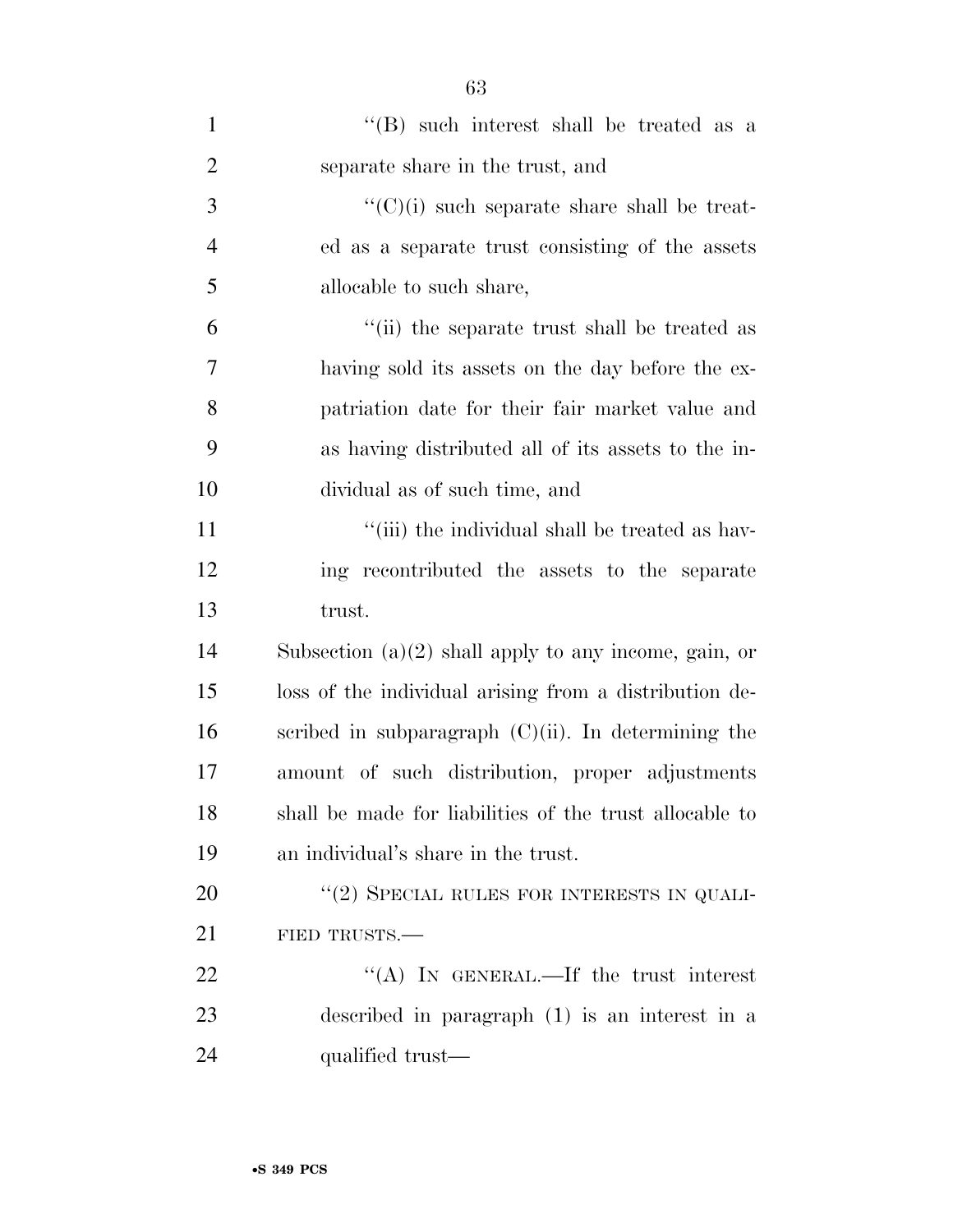| $\mathbf{1}$   | "(B) such interest shall be treated as a                |
|----------------|---------------------------------------------------------|
| $\overline{2}$ | separate share in the trust, and                        |
| 3              | $\lq\lq$ (C)(i) such separate share shall be treat-     |
| $\overline{4}$ | ed as a separate trust consisting of the assets         |
| 5              | allocable to such share,                                |
| 6              | "(ii) the separate trust shall be treated as            |
| 7              | having sold its assets on the day before the ex-        |
| 8              | patriation date for their fair market value and         |
| 9              | as having distributed all of its assets to the in-      |
| 10             | dividual as of such time, and                           |
| 11             | "(iii) the individual shall be treated as hav-          |
| 12             | ing recontributed the assets to the separate            |
| 13             | trust.                                                  |
| 14             | Subsection $(a)(2)$ shall apply to any income, gain, or |
| 15             | loss of the individual arising from a distribution de-  |
| 16             | scribed in subparagraph $(C)(ii)$ . In determining the  |
| 17             | amount of such distribution, proper adjustments         |
| 18             | shall be made for liabilities of the trust allocable to |
| 19             | an individual's share in the trust.                     |
| 20             | "(2) SPECIAL RULES FOR INTERESTS IN QUALI-              |
| 21             | FIED TRUSTS.                                            |
| 22             | "(A) IN GENERAL.—If the trust interest                  |
| 23             | described in paragraph (1) is an interest in a          |
| 24             | qualified trust—                                        |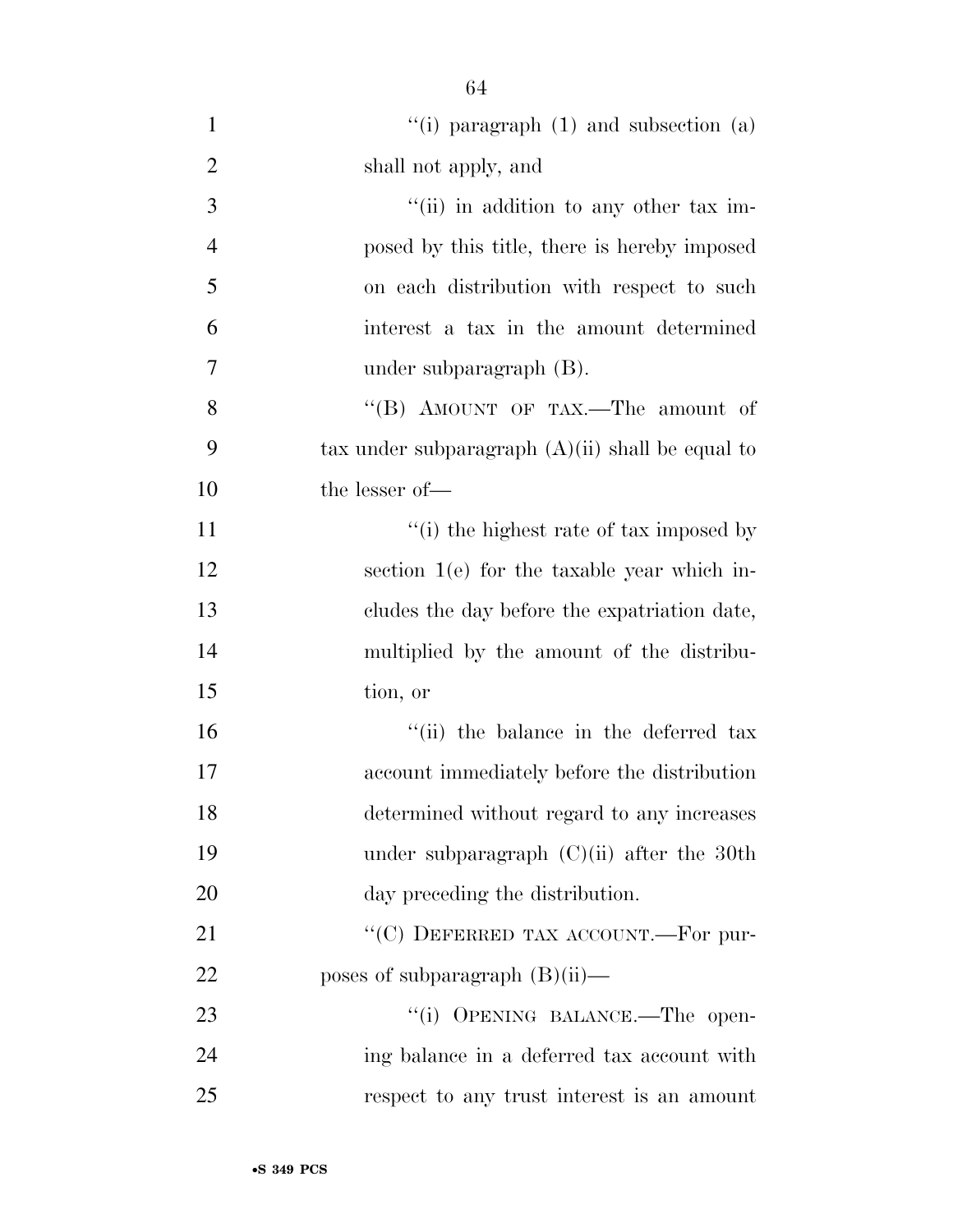| $\mathbf{1}$   | "(i) paragraph $(1)$ and subsection $(a)$          |
|----------------|----------------------------------------------------|
| $\overline{2}$ | shall not apply, and                               |
| 3              | "(ii) in addition to any other tax im-             |
| $\overline{4}$ | posed by this title, there is hereby imposed       |
| 5              | on each distribution with respect to such          |
| 6              | interest a tax in the amount determined            |
| 7              | under subparagraph $(B)$ .                         |
| 8              | "(B) AMOUNT OF TAX.—The amount of                  |
| 9              | tax under subparagraph $(A)(ii)$ shall be equal to |
| 10             | the lesser of-                                     |
| 11             | "(i) the highest rate of tax imposed by            |
| 12             | section $1(e)$ for the taxable year which in-      |
| 13             | cludes the day before the expatriation date,       |
| 14             | multiplied by the amount of the distribu-          |
| 15             | tion, or                                           |
| 16             | "(ii) the balance in the deferred tax              |
| 17             | account immediately before the distribution        |
| 18             | determined without regard to any increases         |
| 19             | under subparagraph $(C)(ii)$ after the 30th        |
| 20             | day preceding the distribution.                    |
| 21             | "(C) DEFERRED TAX ACCOUNT.—For pur-                |
| 22             | poses of subparagraph $(B)(ii)$ —                  |
| 23             | "(i) OPENING BALANCE.-The open-                    |
| 24             | ing balance in a deferred tax account with         |
| 25             | respect to any trust interest is an amount         |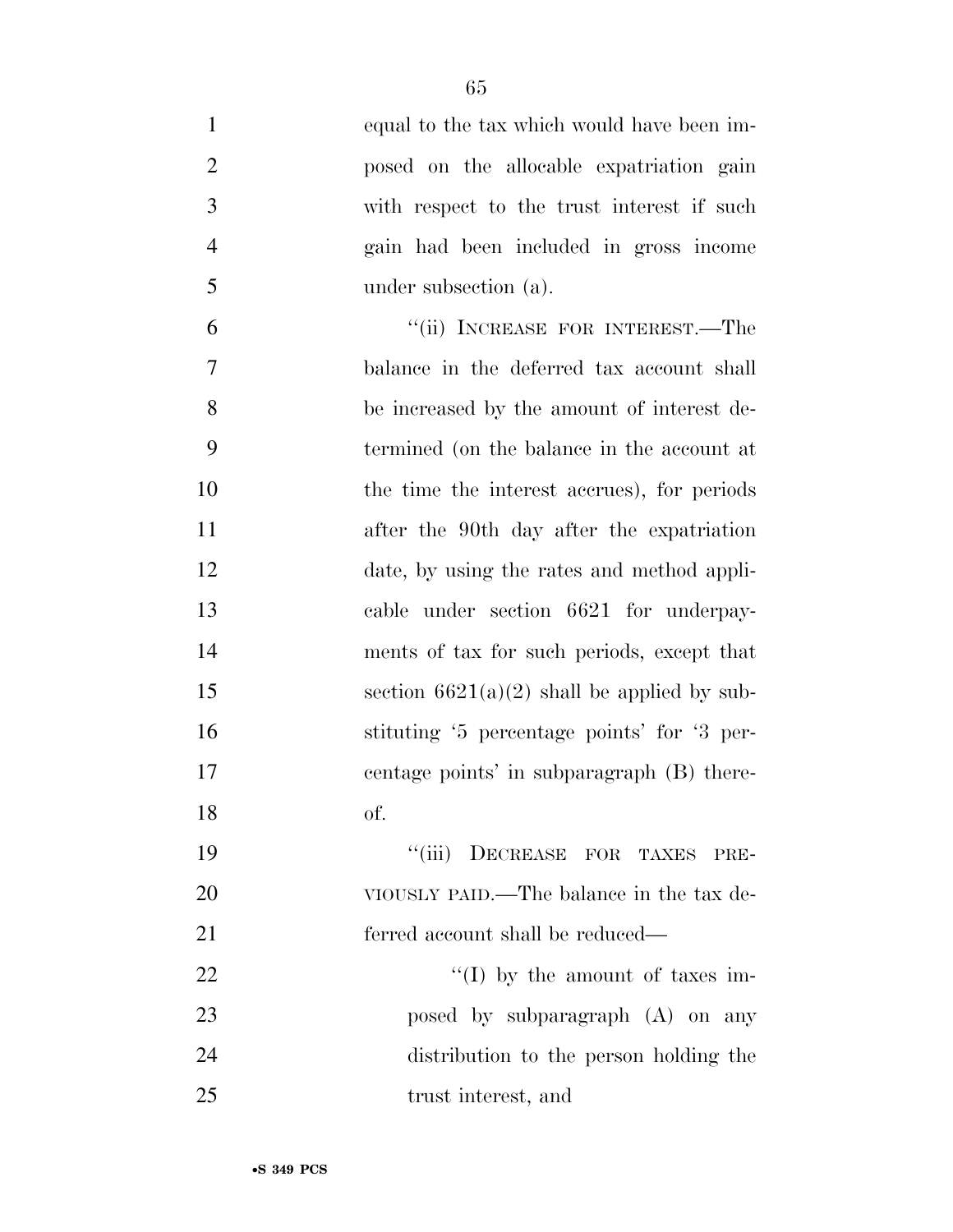| $\mathbf{1}$   | equal to the tax which would have been im-    |
|----------------|-----------------------------------------------|
| $\overline{2}$ | posed on the allocable expatriation gain      |
| 3              | with respect to the trust interest if such    |
| $\overline{4}$ | gain had been included in gross income        |
| 5              | under subsection (a).                         |
| 6              | "(ii) INCREASE FOR INTEREST.—The              |
| 7              | balance in the deferred tax account shall     |
| 8              | be increased by the amount of interest de-    |
| 9              | termined (on the balance in the account at    |
| 10             | the time the interest accrues), for periods   |
| 11             | after the 90th day after the expatriation     |
| 12             | date, by using the rates and method appli-    |
| 13             | cable under section 6621 for underpay-        |
| 14             | ments of tax for such periods, except that    |
| 15             | section $6621(a)(2)$ shall be applied by sub- |
| 16             | stituting '5 percentage points' for '3 per-   |
| 17             | centage points' in subparagraph (B) there-    |
| 18             | of.                                           |
| 19             | DECREASE FOR TAXES<br>``(iii)<br>PRE-         |
| 20             | VIOUSLY PAID.—The balance in the tax de-      |
| 21             | ferred account shall be reduced—              |
| <u>22</u>      | "(I) by the amount of taxes im-               |
| 23             | posed by subparagraph (A) on any              |
| 24             | distribution to the person holding the        |
| 25             | trust interest, and                           |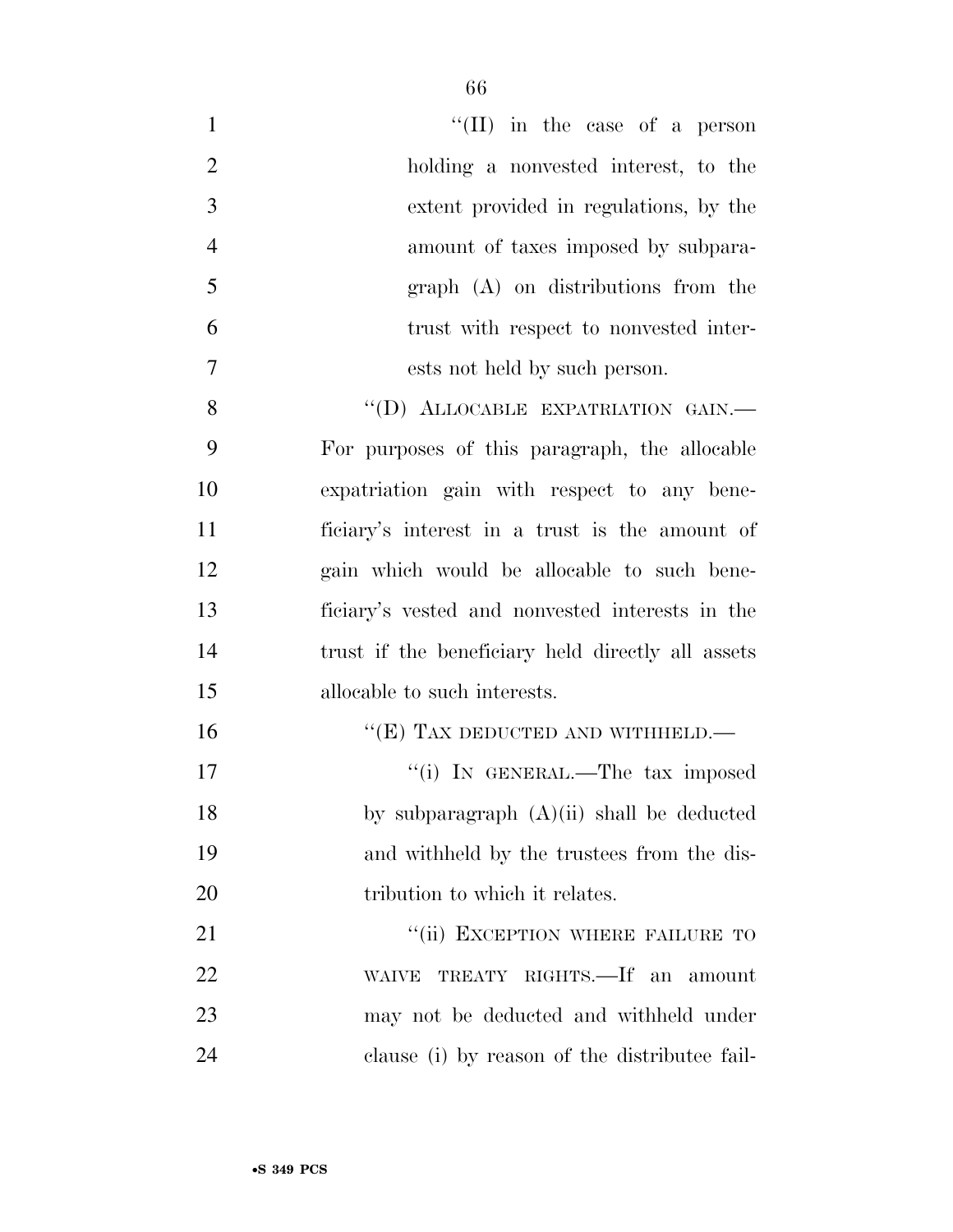| $\mathbf{1}$   | "(II) in the case of a person                     |
|----------------|---------------------------------------------------|
| $\overline{2}$ | holding a nonvested interest, to the              |
| 3              | extent provided in regulations, by the            |
| $\overline{4}$ | amount of taxes imposed by subpara-               |
| 5              | $graph$ $(A)$ on distributions from the           |
| 6              | trust with respect to nonvested inter-            |
| $\overline{7}$ | ests not held by such person.                     |
| 8              | "(D) ALLOCABLE EXPATRIATION GAIN.-                |
| 9              | For purposes of this paragraph, the allocable     |
| 10             | expatriation gain with respect to any bene-       |
| 11             | ficiary's interest in a trust is the amount of    |
| 12             | gain which would be allocable to such bene-       |
| 13             | ficiary's vested and nonvested interests in the   |
| 14             | trust if the beneficiary held directly all assets |
| 15             | allocable to such interests.                      |
| 16             | " $(E)$ TAX DEDUCTED AND WITHHELD.—               |
| 17             | "(i) IN GENERAL.—The tax imposed                  |
| 18             | by subparagraph (A)(ii) shall be deducted         |
| 19             | and withheld by the trustees from the dis-        |
| 20             | tribution to which it relates.                    |
| 21             | "(ii) EXCEPTION WHERE FAILURE TO                  |
| 22             | TREATY RIGHTS.—If an amount<br><b>WAIVE</b>       |
| 23             | may not be deducted and withheld under            |
| 24             | clause (i) by reason of the distribute fail-      |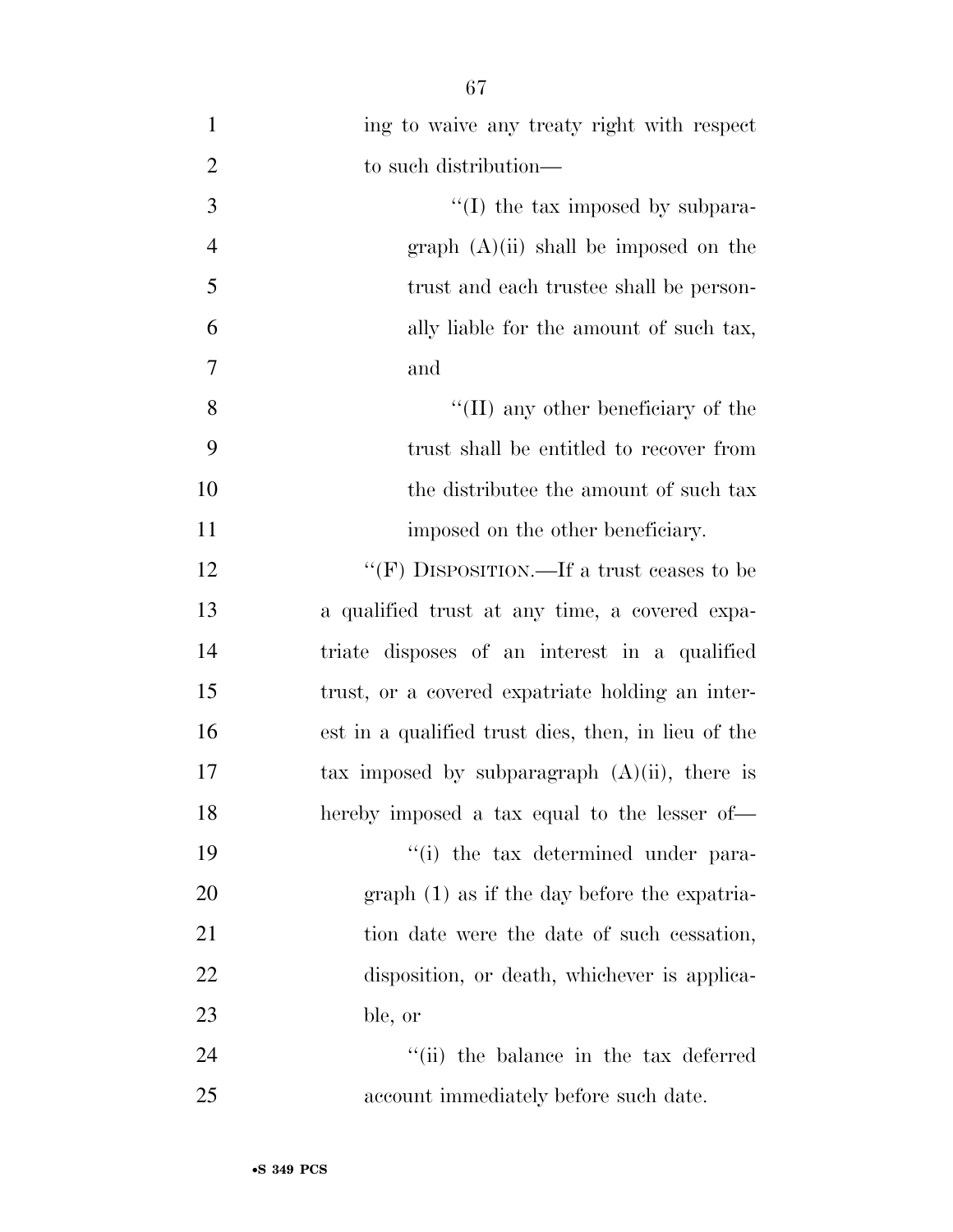| $\mathbf{1}$   | ing to waive any treaty right with respect          |
|----------------|-----------------------------------------------------|
| $\overline{2}$ | to such distribution—                               |
| 3              | $\lq$ (I) the tax imposed by subpara-               |
| $\overline{4}$ | graph (A)(ii) shall be imposed on the               |
| 5              | trust and each trustee shall be person-             |
| 6              | ally liable for the amount of such tax,             |
| 7              | and                                                 |
| 8              | $\lq\lq$ (II) any other beneficiary of the          |
| 9              | trust shall be entitled to recover from             |
| 10             | the distribute the amount of such tax               |
| 11             | imposed on the other beneficiary.                   |
| 12             | "(F) DISPOSITION.—If a trust ceases to be           |
| 13             | a qualified trust at any time, a covered expa-      |
| 14             | triate disposes of an interest in a qualified       |
| 15             | trust, or a covered expatriate holding an inter-    |
| 16             | est in a qualified trust dies, then, in lieu of the |
| 17             | tax imposed by subparagraph $(A)(ii)$ , there is    |
| 18             | hereby imposed a tax equal to the lesser of-        |
| 19             | "(i) the tax determined under para-                 |
| 20             | $graph(1)$ as if the day before the expatria-       |
| 21             | tion date were the date of such cessation,          |
| 22             | disposition, or death, whichever is applica-        |
| 23             | ble, or                                             |
| 24             | "(ii) the balance in the tax deferred               |
| 25             | account immediately before such date.               |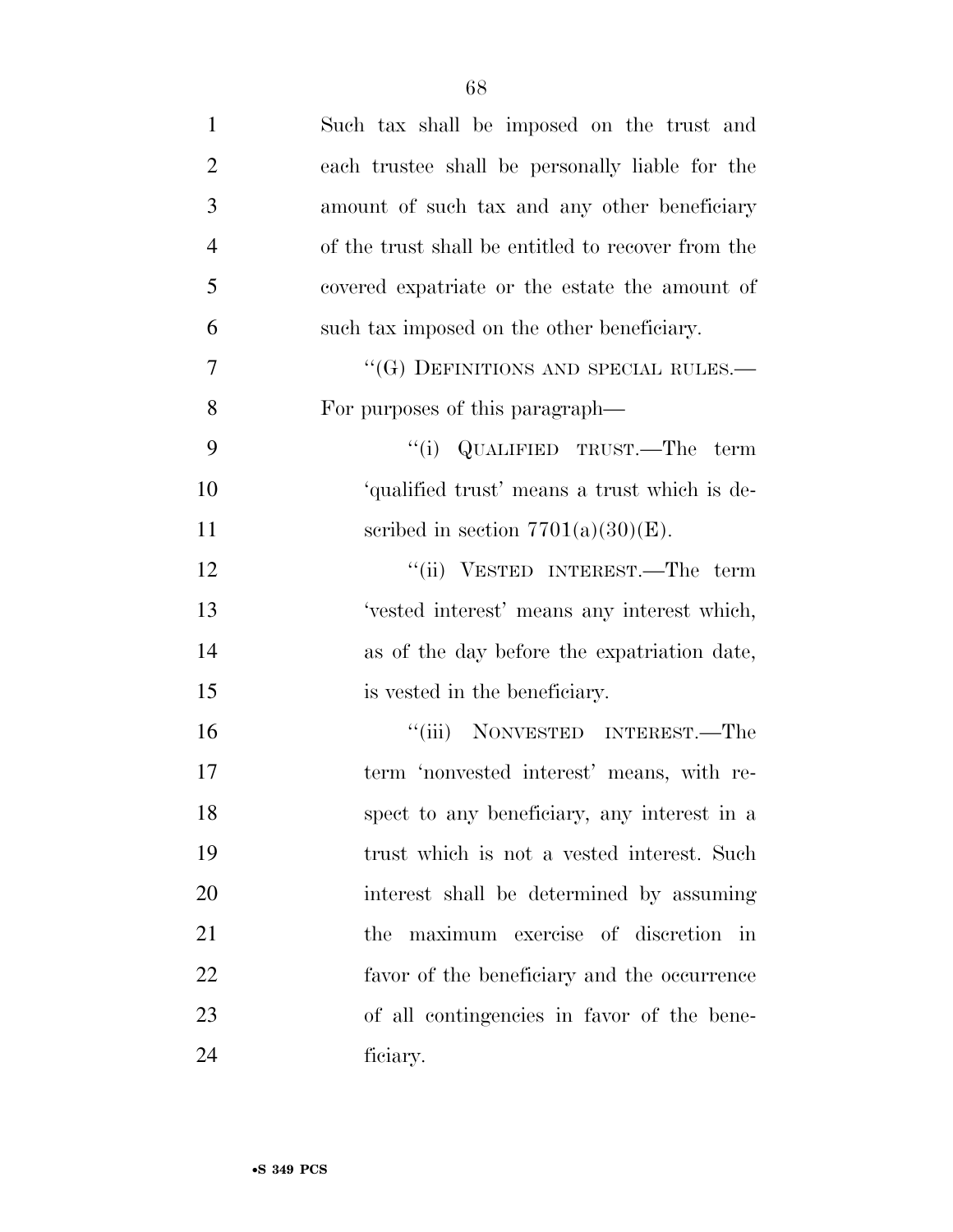| $\mathbf{1}$   | Such tax shall be imposed on the trust and         |
|----------------|----------------------------------------------------|
| $\overline{2}$ | each trustee shall be personally liable for the    |
| 3              | amount of such tax and any other beneficiary       |
| $\overline{4}$ | of the trust shall be entitled to recover from the |
| 5              | covered expatriate or the estate the amount of     |
| 6              | such tax imposed on the other beneficiary.         |
| 7              | "(G) DEFINITIONS AND SPECIAL RULES.—               |
| 8              | For purposes of this paragraph—                    |
| 9              | "(i) QUALIFIED TRUST.—The term                     |
| 10             | 'qualified trust' means a trust which is de-       |
| 11             | scribed in section $7701(a)(30)(E)$ .              |
| 12             | "(ii) VESTED INTEREST.—The term                    |
| 13             | 'vested interest' means any interest which,        |
| 14             | as of the day before the expatriation date,        |
| 15             | is vested in the beneficiary.                      |
| 16             | "(iii) NONVESTED INTEREST.—The                     |
| 17             | term 'nonvested interest' means, with re-          |
| 18             | spect to any beneficiary, any interest in a        |
| 19             | trust which is not a vested interest. Such         |
| 20             | interest shall be determined by assuming           |
| 21             | the maximum exercise of discretion in              |
| 22             | favor of the beneficiary and the occurrence        |
| 23             | of all contingencies in favor of the bene-         |
| 24             | ficiary.                                           |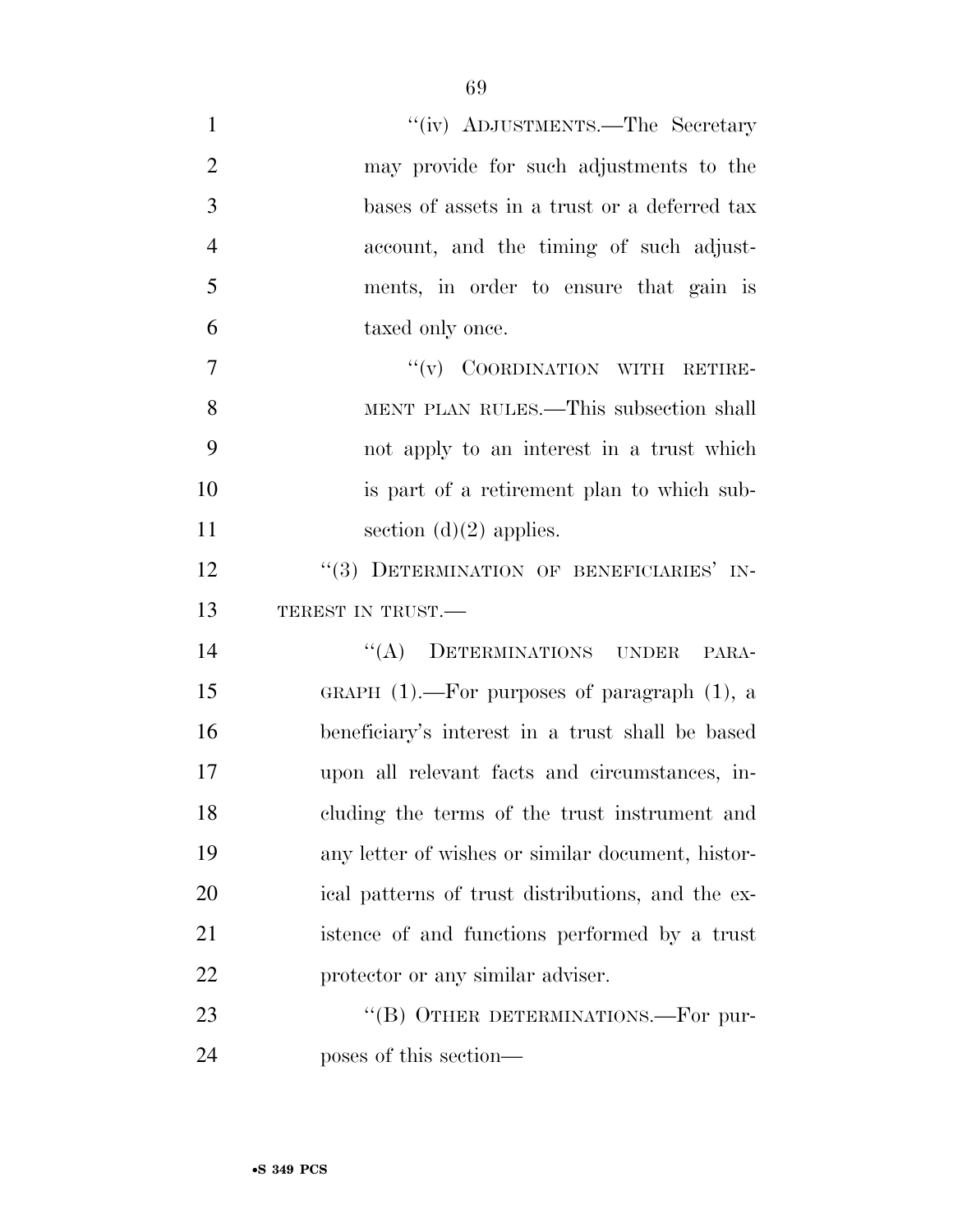| $\mathbf{1}$   | "(iv) ADJUSTMENTS.—The Secretary                  |
|----------------|---------------------------------------------------|
| $\overline{2}$ | may provide for such adjustments to the           |
| 3              | bases of assets in a trust or a deferred tax      |
| $\overline{4}$ | account, and the timing of such adjust-           |
| 5              | ments, in order to ensure that gain is            |
| 6              | taxed only once.                                  |
| $\overline{7}$ | "(v) COORDINATION WITH RETIRE-                    |
| 8              | MENT PLAN RULES.—This subsection shall            |
| 9              | not apply to an interest in a trust which         |
| 10             | is part of a retirement plan to which sub-        |
| 11             | section $(d)(2)$ applies.                         |
| 12             | "(3) DETERMINATION OF BENEFICIARIES' IN-          |
| 13             | TEREST IN TRUST.                                  |
| 14             | "(A) DETERMINATIONS UNDER<br>PARA-                |
| 15             | GRAPH $(1)$ .—For purposes of paragraph $(1)$ , a |
| 16             | beneficiary's interest in a trust shall be based  |
| 17             | upon all relevant facts and circumstances, in-    |
| 18             | cluding the terms of the trust instrument and     |
| 19             | any letter of wishes or similar document, histor- |
| 20             | ical patterns of trust distributions, and the ex- |
| 21             | istence of and functions performed by a trust     |
| 22             | protector or any similar adviser.                 |
| 23             | "(B) OTHER DETERMINATIONS.—For pur-               |
| 24             | poses of this section—                            |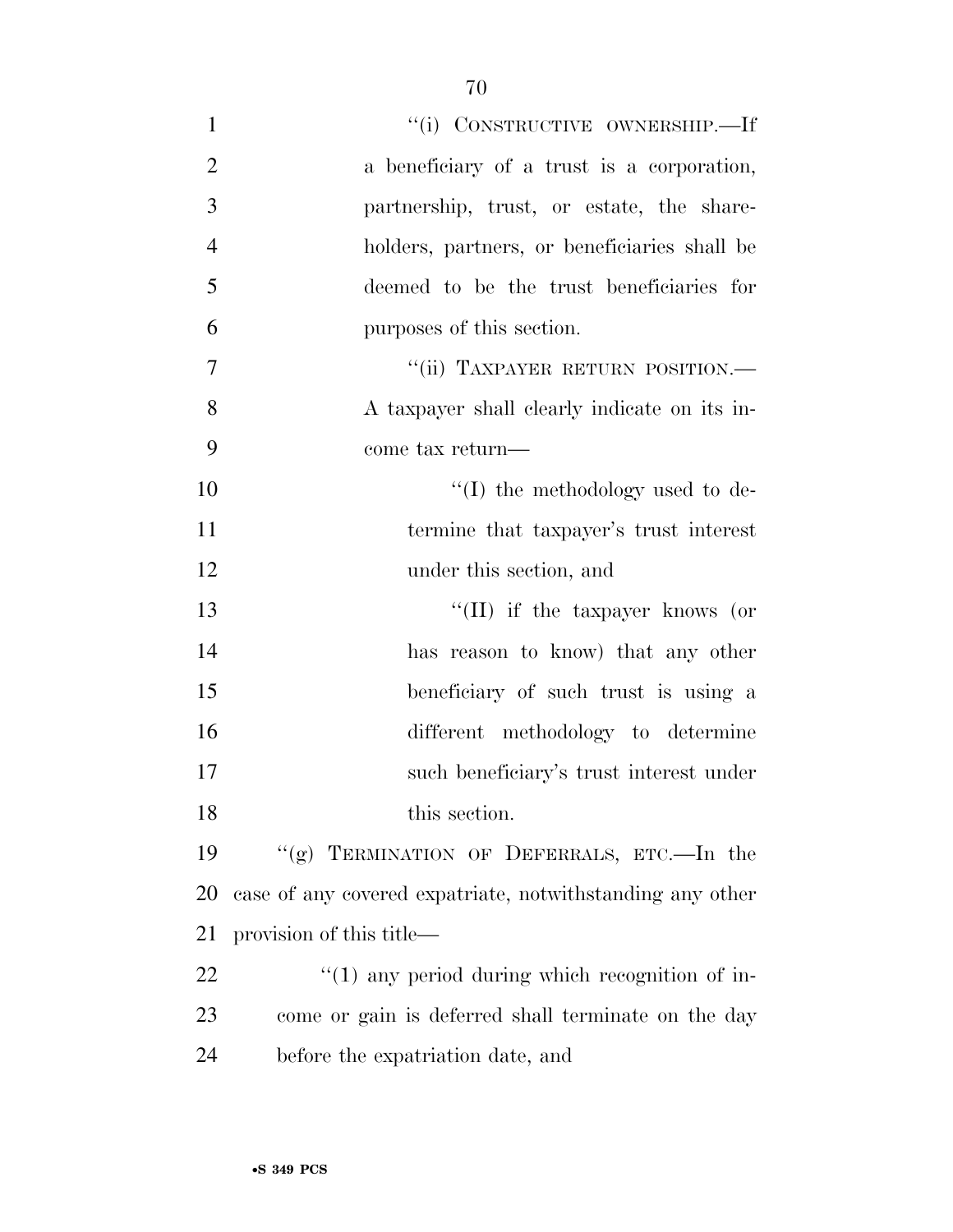| $\mathbf{1}$   | "(i) CONSTRUCTIVE OWNERSHIP.—If                           |
|----------------|-----------------------------------------------------------|
|                |                                                           |
| $\overline{2}$ | a beneficiary of a trust is a corporation,                |
| 3              | partnership, trust, or estate, the share-                 |
| $\overline{4}$ | holders, partners, or beneficiaries shall be              |
| 5              | deemed to be the trust beneficiaries for                  |
| 6              | purposes of this section.                                 |
| $\overline{7}$ | "(ii) TAXPAYER RETURN POSITION.-                          |
| 8              | A taxpayer shall clearly indicate on its in-              |
| 9              | come tax return—                                          |
| 10             | $\lq\lq$ the methodology used to de-                      |
| 11             | termine that taxpayer's trust interest                    |
| 12             | under this section, and                                   |
| 13             | "(II) if the taxpayer knows (or                           |
| 14             | has reason to know) that any other                        |
| 15             | beneficiary of such trust is using a                      |
| 16             | different methodology to determine                        |
| 17             | such beneficiary's trust interest under                   |
| 18             | this section.                                             |
| 19             | "(g) TERMINATION OF DEFERRALS, ETC.—In the                |
| 20             | case of any covered expatriate, notwithstanding any other |
| 21             | provision of this title—                                  |
| 22             | $\lq(1)$ any period during which recognition of in-       |
| 23             | come or gain is deferred shall terminate on the day       |
| 24             | before the expatriation date, and                         |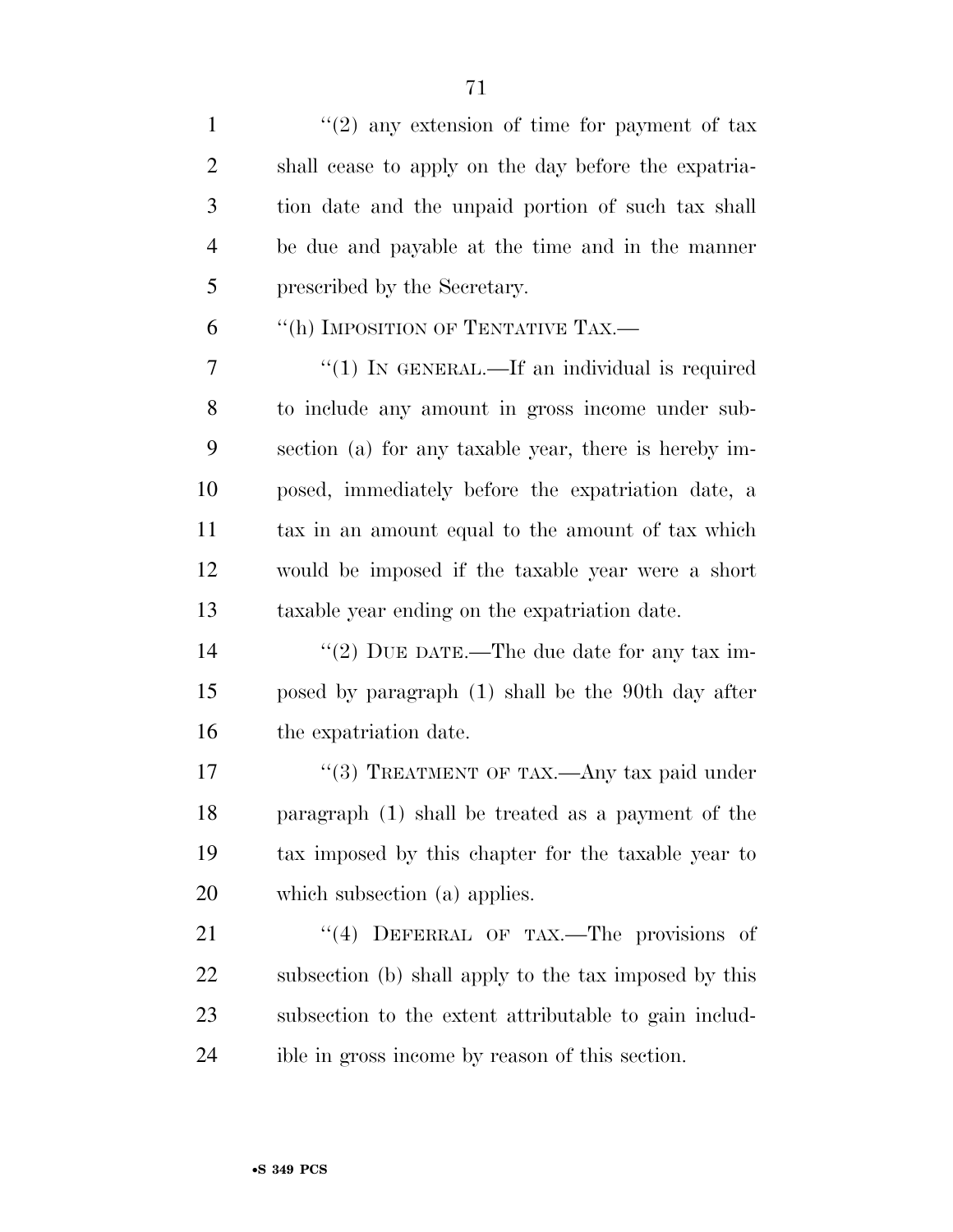$\frac{1}{2}$  any extension of time for payment of tax shall cease to apply on the day before the expatria- tion date and the unpaid portion of such tax shall be due and payable at the time and in the manner prescribed by the Secretary. 6 "(h) IMPOSITION OF TENTATIVE TAX.— 7 "(1) IN GENERAL.—If an individual is required to include any amount in gross income under sub- section (a) for any taxable year, there is hereby im- posed, immediately before the expatriation date, a tax in an amount equal to the amount of tax which would be imposed if the taxable year were a short taxable year ending on the expatriation date.  $\frac{1}{2}$  DUE DATE.—The due date for any tax im- posed by paragraph (1) shall be the 90th day after the expatriation date. 17 "(3) TREATMENT OF TAX.—Any tax paid under paragraph (1) shall be treated as a payment of the tax imposed by this chapter for the taxable year to which subsection (a) applies. 21 "(4) DEFERRAL OF TAX.—The provisions of subsection (b) shall apply to the tax imposed by this subsection to the extent attributable to gain includ-

ible in gross income by reason of this section.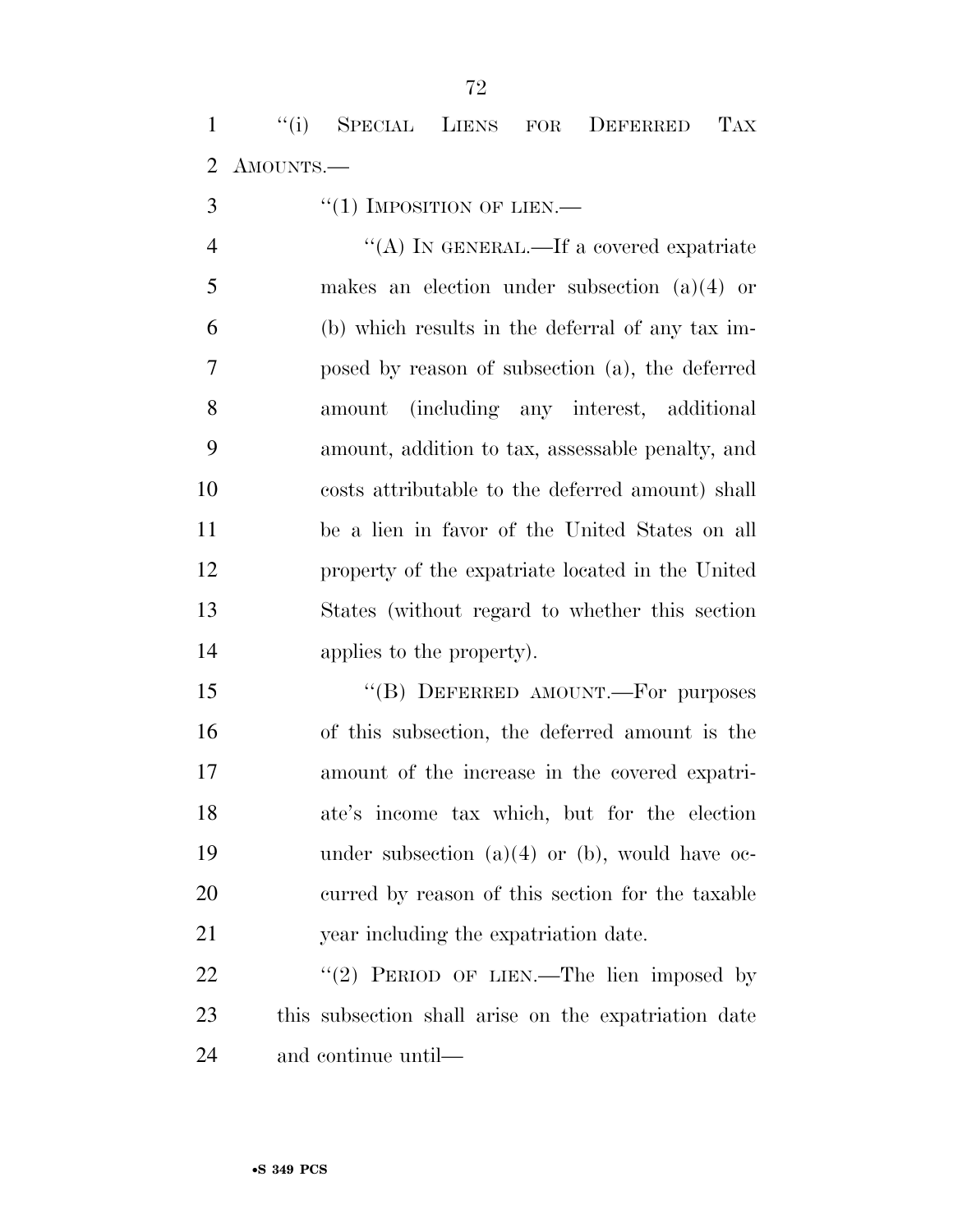''(i) SPECIAL LIENS FOR DEFERRED TAX AMOUNTS.—

"(1) IMPOSITION OF LIEN.—

 $''(A)$  In GENERAL.—If a covered expatriate makes an election under subsection (a)(4) or (b) which results in the deferral of any tax im- posed by reason of subsection (a), the deferred amount (including any interest, additional amount, addition to tax, assessable penalty, and costs attributable to the deferred amount) shall be a lien in favor of the United States on all property of the expatriate located in the United States (without regard to whether this section applies to the property).

15 "(B) DEFERRED AMOUNT.—For purposes of this subsection, the deferred amount is the amount of the increase in the covered expatri- ate's income tax which, but for the election under subsection (a)(4) or (b), would have oc- curred by reason of this section for the taxable year including the expatriation date.

22 "(2) PERIOD OF LIEN.—The lien imposed by this subsection shall arise on the expatriation date and continue until—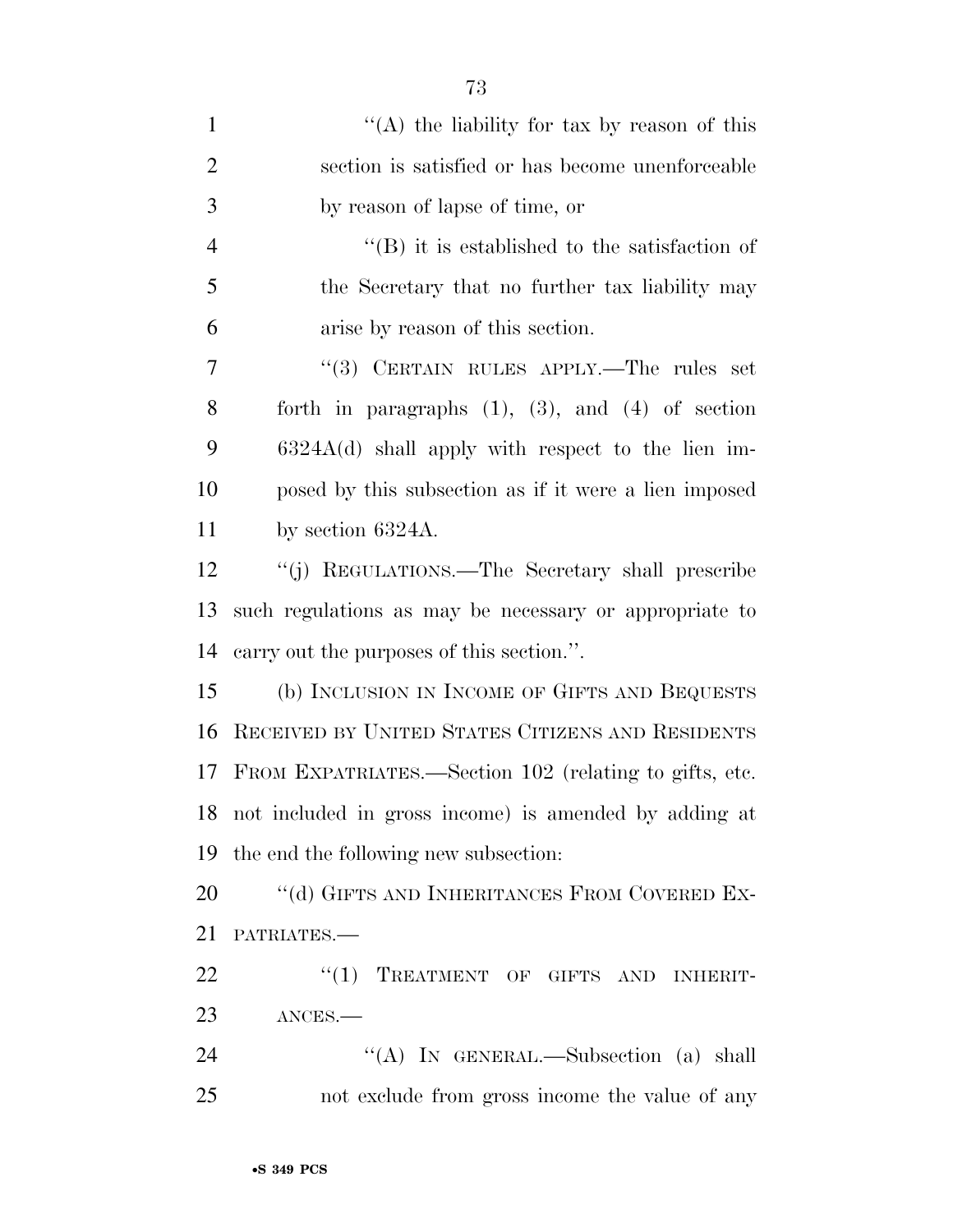| $\mathbf{1}$   | "(A) the liability for tax by reason of this             |
|----------------|----------------------------------------------------------|
| $\overline{2}$ | section is satisfied or has become unenforceable         |
| 3              | by reason of lapse of time, or                           |
| $\overline{4}$ | $\lq\lq$ ) it is established to the satisfaction of      |
| 5              | the Secretary that no further tax liability may          |
| 6              | arise by reason of this section.                         |
| 7              | "(3) CERTAIN RULES APPLY.—The rules set                  |
| 8              | forth in paragraphs $(1)$ , $(3)$ , and $(4)$ of section |
| 9              | $6324A(d)$ shall apply with respect to the lien im-      |
| 10             | posed by this subsection as if it were a lien imposed    |
| 11             | by section $6324A$ .                                     |
| 12             | "(j) REGULATIONS.—The Secretary shall prescribe          |
| 13             | such regulations as may be necessary or appropriate to   |
| 14             | carry out the purposes of this section.".                |
| 15             | (b) INCLUSION IN INCOME OF GIFTS AND BEQUESTS            |
| 16             | RECEIVED BY UNITED STATES CITIZENS AND RESIDENTS         |
| 17             | FROM EXPATRIATES.—Section 102 (relating to gifts, etc.   |
|                | 18 not included in gross income) is amended by adding at |
| 19             | the end the following new subsection:                    |
| 20             | "(d) GIFTS AND INHERITANCES FROM COVERED EX-             |
| 21             | PATRIATES.                                               |
| 22             | "(1) TREATMENT OF GIFTS AND INHERIT-                     |
| 23             | ANCES.                                                   |
| 24             | "(A) IN GENERAL.—Subsection (a) shall                    |
| 25             | not exclude from gross income the value of any           |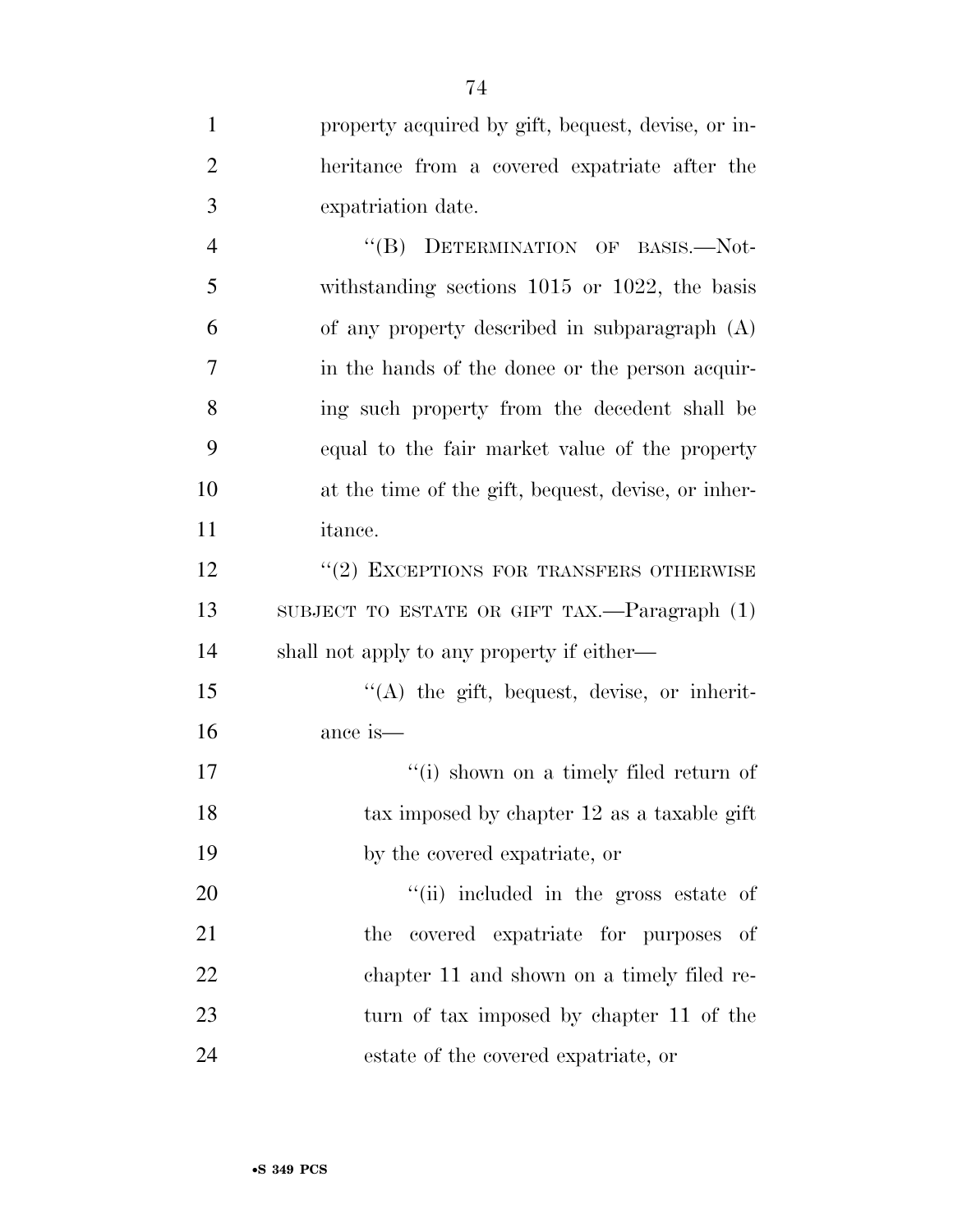| $\mathbf{1}$   | property acquired by gift, bequest, devise, or in-     |
|----------------|--------------------------------------------------------|
| $\overline{2}$ | heritance from a covered expatriate after the          |
| 3              | expatriation date.                                     |
| $\overline{4}$ | "(B) DETERMINATION OF BASIS.-Not-                      |
| 5              | withstanding sections $1015$ or $1022$ , the basis     |
| 6              | of any property described in subparagraph (A)          |
| 7              | in the hands of the donee or the person acquir-        |
| 8              | ing such property from the decedent shall be           |
| 9              | equal to the fair market value of the property         |
| 10             | at the time of the gift, bequest, devise, or inher-    |
| 11             | <i>itance.</i>                                         |
| 12             | "(2) EXCEPTIONS FOR TRANSFERS OTHERWISE                |
| 13             | SUBJECT TO ESTATE OR GIFT TAX.— $\text{Paragraph}$ (1) |
| 14             | shall not apply to any property if either—             |
| 15             | "(A) the gift, bequest, devise, or inherit-            |
| 16             | ance is—                                               |
| 17             | "(i) shown on a timely filed return of                 |
| 18             | tax imposed by chapter 12 as a taxable gift            |
| 19             | by the covered expatriate, or                          |
| 20             | "(ii) included in the gross estate of                  |
| 21             | the covered expatriate for purposes of                 |
| 22             | chapter 11 and shown on a timely filed re-             |
| 23             | turn of tax imposed by chapter 11 of the               |
| 24             | estate of the covered expatriate, or                   |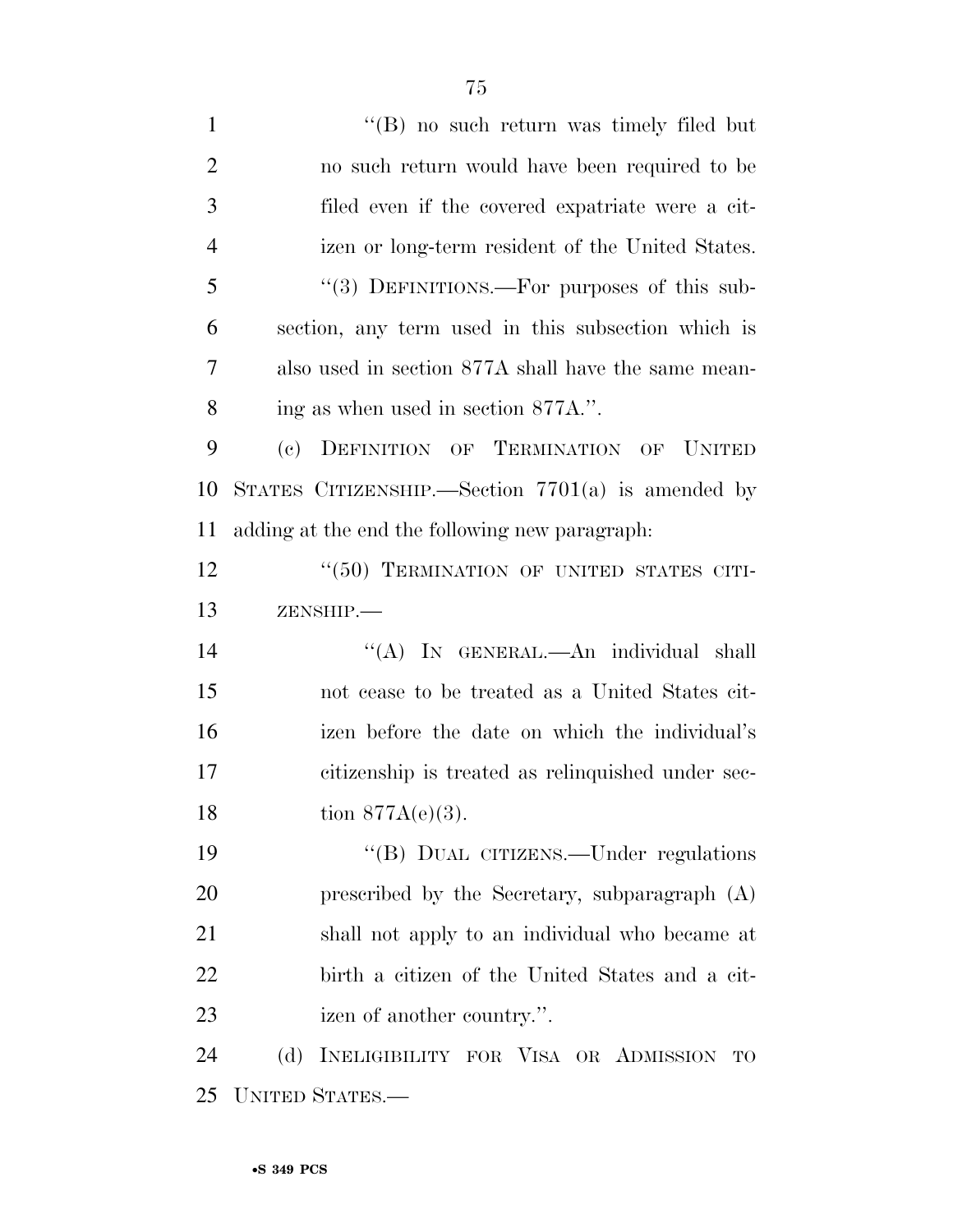| $\mathbf{1}$   | "(B) no such return was timely filed but                                    |
|----------------|-----------------------------------------------------------------------------|
| $\overline{2}$ | no such return would have been required to be                               |
| 3              | filed even if the covered expatriate were a cit-                            |
| $\overline{4}$ | izen or long-term resident of the United States.                            |
| 5              | "(3) DEFINITIONS.—For purposes of this sub-                                 |
| 6              | section, any term used in this subsection which is                          |
| 7              | also used in section 877A shall have the same mean-                         |
| 8              | ing as when used in section 877A.".                                         |
| 9              | DEFINITION OF TERMINATION OF<br>$\left( \mathrm{e}\right)$<br><b>UNITED</b> |
| 10             | STATES CITIZENSHIP. Section $7701(a)$ is amended by                         |
| 11             | adding at the end the following new paragraph.                              |
| 12             | "(50) TERMINATION OF UNITED STATES CITI-                                    |
| 13             | ZENSHIP.-                                                                   |
| 14             | "(A) IN GENERAL.—An individual shall                                        |
| 15             | not cease to be treated as a United States cit-                             |
| 16             | izen before the date on which the individual's                              |
| 17             | citizenship is treated as relinquished under sec-                           |
| 18             | tion $877A(e)(3)$ .                                                         |
| 19             | "(B) DUAL CITIZENS.—Under regulations                                       |
| <b>20</b>      | prescribed by the Secretary, subparagraph (A)                               |
| 21             | shall not apply to an individual who became at                              |
| 22             | birth a citizen of the United States and a cit-                             |
| 23             | izen of another country.".                                                  |
| 24             | INELIGIBILITY FOR VISA OR ADMISSION<br>(d)<br>TO                            |
| 25             | UNITED STATES.-                                                             |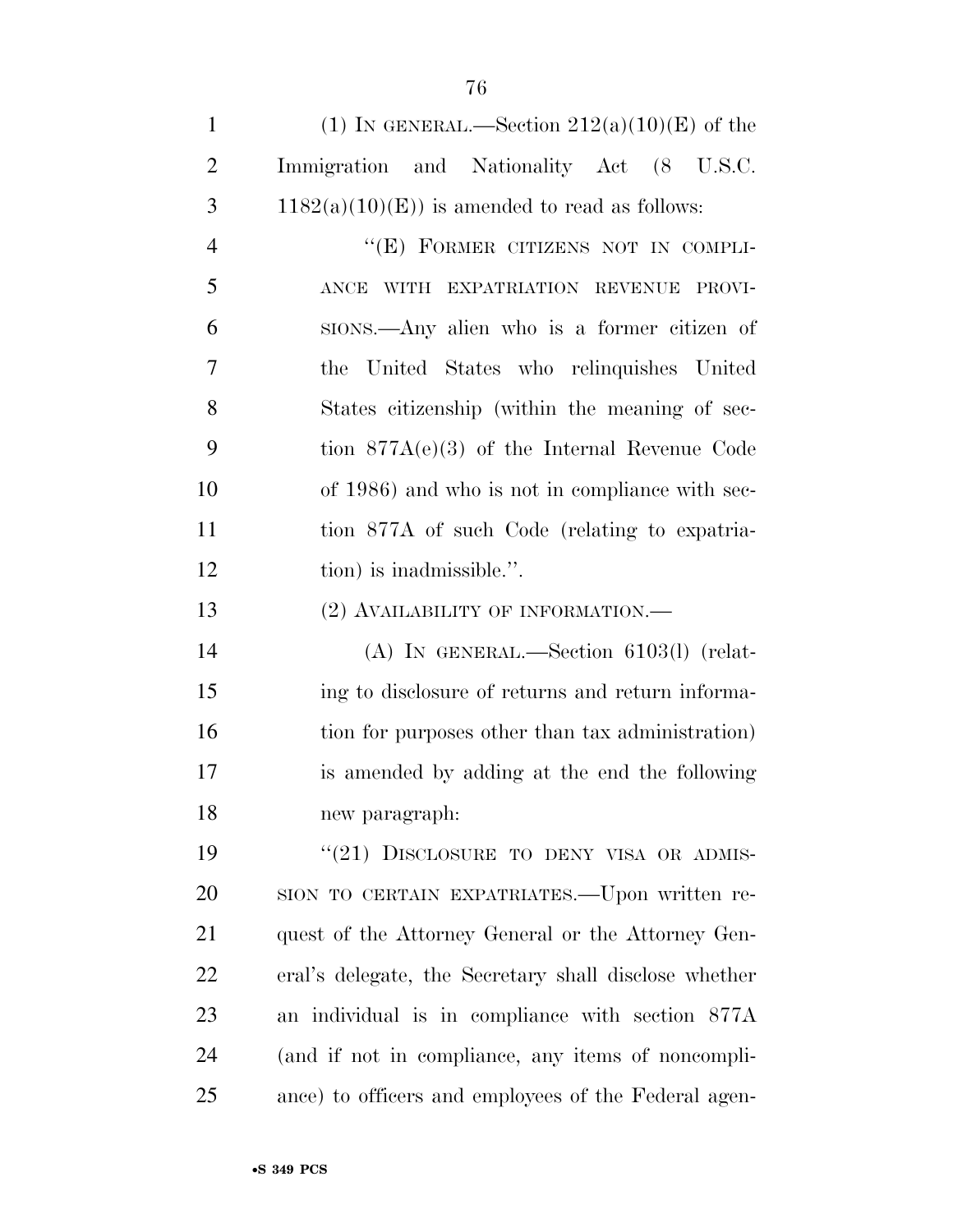1 (1) IN GENERAL.—Section  $212(a)(10)(E)$  of the Immigration and Nationality Act (8 U.S.C. 3 1182(a)(10)(E)) is amended to read as follows:

4 "(E) FORMER CITIZENS NOT IN COMPLI- ANCE WITH EXPATRIATION REVENUE PROVI- SIONS.—Any alien who is a former citizen of the United States who relinquishes United States citizenship (within the meaning of sec- tion 877A(e)(3) of the Internal Revenue Code of 1986) and who is not in compliance with sec- tion 877A of such Code (relating to expatria-12 tion) is inadmissible.".

13 (2) AVAILABILITY OF INFORMATION.—

 (A) IN GENERAL.—Section 6103(l) (relat- ing to disclosure of returns and return informa-16 tion for purposes other than tax administration) is amended by adding at the end the following new paragraph:

19 "(21) DISCLOSURE TO DENY VISA OR ADMIS- SION TO CERTAIN EXPATRIATES.—Upon written re- quest of the Attorney General or the Attorney Gen- eral's delegate, the Secretary shall disclose whether an individual is in compliance with section 877A (and if not in compliance, any items of noncompli-ance) to officers and employees of the Federal agen-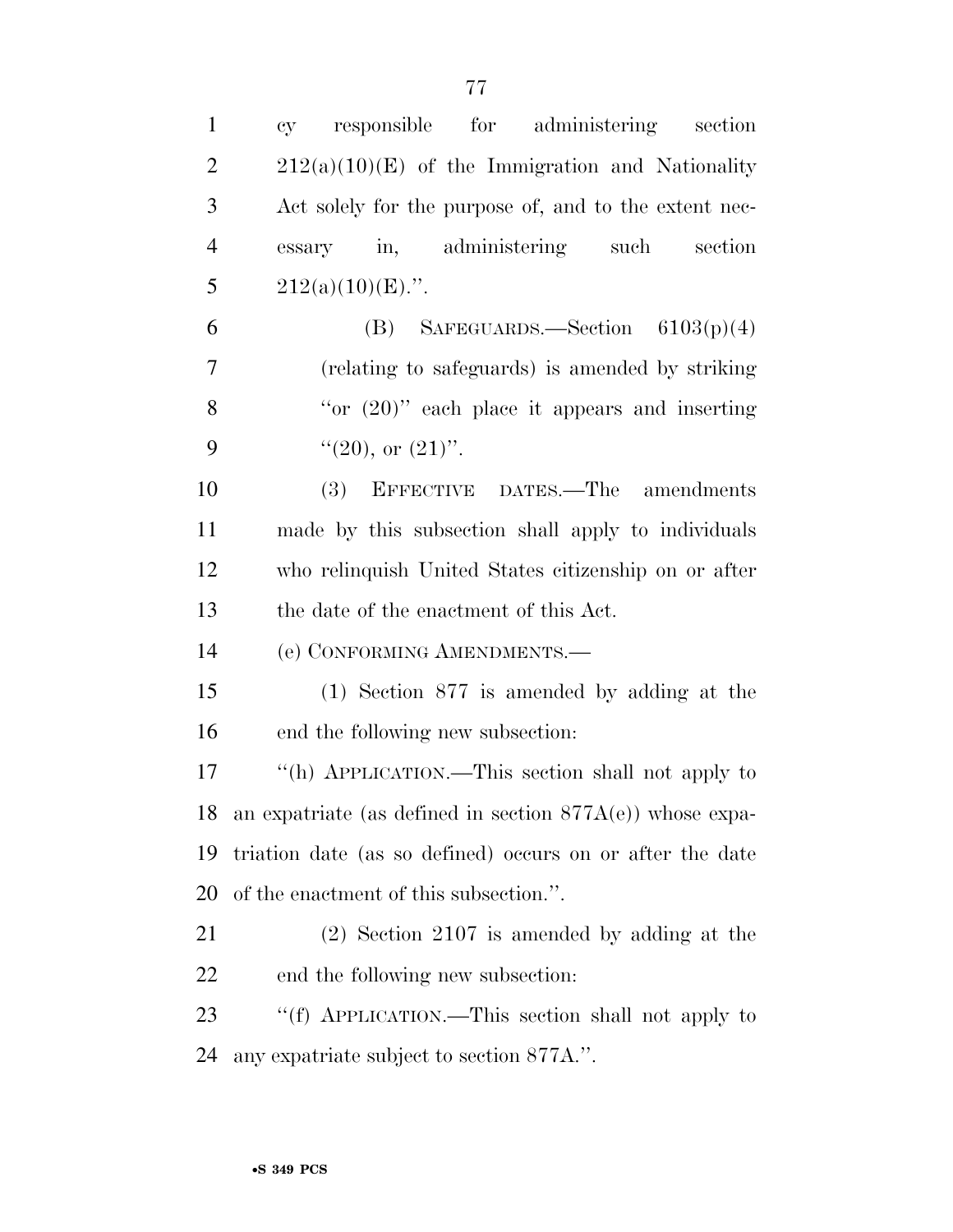| $\mathbf{1}$   | responsible<br>for administering<br>section<br>cy               |
|----------------|-----------------------------------------------------------------|
| $\overline{2}$ | $212(a)(10)(E)$ of the Immigration and Nationality              |
| 3              | Act solely for the purpose of, and to the extent nec-           |
| $\overline{4}$ | essary in, administering such<br>section                        |
| 5              | $212(a)(10)(E)$ .".                                             |
| 6              | (B) SAFEGUARDS.—Section $6103(p)(4)$                            |
| $\overline{7}$ | (relating to safeguards) is amended by striking                 |
| 8              | "or $(20)$ " each place it appears and inserting                |
| 9              | " $(20)$ , or $(21)$ ".                                         |
| 10             | (3)<br>EFFECTIVE DATES.—The amendments                          |
| 11             | made by this subsection shall apply to individuals              |
| 12             | who relinquish United States citizenship on or after            |
| 13             | the date of the enactment of this Act.                          |
| 14             | (e) CONFORMING AMENDMENTS.—                                     |
| 15             | $(1)$ Section 877 is amended by adding at the                   |
| 16             | end the following new subsection:                               |
| 17             | "(h) APPLICATION.—This section shall not apply to               |
|                | 18 an expatriate (as defined in section $877A(e)$ ) whose expa- |
| 19             | triation date (as so defined) occurs on or after the date       |
| 20             | of the enactment of this subsection.".                          |
| 21             | $(2)$ Section 2107 is amended by adding at the                  |
| 22             | end the following new subsection:                               |
| 23             | "(f) APPLICATION.—This section shall not apply to               |
| 24             | any expatriate subject to section 877A.".                       |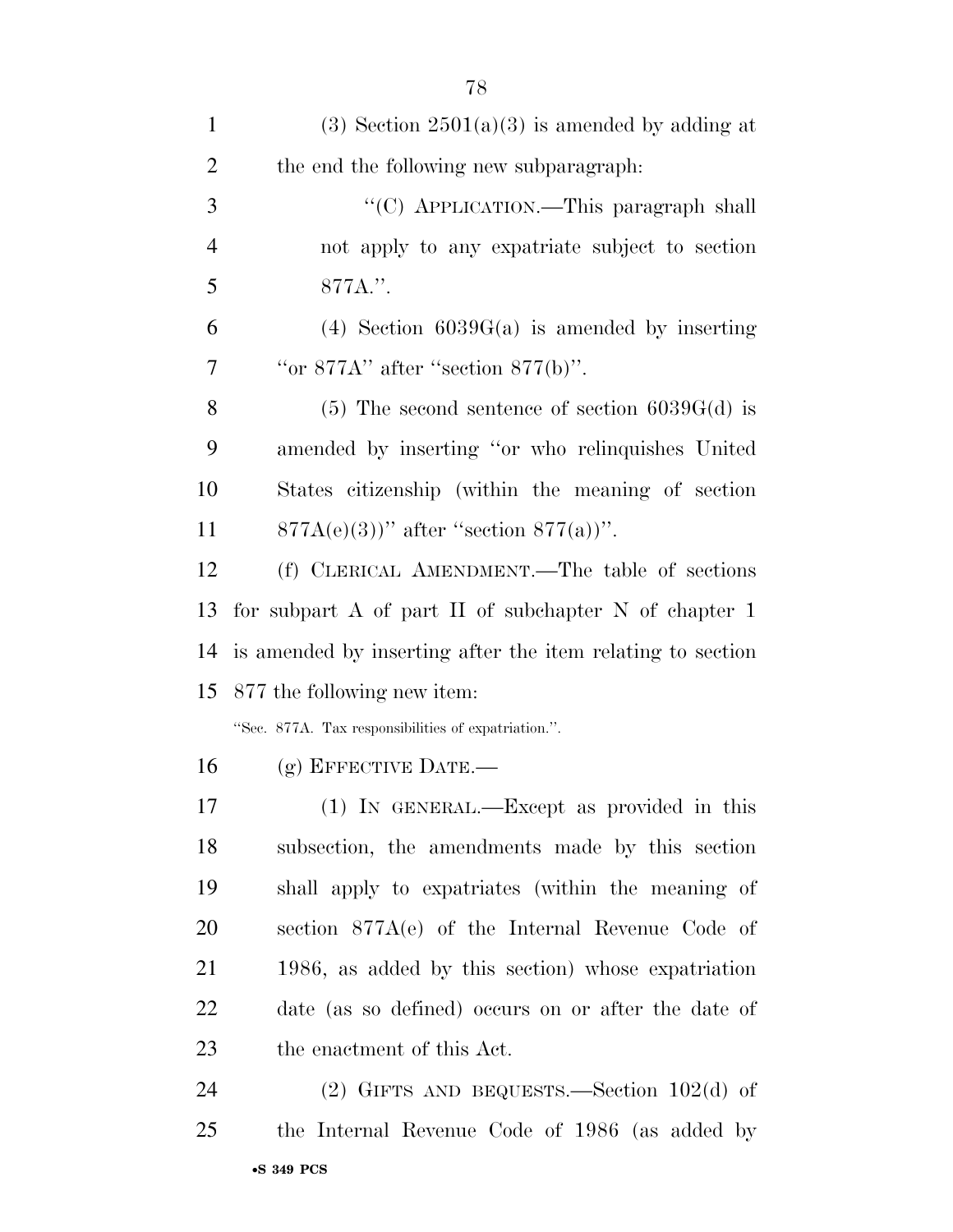| $\mathbf{1}$   | (3) Section $2501(a)(3)$ is amended by adding at           |
|----------------|------------------------------------------------------------|
| $\overline{2}$ | the end the following new subparagraph.                    |
| 3              | "(C) APPLICATION.—This paragraph shall                     |
| $\overline{4}$ | not apply to any expatriate subject to section             |
| 5              | 877A.".                                                    |
| 6              | $(4)$ Section 6039G(a) is amended by inserting             |
| 7              | "or $877A$ " after "section $877(b)$ ".                    |
| 8              | $(5)$ The second sentence of section 6039G(d) is           |
| 9              | amended by inserting "or who relinquishes United           |
| 10             | States citizenship (within the meaning of section          |
| 11             | $877A(e)(3)$ " after "section $877(a)$ ".                  |
| 12             | (f) CLERICAL AMENDMENT.—The table of sections              |
| 13             | for subpart A of part II of subchapter N of chapter $1$    |
| 14             | is amended by inserting after the item relating to section |
|                | 15 877 the following new item:                             |
|                | "Sec. 877A. Tax responsibilities of expatriation.".        |
| 16             | $(g)$ EFFECTIVE DATE.—                                     |
| 17             | (1) IN GENERAL.—Except as provided in this                 |
| 18             | subsection, the amendments made by this section            |
| 19             | shall apply to expatriates (within the meaning of          |
| 20             | section 877A(e) of the Internal Revenue Code of            |
| 21             | 1986, as added by this section) whose expatriation         |
| 22             | date (as so defined) occurs on or after the date of        |
| 23             | the enactment of this Act.                                 |
| 24             | (2) GIFTS AND BEQUESTS.—Section $102(d)$ of                |
| 25             | the Internal Revenue Code of 1986 (as added by             |
|                |                                                            |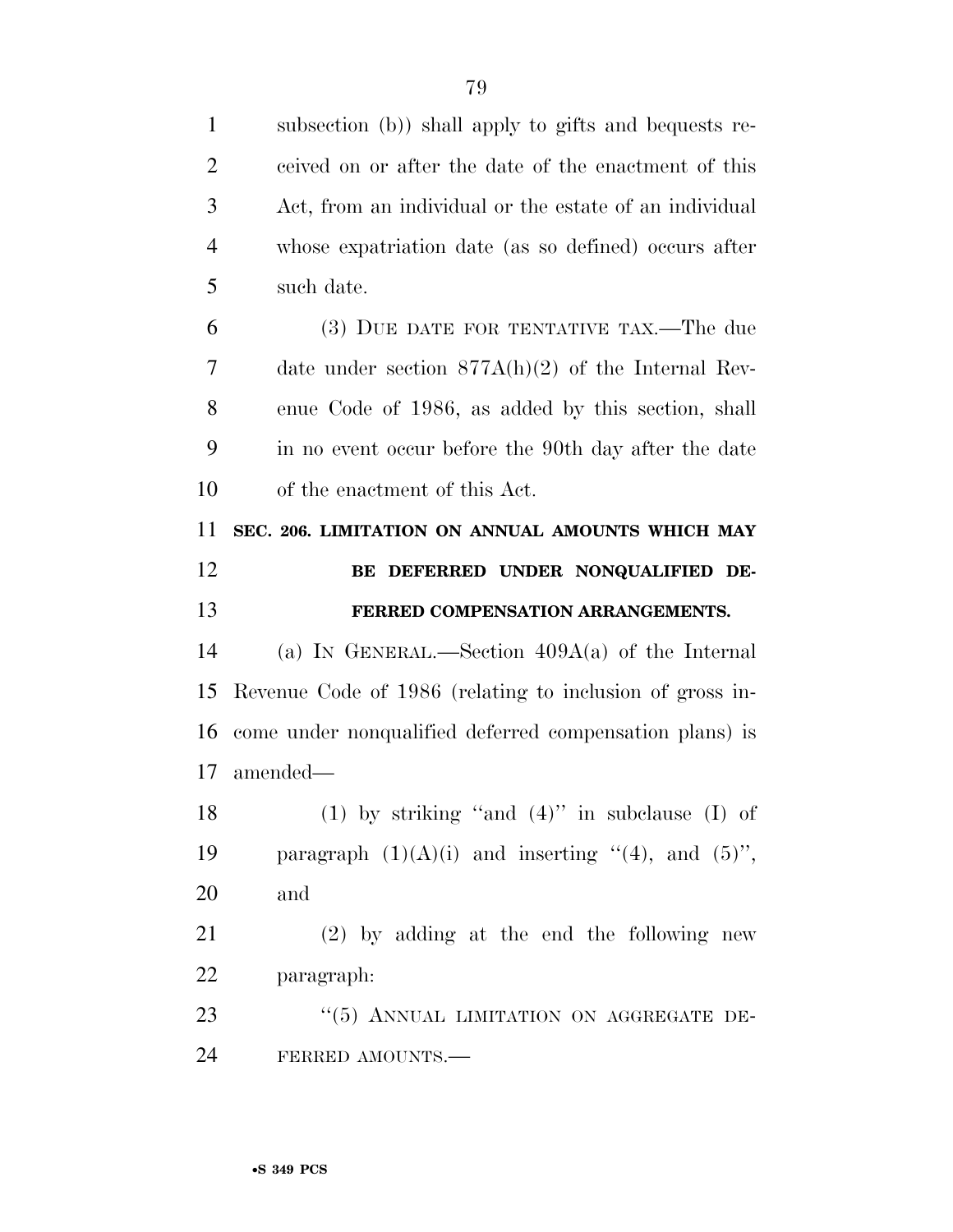| $\mathbf{1}$   | subsection (b)) shall apply to gifts and bequests re-    |
|----------------|----------------------------------------------------------|
| $\overline{2}$ | ceived on or after the date of the enactment of this     |
| 3              | Act, from an individual or the estate of an individual   |
| $\overline{4}$ | whose expatriation date (as so defined) occurs after     |
| 5              | such date.                                               |
| 6              | (3) DUE DATE FOR TENTATIVE TAX.—The due                  |
| 7              | date under section $877A(h)(2)$ of the Internal Rev-     |
| 8              | enue Code of 1986, as added by this section, shall       |
| 9              | in no event occur before the 90th day after the date     |
| 10             | of the enactment of this Act.                            |
| 11             | SEC. 206. LIMITATION ON ANNUAL AMOUNTS WHICH MAY         |
| 12             | BE DEFERRED UNDER NONQUALIFIED DE-                       |
|                |                                                          |
| 13             | FERRED COMPENSATION ARRANGEMENTS.                        |
| 14             | (a) IN GENERAL.—Section $409A(a)$ of the Internal        |
| 15             | Revenue Code of 1986 (relating to inclusion of gross in- |
| 16             | come under nonqualified deferred compensation plans) is  |
| 17             | amended—                                                 |
| 18             | (1) by striking "and $(4)$ " in subclause (I) of         |
| 19             | paragraph $(1)(A)(i)$ and inserting "(4), and $(5)$ ",   |
| 20             | and                                                      |
| 21             | $(2)$ by adding at the end the following new             |
| 22             | paragraph:                                               |
| 23             | "(5) ANNUAL LIMITATION ON AGGREGATE DE-                  |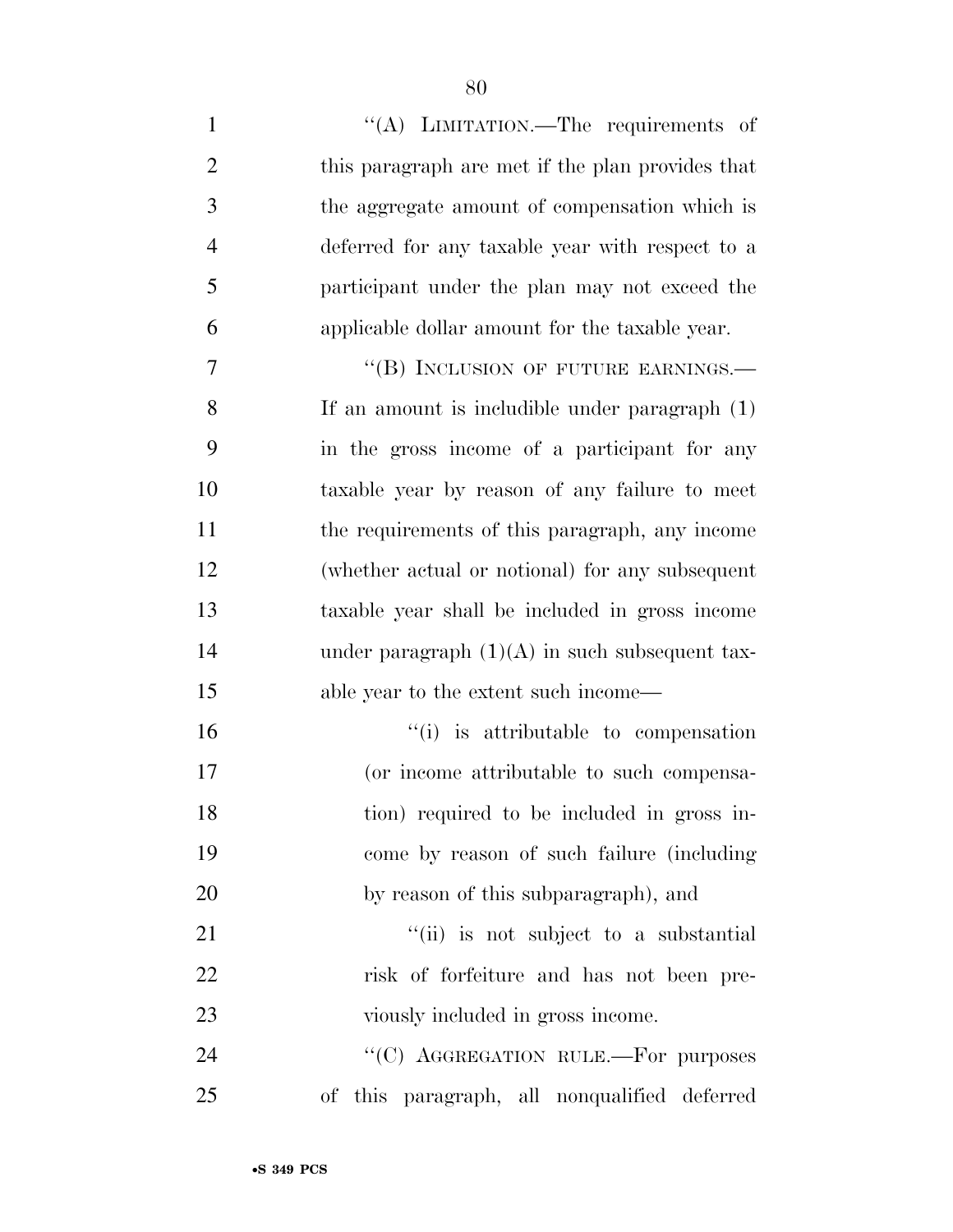1 ''(A) LIMITATION.—The requirements of this paragraph are met if the plan provides that the aggregate amount of compensation which is deferred for any taxable year with respect to a participant under the plan may not exceed the applicable dollar amount for the taxable year. 7 "(B) INCLUSION OF FUTURE EARNINGS.— If an amount is includible under paragraph (1) in the gross income of a participant for any taxable year by reason of any failure to meet the requirements of this paragraph, any income (whether actual or notional) for any subsequent taxable year shall be included in gross income 14 under paragraph  $(1)(A)$  in such subsequent tax- able year to the extent such income—  $\frac{1}{10}$  is attributable to compensation (or income attributable to such compensa- tion) required to be included in gross in- come by reason of such failure (including by reason of this subparagraph), and  $\frac{1}{1}$   $\frac{1}{1}$  is not subject to a substantial risk of forfeiture and has not been pre-23 viously included in gross income.

24 "<sup>"</sup>(C) AGGREGATION RULE.—For purposes of this paragraph, all nonqualified deferred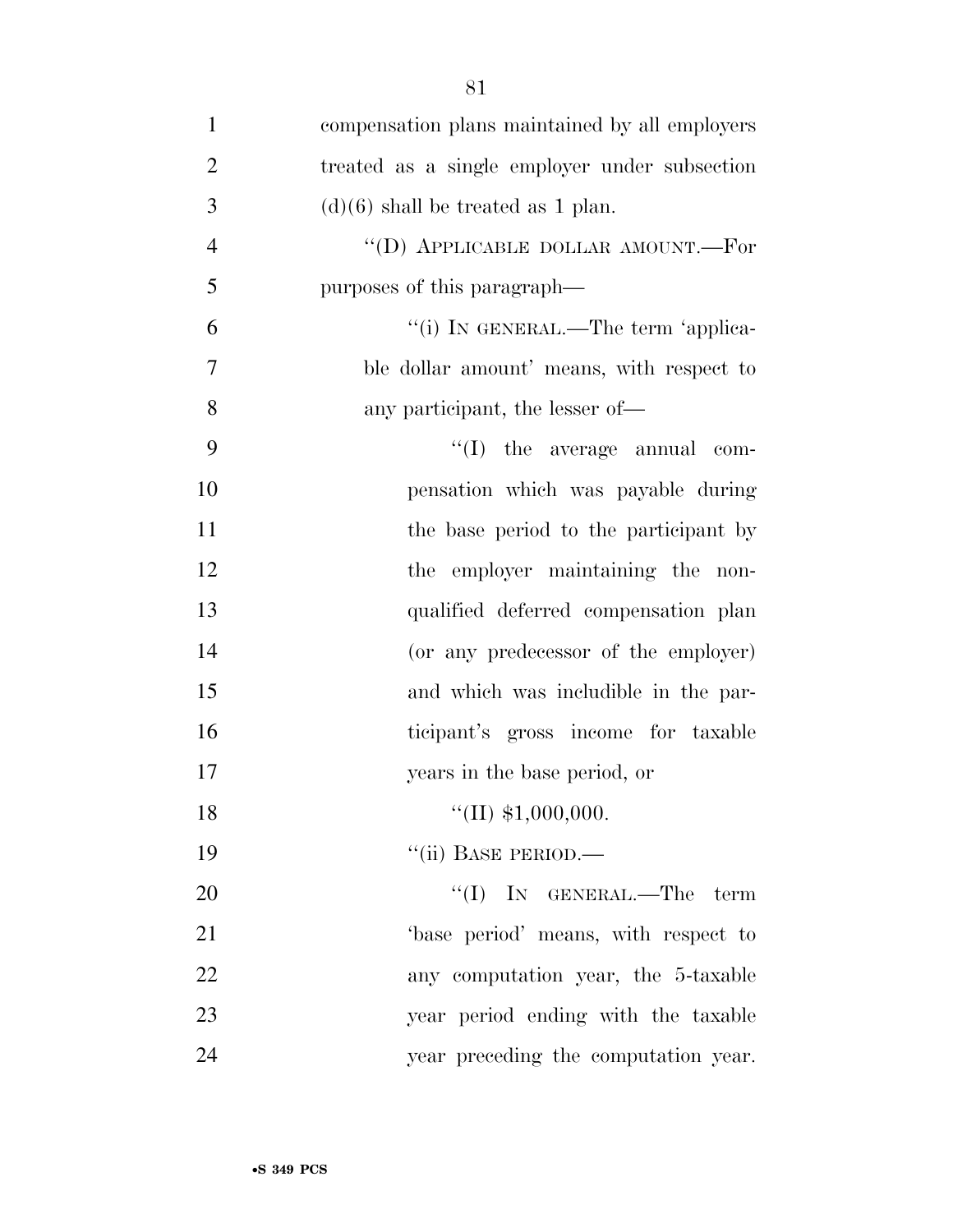| $\mathbf{1}$   | compensation plans maintained by all employers            |
|----------------|-----------------------------------------------------------|
| $\overline{2}$ | treated as a single employer under subsection             |
| 3              | $(d)(6)$ shall be treated as 1 plan.                      |
| $\overline{4}$ | $\lq\lq\lq\lq\lq\lq\lq\lq\lq\lq\lq\lq$ DOLLAR AMOUNT.—For |
| 5              | purposes of this paragraph—                               |
| 6              | "(i) IN GENERAL.—The term 'applica-                       |
| $\overline{7}$ | ble dollar amount' means, with respect to                 |
| 8              | any participant, the lesser of—                           |
| 9              | $\lq\lq$ (I) the average annual com-                      |
| 10             | pensation which was payable during                        |
| 11             | the base period to the participant by                     |
| 12             | the employer maintaining the non-                         |
| 13             | qualified deferred compensation plan                      |
| 14             | (or any predecessor of the employer)                      |
| 15             | and which was includible in the par-                      |
| 16             | ticipant's gross income for taxable                       |
| 17             | years in the base period, or                              |
| 18             | $\lq(II) \; \$1,000,000.$                                 |
| 19             | "(ii) BASE PERIOD.—                                       |
| 20             | $\lq\lq$ (I) IN GENERAL.—The term                         |
| 21             | base period' means, with respect to                       |
| 22             | any computation year, the 5-taxable                       |
| 23             | year period ending with the taxable                       |
| 24             | year preceding the computation year.                      |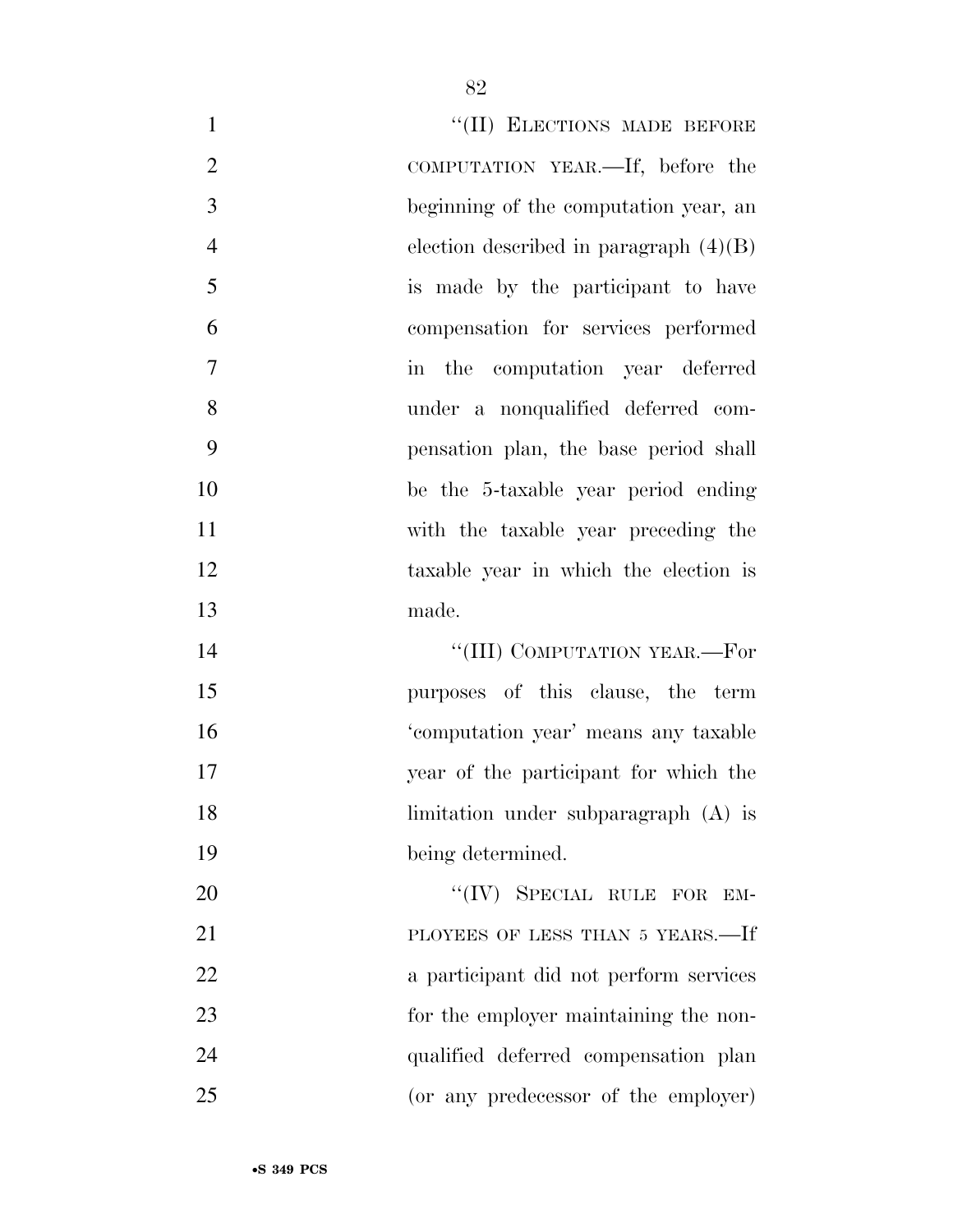| $\mathbf{1}$   | "(II) ELECTIONS MADE BEFORE              |
|----------------|------------------------------------------|
| $\overline{2}$ | COMPUTATION YEAR.—If, before the         |
| 3              | beginning of the computation year, an    |
| $\overline{4}$ | election described in paragraph $(4)(B)$ |
| 5              | is made by the participant to have       |
| 6              | compensation for services performed      |
| 7              | in the computation year deferred         |
| 8              | under a nonqualified deferred com-       |
| 9              | pensation plan, the base period shall    |
| 10             | be the 5-taxable year period ending      |
| 11             | with the taxable year preceding the      |
| 12             | taxable year in which the election is    |
| 13             | made.                                    |
| 14             | "(III) COMPUTATION YEAR.—For             |
| 15             | purposes of this clause, the term        |
| 16             | 'computation year' means any taxable     |
| 17             | year of the participant for which the    |
| 18             | limitation under subparagraph (A) is     |
| 19             | being determined.                        |
| 20             | "(IV) SPECIAL RULE FOR EM-               |
| 21             | PLOYEES OF LESS THAN 5 YEARS.—If         |
| 22             | a participant did not perform services   |
| 23             | for the employer maintaining the non-    |
| 24             | qualified deferred compensation plan     |
| 25             | (or any predecessor of the employer)     |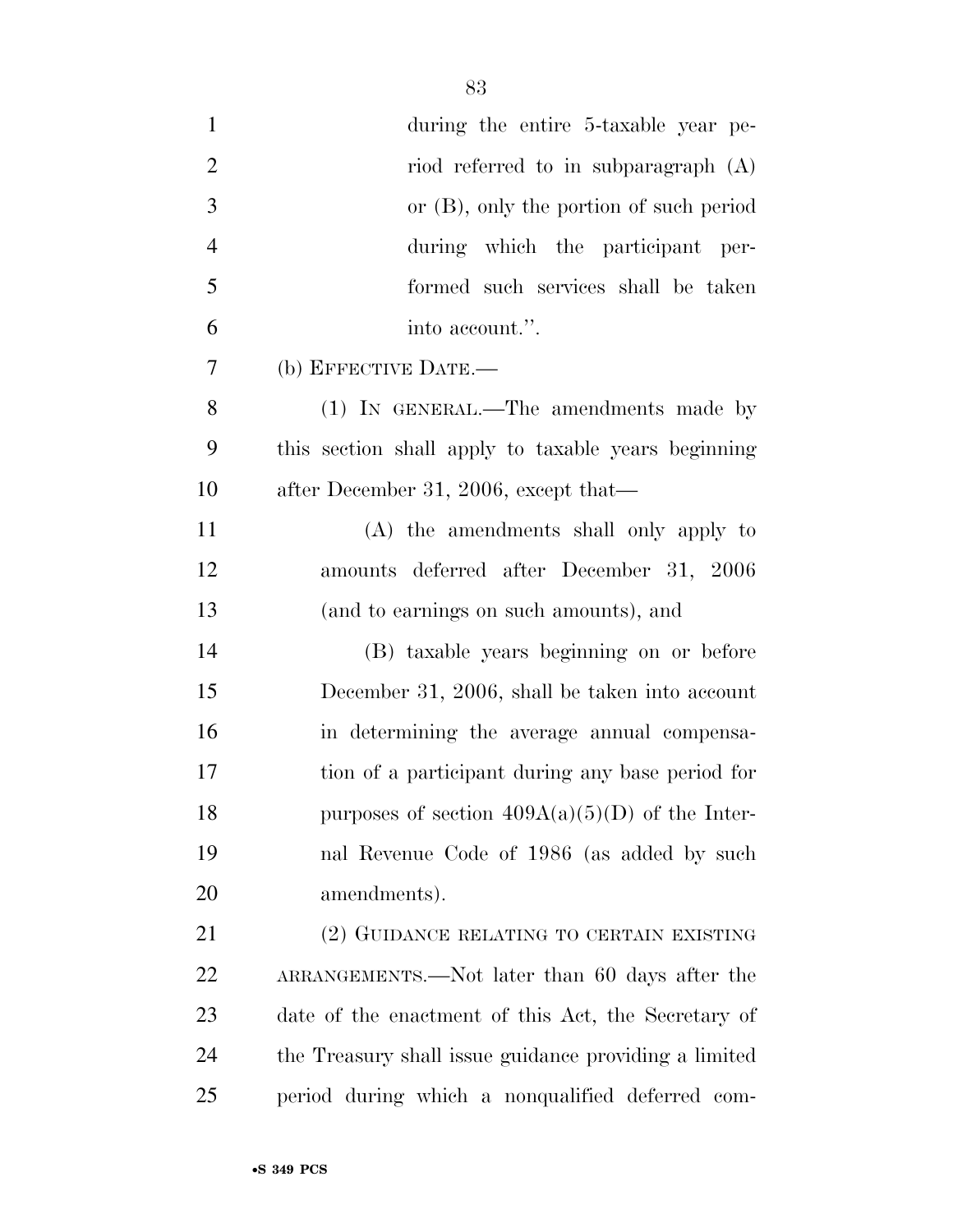| $\mathbf{1}$   | during the entire 5-taxable year pe-                  |
|----------------|-------------------------------------------------------|
| $\overline{2}$ | riod referred to in subparagraph $(A)$                |
| 3              | or $(B)$ , only the portion of such period            |
| $\overline{4}$ | during which the participant per-                     |
| 5              | formed such services shall be taken                   |
| 6              | into account.".                                       |
| 7              | (b) EFFECTIVE DATE.-                                  |
| 8              | (1) IN GENERAL.—The amendments made by                |
| 9              | this section shall apply to taxable years beginning   |
| 10             | after December 31, 2006, except that—                 |
| 11             | (A) the amendments shall only apply to                |
| 12             | amounts deferred after December 31, 2006              |
| 13             | (and to earnings on such amounts), and                |
| 14             | (B) taxable years beginning on or before              |
| 15             | December 31, 2006, shall be taken into account        |
| 16             | in determining the average annual compensa-           |
| 17             | tion of a participant during any base period for      |
| 18             | purposes of section $409A(a)(5)(D)$ of the Inter-     |
| 19             | nal Revenue Code of 1986 (as added by such            |
| 20             | amendments).                                          |
| 21             | (2) GUIDANCE RELATING TO CERTAIN EXISTING             |
| 22             | ARRANGEMENTS.—Not later than 60 days after the        |
| 23             | date of the enactment of this Act, the Secretary of   |
| 24             | the Treasury shall issue guidance providing a limited |
| 25             | period during which a nonqualified deferred com-      |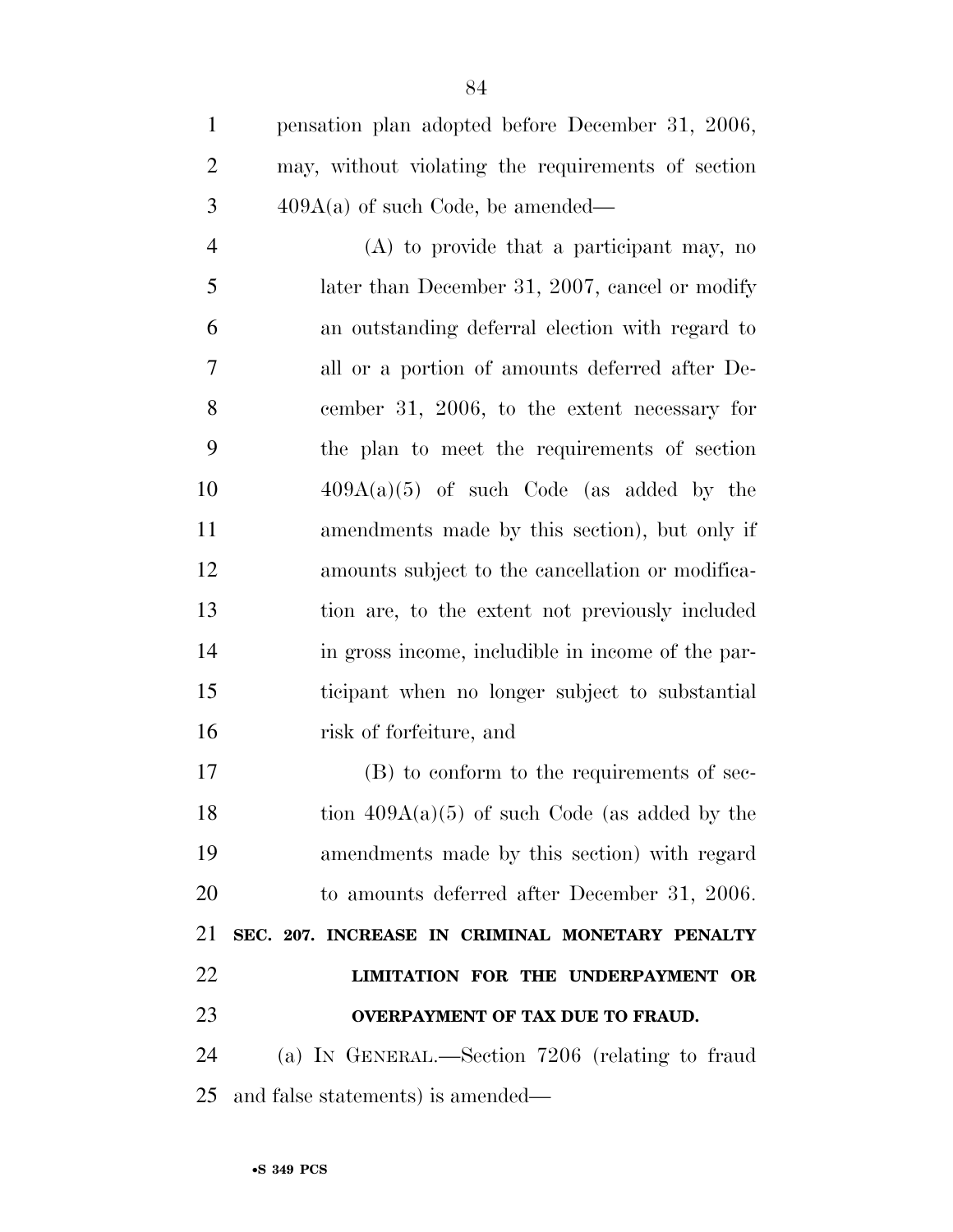pensation plan adopted before December 31, 2006, may, without violating the requirements of section 409A(a) of such Code, be amended—

 (A) to provide that a participant may, no 5 later than December 31, 2007, cancel or modify an outstanding deferral election with regard to all or a portion of amounts deferred after De- cember 31, 2006, to the extent necessary for the plan to meet the requirements of section  $409A(a)(5)$  of such Code (as added by the amendments made by this section), but only if amounts subject to the cancellation or modifica- tion are, to the extent not previously included in gross income, includible in income of the par- ticipant when no longer subject to substantial risk of forfeiture, and

 (B) to conform to the requirements of sec-18 tion  $409A(a)(5)$  of such Code (as added by the amendments made by this section) with regard to amounts deferred after December 31, 2006. **SEC. 207. INCREASE IN CRIMINAL MONETARY PENALTY LIMITATION FOR THE UNDERPAYMENT OR OVERPAYMENT OF TAX DUE TO FRAUD.** 

 (a) IN GENERAL.—Section 7206 (relating to fraud and false statements) is amended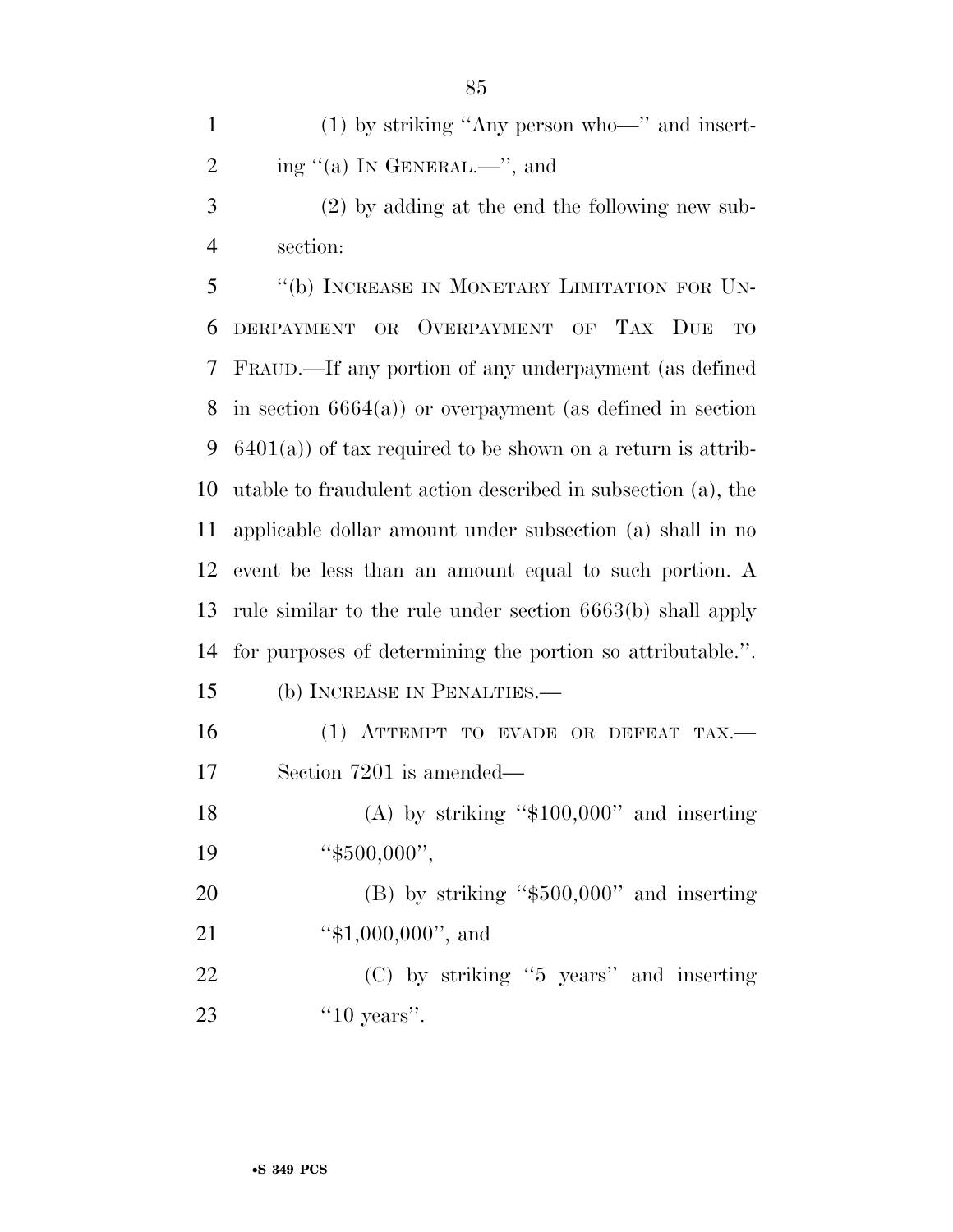(1) by striking ''Any person who—'' and insert-2 ing  $(4)$  In GENERAL.—", and

 (2) by adding at the end the following new sub-section:

 ''(b) INCREASE IN MONETARY LIMITATION FOR UN- DERPAYMENT OR OVERPAYMENT OF TAX DUE TO FRAUD.—If any portion of any underpayment (as defined in section 6664(a)) or overpayment (as defined in section 6401(a)) of tax required to be shown on a return is attrib- utable to fraudulent action described in subsection (a), the applicable dollar amount under subsection (a) shall in no event be less than an amount equal to such portion. A rule similar to the rule under section 6663(b) shall apply for purposes of determining the portion so attributable.''.

(b) INCREASE IN PENALTIES.—

16 (1) ATTEMPT TO EVADE OR DEFEAT TAX.— Section 7201 is amended—

18 (A) by striking "\$100,000" and inserting 19 "\$500,000",

 (B) by striking ''\$500,000'' and inserting 21 "\$1,000,000", and

 (C) by striking ''5 years'' and inserting ''10 years''.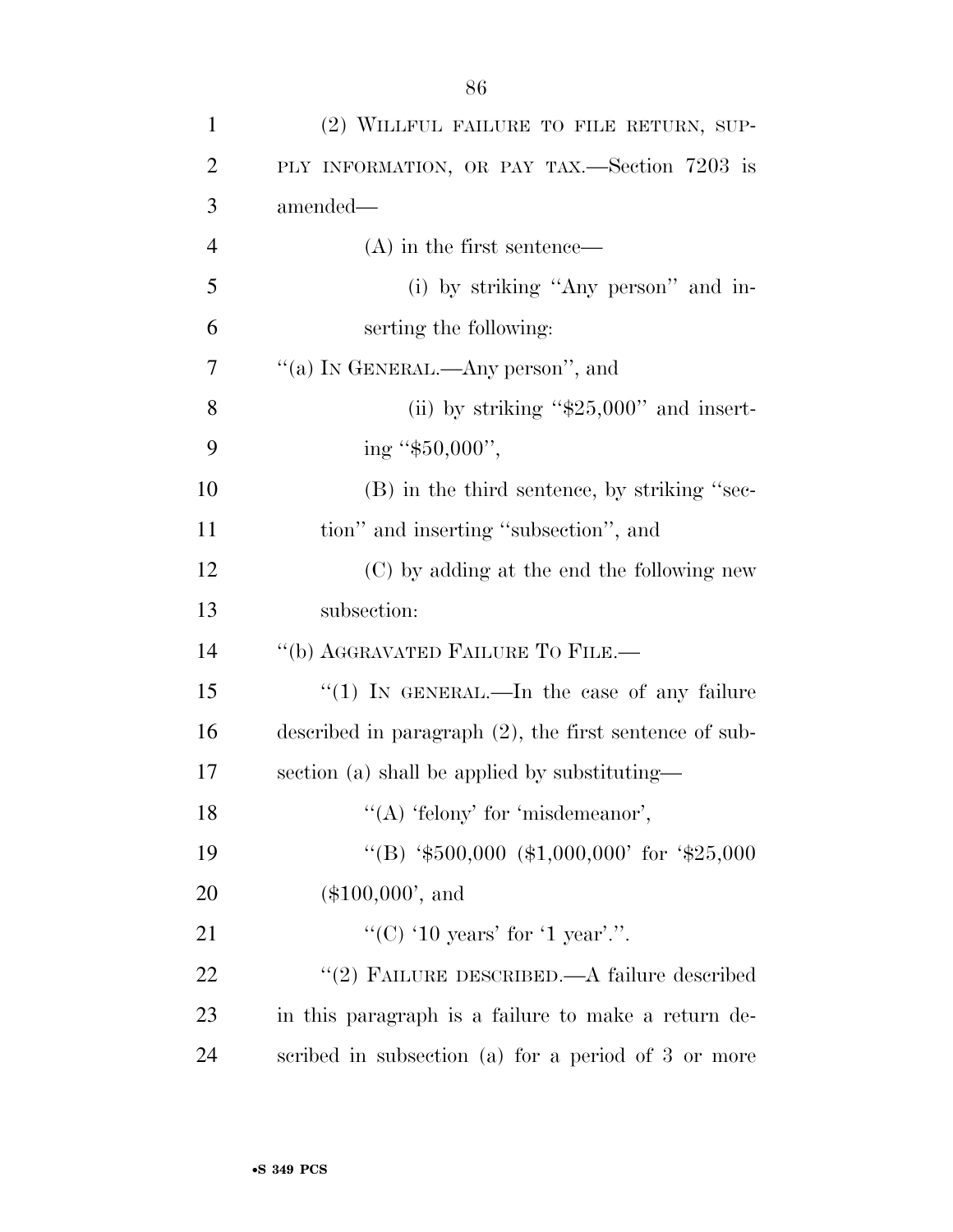| $\mathbf{1}$   | (2) WILLFUL FAILURE TO FILE RETURN, SUP-                  |
|----------------|-----------------------------------------------------------|
| $\overline{2}$ | PLY INFORMATION, OR PAY TAX.—Section 7203 is              |
| 3              | amended—                                                  |
| $\overline{4}$ | $(A)$ in the first sentence—                              |
| 5              | (i) by striking "Any person" and in-                      |
| 6              | serting the following:                                    |
| 7              | "(a) IN GENERAL.—Any person", and                         |
| 8              | (ii) by striking " $$25,000"$ and insert-                 |
| 9              | ing " $$50,000$ ",                                        |
| 10             | (B) in the third sentence, by striking "sec-              |
| 11             | tion" and inserting "subsection", and                     |
| 12             | (C) by adding at the end the following new                |
| 13             | subsection:                                               |
| 14             | "(b) AGGRAVATED FAILURE TO FILE.-                         |
| 15             | " $(1)$ IN GENERAL.—In the case of any failure            |
| 16             | described in paragraph $(2)$ , the first sentence of sub- |
| 17             | section (a) shall be applied by substituting—             |
| 18             | "(A) 'felony' for 'misdemeanor',                          |
| 19             | "(B) '\$500,000 (\$1,000,000' for '\$25,000               |
| 20             | $(\$100,000',$ and                                        |
|                |                                                           |

 $\text{``(C)} \text{ '10 years' for '1 year.''.}$  ''(2) FAILURE DESCRIBED.—A failure described in this paragraph is a failure to make a return de-scribed in subsection (a) for a period of 3 or more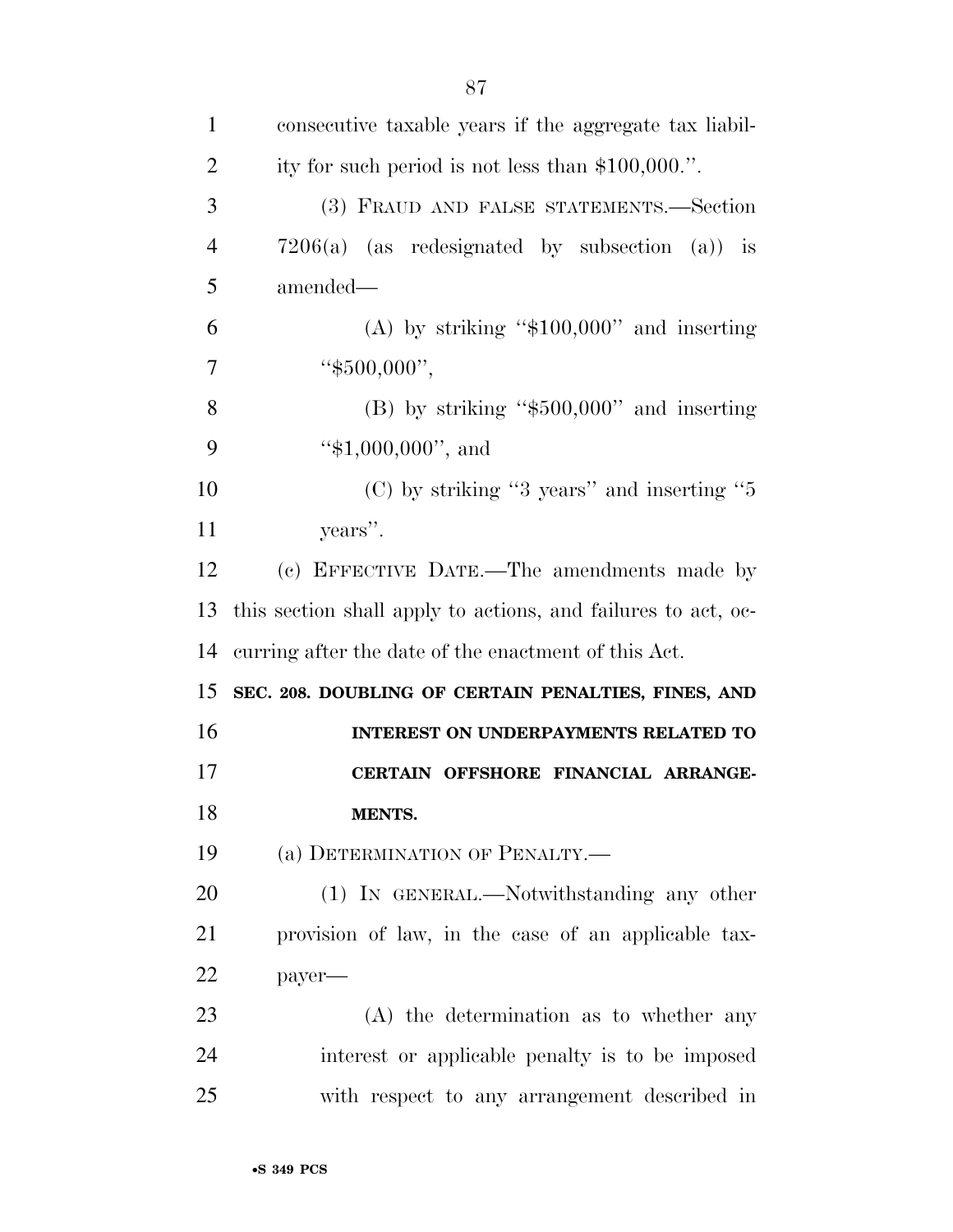| $\mathbf{1}$   | consecutive taxable years if the aggregate tax liabil-        |
|----------------|---------------------------------------------------------------|
| $\overline{2}$ | ity for such period is not less than $$100,000$ .".           |
| 3              | (3) FRAUD AND FALSE STATEMENTS.—Section                       |
| $\overline{4}$ | $7206(a)$ (as redesignated by subsection (a)) is              |
| 5              | amended—                                                      |
| 6              | (A) by striking " $$100,000$ " and inserting                  |
| 7              | " $$500,000"$ ,                                               |
| 8              | $(B)$ by striking "\$500,000" and inserting                   |
| 9              | " $$1,000,000"$ , and                                         |
| 10             | $(C)$ by striking "3 years" and inserting "5                  |
| 11             | years".                                                       |
| 12             | (c) EFFECTIVE DATE.—The amendments made by                    |
| 13             | this section shall apply to actions, and failures to act, oc- |
| 14             | curring after the date of the enactment of this Act.          |
| 15             | SEC. 208. DOUBLING OF CERTAIN PENALTIES, FINES, AND           |
| 16             | INTEREST ON UNDERPAYMENTS RELATED TO                          |
| 17             | CERTAIN OFFSHORE FINANCIAL ARRANGE-                           |
| 18             | MENTS.                                                        |
| 19             | (a) DETERMINATION OF PENALTY.—                                |
| 20             | (1) IN GENERAL.—Notwithstanding any other                     |
| 21             | provision of law, in the case of an applicable tax-           |
| 22             | payer-                                                        |
| 23             | $(A)$ the determination as to whether any                     |
| 24             | interest or applicable penalty is to be imposed               |
| 25             | with respect to any arrangement described in                  |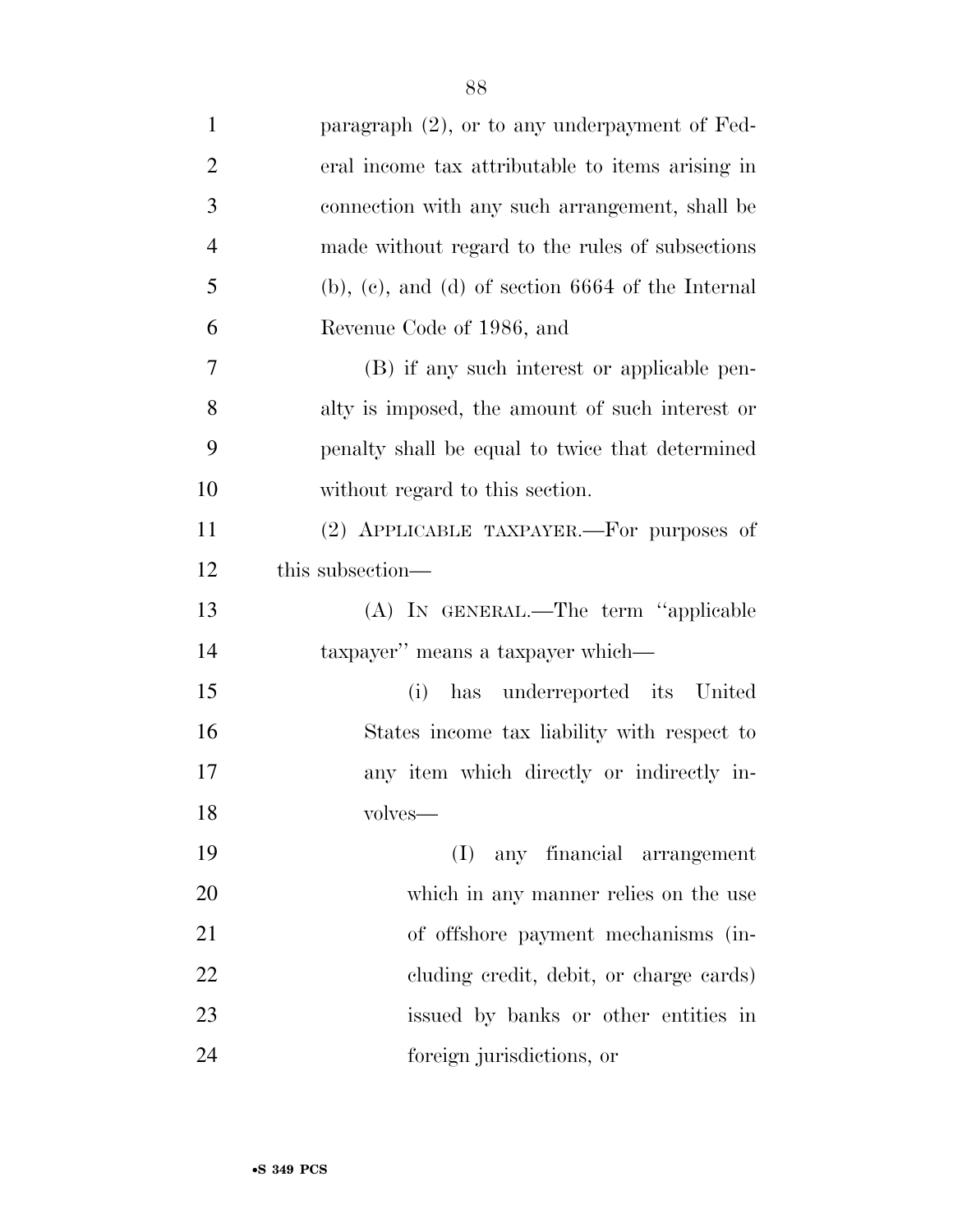| $\mathbf{1}$   | paragraph $(2)$ , or to any underpayment of Fed-          |
|----------------|-----------------------------------------------------------|
| $\overline{2}$ | eral income tax attributable to items arising in          |
| 3              | connection with any such arrangement, shall be            |
| $\overline{4}$ | made without regard to the rules of subsections           |
| 5              | $(b)$ , $(c)$ , and $(d)$ of section 6664 of the Internal |
| 6              | Revenue Code of 1986, and                                 |
| 7              | (B) if any such interest or applicable pen-               |
| 8              | alty is imposed, the amount of such interest or           |
| 9              | penalty shall be equal to twice that determined           |
| 10             | without regard to this section.                           |
| 11             | (2) APPLICABLE TAXPAYER.—For purposes of                  |
| 12             | this subsection—                                          |
| 13             | (A) IN GENERAL.—The term "applicable                      |
| 14             | taxpayer" means a taxpayer which—                         |
| 15             | has underreported its United<br>(i)                       |
| 16             | States income tax liability with respect to               |
| 17             | any item which directly or indirectly in-                 |
| 18             | volves—                                                   |
| 19             | any financial arrangement<br>(I)                          |
| 20             | which in any manner relies on the use                     |
| 21             | of offshore payment mechanisms (in-                       |
| 22             | eluding credit, debit, or charge cards)                   |
| 23             | issued by banks or other entities in                      |
| 24             | foreign jurisdictions, or                                 |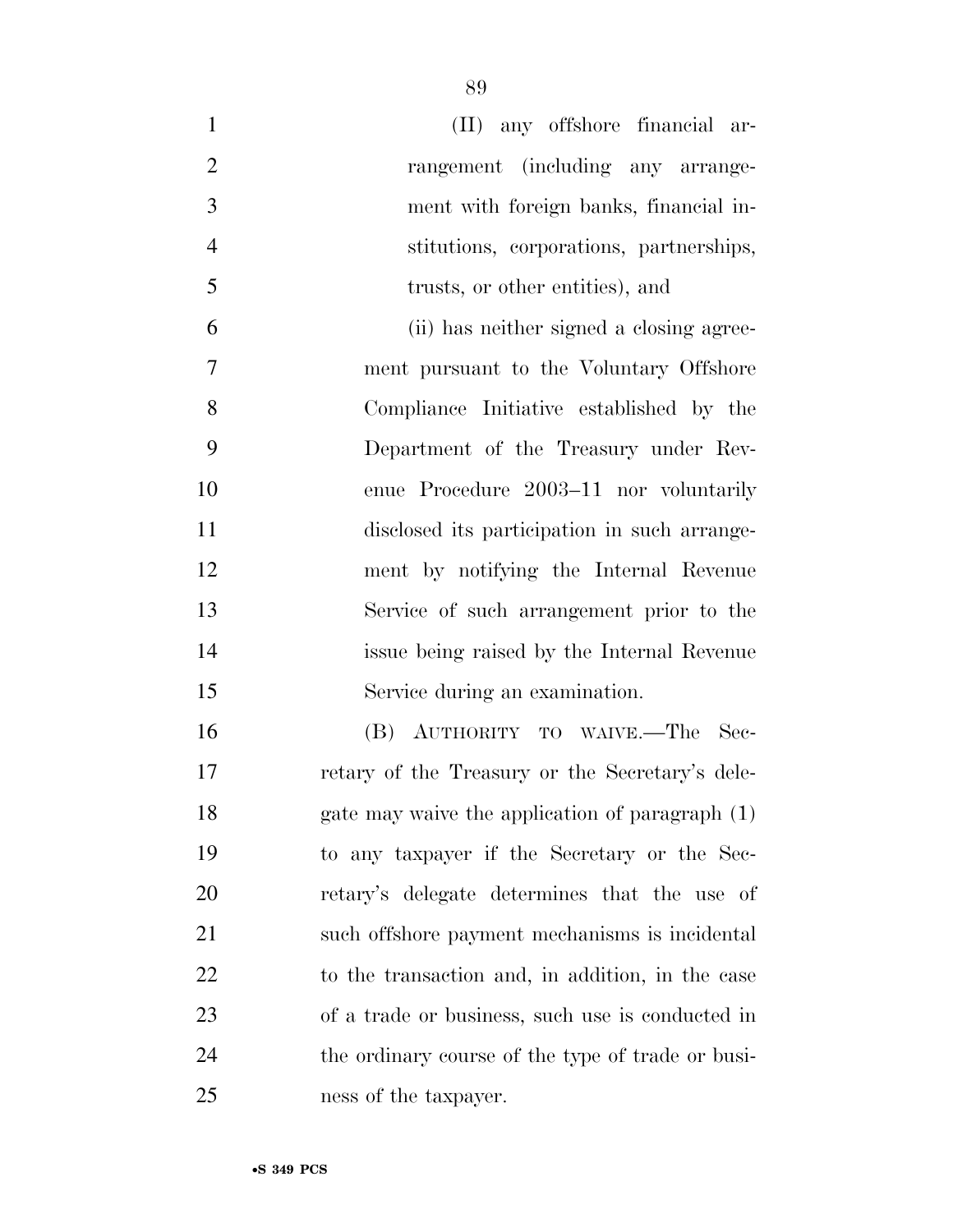| $\mathbf{1}$   | (II) any offshore financial ar-                   |
|----------------|---------------------------------------------------|
| $\overline{2}$ | rangement (including any arrange-                 |
| 3              | ment with foreign banks, financial in-            |
| $\overline{4}$ | stitutions, corporations, partnerships,           |
| 5              | trusts, or other entities), and                   |
| 6              | (ii) has neither signed a closing agree-          |
| 7              | ment pursuant to the Voluntary Offshore           |
| 8              | Compliance Initiative established by the          |
| 9              | Department of the Treasury under Rev-             |
| 10             | enue Procedure 2003-11 nor voluntarily            |
| 11             | disclosed its participation in such arrange-      |
| 12             | ment by notifying the Internal Revenue            |
| 13             | Service of such arrangement prior to the          |
| 14             | issue being raised by the Internal Revenue        |
| 15             | Service during an examination.                    |
| 16             | (B) AUTHORITY TO WAIVE.—The<br>- Sec-             |
| 17             | retary of the Treasury or the Secretary's dele-   |
| 18             | gate may waive the application of paragraph (1)   |
| 19             | to any taxpayer if the Secretary or the Sec-      |
| 20             | retary's delegate determines that the use of      |
| 21             | such offshore payment mechanisms is incidental    |
| <u>22</u>      | to the transaction and, in addition, in the case  |
| 23             | of a trade or business, such use is conducted in  |
| 24             | the ordinary course of the type of trade or busi- |
| 25             | ness of the taxpayer.                             |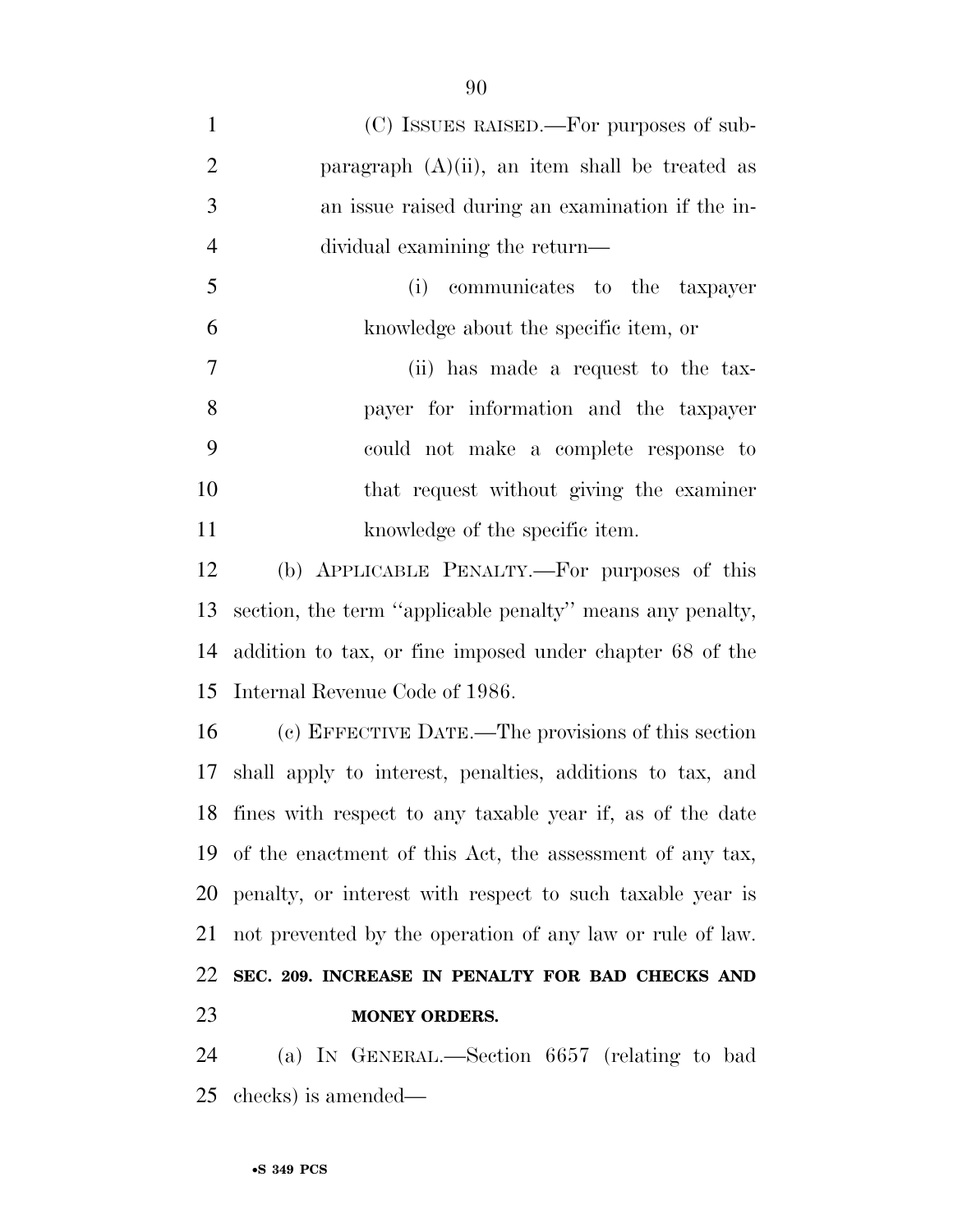| $\mathbf{1}$   | (C) ISSUES RAISED.—For purposes of sub-                      |
|----------------|--------------------------------------------------------------|
| $\overline{2}$ | paragraph $(A)(ii)$ , an item shall be treated as            |
| 3              | an issue raised during an examination if the in-             |
| $\overline{4}$ | dividual examining the return—                               |
| 5              | communicates to the taxpayer<br>(i)                          |
| 6              | knowledge about the specific item, or                        |
| 7              | (ii) has made a request to the tax-                          |
| 8              | payer for information and the taxpayer                       |
| 9              | could not make a complete response to                        |
| 10             | that request without giving the examiner                     |
| 11             | knowledge of the specific item.                              |
| 12             | (b) APPLICABLE PENALTY.—For purposes of this                 |
| 13             | section, the term "applicable penalty" means any penalty,    |
| 14             | addition to tax, or fine imposed under chapter 68 of the     |
| 15             | Internal Revenue Code of 1986.                               |
| 16             | (c) EFFECTIVE DATE.—The provisions of this section           |
|                | 17 shall apply to interest, penalties, additions to tax, and |
|                | 18 fines with respect to any taxable year if, as of the date |
|                | 19 of the enactment of this Act, the assessment of any tax,  |
| 20             | penalty, or interest with respect to such taxable year is    |
| 21             | not prevented by the operation of any law or rule of law.    |
| 22             | SEC. 209. INCREASE IN PENALTY FOR BAD CHECKS AND             |
| 23             | <b>MONEY ORDERS.</b>                                         |
|                |                                                              |

 (a) IN GENERAL.—Section 6657 (relating to bad checks) is amended—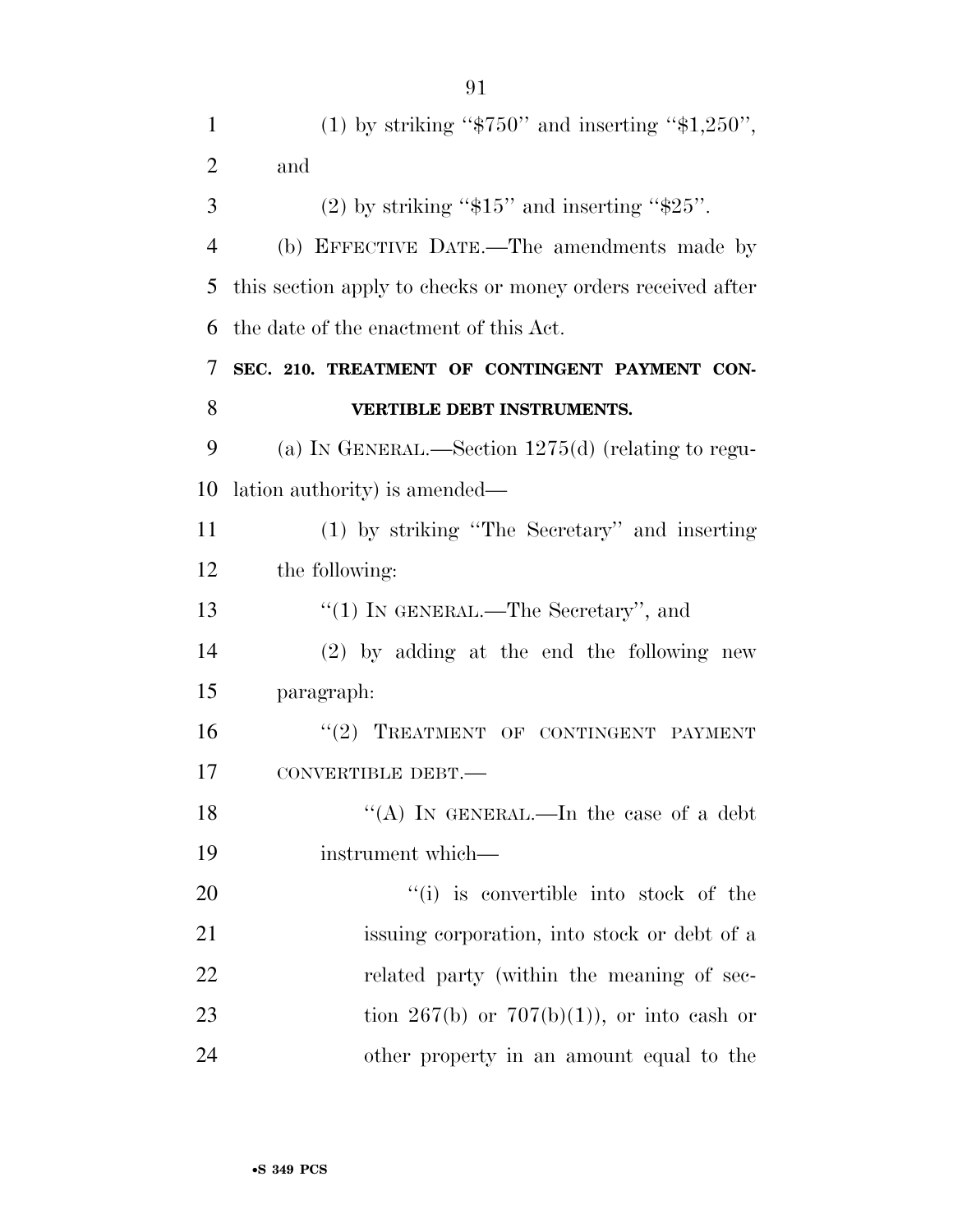| 1              | (1) by striking " $$750"$ and inserting " $$1,250"$ ,       |
|----------------|-------------------------------------------------------------|
| $\overline{2}$ | and                                                         |
| 3              | $(2)$ by striking "\$15" and inserting "\$25".              |
| $\overline{4}$ | (b) EFFECTIVE DATE.—The amendments made by                  |
| 5              | this section apply to checks or money orders received after |
| 6              | the date of the enactment of this Act.                      |
| 7              | SEC. 210. TREATMENT OF CONTINGENT PAYMENT CON-              |
| 8              | VERTIBLE DEBT INSTRUMENTS.                                  |
| 9              | (a) IN GENERAL.—Section $1275(d)$ (relating to regu-        |
| 10             | lation authority) is amended—                               |
| 11             | (1) by striking "The Secretary" and inserting               |
| 12             | the following:                                              |
| 13             | " $(1)$ IN GENERAL.—The Secretary", and                     |
| 14             | $(2)$ by adding at the end the following new                |
| 15             | paragraph:                                                  |
| 16             | "(2) TREATMENT OF CONTINGENT PAYMENT                        |
| 17             | CONVERTIBLE DEBT.-                                          |
| 18             | "(A) IN GENERAL.—In the case of a debt                      |
| 19             | instrument which—                                           |
| 20             | "(i) is convertible into stock of the                       |
| 21             | issuing corporation, into stock or debt of a                |
| 22             | related party (within the meaning of sec-                   |
| 23             | tion 267(b) or 707(b)(1)), or into eash or                  |
| 24             | other property in an amount equal to the                    |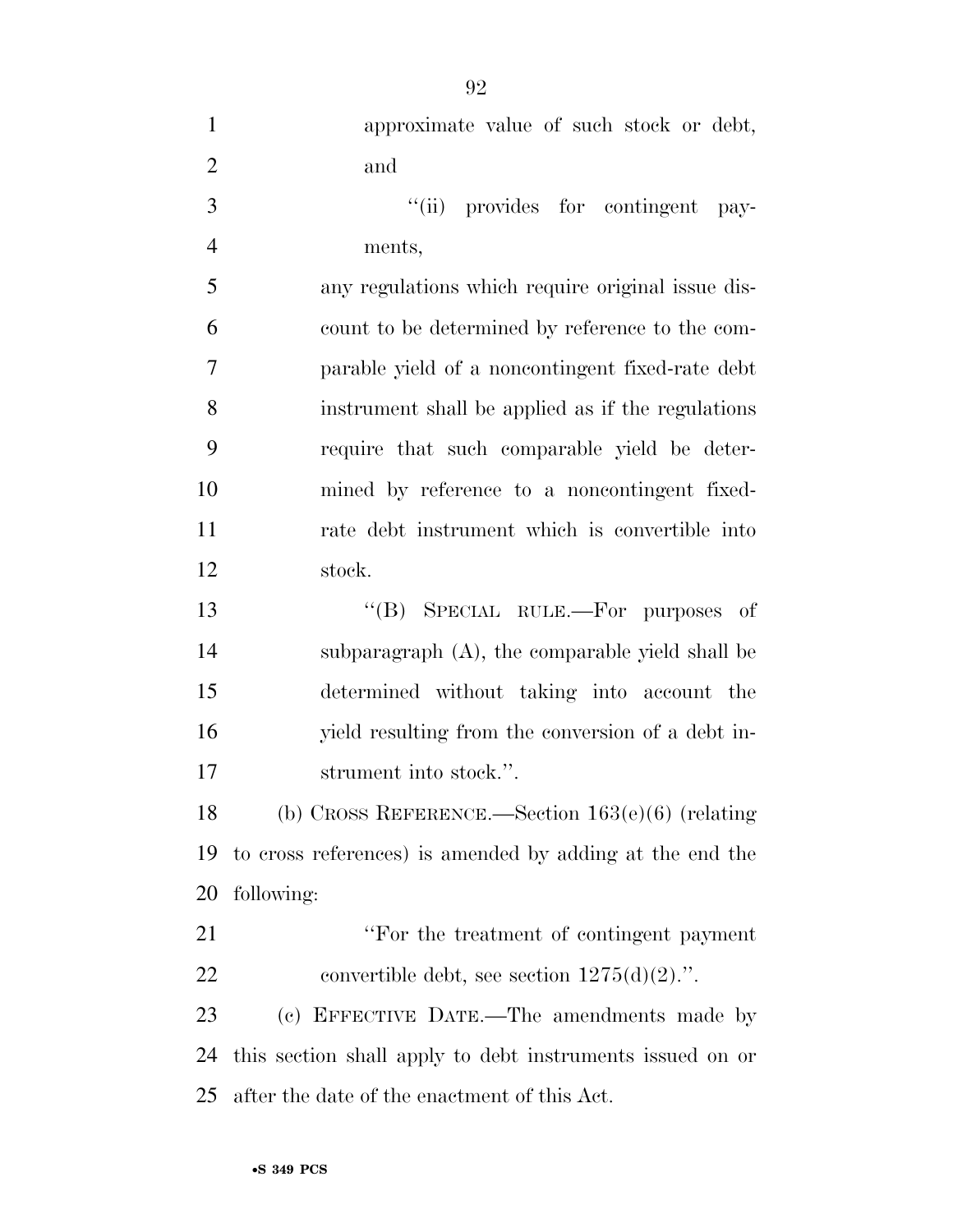| $\mathbf{1}$   | approximate value of such stock or debt,                  |
|----------------|-----------------------------------------------------------|
| $\overline{2}$ | and                                                       |
| 3              | "(ii) provides for contingent<br>pay-                     |
| $\overline{4}$ | ments,                                                    |
| 5              | any regulations which require original issue dis-         |
| 6              | count to be determined by reference to the com-           |
| 7              | parable yield of a noncontingent fixed-rate debt          |
| 8              | instrument shall be applied as if the regulations         |
| 9              | require that such comparable yield be deter-              |
| 10             | mined by reference to a noncontingent fixed-              |
| 11             | rate debt instrument which is convertible into            |
| 12             | stock.                                                    |
| 13             | "(B) SPECIAL RULE.—For purposes of                        |
| 14             | subparagraph (A), the comparable yield shall be           |
| 15             | determined without taking into account the                |
| 16             | yield resulting from the conversion of a debt in-         |
| 17             | strument into stock.".                                    |
| 18             | (b) CROSS REFERENCE.—Section $163(e)(6)$ (relating        |
| 19             | to cross references) is amended by adding at the end the  |
| 20             | following:                                                |
| 21             | "For the treatment of contingent payment"                 |
| 22             | convertible debt, see section $1275(d)(2)$ .".            |
| 23             | (c) EFFECTIVE DATE.—The amendments made by                |
| 24             | this section shall apply to debt instruments issued on or |
| 25             | after the date of the enactment of this Act.              |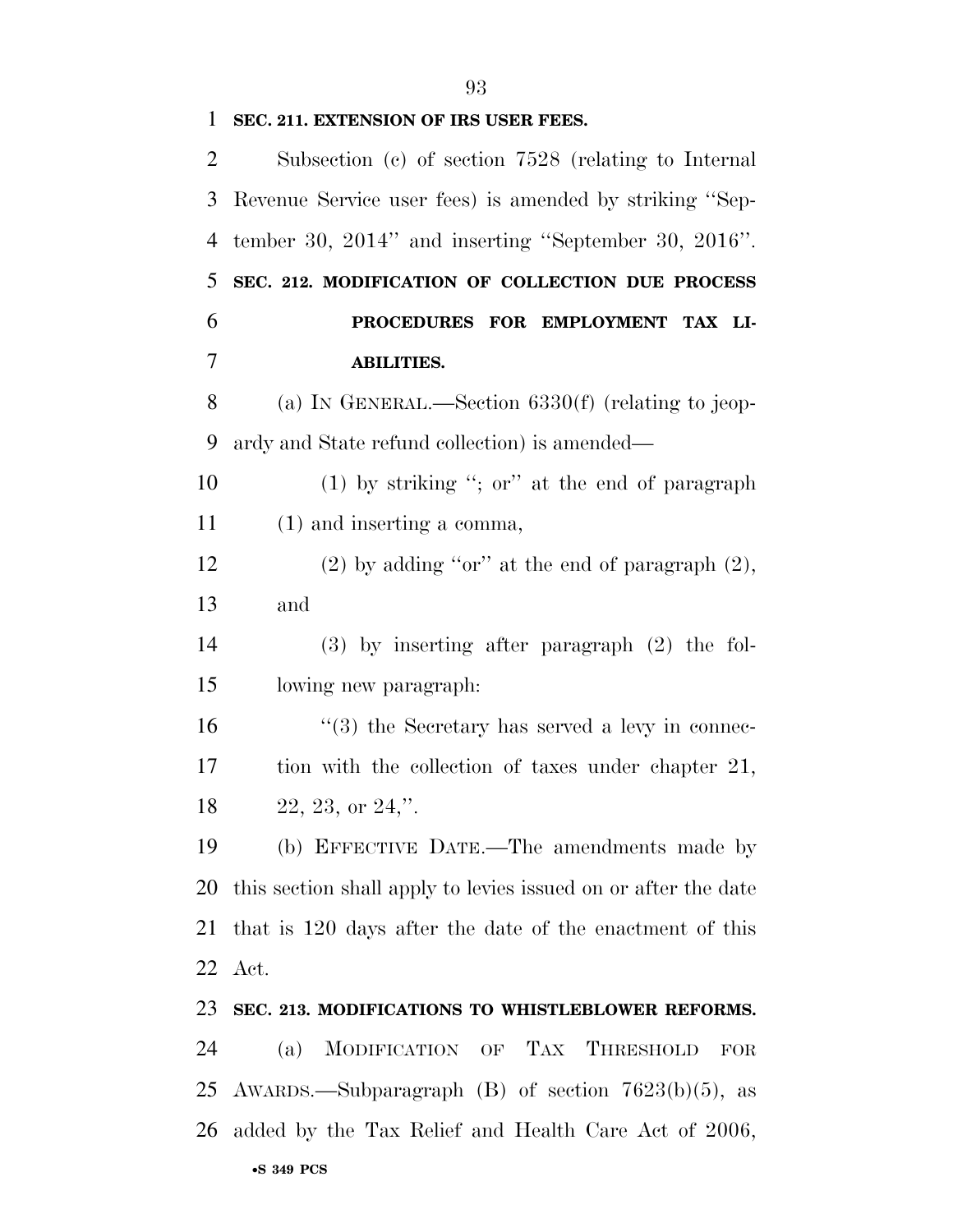| 1             | SEC. 211. EXTENSION OF IRS USER FEES.                          |
|---------------|----------------------------------------------------------------|
| 2             | Subsection (c) of section $7528$ (relating to Internal         |
| 3             | Revenue Service user fees) is amended by striking "Sep-        |
| 4             | tember 30, $2014$ " and inserting "September 30, $2016$ ".     |
| 5             | SEC. 212. MODIFICATION OF COLLECTION DUE PROCESS               |
| 6             | PROCEDURES FOR EMPLOYMENT TAX LI-                              |
| 7             | <b>ABILITIES.</b>                                              |
| 8             | (a) IN GENERAL.—Section $6330(f)$ (relating to jeop-           |
| 9             | ardy and State refund collection) is amended—                  |
| 10            | $(1)$ by striking "; or" at the end of paragraph               |
| <sup>11</sup> | $(1)$ and inserting a comma,                                   |
| 12            | $(2)$ by adding "or" at the end of paragraph $(2)$ ,           |
| 13            | and                                                            |
| 14            | $(3)$ by inserting after paragraph $(2)$ the fol-              |
| 15            | lowing new paragraph.                                          |
| 16            | $\lq(3)$ the Secretary has served a levy in connec-            |
| 17            | tion with the collection of taxes under chapter 21,            |
| 18            | $22, 23,$ or $24$ ,".                                          |
| 19            | (b) EFFECTIVE DATE.—The amendments made by                     |
| 20            | this section shall apply to levies issued on or after the date |
| 21            | that is 120 days after the date of the enactment of this       |
| 22            | Act.                                                           |
| 23            | SEC. 213. MODIFICATIONS TO WHISTLEBLOWER REFORMS.              |
| 24            | MODIFICATION OF TAX THRESHOLD<br>(a)<br>FOR                    |
| 25            | AWARDS.—Subparagraph (B) of section 7623(b)(5), as             |
| 26            | added by the Tax Relief and Health Care Act of 2006,           |
|               |                                                                |

## •**S 349 PCS**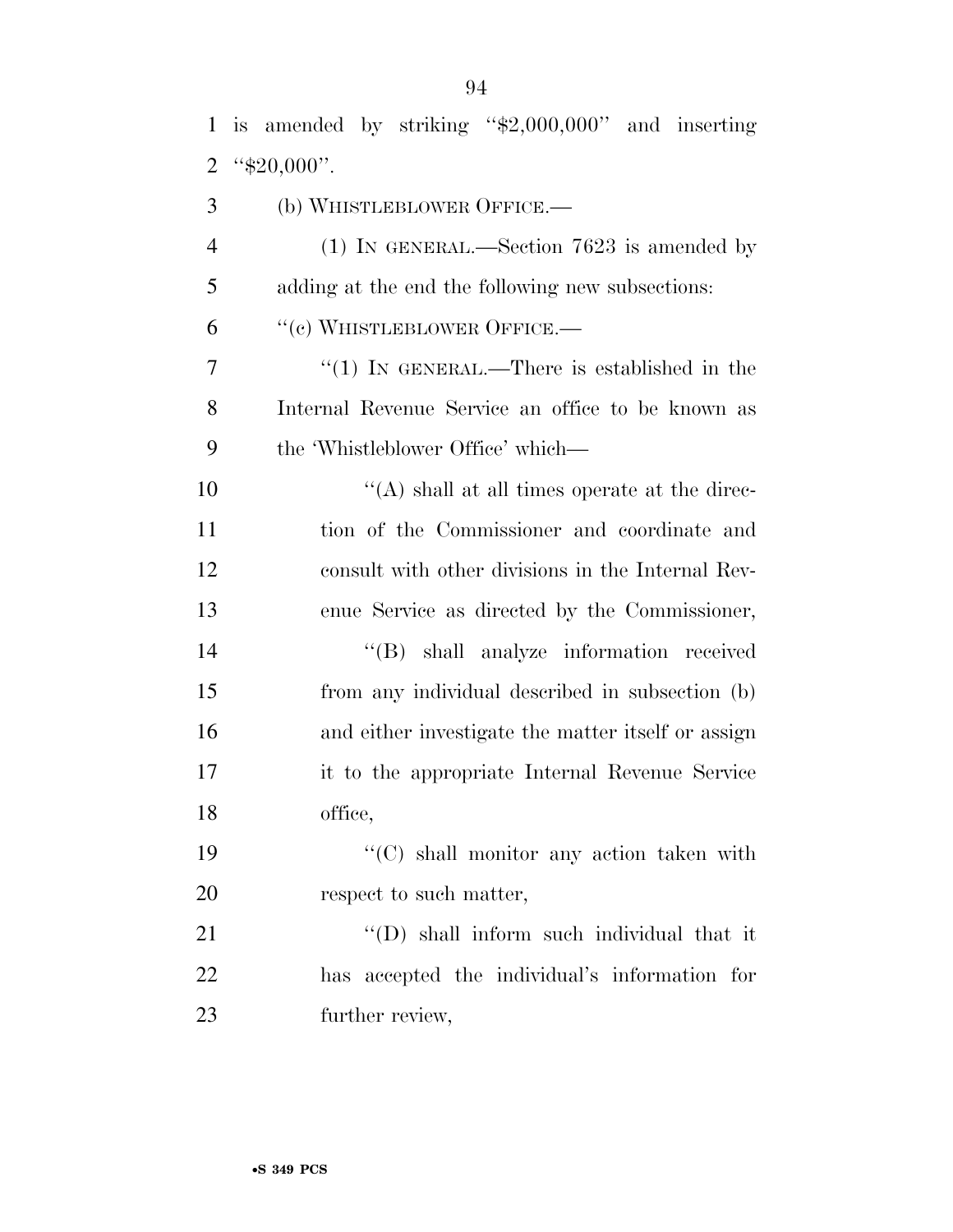| $\mathbf{1}$   | is amended by striking " $\text{$2,000,000"}$ and inserting |
|----------------|-------------------------------------------------------------|
| $\overline{2}$ | " $$20,000$ ".                                              |
| 3              | (b) WHISTLEBLOWER OFFICE.-                                  |
| $\overline{4}$ | $(1)$ IN GENERAL.—Section 7623 is amended by                |
| 5              | adding at the end the following new subsections:            |
| 6              | "(c) WHISTLEBLOWER OFFICE.—                                 |
| 7              | "(1) IN GENERAL.—There is established in the                |
| 8              | Internal Revenue Service an office to be known as           |
| 9              | the 'Whistleblower Office' which—                           |
| 10             | "(A) shall at all times operate at the direc-               |
| 11             | tion of the Commissioner and coordinate and                 |
| 12             | consult with other divisions in the Internal Rev-           |
| 13             | enue Service as directed by the Commissioner,               |
| 14             | "(B) shall analyze information received                     |
| 15             | from any individual described in subsection (b)             |
| 16             | and either investigate the matter itself or assign          |
| 17             | it to the appropriate Internal Revenue Service              |
| 18             | office,                                                     |
| 19             | $\lq\lq$ shall monitor any action taken with                |
| 20             | respect to such matter,                                     |
| 21             | "(D) shall inform such individual that it                   |
| 22             | has accepted the individual's information for               |
| 23             | further review,                                             |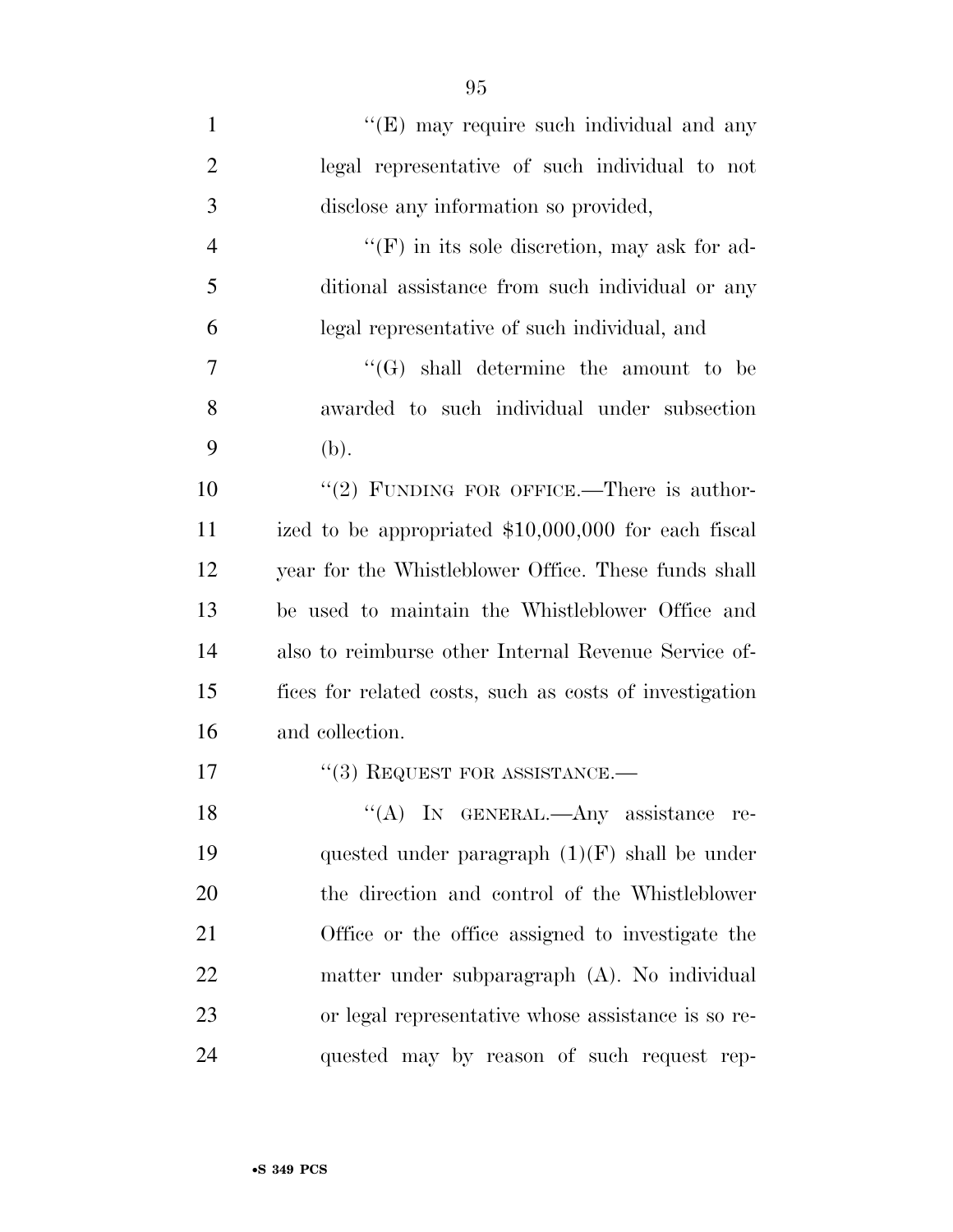| $\mathbf{1}$   | "(E) may require such individual and any                |
|----------------|---------------------------------------------------------|
| $\overline{2}$ | legal representative of such individual to not          |
| 3              | disclose any information so provided,                   |
| $\overline{4}$ | $\lq\lq(F)$ in its sole discretion, may ask for ad-     |
| 5              | ditional assistance from such individual or any         |
| 6              | legal representative of such individual, and            |
| 7              | $\lq\lq(G)$ shall determine the amount to be            |
| 8              | awarded to such individual under subsection             |
| 9              | (b).                                                    |
| 10             | "(2) FUNDING FOR OFFICE.—There is author-               |
| 11             | ized to be appropriated $$10,000,000$ for each fiscal   |
| 12             | year for the Whistleblower Office. These funds shall    |
| 13             | be used to maintain the Whistleblower Office and        |
| 14             | also to reimburse other Internal Revenue Service of-    |
| 15             | fices for related costs, such as costs of investigation |
| 16             | and collection.                                         |
| 17             | $``(3)$ REQUEST FOR ASSISTANCE.—                        |
| 18             | "(A) IN GENERAL.—Any assistance<br>$\rm re$ -           |
| 19             | quested under paragraph $(1)(F)$ shall be under         |
| 20             | the direction and control of the Whistleblower          |
| 21             | Office or the office assigned to investigate the        |
| 22             | matter under subparagraph (A). No individual            |
| 23             | or legal representative whose assistance is so re-      |
| 24             | quested may by reason of such request rep-              |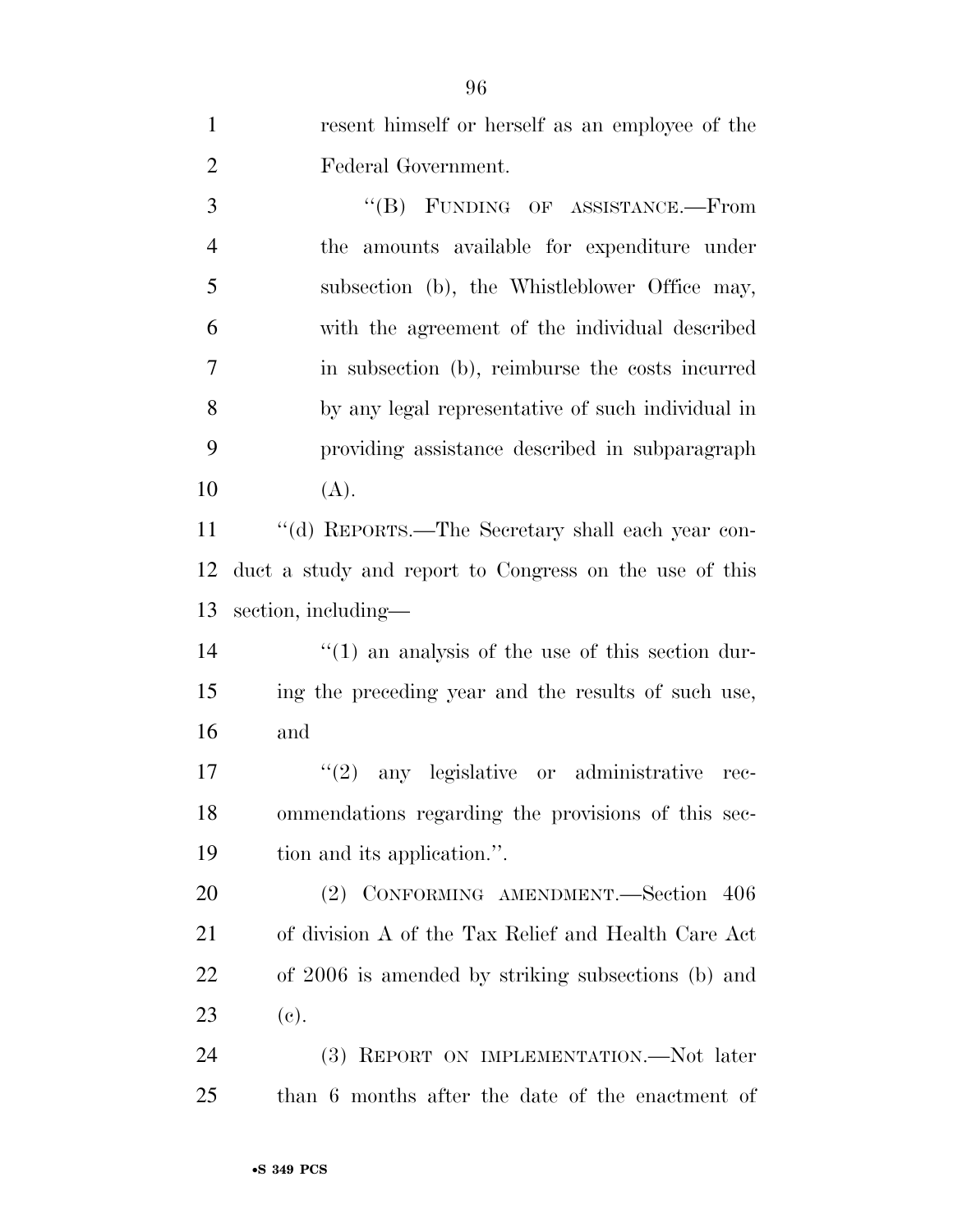resent himself or herself as an employee of the Federal Government. 3 "(B) FUNDING OF ASSISTANCE.—From the amounts available for expenditure under subsection (b), the Whistleblower Office may, with the agreement of the individual described in subsection (b), reimburse the costs incurred by any legal representative of such individual in providing assistance described in subparagraph  $10 \t(A).$  ''(d) REPORTS.—The Secretary shall each year con- duct a study and report to Congress on the use of this section, including—  $\frac{1}{2}$  (1) an analysis of the use of this section dur- ing the preceding year and the results of such use, and  $\frac{1}{2}$  any legislative or administrative rec- ommendations regarding the provisions of this sec- tion and its application.''. (2) CONFORMING AMENDMENT.—Section 406 of division A of the Tax Relief and Health Care Act of 2006 is amended by striking subsections (b) and (c). 24 (3) REPORT ON IMPLEMENTATION.—Not later than 6 months after the date of the enactment of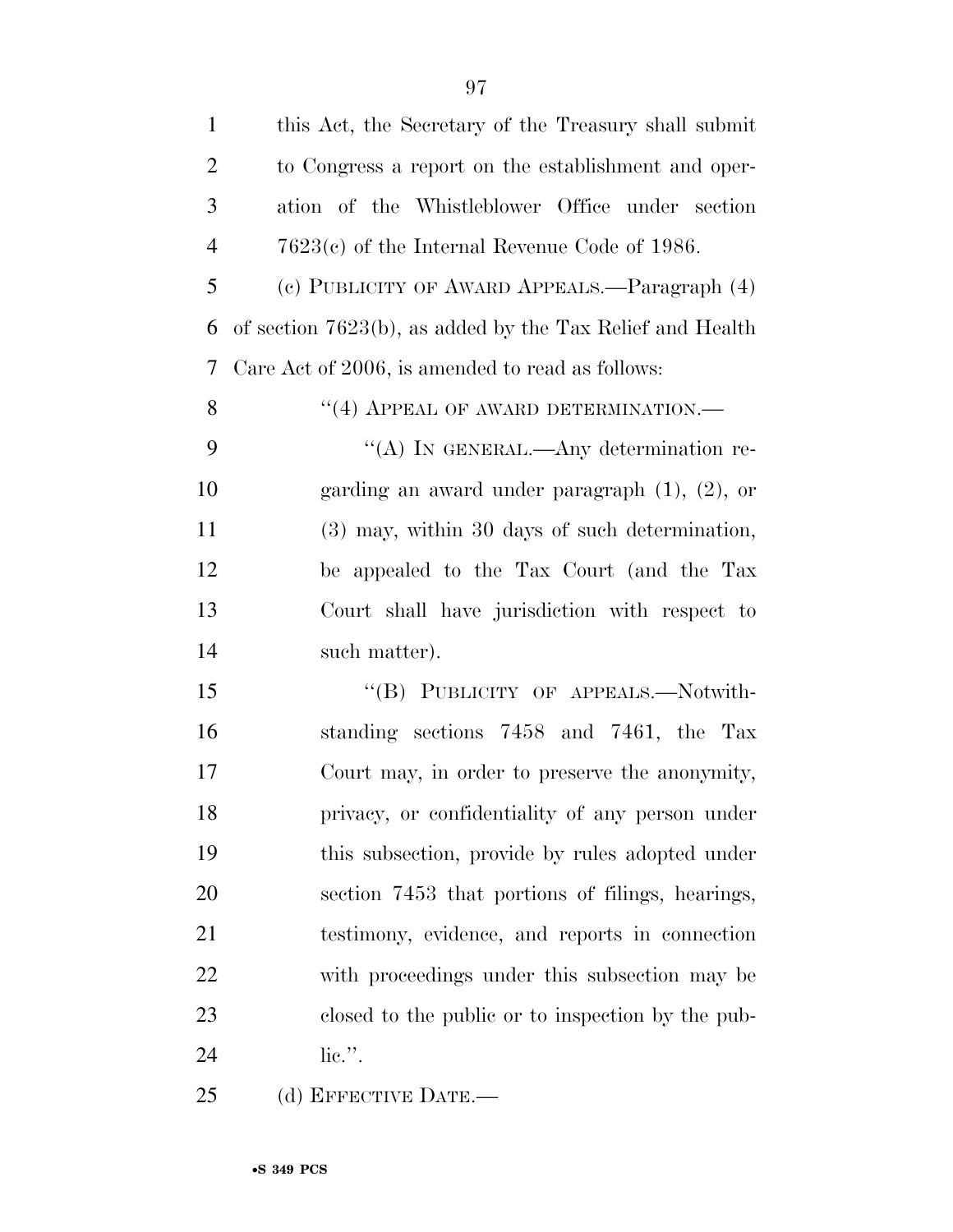| $\mathbf{1}$   | this Act, the Secretary of the Treasury shall submit      |
|----------------|-----------------------------------------------------------|
| $\overline{2}$ | to Congress a report on the establishment and oper-       |
| 3              | ation of the Whistleblower Office under section           |
| $\overline{4}$ | $7623(c)$ of the Internal Revenue Code of 1986.           |
| 5              | (c) PUBLICITY OF AWARD APPEALS.—Paragraph (4)             |
| 6              | of section 7623(b), as added by the Tax Relief and Health |
| 7              | Care Act of 2006, is amended to read as follows:          |
| 8              | "(4) APPEAL OF AWARD DETERMINATION.—                      |
| 9              | "(A) IN GENERAL.—Any determination re-                    |
| 10             | garding an award under paragraph $(1)$ , $(2)$ , or       |
| 11             | (3) may, within 30 days of such determination,            |
| 12             | be appealed to the Tax Court (and the Tax                 |
| 13             | Court shall have jurisdiction with respect to             |
| 14             | such matter).                                             |
| 15             | "(B) PUBLICITY OF APPEALS.—Notwith-                       |
| 16             | standing sections 7458 and 7461, the Tax                  |
| 17             | Court may, in order to preserve the anonymity,            |
| 18             | privacy, or confidentiality of any person under           |
| 19             | this subsection, provide by rules adopted under           |
| 20             | section 7453 that portions of filings, hearings,          |
| 21             | testimony, evidence, and reports in connection            |
| 22             | with proceedings under this subsection may be             |
| 23             | closed to the public or to inspection by the pub-         |
| 24             | $\overline{\text{lie}}$ .".                               |
| 25             | (d) EFFECTIVE DATE.—                                      |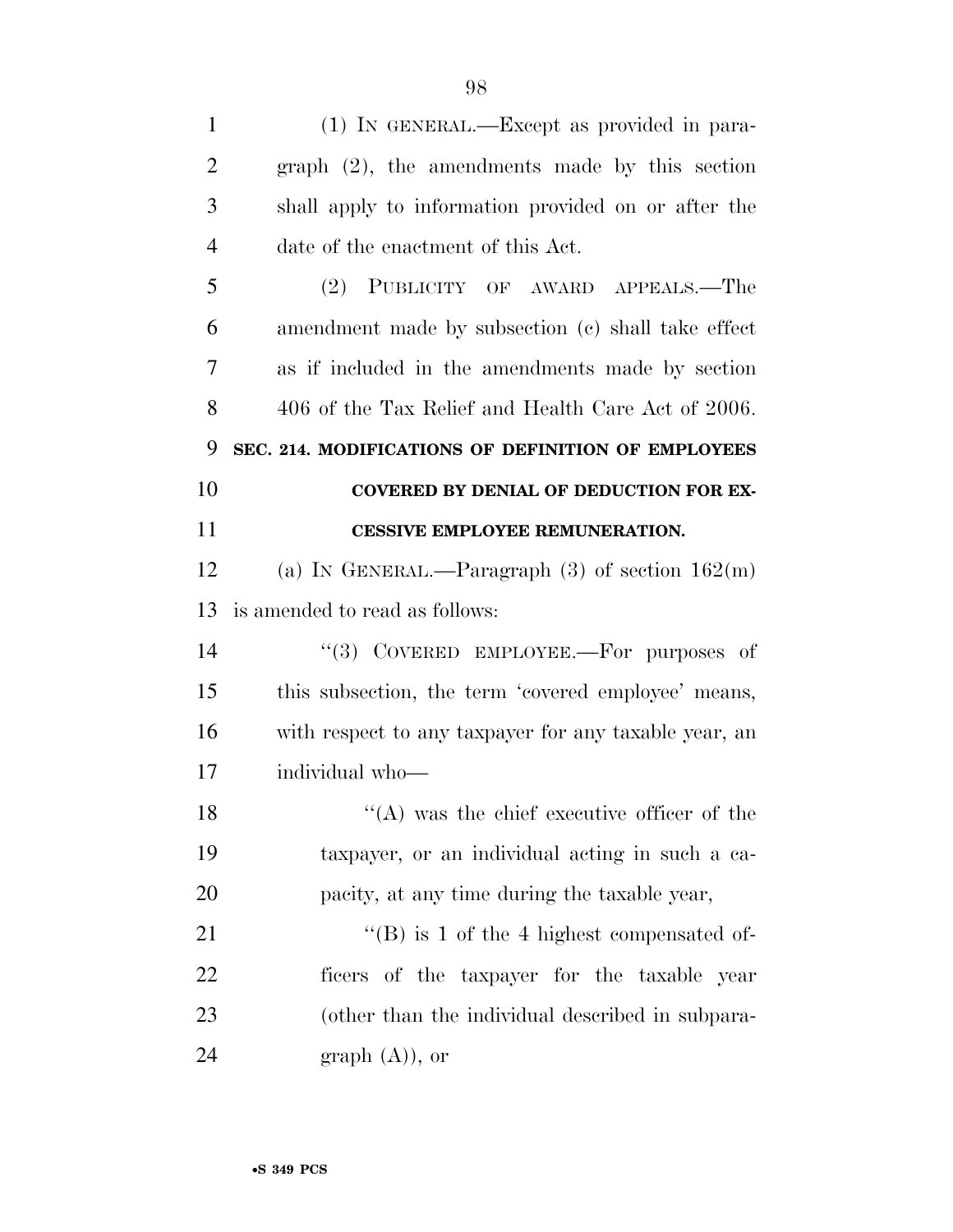| $\mathbf{1}$   | (1) IN GENERAL.—Except as provided in para-           |
|----------------|-------------------------------------------------------|
| $\overline{2}$ | $graph$ $(2)$ , the amendments made by this section   |
| 3              | shall apply to information provided on or after the   |
| $\overline{4}$ | date of the enactment of this Act.                    |
| 5              | (2) PUBLICITY OF AWARD APPEALS.—The                   |
| 6              | amendment made by subsection (c) shall take effect    |
| 7              | as if included in the amendments made by section      |
| 8              | 406 of the Tax Relief and Health Care Act of 2006.    |
| 9              | SEC. 214. MODIFICATIONS OF DEFINITION OF EMPLOYEES    |
| 10             | <b>COVERED BY DENIAL OF DEDUCTION FOR EX-</b>         |
| 11             | <b>CESSIVE EMPLOYEE REMUNERATION.</b>                 |
| 12             | (a) IN GENERAL.—Paragraph $(3)$ of section $162(m)$   |
| 13             | is amended to read as follows:                        |
| 14             | "(3) COVERED EMPLOYEE.—For purposes of                |
| 15             | this subsection, the term 'covered employee' means,   |
| 16             | with respect to any taxpayer for any taxable year, an |
| 17             | individual who-                                       |
| 18             | $\lq\lq$ (A) was the chief executive officer of the   |
| 19             | taxpayer, or an individual acting in such a ca-       |
| 20             | pacity, at any time during the taxable year,          |
| 21             | $\lq\lq (B)$ is 1 of the 4 highest compensated of-    |
| 22             | ficers of the taxpayer for the taxable year           |
|                |                                                       |
| 23             | (other than the individual described in subpara-      |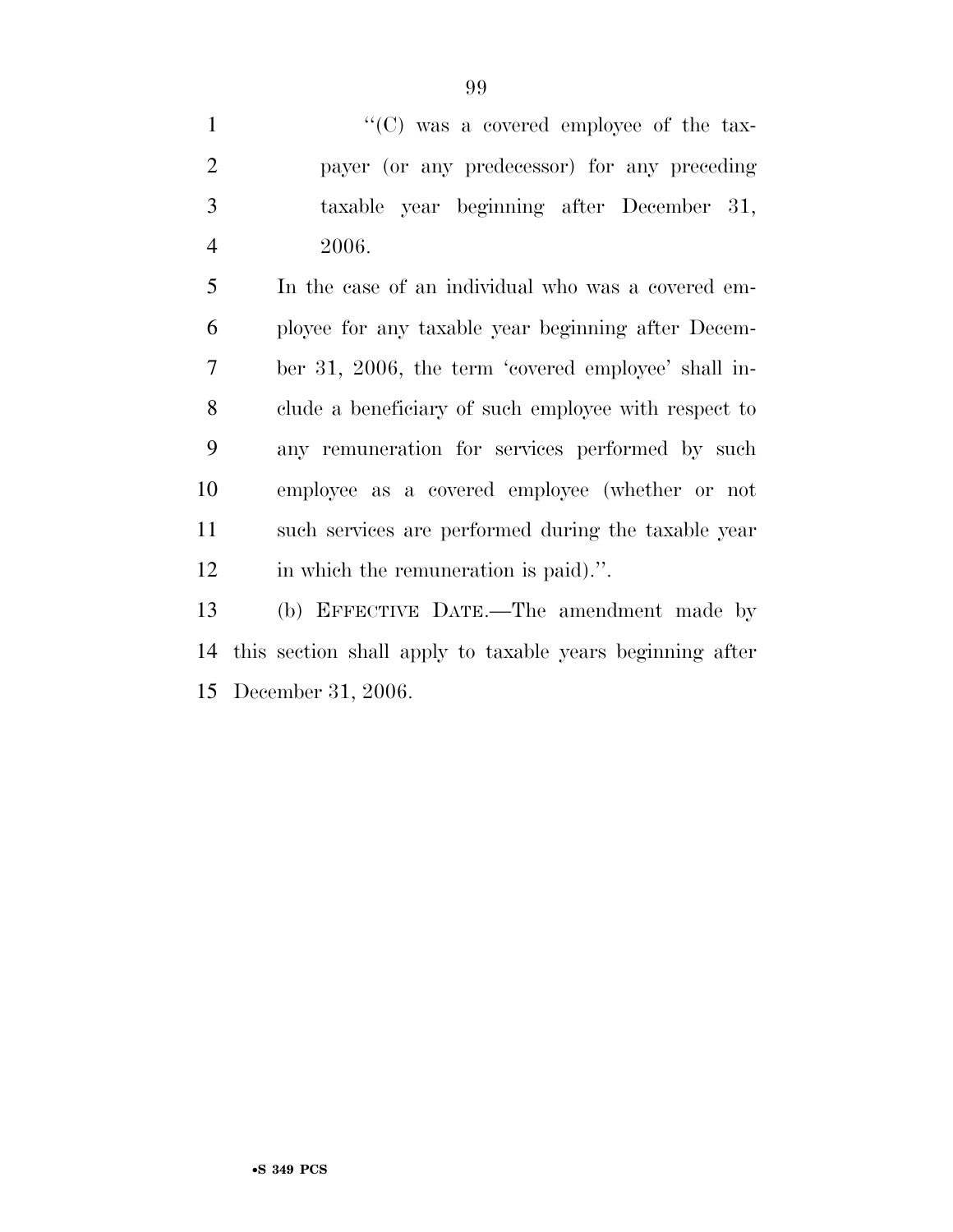$\lq\lq$  (C) was a covered employee of the tax- payer (or any predecessor) for any preceding taxable year beginning after December 31, 2006.

 In the case of an individual who was a covered em- ployee for any taxable year beginning after Decem- ber 31, 2006, the term 'covered employee' shall in- clude a beneficiary of such employee with respect to any remuneration for services performed by such employee as a covered employee (whether or not such services are performed during the taxable year in which the remuneration is paid).''.

 (b) EFFECTIVE DATE.—The amendment made by this section shall apply to taxable years beginning after December 31, 2006.